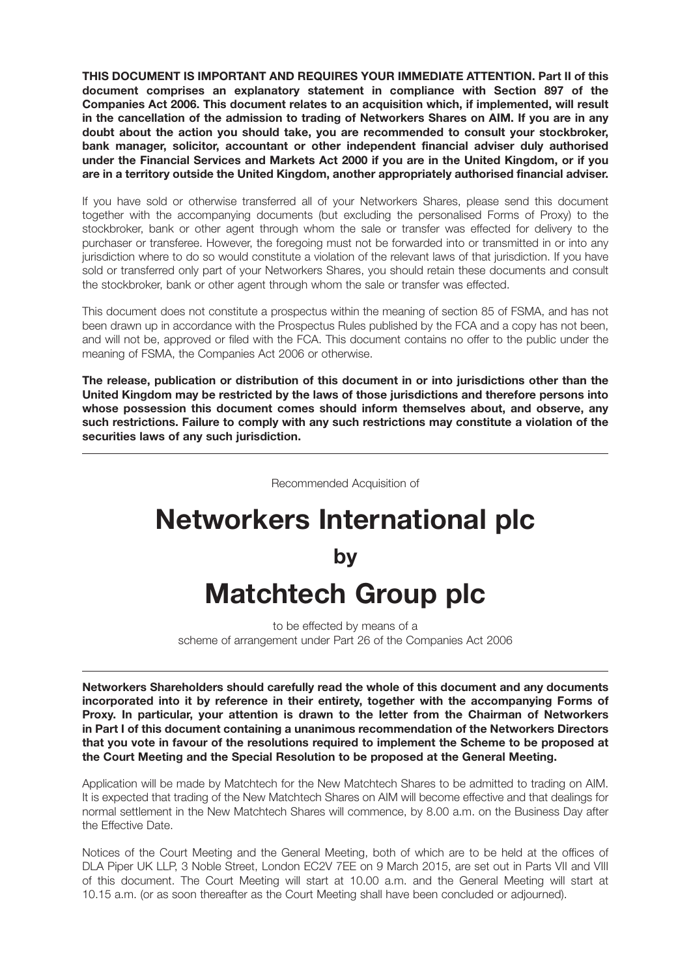**THIS DOCUMENT IS IMPORTANT AND REQUIRES YOUR IMMEDIATE ATTENTION. Part II of this document comprises an explanatory statement in compliance with Section 897 of the Companies Act 2006. This document relates to an acquisition which, if implemented, will result in the cancellation of the admission to trading of Networkers Shares on AIM. If you are in any doubt about the action you should take, you are recommended to consult your stockbroker, bank manager, solicitor, accountant or other independent financial adviser duly authorised under the Financial Services and Markets Act 2000 if you are in the United Kingdom, or if you are in a territory outside the United Kingdom, another appropriately authorised financial adviser.**

If you have sold or otherwise transferred all of your Networkers Shares, please send this document together with the accompanying documents (but excluding the personalised Forms of Proxy) to the stockbroker, bank or other agent through whom the sale or transfer was effected for delivery to the purchaser or transferee. However, the foregoing must not be forwarded into or transmitted in or into any jurisdiction where to do so would constitute a violation of the relevant laws of that jurisdiction. If you have sold or transferred only part of your Networkers Shares, you should retain these documents and consult the stockbroker, bank or other agent through whom the sale or transfer was effected.

This document does not constitute a prospectus within the meaning of section 85 of FSMA, and has not been drawn up in accordance with the Prospectus Rules published by the FCA and a copy has not been, and will not be, approved or filed with the FCA. This document contains no offer to the public under the meaning of FSMA, the Companies Act 2006 or otherwise.

**The release, publication or distribution of this document in or into jurisdictions other than the United Kingdom may be restricted by the laws of those jurisdictions and therefore persons into whose possession this document comes should inform themselves about, and observe, any such restrictions. Failure to comply with any such restrictions may constitute a violation of the securities laws of any such jurisdiction.**

Recommended Acquisition of

# **Networkers International plc**

**by**

# **Matchtech Group plc**

to be effected by means of a scheme of arrangement under Part 26 of the Companies Act 2006

**Networkers Shareholders should carefully read the whole of this document and any documents incorporated into it by reference in their entirety, together with the accompanying Forms of Proxy. In particular, your attention is drawn to the letter from the Chairman of Networkers in Part I of this document containing a unanimous recommendation of the Networkers Directors that you vote in favour of the resolutions required to implement the Scheme to be proposed at the Court Meeting and the Special Resolution to be proposed at the General Meeting.**

Application will be made by Matchtech for the New Matchtech Shares to be admitted to trading on AIM. It is expected that trading of the New Matchtech Shares on AIM will become effective and that dealings for normal settlement in the New Matchtech Shares will commence, by 8.00 a.m. on the Business Day after the Effective Date.

Notices of the Court Meeting and the General Meeting, both of which are to be held at the offices of DLA Piper UK LLP, 3 Noble Street, London EC2V 7EE on 9 March 2015, are set out in Parts VII and VIII of this document. The Court Meeting will start at 10.00 a.m. and the General Meeting will start at 10.15 a.m. (or as soon thereafter as the Court Meeting shall have been concluded or adjourned).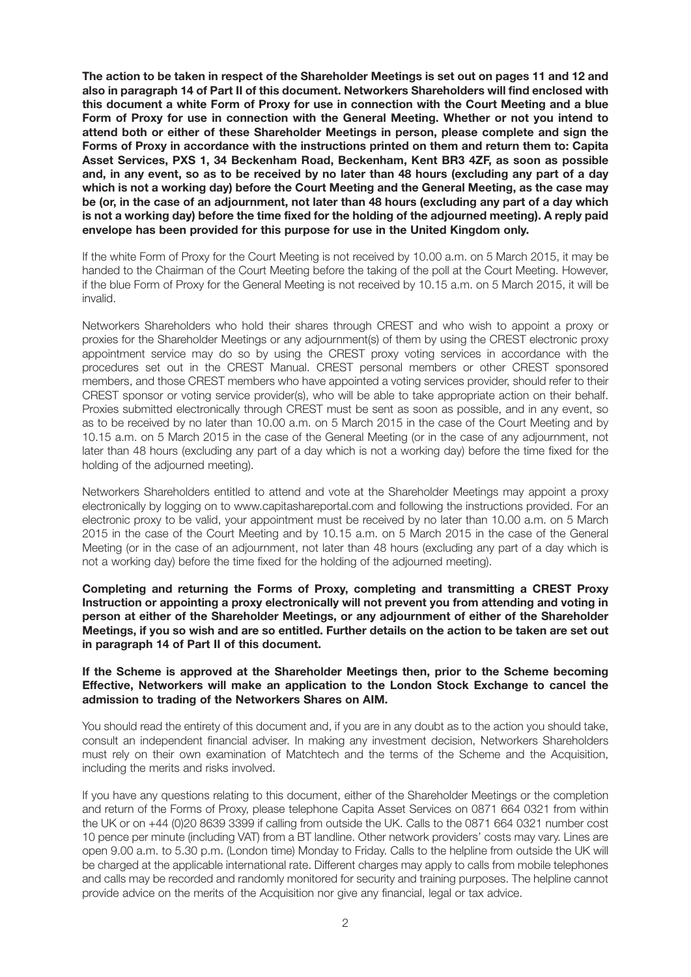**The action to be taken in respect of the Shareholder Meetings is set out on pages 11 and 12 and also in paragraph 14 of Part II of this document. Networkers Shareholders will find enclosed with this document a white Form of Proxy for use in connection with the Court Meeting and a blue Form of Proxy for use in connection with the General Meeting. Whether or not you intend to attend both or either of these Shareholder Meetings in person, please complete and sign the Forms of Proxy in accordance with the instructions printed on them and return them to: Capita Asset Services, PXS 1, 34 Beckenham Road, Beckenham, Kent BR3 4ZF, as soon as possible and, in any event, so as to be received by no later than 48 hours (excluding any part of a day which is not a working day) before the Court Meeting and the General Meeting, as the case may be (or, in the case of an adjournment, not later than 48 hours (excluding any part of a day which is not a working day) before the time fixed for the holding of the adjourned meeting). A reply paid envelope has been provided for this purpose for use in the United Kingdom only.**

If the white Form of Proxy for the Court Meeting is not received by 10.00 a.m. on 5 March 2015, it may be handed to the Chairman of the Court Meeting before the taking of the poll at the Court Meeting. However, if the blue Form of Proxy for the General Meeting is not received by 10.15 a.m. on 5 March 2015, it will be invalid.

Networkers Shareholders who hold their shares through CREST and who wish to appoint a proxy or proxies for the Shareholder Meetings or any adjournment(s) of them by using the CREST electronic proxy appointment service may do so by using the CREST proxy voting services in accordance with the procedures set out in the CREST Manual. CREST personal members or other CREST sponsored members, and those CREST members who have appointed a voting services provider, should refer to their CREST sponsor or voting service provider(s), who will be able to take appropriate action on their behalf. Proxies submitted electronically through CREST must be sent as soon as possible, and in any event, so as to be received by no later than 10.00 a.m. on 5 March 2015 in the case of the Court Meeting and by 10.15 a.m. on 5 March 2015 in the case of the General Meeting (or in the case of any adjournment, not later than 48 hours (excluding any part of a day which is not a working day) before the time fixed for the holding of the adjourned meeting).

Networkers Shareholders entitled to attend and vote at the Shareholder Meetings may appoint a proxy electronically by logging on to www.capitashareportal.com and following the instructions provided. For an electronic proxy to be valid, your appointment must be received by no later than 10.00 a.m. on 5 March 2015 in the case of the Court Meeting and by 10.15 a.m. on 5 March 2015 in the case of the General Meeting (or in the case of an adjournment, not later than 48 hours (excluding any part of a day which is not a working day) before the time fixed for the holding of the adjourned meeting).

**Completing and returning the Forms of Proxy, completing and transmitting a CREST Proxy Instruction or appointing a proxy electronically will not prevent you from attending and voting in person at either of the Shareholder Meetings, or any adjournment of either of the Shareholder Meetings, if you so wish and are so entitled. Further details on the action to be taken are set out in paragraph 14 of Part II of this document.**

#### **If the Scheme is approved at the Shareholder Meetings then, prior to the Scheme becoming Effective, Networkers will make an application to the London Stock Exchange to cancel the admission to trading of the Networkers Shares on AIM.**

You should read the entirety of this document and, if you are in any doubt as to the action you should take, consult an independent financial adviser. In making any investment decision, Networkers Shareholders must rely on their own examination of Matchtech and the terms of the Scheme and the Acquisition, including the merits and risks involved.

If you have any questions relating to this document, either of the Shareholder Meetings or the completion and return of the Forms of Proxy, please telephone Capita Asset Services on 0871 664 0321 from within the UK or on +44 (0)20 8639 3399 if calling from outside the UK. Calls to the 0871 664 0321 number cost 10 pence per minute (including VAT) from a BT landline. Other network providers' costs may vary. Lines are open 9.00 a.m. to 5.30 p.m. (London time) Monday to Friday. Calls to the helpline from outside the UK will be charged at the applicable international rate. Different charges may apply to calls from mobile telephones and calls may be recorded and randomly monitored for security and training purposes. The helpline cannot provide advice on the merits of the Acquisition nor give any financial, legal or tax advice.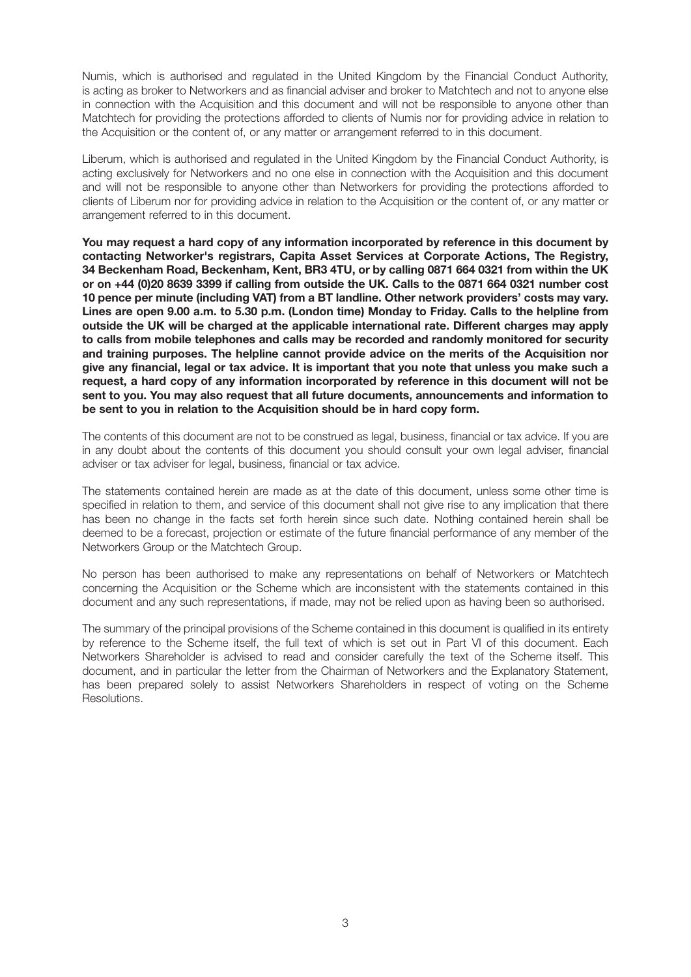Numis, which is authorised and regulated in the United Kingdom by the Financial Conduct Authority, is acting as broker to Networkers and as financial adviser and broker to Matchtech and not to anyone else in connection with the Acquisition and this document and will not be responsible to anyone other than Matchtech for providing the protections afforded to clients of Numis nor for providing advice in relation to the Acquisition or the content of, or any matter or arrangement referred to in this document.

Liberum, which is authorised and regulated in the United Kingdom by the Financial Conduct Authority, is acting exclusively for Networkers and no one else in connection with the Acquisition and this document and will not be responsible to anyone other than Networkers for providing the protections afforded to clients of Liberum nor for providing advice in relation to the Acquisition or the content of, or any matter or arrangement referred to in this document.

**You may request a hard copy of any information incorporated by reference in this document by contacting Networker's registrars, Capita Asset Services at Corporate Actions, The Registry, 34 Beckenham Road, Beckenham, Kent, BR3 4TU, or by calling 0871 664 0321 from within the UK or on +44 (0)20 8639 3399 if calling from outside the UK. Calls to the 0871 664 0321 number cost 10 pence per minute (including VAT) from a BT landline. Other network providers' costs may vary. Lines are open 9.00 a.m. to 5.30 p.m. (London time) Monday to Friday. Calls to the helpline from outside the UK will be charged at the applicable international rate. Different charges may apply to calls from mobile telephones and calls may be recorded and randomly monitored for security and training purposes. The helpline cannot provide advice on the merits of the Acquisition nor give any financial, legal or tax advice. It is important that you note that unless you make such a request, a hard copy of any information incorporated by reference in this document will not be sent to you. You may also request that all future documents, announcements and information to be sent to you in relation to the Acquisition should be in hard copy form.**

The contents of this document are not to be construed as legal, business, financial or tax advice. If you are in any doubt about the contents of this document you should consult your own legal adviser, financial adviser or tax adviser for legal, business, financial or tax advice.

The statements contained herein are made as at the date of this document, unless some other time is specified in relation to them, and service of this document shall not give rise to any implication that there has been no change in the facts set forth herein since such date. Nothing contained herein shall be deemed to be a forecast, projection or estimate of the future financial performance of any member of the Networkers Group or the Matchtech Group.

No person has been authorised to make any representations on behalf of Networkers or Matchtech concerning the Acquisition or the Scheme which are inconsistent with the statements contained in this document and any such representations, if made, may not be relied upon as having been so authorised.

The summary of the principal provisions of the Scheme contained in this document is qualified in its entirety by reference to the Scheme itself, the full text of which is set out in Part VI of this document. Each Networkers Shareholder is advised to read and consider carefully the text of the Scheme itself. This document, and in particular the letter from the Chairman of Networkers and the Explanatory Statement, has been prepared solely to assist Networkers Shareholders in respect of voting on the Scheme Resolutions.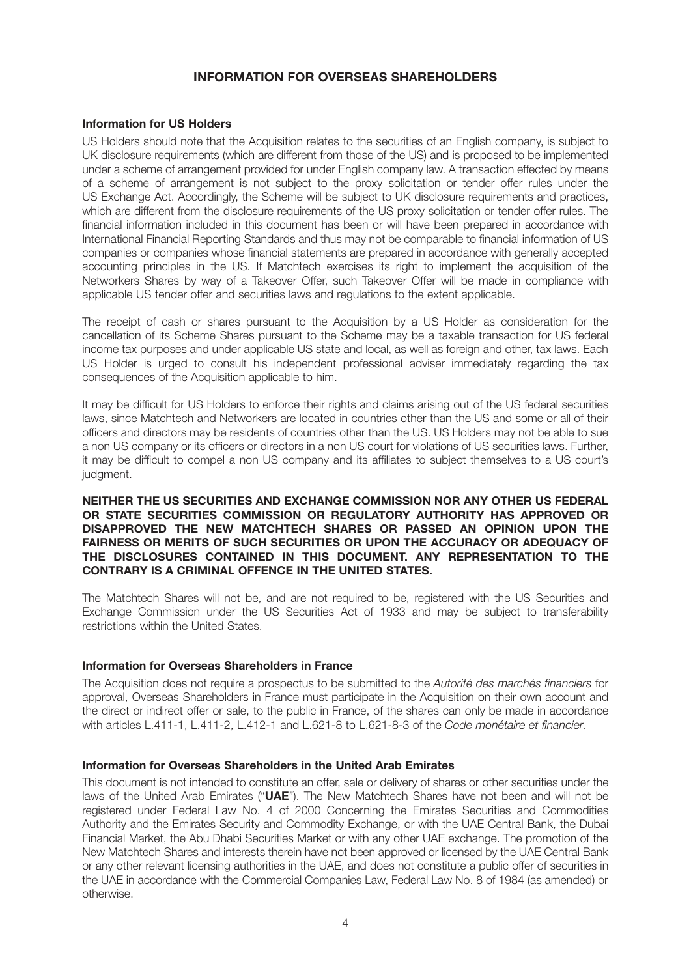# **INFORMATION FOR OVERSEAS SHAREHOLDERS**

#### **Information for US Holders**

US Holders should note that the Acquisition relates to the securities of an English company, is subject to UK disclosure requirements (which are different from those of the US) and is proposed to be implemented under a scheme of arrangement provided for under English company law. A transaction effected by means of a scheme of arrangement is not subject to the proxy solicitation or tender offer rules under the US Exchange Act. Accordingly, the Scheme will be subject to UK disclosure requirements and practices, which are different from the disclosure requirements of the US proxy solicitation or tender offer rules. The financial information included in this document has been or will have been prepared in accordance with International Financial Reporting Standards and thus may not be comparable to financial information of US companies or companies whose financial statements are prepared in accordance with generally accepted accounting principles in the US. If Matchtech exercises its right to implement the acquisition of the Networkers Shares by way of a Takeover Offer, such Takeover Offer will be made in compliance with applicable US tender offer and securities laws and regulations to the extent applicable.

The receipt of cash or shares pursuant to the Acquisition by a US Holder as consideration for the cancellation of its Scheme Shares pursuant to the Scheme may be a taxable transaction for US federal income tax purposes and under applicable US state and local, as well as foreign and other, tax laws. Each US Holder is urged to consult his independent professional adviser immediately regarding the tax consequences of the Acquisition applicable to him.

It may be difficult for US Holders to enforce their rights and claims arising out of the US federal securities laws, since Matchtech and Networkers are located in countries other than the US and some or all of their officers and directors may be residents of countries other than the US. US Holders may not be able to sue a non US company or its officers or directors in a non US court for violations of US securities laws. Further, it may be difficult to compel a non US company and its affiliates to subject themselves to a US court's judgment.

#### **NEITHER THE US SECURITIES AND EXCHANGE COMMISSION NOR ANY OTHER US FEDERAL OR STATE SECURITIES COMMISSION OR REGULATORY AUTHORITY HAS APPROVED OR DISAPPROVED THE NEW MATCHTECH SHARES OR PASSED AN OPINION UPON THE FAIRNESS OR MERITS OF SUCH SECURITIES OR UPON THE ACCURACY OR ADEQUACY OF THE DISCLOSURES CONTAINED IN THIS DOCUMENT. ANY REPRESENTATION TO THE CONTRARY IS A CRIMINAL OFFENCE IN THE UNITED STATES.**

The Matchtech Shares will not be, and are not required to be, registered with the US Securities and Exchange Commission under the US Securities Act of 1933 and may be subject to transferability restrictions within the United States.

#### **Information for Overseas Shareholders in France**

The Acquisition does not require a prospectus to be submitted to the *Autorité des marchés financiers* for approval, Overseas Shareholders in France must participate in the Acquisition on their own account and the direct or indirect offer or sale, to the public in France, of the shares can only be made in accordance with articles L.411-1, L.411-2, L.412-1 and L.621-8 to L.621-8-3 of the *Code monétaire et financier*.

#### **Information for Overseas Shareholders in the United Arab Emirates**

This document is not intended to constitute an offer, sale or delivery of shares or other securities under the laws of the United Arab Emirates ("**UAE**"). The New Matchtech Shares have not been and will not be registered under Federal Law No. 4 of 2000 Concerning the Emirates Securities and Commodities Authority and the Emirates Security and Commodity Exchange, or with the UAE Central Bank, the Dubai Financial Market, the Abu Dhabi Securities Market or with any other UAE exchange. The promotion of the New Matchtech Shares and interests therein have not been approved or licensed by the UAE Central Bank or any other relevant licensing authorities in the UAE, and does not constitute a public offer of securities in the UAE in accordance with the Commercial Companies Law, Federal Law No. 8 of 1984 (as amended) or otherwise.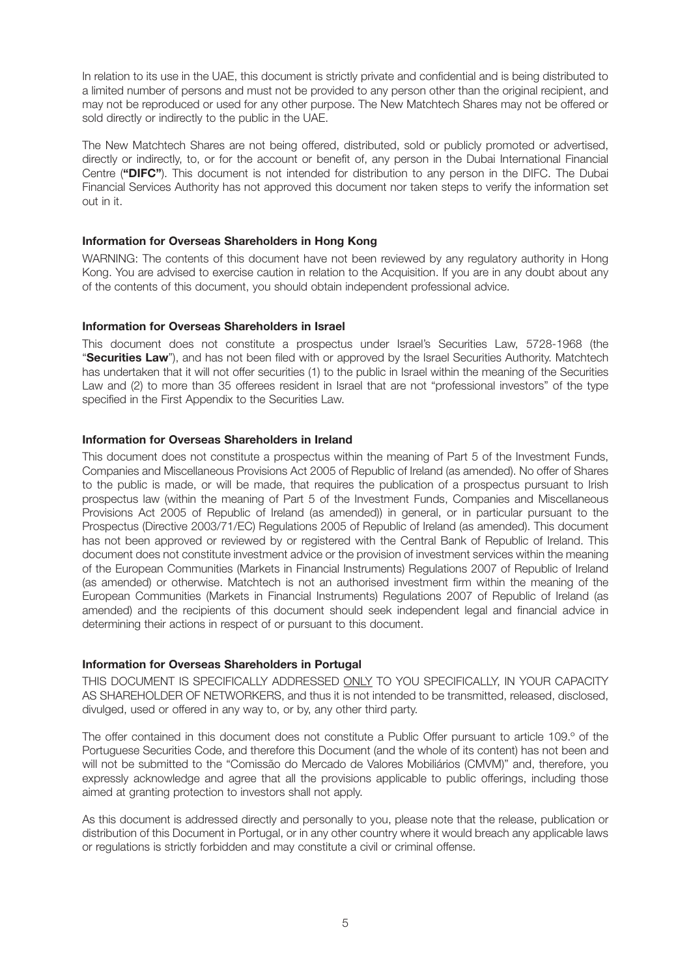In relation to its use in the UAE, this document is strictly private and confidential and is being distributed to a limited number of persons and must not be provided to any person other than the original recipient, and may not be reproduced or used for any other purpose. The New Matchtech Shares may not be offered or sold directly or indirectly to the public in the UAE.

The New Matchtech Shares are not being offered, distributed, sold or publicly promoted or advertised, directly or indirectly, to, or for the account or benefit of, any person in the Dubai International Financial Centre (**"DIFC"**). This document is not intended for distribution to any person in the DIFC. The Dubai Financial Services Authority has not approved this document nor taken steps to verify the information set out in it.

#### **Information for Overseas Shareholders in Hong Kong**

WARNING: The contents of this document have not been reviewed by any regulatory authority in Hong Kong. You are advised to exercise caution in relation to the Acquisition. If you are in any doubt about any of the contents of this document, you should obtain independent professional advice.

#### **Information for Overseas Shareholders in Israel**

This document does not constitute a prospectus under Israel's Securities Law, 5728-1968 (the "**Securities Law**"), and has not been filed with or approved by the Israel Securities Authority. Matchtech has undertaken that it will not offer securities (1) to the public in Israel within the meaning of the Securities Law and (2) to more than 35 offerees resident in Israel that are not "professional investors" of the type specified in the First Appendix to the Securities Law.

#### **Information for Overseas Shareholders in Ireland**

This document does not constitute a prospectus within the meaning of Part 5 of the Investment Funds, Companies and Miscellaneous Provisions Act 2005 of Republic of Ireland (as amended). No offer of Shares to the public is made, or will be made, that requires the publication of a prospectus pursuant to Irish prospectus law (within the meaning of Part 5 of the Investment Funds, Companies and Miscellaneous Provisions Act 2005 of Republic of Ireland (as amended)) in general, or in particular pursuant to the Prospectus (Directive 2003/71/EC) Regulations 2005 of Republic of Ireland (as amended). This document has not been approved or reviewed by or registered with the Central Bank of Republic of Ireland. This document does not constitute investment advice or the provision of investment services within the meaning of the European Communities (Markets in Financial Instruments) Regulations 2007 of Republic of Ireland (as amended) or otherwise. Matchtech is not an authorised investment firm within the meaning of the European Communities (Markets in Financial Instruments) Regulations 2007 of Republic of Ireland (as amended) and the recipients of this document should seek independent legal and financial advice in determining their actions in respect of or pursuant to this document.

#### **Information for Overseas Shareholders in Portugal**

THIS DOCUMENT IS SPECIFICALLY ADDRESSED ONLY TO YOU SPECIFICALLY, IN YOUR CAPACITY AS SHAREHOLDER OF NETWORKERS, and thus it is not intended to be transmitted, released, disclosed, divulged, used or offered in any way to, or by, any other third party.

The offer contained in this document does not constitute a Public Offer pursuant to article 109.º of the Portuguese Securities Code, and therefore this Document (and the whole of its content) has not been and will not be submitted to the "Comissão do Mercado de Valores Mobiliários (CMVM)" and, therefore, you expressly acknowledge and agree that all the provisions applicable to public offerings, including those aimed at granting protection to investors shall not apply.

As this document is addressed directly and personally to you, please note that the release, publication or distribution of this Document in Portugal, or in any other country where it would breach any applicable laws or regulations is strictly forbidden and may constitute a civil or criminal offense.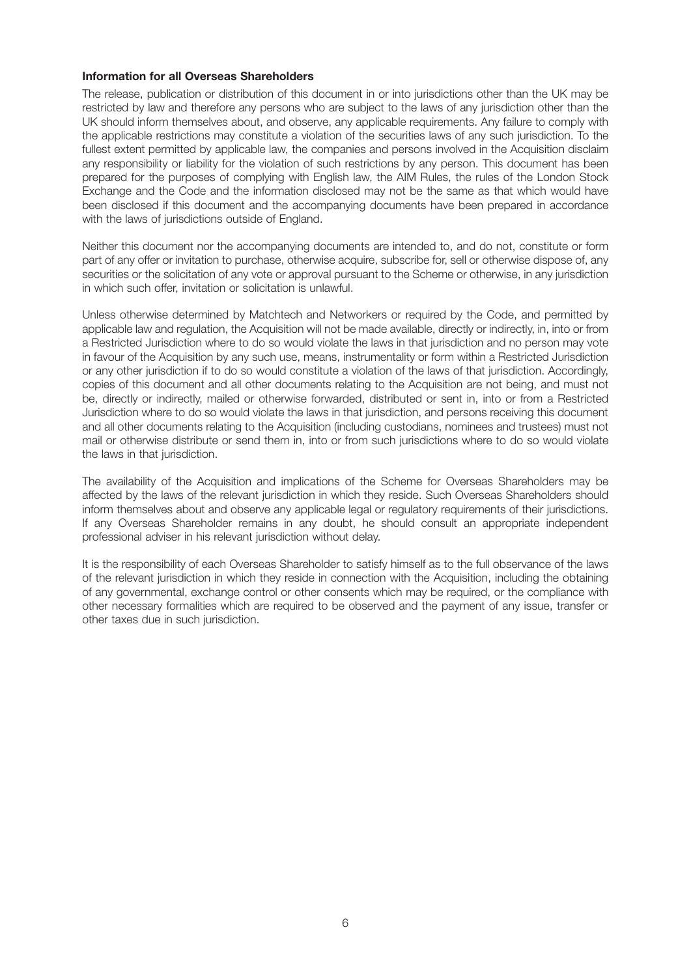#### **Information for all Overseas Shareholders**

The release, publication or distribution of this document in or into jurisdictions other than the UK may be restricted by law and therefore any persons who are subject to the laws of any jurisdiction other than the UK should inform themselves about, and observe, any applicable requirements. Any failure to comply with the applicable restrictions may constitute a violation of the securities laws of any such jurisdiction. To the fullest extent permitted by applicable law, the companies and persons involved in the Acquisition disclaim any responsibility or liability for the violation of such restrictions by any person. This document has been prepared for the purposes of complying with English law, the AIM Rules, the rules of the London Stock Exchange and the Code and the information disclosed may not be the same as that which would have been disclosed if this document and the accompanying documents have been prepared in accordance with the laws of jurisdictions outside of England.

Neither this document nor the accompanying documents are intended to, and do not, constitute or form part of any offer or invitation to purchase, otherwise acquire, subscribe for, sell or otherwise dispose of, any securities or the solicitation of any vote or approval pursuant to the Scheme or otherwise, in any jurisdiction in which such offer, invitation or solicitation is unlawful.

Unless otherwise determined by Matchtech and Networkers or required by the Code, and permitted by applicable law and regulation, the Acquisition will not be made available, directly or indirectly, in, into or from a Restricted Jurisdiction where to do so would violate the laws in that jurisdiction and no person may vote in favour of the Acquisition by any such use, means, instrumentality or form within a Restricted Jurisdiction or any other jurisdiction if to do so would constitute a violation of the laws of that jurisdiction. Accordingly, copies of this document and all other documents relating to the Acquisition are not being, and must not be, directly or indirectly, mailed or otherwise forwarded, distributed or sent in, into or from a Restricted Jurisdiction where to do so would violate the laws in that jurisdiction, and persons receiving this document and all other documents relating to the Acquisition (including custodians, nominees and trustees) must not mail or otherwise distribute or send them in, into or from such jurisdictions where to do so would violate the laws in that jurisdiction.

The availability of the Acquisition and implications of the Scheme for Overseas Shareholders may be affected by the laws of the relevant jurisdiction in which they reside. Such Overseas Shareholders should inform themselves about and observe any applicable legal or regulatory requirements of their jurisdictions. If any Overseas Shareholder remains in any doubt, he should consult an appropriate independent professional adviser in his relevant jurisdiction without delay.

It is the responsibility of each Overseas Shareholder to satisfy himself as to the full observance of the laws of the relevant jurisdiction in which they reside in connection with the Acquisition, including the obtaining of any governmental, exchange control or other consents which may be required, or the compliance with other necessary formalities which are required to be observed and the payment of any issue, transfer or other taxes due in such jurisdiction.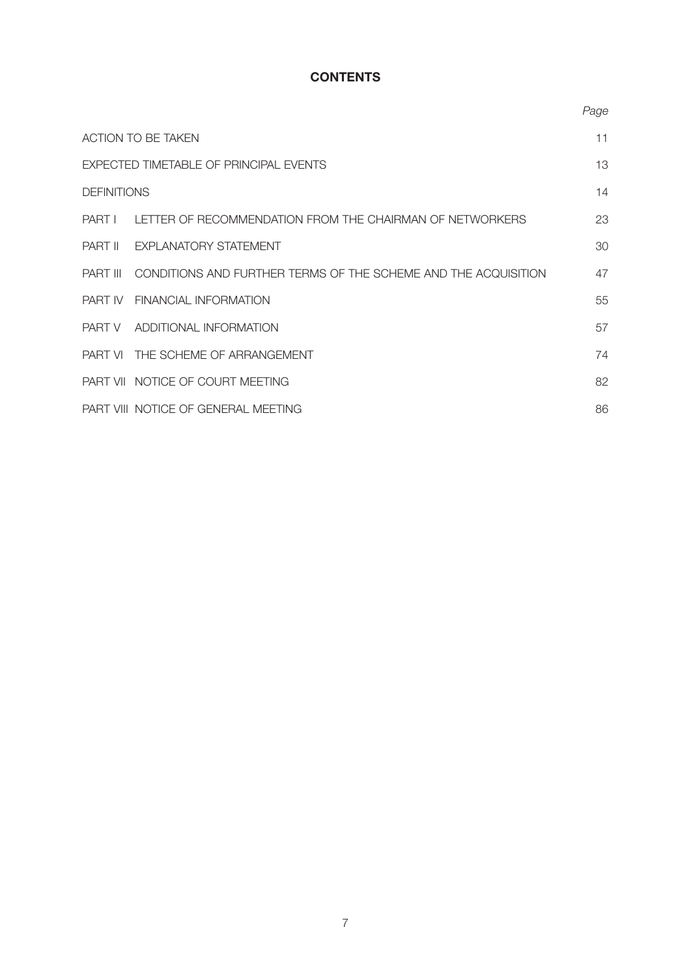# **CONTENTS**

|                                        |                                                                | Page |
|----------------------------------------|----------------------------------------------------------------|------|
|                                        | <b>ACTION TO BE TAKEN</b>                                      | 11   |
| EXPECTED TIMETABLE OF PRINCIPAL EVENTS |                                                                | 13   |
| <b>DEFINITIONS</b>                     |                                                                | 14   |
| PART I                                 | LETTER OF RECOMMENDATION FROM THE CHAIRMAN OF NETWORKERS       | 23   |
| PART II                                | <b>EXPLANATORY STATEMENT</b>                                   | 30   |
| PART III                               | CONDITIONS AND FURTHER TERMS OF THE SCHEME AND THE ACQUISITION | 47   |
| PART IV                                | FINANCIAL INFORMATION                                          | 55   |
| PART V                                 | ADDITIONAL INFORMATION                                         | 57   |
|                                        | PART VI THE SCHEME OF ARRANGEMENT                              | 74   |
|                                        | PART VII NOTICE OF COURT MEETING                               | 82   |
|                                        | PART VIII NOTICE OF GENERAL MEETING                            | 86   |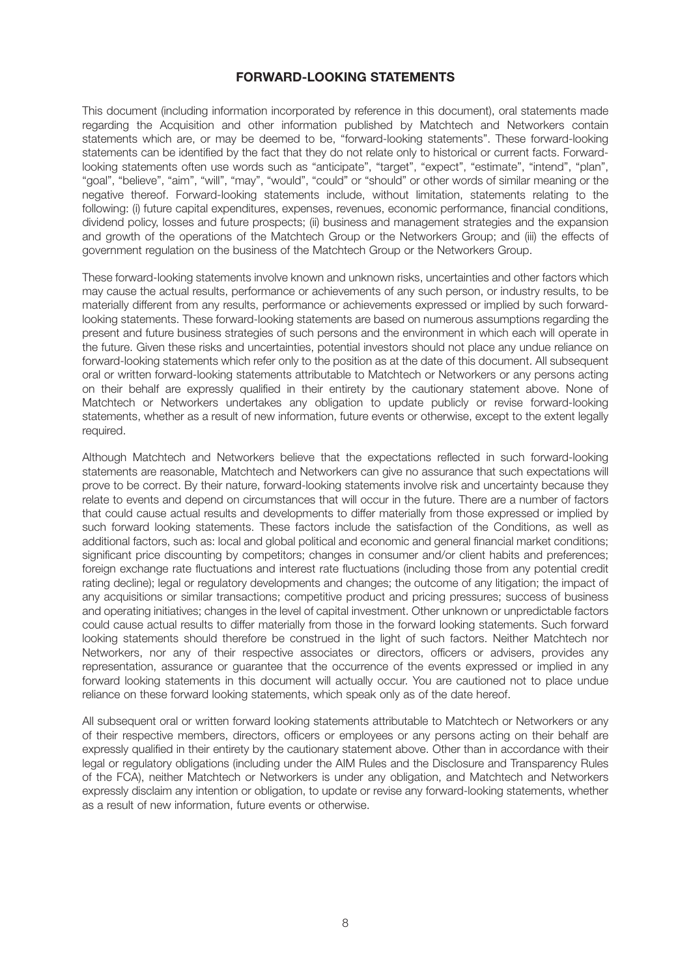# **FORWARD-LOOKING STATEMENTS**

This document (including information incorporated by reference in this document), oral statements made regarding the Acquisition and other information published by Matchtech and Networkers contain statements which are, or may be deemed to be, "forward-looking statements". These forward-looking statements can be identified by the fact that they do not relate only to historical or current facts. Forwardlooking statements often use words such as "anticipate", "target", "expect", "estimate", "intend", "plan", "goal", "believe", "aim", "will", "may", "would", "could" or "should" or other words of similar meaning or the negative thereof. Forward-looking statements include, without limitation, statements relating to the following: (i) future capital expenditures, expenses, revenues, economic performance, financial conditions, dividend policy, losses and future prospects; (ii) business and management strategies and the expansion and growth of the operations of the Matchtech Group or the Networkers Group; and (iii) the effects of government regulation on the business of the Matchtech Group or the Networkers Group.

These forward-looking statements involve known and unknown risks, uncertainties and other factors which may cause the actual results, performance or achievements of any such person, or industry results, to be materially different from any results, performance or achievements expressed or implied by such forwardlooking statements. These forward-looking statements are based on numerous assumptions regarding the present and future business strategies of such persons and the environment in which each will operate in the future. Given these risks and uncertainties, potential investors should not place any undue reliance on forward-looking statements which refer only to the position as at the date of this document. All subsequent oral or written forward-looking statements attributable to Matchtech or Networkers or any persons acting on their behalf are expressly qualified in their entirety by the cautionary statement above. None of Matchtech or Networkers undertakes any obligation to update publicly or revise forward-looking statements, whether as a result of new information, future events or otherwise, except to the extent legally required.

Although Matchtech and Networkers believe that the expectations reflected in such forward-looking statements are reasonable, Matchtech and Networkers can give no assurance that such expectations will prove to be correct. By their nature, forward-looking statements involve risk and uncertainty because they relate to events and depend on circumstances that will occur in the future. There are a number of factors that could cause actual results and developments to differ materially from those expressed or implied by such forward looking statements. These factors include the satisfaction of the Conditions, as well as additional factors, such as: local and global political and economic and general financial market conditions; significant price discounting by competitors; changes in consumer and/or client habits and preferences; foreign exchange rate fluctuations and interest rate fluctuations (including those from any potential credit rating decline); legal or regulatory developments and changes; the outcome of any litigation; the impact of any acquisitions or similar transactions; competitive product and pricing pressures; success of business and operating initiatives; changes in the level of capital investment. Other unknown or unpredictable factors could cause actual results to differ materially from those in the forward looking statements. Such forward looking statements should therefore be construed in the light of such factors. Neither Matchtech nor Networkers, nor any of their respective associates or directors, officers or advisers, provides any representation, assurance or guarantee that the occurrence of the events expressed or implied in any forward looking statements in this document will actually occur. You are cautioned not to place undue reliance on these forward looking statements, which speak only as of the date hereof.

All subsequent oral or written forward looking statements attributable to Matchtech or Networkers or any of their respective members, directors, officers or employees or any persons acting on their behalf are expressly qualified in their entirety by the cautionary statement above. Other than in accordance with their legal or regulatory obligations (including under the AIM Rules and the Disclosure and Transparency Rules of the FCA), neither Matchtech or Networkers is under any obligation, and Matchtech and Networkers expressly disclaim any intention or obligation, to update or revise any forward-looking statements, whether as a result of new information, future events or otherwise.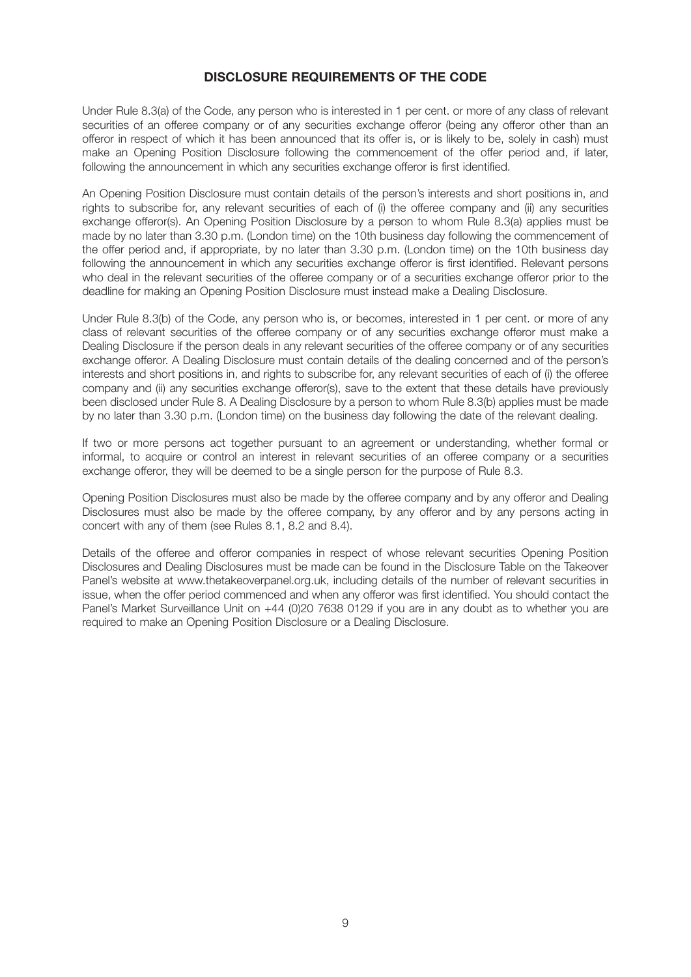# **DISCLOSURE REQUIREMENTS OF THE CODE**

Under Rule 8.3(a) of the Code, any person who is interested in 1 per cent. or more of any class of relevant securities of an offeree company or of any securities exchange offeror (being any offeror other than an offeror in respect of which it has been announced that its offer is, or is likely to be, solely in cash) must make an Opening Position Disclosure following the commencement of the offer period and, if later, following the announcement in which any securities exchange offeror is first identified.

An Opening Position Disclosure must contain details of the person's interests and short positions in, and rights to subscribe for, any relevant securities of each of (i) the offeree company and (ii) any securities exchange offeror(s). An Opening Position Disclosure by a person to whom Rule 8.3(a) applies must be made by no later than 3.30 p.m. (London time) on the 10th business day following the commencement of the offer period and, if appropriate, by no later than 3.30 p.m. (London time) on the 10th business day following the announcement in which any securities exchange offeror is first identified. Relevant persons who deal in the relevant securities of the offeree company or of a securities exchange offeror prior to the deadline for making an Opening Position Disclosure must instead make a Dealing Disclosure.

Under Rule 8.3(b) of the Code, any person who is, or becomes, interested in 1 per cent. or more of any class of relevant securities of the offeree company or of any securities exchange offeror must make a Dealing Disclosure if the person deals in any relevant securities of the offeree company or of any securities exchange offeror. A Dealing Disclosure must contain details of the dealing concerned and of the person's interests and short positions in, and rights to subscribe for, any relevant securities of each of (i) the offeree company and (ii) any securities exchange offeror(s), save to the extent that these details have previously been disclosed under Rule 8. A Dealing Disclosure by a person to whom Rule 8.3(b) applies must be made by no later than 3.30 p.m. (London time) on the business day following the date of the relevant dealing.

If two or more persons act together pursuant to an agreement or understanding, whether formal or informal, to acquire or control an interest in relevant securities of an offeree company or a securities exchange offeror, they will be deemed to be a single person for the purpose of Rule 8.3.

Opening Position Disclosures must also be made by the offeree company and by any offeror and Dealing Disclosures must also be made by the offeree company, by any offeror and by any persons acting in concert with any of them (see Rules 8.1, 8.2 and 8.4).

Details of the offeree and offeror companies in respect of whose relevant securities Opening Position Disclosures and Dealing Disclosures must be made can be found in the Disclosure Table on the Takeover Panel's website at www.thetakeoverpanel.org.uk, including details of the number of relevant securities in issue, when the offer period commenced and when any offeror was first identified. You should contact the Panel's Market Surveillance Unit on +44 (0)20 7638 0129 if you are in any doubt as to whether you are required to make an Opening Position Disclosure or a Dealing Disclosure.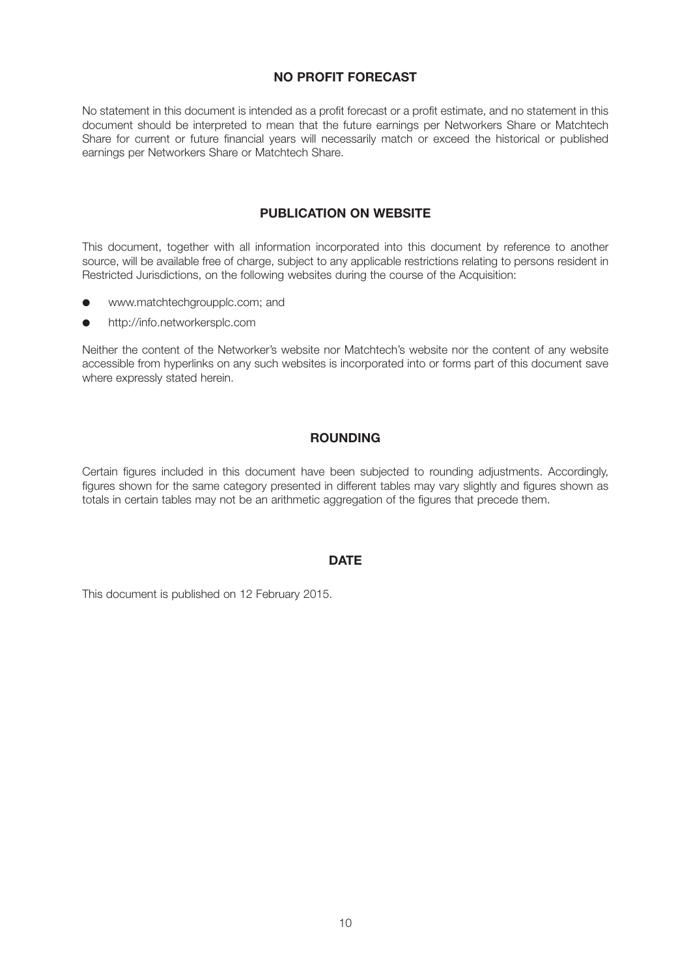# **NO PROFIT FORECAST**

No statement in this document is intended as a profit forecast or a profit estimate, and no statement in this document should be interpreted to mean that the future earnings per Networkers Share or Matchtech Share for current or future financial years will necessarily match or exceed the historical or published earnings per Networkers Share or Matchtech Share.

# **PUBLICATION ON WEBSITE**

This document, together with all information incorporated into this document by reference to another source, will be available free of charge, subject to any applicable restrictions relating to persons resident in Restricted Jurisdictions, on the following websites during the course of the Acquisition:

- www.matchtechgroupplc.com; and
- http://info.networkersplc.com

Neither the content of the Networker's website nor Matchtech's website nor the content of any website accessible from hyperlinks on any such websites is incorporated into or forms part of this document save where expressly stated herein.

# **ROUNDING**

Certain figures included in this document have been subjected to rounding adjustments. Accordingly, figures shown for the same category presented in different tables may vary slightly and figures shown as totals in certain tables may not be an arithmetic aggregation of the figures that precede them.

#### **DATE**

This document is published on 12 February 2015.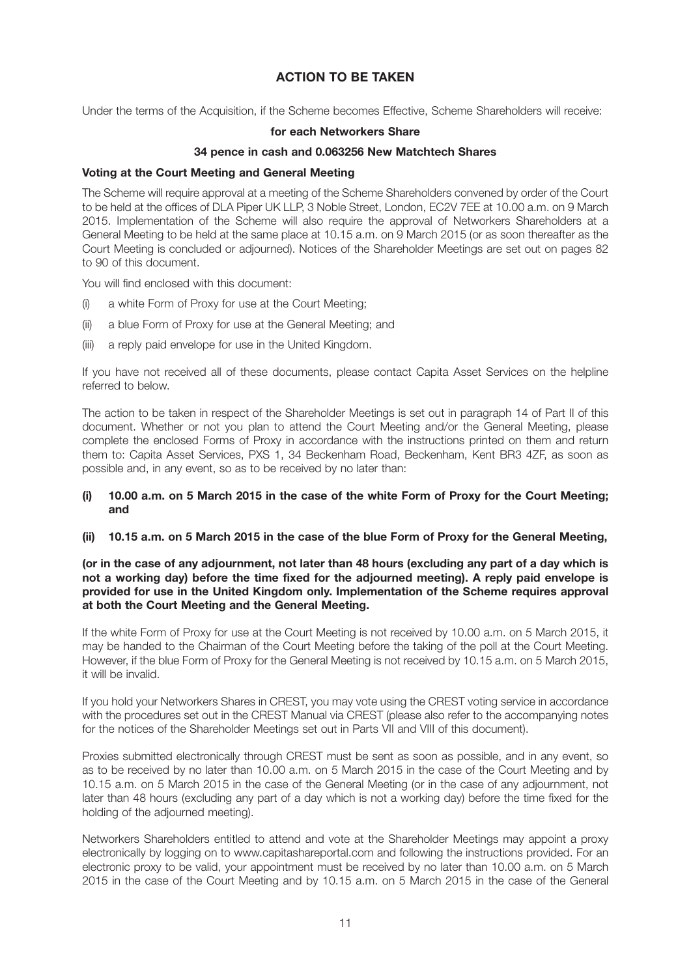# **ACTION TO BE TAKEN**

Under the terms of the Acquisition, if the Scheme becomes Effective, Scheme Shareholders will receive:

#### **for each Networkers Share**

#### **34 pence in cash and 0.063256 New Matchtech Shares**

#### **Voting at the Court Meeting and General Meeting**

The Scheme will require approval at a meeting of the Scheme Shareholders convened by order of the Court to be held at the offices of DLA Piper UK LLP, 3 Noble Street, London, EC2V 7EE at 10.00 a.m. on 9 March 2015. Implementation of the Scheme will also require the approval of Networkers Shareholders at a General Meeting to be held at the same place at 10.15 a.m. on 9 March 2015 (or as soon thereafter as the Court Meeting is concluded or adjourned). Notices of the Shareholder Meetings are set out on pages 82 to 90 of this document.

You will find enclosed with this document:

- (i) a white Form of Proxy for use at the Court Meeting;
- (ii) a blue Form of Proxy for use at the General Meeting; and
- (iii) a reply paid envelope for use in the United Kingdom.

If you have not received all of these documents, please contact Capita Asset Services on the helpline referred to below.

The action to be taken in respect of the Shareholder Meetings is set out in paragraph 14 of Part II of this document. Whether or not you plan to attend the Court Meeting and/or the General Meeting, please complete the enclosed Forms of Proxy in accordance with the instructions printed on them and return them to: Capita Asset Services, PXS 1, 34 Beckenham Road, Beckenham, Kent BR3 4ZF, as soon as possible and, in any event, so as to be received by no later than:

#### **(i) 10.00 a.m. on 5 March 2015 in the case of the white Form of Proxy for the Court Meeting; and**

**(ii) 10.15 a.m. on 5 March 2015 in the case of the blue Form of Proxy for the General Meeting,**

#### **(or in the case of any adjournment, not later than 48 hours (excluding any part of a day which is not a working day) before the time fixed for the adjourned meeting). A reply paid envelope is provided for use in the United Kingdom only. Implementation of the Scheme requires approval at both the Court Meeting and the General Meeting.**

If the white Form of Proxy for use at the Court Meeting is not received by 10.00 a.m. on 5 March 2015, it may be handed to the Chairman of the Court Meeting before the taking of the poll at the Court Meeting. However, if the blue Form of Proxy for the General Meeting is not received by 10.15 a.m. on 5 March 2015, it will be invalid.

If you hold your Networkers Shares in CREST, you may vote using the CREST voting service in accordance with the procedures set out in the CREST Manual via CREST (please also refer to the accompanying notes for the notices of the Shareholder Meetings set out in Parts VII and VIII of this document).

Proxies submitted electronically through CREST must be sent as soon as possible, and in any event, so as to be received by no later than 10.00 a.m. on 5 March 2015 in the case of the Court Meeting and by 10.15 a.m. on 5 March 2015 in the case of the General Meeting (or in the case of any adjournment, not later than 48 hours (excluding any part of a day which is not a working day) before the time fixed for the holding of the adjourned meeting).

Networkers Shareholders entitled to attend and vote at the Shareholder Meetings may appoint a proxy electronically by logging on to www.capitashareportal.com and following the instructions provided. For an electronic proxy to be valid, your appointment must be received by no later than 10.00 a.m. on 5 March 2015 in the case of the Court Meeting and by 10.15 a.m. on 5 March 2015 in the case of the General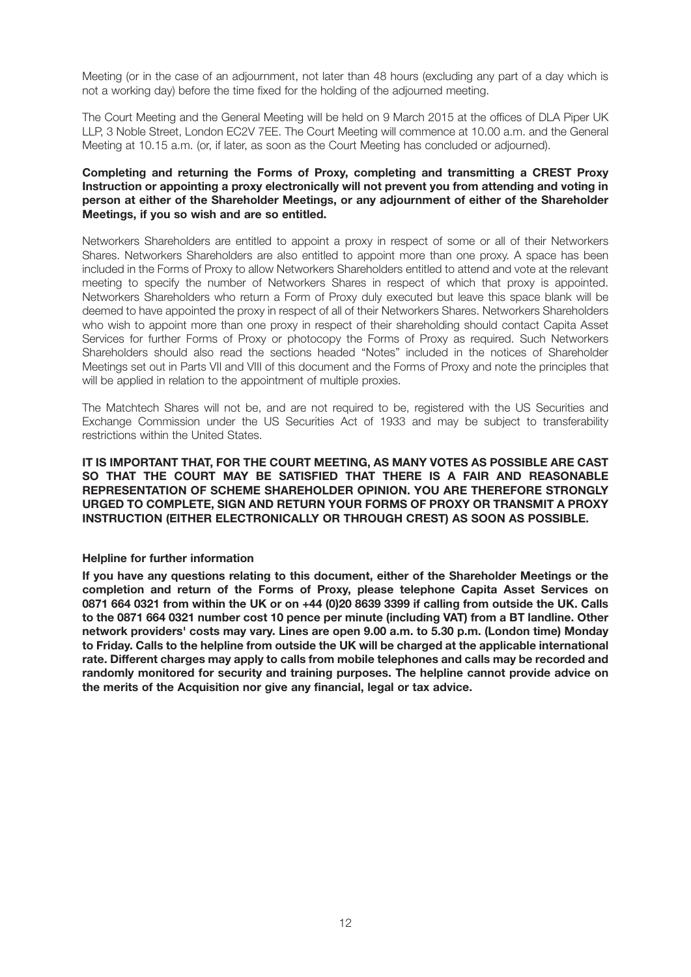Meeting (or in the case of an adjournment, not later than 48 hours (excluding any part of a day which is not a working day) before the time fixed for the holding of the adjourned meeting.

The Court Meeting and the General Meeting will be held on 9 March 2015 at the offices of DLA Piper UK LLP, 3 Noble Street, London EC2V 7EE. The Court Meeting will commence at 10.00 a.m. and the General Meeting at 10.15 a.m. (or, if later, as soon as the Court Meeting has concluded or adjourned).

#### **Completing and returning the Forms of Proxy, completing and transmitting a CREST Proxy Instruction or appointing a proxy electronically will not prevent you from attending and voting in person at either of the Shareholder Meetings, or any adjournment of either of the Shareholder Meetings, if you so wish and are so entitled.**

Networkers Shareholders are entitled to appoint a proxy in respect of some or all of their Networkers Shares. Networkers Shareholders are also entitled to appoint more than one proxy. A space has been included in the Forms of Proxy to allow Networkers Shareholders entitled to attend and vote at the relevant meeting to specify the number of Networkers Shares in respect of which that proxy is appointed. Networkers Shareholders who return a Form of Proxy duly executed but leave this space blank will be deemed to have appointed the proxy in respect of all of their Networkers Shares. Networkers Shareholders who wish to appoint more than one proxy in respect of their shareholding should contact Capita Asset Services for further Forms of Proxy or photocopy the Forms of Proxy as required. Such Networkers Shareholders should also read the sections headed "Notes" included in the notices of Shareholder Meetings set out in Parts VII and VIII of this document and the Forms of Proxy and note the principles that will be applied in relation to the appointment of multiple proxies.

The Matchtech Shares will not be, and are not required to be, registered with the US Securities and Exchange Commission under the US Securities Act of 1933 and may be subject to transferability restrictions within the United States.

**IT IS IMPORTANT THAT, FOR THE COURT MEETING, AS MANY VOTES AS POSSIBLE ARE CAST SO THAT THE COURT MAY BE SATISFIED THAT THERE IS A FAIR AND REASONABLE REPRESENTATION OF SCHEME SHAREHOLDER OPINION. YOU ARE THEREFORE STRONGLY URGED TO COMPLETE, SIGN AND RETURN YOUR FORMS OF PROXY OR TRANSMIT A PROXY INSTRUCTION (EITHER ELECTRONICALLY OR THROUGH CREST) AS SOON AS POSSIBLE.**

#### **Helpline for further information**

**If you have any questions relating to this document, either of the Shareholder Meetings or the completion and return of the Forms of Proxy, please telephone Capita Asset Services on 0871 664 0321 from within the UK or on +44 (0)20 8639 3399 if calling from outside the UK. Calls to the 0871 664 0321 number cost 10 pence per minute (including VAT) from a BT landline. Other network providers' costs may vary. Lines are open 9.00 a.m. to 5.30 p.m. (London time) Monday to Friday. Calls to the helpline from outside the UK will be charged at the applicable international rate. Different charges may apply to calls from mobile telephones and calls may be recorded and randomly monitored for security and training purposes. The helpline cannot provide advice on the merits of the Acquisition nor give any financial, legal or tax advice.**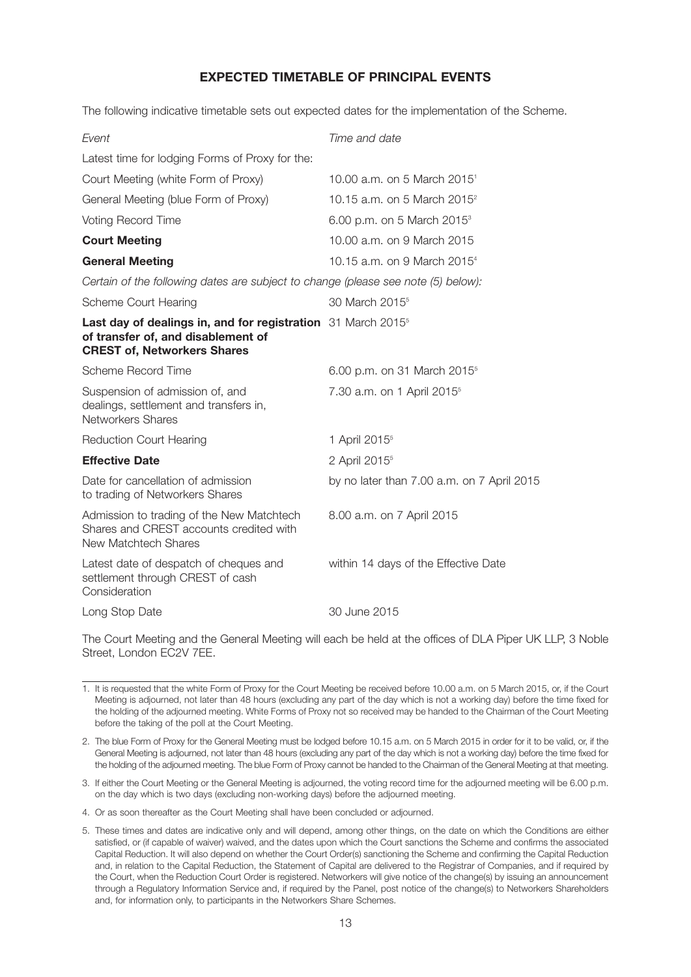# **EXPECTED TIMETABLE OF PRINCIPAL EVENTS**

The following indicative timetable sets out expected dates for the implementation of the Scheme.

| Event                                                                                                                                                | Time and date                              |
|------------------------------------------------------------------------------------------------------------------------------------------------------|--------------------------------------------|
| Latest time for lodging Forms of Proxy for the:                                                                                                      |                                            |
| Court Meeting (white Form of Proxy)                                                                                                                  | 10.00 a.m. on 5 March 2015 <sup>1</sup>    |
| General Meeting (blue Form of Proxy)                                                                                                                 | 10.15 a.m. on 5 March 2015 <sup>2</sup>    |
| Voting Record Time                                                                                                                                   | 6.00 p.m. on 5 March 2015 <sup>3</sup>     |
| <b>Court Meeting</b>                                                                                                                                 | 10.00 a.m. on 9 March 2015                 |
| <b>General Meeting</b>                                                                                                                               | 10.15 a.m. on 9 March 2015 <sup>4</sup>    |
| Certain of the following dates are subject to change (please see note (5) below):                                                                    |                                            |
| Scheme Court Hearing                                                                                                                                 | 30 March 2015 <sup>5</sup>                 |
| Last day of dealings in, and for registration 31 March 2015 <sup>5</sup><br>of transfer of, and disablement of<br><b>CREST of, Networkers Shares</b> |                                            |
| Scheme Record Time                                                                                                                                   | 6.00 p.m. on 31 March 2015 <sup>5</sup>    |
| Suspension of admission of, and<br>dealings, settlement and transfers in,<br>Networkers Shares                                                       | 7.30 a.m. on 1 April 2015 <sup>5</sup>     |
| <b>Reduction Court Hearing</b>                                                                                                                       | 1 April 2015 <sup>5</sup>                  |
| <b>Effective Date</b>                                                                                                                                | 2 April 2015 <sup>5</sup>                  |
| Date for cancellation of admission<br>to trading of Networkers Shares                                                                                | by no later than 7.00 a.m. on 7 April 2015 |
| Admission to trading of the New Matchtech<br>Shares and CREST accounts credited with<br>New Matchtech Shares                                         | 8.00 a.m. on 7 April 2015                  |
| Latest date of despatch of cheques and<br>settlement through CREST of cash<br>Consideration                                                          | within 14 days of the Effective Date       |
| Long Stop Date                                                                                                                                       | 30 June 2015                               |
|                                                                                                                                                      |                                            |

The Court Meeting and the General Meeting will each be held at the offices of DLA Piper UK LLP, 3 Noble Street, London EC2V 7EE.

<sup>1.</sup> It is requested that the white Form of Proxy for the Court Meeting be received before 10.00 a.m. on 5 March 2015, or, if the Court Meeting is adjourned, not later than 48 hours (excluding any part of the day which is not a working day) before the time fixed for the holding of the adjourned meeting. White Forms of Proxy not so received may be handed to the Chairman of the Court Meeting before the taking of the poll at the Court Meeting.

<sup>2.</sup> The blue Form of Proxy for the General Meeting must be lodged before 10.15 a.m. on 5 March 2015 in order for it to be valid, or, if the General Meeting is adjourned, not later than 48 hours (excluding any part of the day which is not a working day) before the time fixed for the holding of the adjourned meeting. The blue Form of Proxy cannot be handed to the Chairman of the General Meeting at that meeting.

<sup>3.</sup> If either the Court Meeting or the General Meeting is adjourned, the voting record time for the adjourned meeting will be 6.00 p.m. on the day which is two days (excluding non-working days) before the adjourned meeting.

<sup>4.</sup> Or as soon thereafter as the Court Meeting shall have been concluded or adjourned.

<sup>5.</sup> These times and dates are indicative only and will depend, among other things, on the date on which the Conditions are either satisfied, or (if capable of waiver) waived, and the dates upon which the Court sanctions the Scheme and confirms the associated Capital Reduction. It will also depend on whether the Court Order(s) sanctioning the Scheme and confirming the Capital Reduction and, in relation to the Capital Reduction, the Statement of Capital are delivered to the Registrar of Companies, and if required by the Court, when the Reduction Court Order is registered. Networkers will give notice of the change(s) by issuing an announcement through a Regulatory Information Service and, if required by the Panel, post notice of the change(s) to Networkers Shareholders and, for information only, to participants in the Networkers Share Schemes.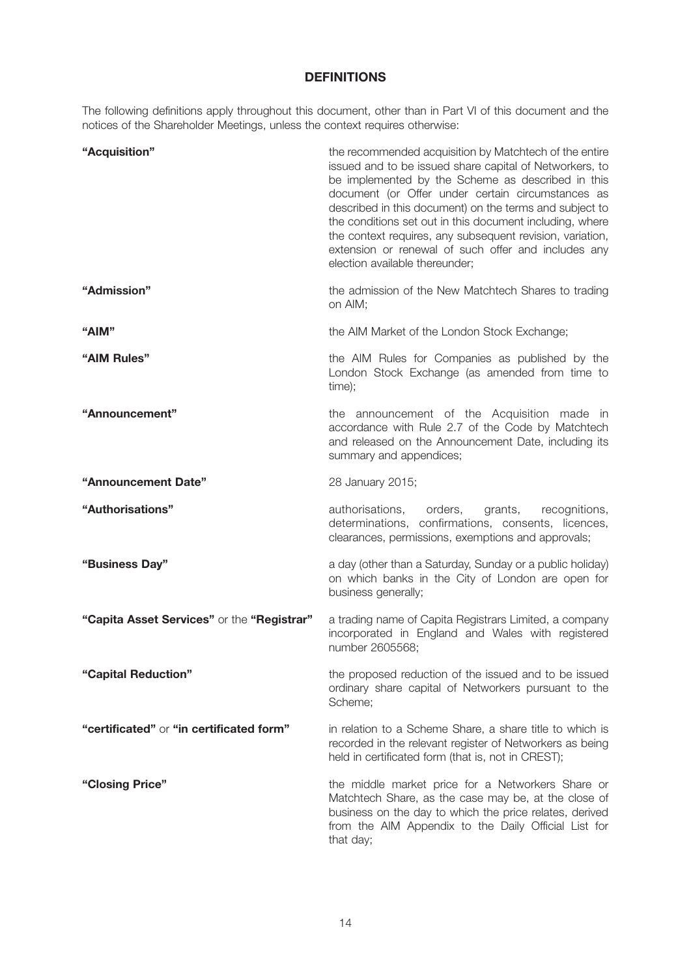# **DEFINITIONS**

The following definitions apply throughout this document, other than in Part VI of this document and the notices of the Shareholder Meetings, unless the context requires otherwise:

| "Acquisition"                              | the recommended acquisition by Matchtech of the entire<br>issued and to be issued share capital of Networkers, to<br>be implemented by the Scheme as described in this<br>document (or Offer under certain circumstances as<br>described in this document) on the terms and subject to<br>the conditions set out in this document including, where<br>the context requires, any subsequent revision, variation,<br>extension or renewal of such offer and includes any<br>election available thereunder; |
|--------------------------------------------|----------------------------------------------------------------------------------------------------------------------------------------------------------------------------------------------------------------------------------------------------------------------------------------------------------------------------------------------------------------------------------------------------------------------------------------------------------------------------------------------------------|
| "Admission"                                | the admission of the New Matchtech Shares to trading<br>on AIM;                                                                                                                                                                                                                                                                                                                                                                                                                                          |
| "AIM"                                      | the AIM Market of the London Stock Exchange;                                                                                                                                                                                                                                                                                                                                                                                                                                                             |
| "AIM Rules"                                | the AIM Rules for Companies as published by the<br>London Stock Exchange (as amended from time to<br>time);                                                                                                                                                                                                                                                                                                                                                                                              |
| "Announcement"                             | the announcement of the Acquisition made in<br>accordance with Rule 2.7 of the Code by Matchtech<br>and released on the Announcement Date, including its<br>summary and appendices;                                                                                                                                                                                                                                                                                                                      |
| "Announcement Date"                        | 28 January 2015;                                                                                                                                                                                                                                                                                                                                                                                                                                                                                         |
| "Authorisations"                           | authorisations, orders,<br>grants, recognitions,<br>determinations, confirmations, consents, licences,<br>clearances, permissions, exemptions and approvals;                                                                                                                                                                                                                                                                                                                                             |
| "Business Day"                             | a day (other than a Saturday, Sunday or a public holiday)<br>on which banks in the City of London are open for<br>business generally;                                                                                                                                                                                                                                                                                                                                                                    |
| "Capita Asset Services" or the "Registrar" | a trading name of Capita Registrars Limited, a company<br>incorporated in England and Wales with registered<br>number 2605568;                                                                                                                                                                                                                                                                                                                                                                           |
| "Capital Reduction"                        | the proposed reduction of the issued and to be issued<br>ordinary share capital of Networkers pursuant to the<br>Scheme;                                                                                                                                                                                                                                                                                                                                                                                 |
| "certificated" or "in certificated form"   | in relation to a Scheme Share, a share title to which is<br>recorded in the relevant register of Networkers as being<br>held in certificated form (that is, not in CREST);                                                                                                                                                                                                                                                                                                                               |
| "Closing Price"                            | the middle market price for a Networkers Share or<br>Matchtech Share, as the case may be, at the close of<br>business on the day to which the price relates, derived<br>from the AIM Appendix to the Daily Official List for<br>that day;                                                                                                                                                                                                                                                                |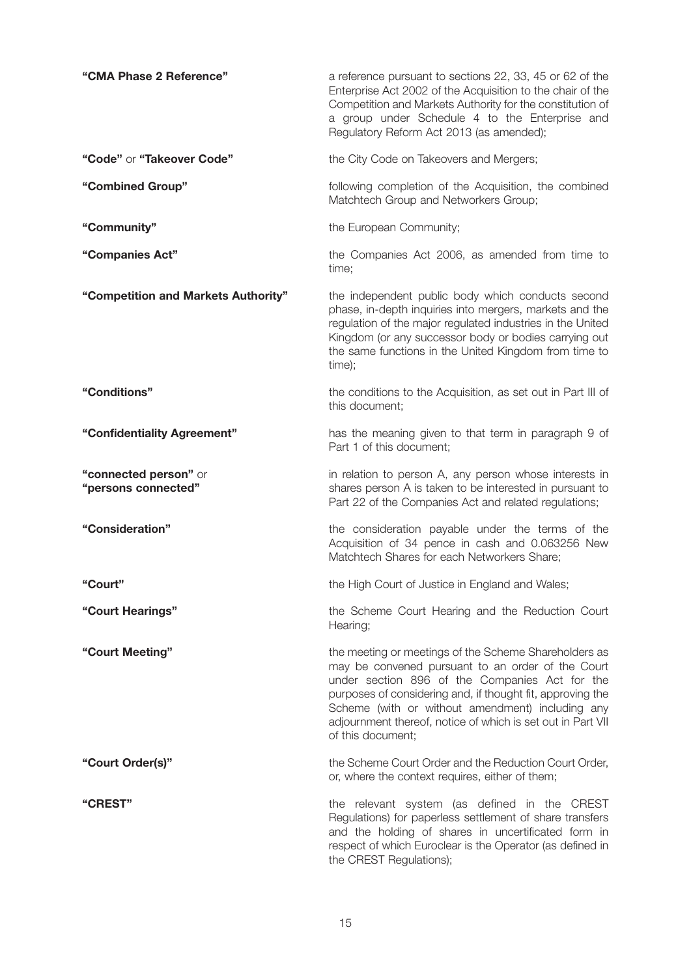| "CMA Phase 2 Reference"                      | a reference pursuant to sections 22, 33, 45 or 62 of the<br>Enterprise Act 2002 of the Acquisition to the chair of the<br>Competition and Markets Authority for the constitution of<br>a group under Schedule 4 to the Enterprise and<br>Regulatory Reform Act 2013 (as amended);                                                                                  |
|----------------------------------------------|--------------------------------------------------------------------------------------------------------------------------------------------------------------------------------------------------------------------------------------------------------------------------------------------------------------------------------------------------------------------|
| "Code" or "Takeover Code"                    | the City Code on Takeovers and Mergers;                                                                                                                                                                                                                                                                                                                            |
| "Combined Group"                             | following completion of the Acquisition, the combined<br>Matchtech Group and Networkers Group;                                                                                                                                                                                                                                                                     |
| "Community"                                  | the European Community;                                                                                                                                                                                                                                                                                                                                            |
| "Companies Act"                              | the Companies Act 2006, as amended from time to<br>time;                                                                                                                                                                                                                                                                                                           |
| "Competition and Markets Authority"          | the independent public body which conducts second<br>phase, in-depth inquiries into mergers, markets and the<br>regulation of the major regulated industries in the United<br>Kingdom (or any successor body or bodies carrying out<br>the same functions in the United Kingdom from time to<br>time);                                                             |
| "Conditions"                                 | the conditions to the Acquisition, as set out in Part III of<br>this document;                                                                                                                                                                                                                                                                                     |
| "Confidentiality Agreement"                  | has the meaning given to that term in paragraph 9 of<br>Part 1 of this document;                                                                                                                                                                                                                                                                                   |
| "connected person" or<br>"persons connected" | in relation to person A, any person whose interests in<br>shares person A is taken to be interested in pursuant to<br>Part 22 of the Companies Act and related regulations;                                                                                                                                                                                        |
| "Consideration"                              | the consideration payable under the terms of the<br>Acquisition of 34 pence in cash and 0.063256 New<br>Matchtech Shares for each Networkers Share;                                                                                                                                                                                                                |
| "Court"                                      | the High Court of Justice in England and Wales;                                                                                                                                                                                                                                                                                                                    |
| "Court Hearings"                             | the Scheme Court Hearing and the Reduction Court<br>Hearing;                                                                                                                                                                                                                                                                                                       |
| "Court Meeting"                              | the meeting or meetings of the Scheme Shareholders as<br>may be convened pursuant to an order of the Court<br>under section 896 of the Companies Act for the<br>purposes of considering and, if thought fit, approving the<br>Scheme (with or without amendment) including any<br>adjournment thereof, notice of which is set out in Part VII<br>of this document; |
| "Court Order(s)"                             | the Scheme Court Order and the Reduction Court Order,<br>or, where the context requires, either of them;                                                                                                                                                                                                                                                           |
| "CREST"                                      | the relevant system (as defined in the CREST<br>Regulations) for paperless settlement of share transfers<br>and the holding of shares in uncertificated form in<br>respect of which Euroclear is the Operator (as defined in<br>the CREST Regulations);                                                                                                            |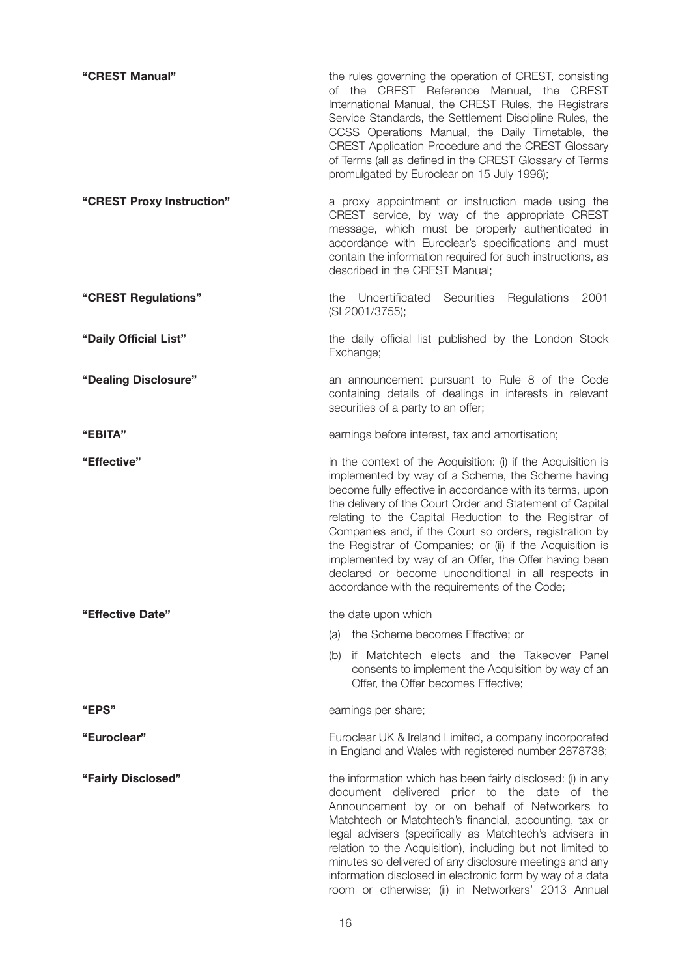| "CREST Manual"            | the rules governing the operation of CREST, consisting<br>of the CREST Reference Manual, the CREST<br>International Manual, the CREST Rules, the Registrars<br>Service Standards, the Settlement Discipline Rules, the<br>CCSS Operations Manual, the Daily Timetable, the<br>CREST Application Procedure and the CREST Glossary<br>of Terms (all as defined in the CREST Glossary of Terms<br>promulgated by Euroclear on 15 July 1996);                                                                                                                                                   |
|---------------------------|---------------------------------------------------------------------------------------------------------------------------------------------------------------------------------------------------------------------------------------------------------------------------------------------------------------------------------------------------------------------------------------------------------------------------------------------------------------------------------------------------------------------------------------------------------------------------------------------|
| "CREST Proxy Instruction" | a proxy appointment or instruction made using the<br>CREST service, by way of the appropriate CREST<br>message, which must be properly authenticated in<br>accordance with Euroclear's specifications and must<br>contain the information required for such instructions, as<br>described in the CREST Manual;                                                                                                                                                                                                                                                                              |
| "CREST Regulations"       | the Uncertificated Securities<br>Regulations<br>2001<br>(SI 2001/3755);                                                                                                                                                                                                                                                                                                                                                                                                                                                                                                                     |
| "Daily Official List"     | the daily official list published by the London Stock<br>Exchange;                                                                                                                                                                                                                                                                                                                                                                                                                                                                                                                          |
| "Dealing Disclosure"      | an announcement pursuant to Rule 8 of the Code<br>containing details of dealings in interests in relevant<br>securities of a party to an offer;                                                                                                                                                                                                                                                                                                                                                                                                                                             |
| "EBITA"                   | earnings before interest, tax and amortisation;                                                                                                                                                                                                                                                                                                                                                                                                                                                                                                                                             |
| "Effective"               | in the context of the Acquisition: (i) if the Acquisition is<br>implemented by way of a Scheme, the Scheme having<br>become fully effective in accordance with its terms, upon<br>the delivery of the Court Order and Statement of Capital<br>relating to the Capital Reduction to the Registrar of<br>Companies and, if the Court so orders, registration by<br>the Registrar of Companies; or (ii) if the Acquisition is<br>implemented by way of an Offer, the Offer having been<br>declared or become unconditional in all respects in<br>accordance with the requirements of the Code; |
| "Effective Date"          | the date upon which                                                                                                                                                                                                                                                                                                                                                                                                                                                                                                                                                                         |
|                           | the Scheme becomes Effective; or<br>(a)                                                                                                                                                                                                                                                                                                                                                                                                                                                                                                                                                     |
|                           | if Matchtech elects and the Takeover Panel<br>(b)<br>consents to implement the Acquisition by way of an<br>Offer, the Offer becomes Effective;                                                                                                                                                                                                                                                                                                                                                                                                                                              |
| "EPS"                     | earnings per share;                                                                                                                                                                                                                                                                                                                                                                                                                                                                                                                                                                         |
| "Euroclear"               | Euroclear UK & Ireland Limited, a company incorporated<br>in England and Wales with registered number 2878738;                                                                                                                                                                                                                                                                                                                                                                                                                                                                              |
| "Fairly Disclosed"        | the information which has been fairly disclosed: (i) in any<br>document delivered prior to the date of the<br>Announcement by or on behalf of Networkers to<br>Matchtech or Matchtech's financial, accounting, tax or<br>legal advisers (specifically as Matchtech's advisers in<br>relation to the Acquisition), including but not limited to<br>minutes so delivered of any disclosure meetings and any<br>information disclosed in electronic form by way of a data<br>room or otherwise; (ii) in Networkers' 2013 Annual                                                                |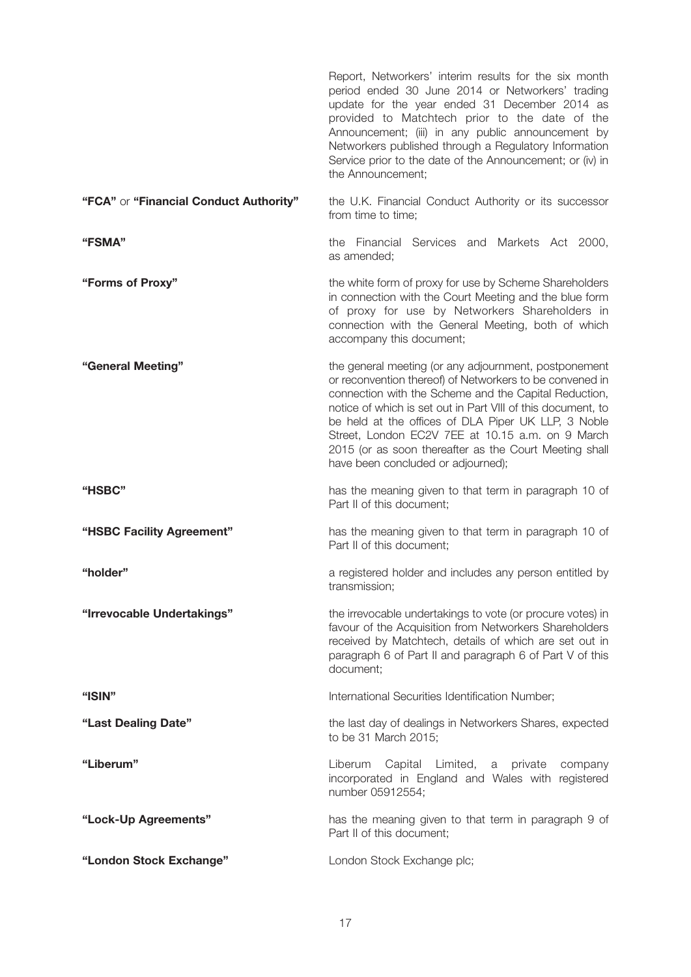|                                        | Report, Networkers' interim results for the six month<br>period ended 30 June 2014 or Networkers' trading<br>update for the year ended 31 December 2014 as<br>provided to Matchtech prior to the date of the<br>Announcement; (iii) in any public announcement by<br>Networkers published through a Regulatory Information<br>Service prior to the date of the Announcement; or (iv) in<br>the Announcement;                                          |
|----------------------------------------|-------------------------------------------------------------------------------------------------------------------------------------------------------------------------------------------------------------------------------------------------------------------------------------------------------------------------------------------------------------------------------------------------------------------------------------------------------|
| "FCA" or "Financial Conduct Authority" | the U.K. Financial Conduct Authority or its successor<br>from time to time;                                                                                                                                                                                                                                                                                                                                                                           |
| "FSMA"                                 | the Financial Services and Markets Act 2000,<br>as amended;                                                                                                                                                                                                                                                                                                                                                                                           |
| "Forms of Proxy"                       | the white form of proxy for use by Scheme Shareholders<br>in connection with the Court Meeting and the blue form<br>of proxy for use by Networkers Shareholders in<br>connection with the General Meeting, both of which<br>accompany this document;                                                                                                                                                                                                  |
| "General Meeting"                      | the general meeting (or any adjournment, postponement<br>or reconvention thereof) of Networkers to be convened in<br>connection with the Scheme and the Capital Reduction,<br>notice of which is set out in Part VIII of this document, to<br>be held at the offices of DLA Piper UK LLP, 3 Noble<br>Street, London EC2V 7EE at 10.15 a.m. on 9 March<br>2015 (or as soon thereafter as the Court Meeting shall<br>have been concluded or adjourned); |
| "HSBC"                                 | has the meaning given to that term in paragraph 10 of<br>Part II of this document;                                                                                                                                                                                                                                                                                                                                                                    |
| "HSBC Facility Agreement"              | has the meaning given to that term in paragraph 10 of<br>Part II of this document;                                                                                                                                                                                                                                                                                                                                                                    |
| "holder"                               | a registered holder and includes any person entitled by<br>transmission;                                                                                                                                                                                                                                                                                                                                                                              |
| "Irrevocable Undertakings"             | the irrevocable undertakings to vote (or procure votes) in<br>favour of the Acquisition from Networkers Shareholders<br>received by Matchtech, details of which are set out in<br>paragraph 6 of Part II and paragraph 6 of Part V of this<br>document;                                                                                                                                                                                               |
| "ISIN"                                 | International Securities Identification Number;                                                                                                                                                                                                                                                                                                                                                                                                       |
| "Last Dealing Date"                    | the last day of dealings in Networkers Shares, expected<br>to be 31 March 2015;                                                                                                                                                                                                                                                                                                                                                                       |
| "Liberum"                              | Liberum<br>Capital<br>Limited, a private<br>company<br>incorporated in England and Wales with registered<br>number 05912554;                                                                                                                                                                                                                                                                                                                          |
| "Lock-Up Agreements"                   | has the meaning given to that term in paragraph 9 of<br>Part II of this document;                                                                                                                                                                                                                                                                                                                                                                     |
| "London Stock Exchange"                | London Stock Exchange plc;                                                                                                                                                                                                                                                                                                                                                                                                                            |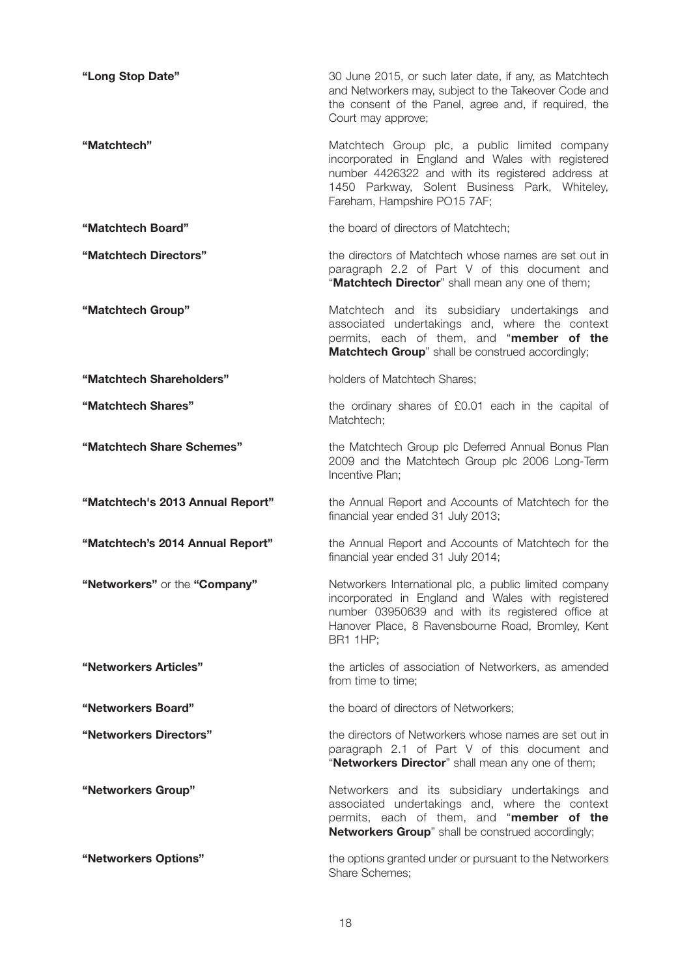| "Long Stop Date"                 | 30 June 2015, or such later date, if any, as Matchtech<br>and Networkers may, subject to the Takeover Code and<br>the consent of the Panel, agree and, if required, the<br>Court may approve;                                            |
|----------------------------------|------------------------------------------------------------------------------------------------------------------------------------------------------------------------------------------------------------------------------------------|
| "Matchtech"                      | Matchtech Group plc, a public limited company<br>incorporated in England and Wales with registered<br>number 4426322 and with its registered address at<br>1450 Parkway, Solent Business Park, Whiteley,<br>Fareham, Hampshire PO15 7AF; |
| "Matchtech Board"                | the board of directors of Matchtech;                                                                                                                                                                                                     |
| "Matchtech Directors"            | the directors of Matchtech whose names are set out in<br>paragraph 2.2 of Part V of this document and<br>"Matchtech Director" shall mean any one of them;                                                                                |
| "Matchtech Group"                | Matchtech and its subsidiary undertakings and<br>associated undertakings and, where the context<br>permits, each of them, and "member of the<br>Matchtech Group" shall be construed accordingly;                                         |
| "Matchtech Shareholders"         | holders of Matchtech Shares;                                                                                                                                                                                                             |
| "Matchtech Shares"               | the ordinary shares of £0.01 each in the capital of<br>Matchtech;                                                                                                                                                                        |
| "Matchtech Share Schemes"        | the Matchtech Group plc Deferred Annual Bonus Plan<br>2009 and the Matchtech Group plc 2006 Long-Term<br>Incentive Plan;                                                                                                                 |
| "Matchtech's 2013 Annual Report" | the Annual Report and Accounts of Matchtech for the<br>financial year ended 31 July 2013;                                                                                                                                                |
| "Matchtech's 2014 Annual Report" | the Annual Report and Accounts of Matchtech for the<br>financial year ended 31 July 2014;                                                                                                                                                |
| "Networkers" or the "Company"    | Networkers International plc, a public limited company<br>incorporated in England and Wales with registered<br>number 03950639 and with its registered office at<br>Hanover Place, 8 Ravensbourne Road, Bromley, Kent<br><b>BR1 1HP;</b> |
| "Networkers Articles"            | the articles of association of Networkers, as amended<br>from time to time;                                                                                                                                                              |
| "Networkers Board"               | the board of directors of Networkers;                                                                                                                                                                                                    |
| "Networkers Directors"           | the directors of Networkers whose names are set out in<br>paragraph 2.1 of Part V of this document and<br>" <b>Networkers Director</b> " shall mean any one of them;                                                                     |
| "Networkers Group"               | Networkers and its subsidiary undertakings and<br>associated undertakings and, where the context<br>permits, each of them, and "member of the<br>Networkers Group" shall be construed accordingly;                                       |
| "Networkers Options"             | the options granted under or pursuant to the Networkers<br>Share Schemes;                                                                                                                                                                |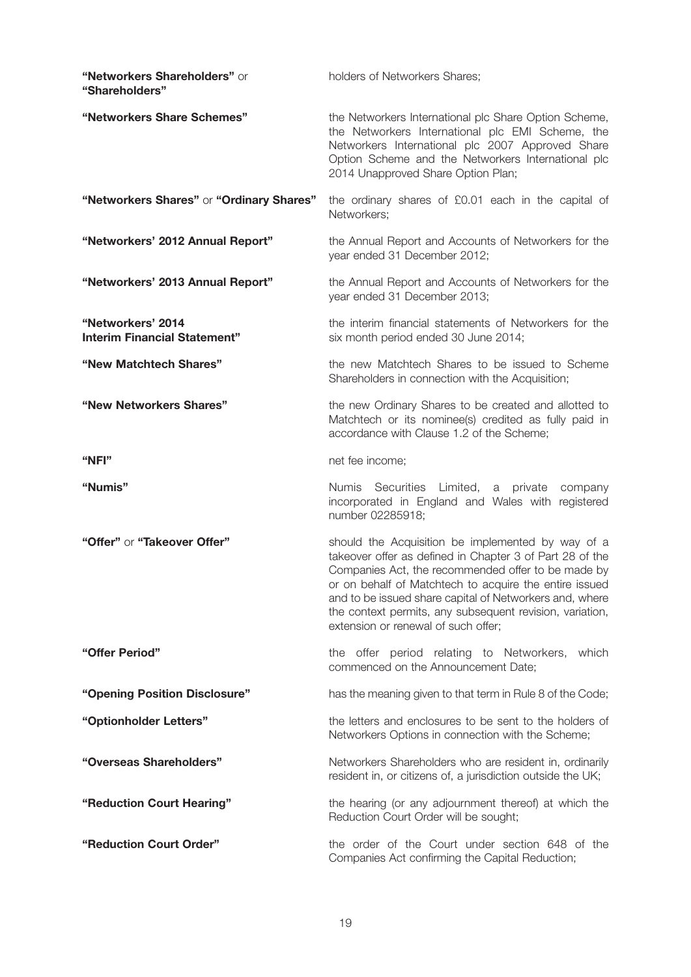| "Networkers Shareholders" or<br>"Shareholders"           | holders of Networkers Shares;                                                                                                                                                                                                                                                                                                                                                               |
|----------------------------------------------------------|---------------------------------------------------------------------------------------------------------------------------------------------------------------------------------------------------------------------------------------------------------------------------------------------------------------------------------------------------------------------------------------------|
| "Networkers Share Schemes"                               | the Networkers International plc Share Option Scheme,<br>the Networkers International plc EMI Scheme, the<br>Networkers International plc 2007 Approved Share<br>Option Scheme and the Networkers International plc<br>2014 Unapproved Share Option Plan;                                                                                                                                   |
| "Networkers Shares" or "Ordinary Shares"                 | the ordinary shares of £0.01 each in the capital of<br>Networkers;                                                                                                                                                                                                                                                                                                                          |
| "Networkers' 2012 Annual Report"                         | the Annual Report and Accounts of Networkers for the<br>year ended 31 December 2012;                                                                                                                                                                                                                                                                                                        |
| "Networkers' 2013 Annual Report"                         | the Annual Report and Accounts of Networkers for the<br>year ended 31 December 2013;                                                                                                                                                                                                                                                                                                        |
| "Networkers' 2014<br><b>Interim Financial Statement"</b> | the interim financial statements of Networkers for the<br>six month period ended 30 June 2014;                                                                                                                                                                                                                                                                                              |
| "New Matchtech Shares"                                   | the new Matchtech Shares to be issued to Scheme<br>Shareholders in connection with the Acquisition;                                                                                                                                                                                                                                                                                         |
| "New Networkers Shares"                                  | the new Ordinary Shares to be created and allotted to<br>Matchtech or its nominee(s) credited as fully paid in<br>accordance with Clause 1.2 of the Scheme;                                                                                                                                                                                                                                 |
| "NFI"                                                    | net fee income;                                                                                                                                                                                                                                                                                                                                                                             |
| "Numis"                                                  | Numis Securities Limited, a private company<br>incorporated in England and Wales with registered<br>number 02285918;                                                                                                                                                                                                                                                                        |
| "Offer" or "Takeover Offer"                              | should the Acquisition be implemented by way of a<br>takeover offer as defined in Chapter 3 of Part 28 of the<br>Companies Act, the recommended offer to be made by<br>or on behalf of Matchtech to acquire the entire issued<br>and to be issued share capital of Networkers and, where<br>the context permits, any subsequent revision, variation,<br>extension or renewal of such offer; |
| "Offer Period"                                           | the offer period relating to Networkers, which<br>commenced on the Announcement Date;                                                                                                                                                                                                                                                                                                       |
| "Opening Position Disclosure"                            | has the meaning given to that term in Rule 8 of the Code;                                                                                                                                                                                                                                                                                                                                   |
| "Optionholder Letters"                                   | the letters and enclosures to be sent to the holders of<br>Networkers Options in connection with the Scheme;                                                                                                                                                                                                                                                                                |
| "Overseas Shareholders"                                  | Networkers Shareholders who are resident in, ordinarily<br>resident in, or citizens of, a jurisdiction outside the UK;                                                                                                                                                                                                                                                                      |
| "Reduction Court Hearing"                                | the hearing (or any adjournment thereof) at which the<br>Reduction Court Order will be sought;                                                                                                                                                                                                                                                                                              |
| "Reduction Court Order"                                  | the order of the Court under section 648 of the<br>Companies Act confirming the Capital Reduction;                                                                                                                                                                                                                                                                                          |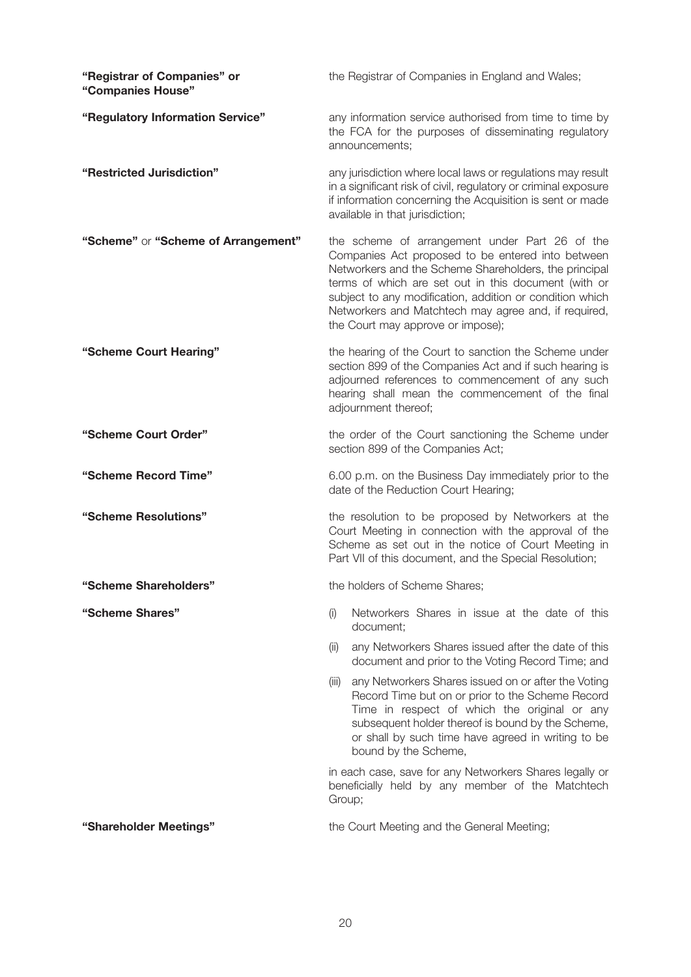| "Registrar of Companies" or<br>"Companies House" | the Registrar of Companies in England and Wales;                                                                                                                                                                                                                                                                                                                              |
|--------------------------------------------------|-------------------------------------------------------------------------------------------------------------------------------------------------------------------------------------------------------------------------------------------------------------------------------------------------------------------------------------------------------------------------------|
| "Regulatory Information Service"                 | any information service authorised from time to time by<br>the FCA for the purposes of disseminating regulatory<br>announcements;                                                                                                                                                                                                                                             |
| "Restricted Jurisdiction"                        | any jurisdiction where local laws or regulations may result<br>in a significant risk of civil, regulatory or criminal exposure<br>if information concerning the Acquisition is sent or made<br>available in that jurisdiction;                                                                                                                                                |
| "Scheme" or "Scheme of Arrangement"              | the scheme of arrangement under Part 26 of the<br>Companies Act proposed to be entered into between<br>Networkers and the Scheme Shareholders, the principal<br>terms of which are set out in this document (with or<br>subject to any modification, addition or condition which<br>Networkers and Matchtech may agree and, if required,<br>the Court may approve or impose); |
| "Scheme Court Hearing"                           | the hearing of the Court to sanction the Scheme under<br>section 899 of the Companies Act and if such hearing is<br>adjourned references to commencement of any such<br>hearing shall mean the commencement of the final<br>adjournment thereof;                                                                                                                              |
| "Scheme Court Order"                             | the order of the Court sanctioning the Scheme under<br>section 899 of the Companies Act;                                                                                                                                                                                                                                                                                      |
| "Scheme Record Time"                             | 6.00 p.m. on the Business Day immediately prior to the<br>date of the Reduction Court Hearing;                                                                                                                                                                                                                                                                                |
| "Scheme Resolutions"                             | the resolution to be proposed by Networkers at the<br>Court Meeting in connection with the approval of the<br>Scheme as set out in the notice of Court Meeting in<br>Part VII of this document, and the Special Resolution;                                                                                                                                                   |
| "Scheme Shareholders"                            | the holders of Scheme Shares;                                                                                                                                                                                                                                                                                                                                                 |
| "Scheme Shares"                                  | Networkers Shares in issue at the date of this<br>(i)<br>document;                                                                                                                                                                                                                                                                                                            |
|                                                  | any Networkers Shares issued after the date of this<br>(ii)<br>document and prior to the Voting Record Time; and                                                                                                                                                                                                                                                              |
|                                                  | any Networkers Shares issued on or after the Voting<br>(iii)<br>Record Time but on or prior to the Scheme Record<br>Time in respect of which the original or any<br>subsequent holder thereof is bound by the Scheme,<br>or shall by such time have agreed in writing to be<br>bound by the Scheme,                                                                           |
|                                                  | in each case, save for any Networkers Shares legally or<br>beneficially held by any member of the Matchtech<br>Group;                                                                                                                                                                                                                                                         |
| "Shareholder Meetings"                           | the Court Meeting and the General Meeting;                                                                                                                                                                                                                                                                                                                                    |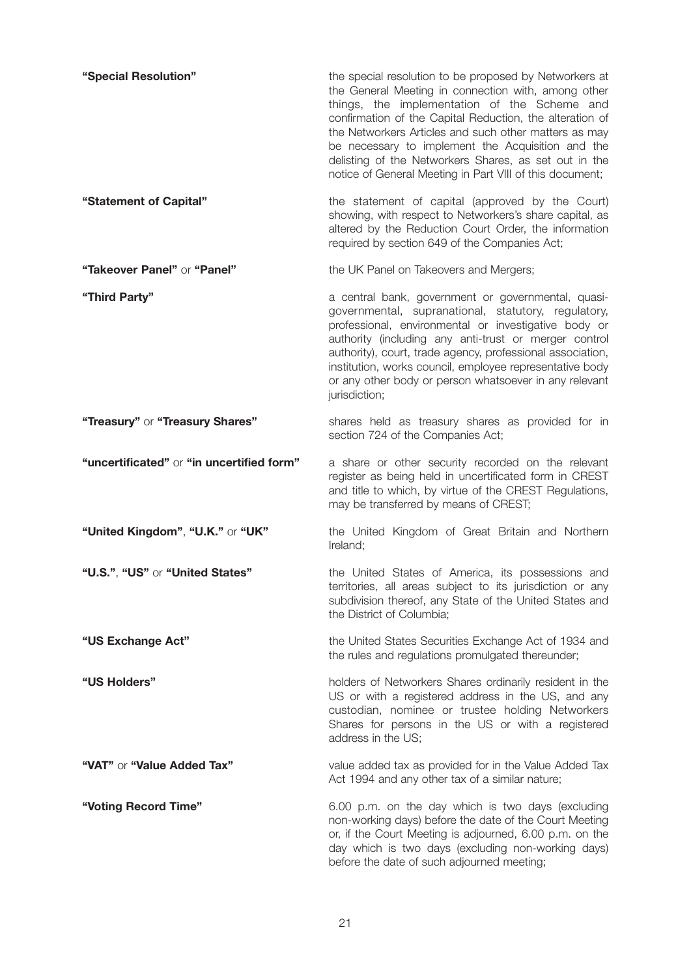| "Special Resolution"                      | the special resolution to be proposed by Networkers at<br>the General Meeting in connection with, among other<br>things, the implementation of the Scheme and<br>confirmation of the Capital Reduction, the alteration of<br>the Networkers Articles and such other matters as may<br>be necessary to implement the Acquisition and the<br>delisting of the Networkers Shares, as set out in the<br>notice of General Meeting in Part VIII of this document; |
|-------------------------------------------|--------------------------------------------------------------------------------------------------------------------------------------------------------------------------------------------------------------------------------------------------------------------------------------------------------------------------------------------------------------------------------------------------------------------------------------------------------------|
| "Statement of Capital"                    | the statement of capital (approved by the Court)<br>showing, with respect to Networkers's share capital, as<br>altered by the Reduction Court Order, the information<br>required by section 649 of the Companies Act;                                                                                                                                                                                                                                        |
| "Takeover Panel" or "Panel"               | the UK Panel on Takeovers and Mergers;                                                                                                                                                                                                                                                                                                                                                                                                                       |
| "Third Party"                             | a central bank, government or governmental, quasi-<br>governmental, supranational, statutory, regulatory,<br>professional, environmental or investigative body or<br>authority (including any anti-trust or merger control<br>authority), court, trade agency, professional association,<br>institution, works council, employee representative body<br>or any other body or person whatsoever in any relevant<br>jurisdiction;                              |
| "Treasury" or "Treasury Shares"           | shares held as treasury shares as provided for in<br>section 724 of the Companies Act;                                                                                                                                                                                                                                                                                                                                                                       |
| "uncertificated" or "in uncertified form" | a share or other security recorded on the relevant<br>register as being held in uncertificated form in CREST<br>and title to which, by virtue of the CREST Regulations,<br>may be transferred by means of CREST;                                                                                                                                                                                                                                             |
| "United Kingdom", "U.K." or "UK"          | the United Kingdom of Great Britain and Northern<br>Ireland;                                                                                                                                                                                                                                                                                                                                                                                                 |
| "U.S.", "US" or "United States"           | the United States of America, its possessions and<br>territories, all areas subject to its jurisdiction or any<br>subdivision thereof, any State of the United States and<br>the District of Columbia;                                                                                                                                                                                                                                                       |
| "US Exchange Act"                         | the United States Securities Exchange Act of 1934 and<br>the rules and regulations promulgated thereunder;                                                                                                                                                                                                                                                                                                                                                   |
| "US Holders"                              | holders of Networkers Shares ordinarily resident in the<br>US or with a registered address in the US, and any<br>custodian, nominee or trustee holding Networkers<br>Shares for persons in the US or with a registered<br>address in the US;                                                                                                                                                                                                                 |
| "VAT" or "Value Added Tax"                | value added tax as provided for in the Value Added Tax<br>Act 1994 and any other tax of a similar nature;                                                                                                                                                                                                                                                                                                                                                    |
| "Voting Record Time"                      | 6.00 p.m. on the day which is two days (excluding<br>non-working days) before the date of the Court Meeting<br>or, if the Court Meeting is adjourned, 6.00 p.m. on the<br>day which is two days (excluding non-working days)                                                                                                                                                                                                                                 |

before the date of such adjourned meeting;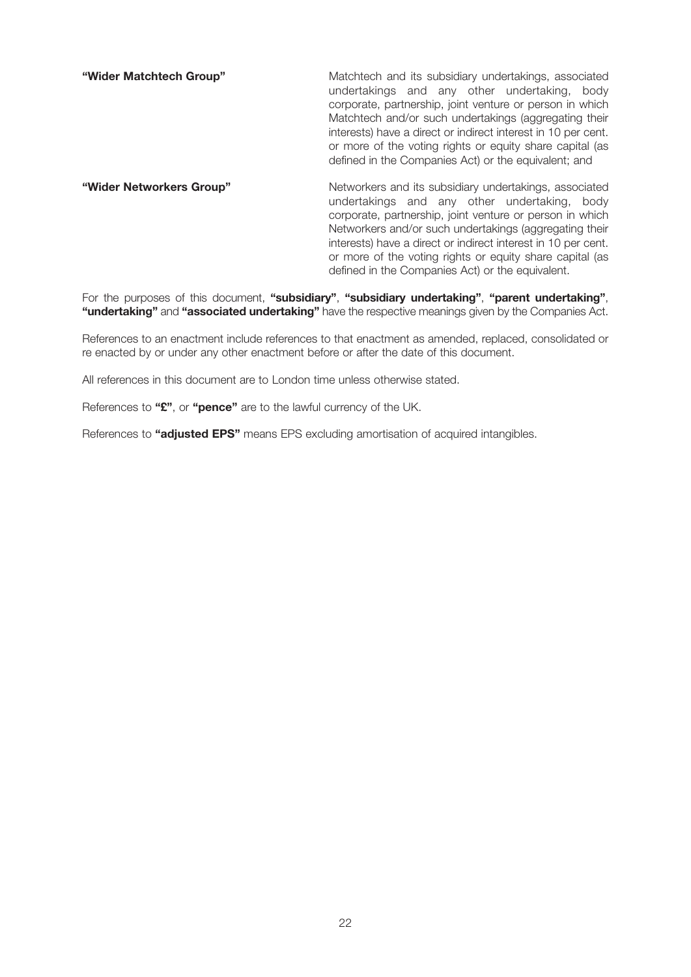| "Wider Matchtech Group"  | Matchtech and its subsidiary undertakings, associated<br>undertakings and any other undertaking,<br>body<br>corporate, partnership, joint venture or person in which<br>Matchtech and/or such undertakings (aggregating their<br>interests) have a direct or indirect interest in 10 per cent.<br>or more of the voting rights or equity share capital (as<br>defined in the Companies Act) or the equivalent; and |
|--------------------------|--------------------------------------------------------------------------------------------------------------------------------------------------------------------------------------------------------------------------------------------------------------------------------------------------------------------------------------------------------------------------------------------------------------------|
| "Mider Networkers Croup" | Notworkers and its subsidiary undertakings associated                                                                                                                                                                                                                                                                                                                                                              |

**Wider Networkers Group"** Networkers and its subsidiary undertakings, associated undertakings and any other undertaking, body corporate, partnership, joint venture or person in which Networkers and/or such undertakings (aggregating their interests) have a direct or indirect interest in 10 per cent. or more of the voting rights or equity share capital (as defined in the Companies Act) or the equivalent.

For the purposes of this document, **"subsidiary"**, **"subsidiary undertaking"**, **"parent undertaking"**, **"undertaking"** and **"associated undertaking"** have the respective meanings given by the Companies Act.

References to an enactment include references to that enactment as amended, replaced, consolidated or re enacted by or under any other enactment before or after the date of this document.

All references in this document are to London time unless otherwise stated.

References to **"£"**, or **"pence"** are to the lawful currency of the UK.

References to **"adjusted EPS"** means EPS excluding amortisation of acquired intangibles.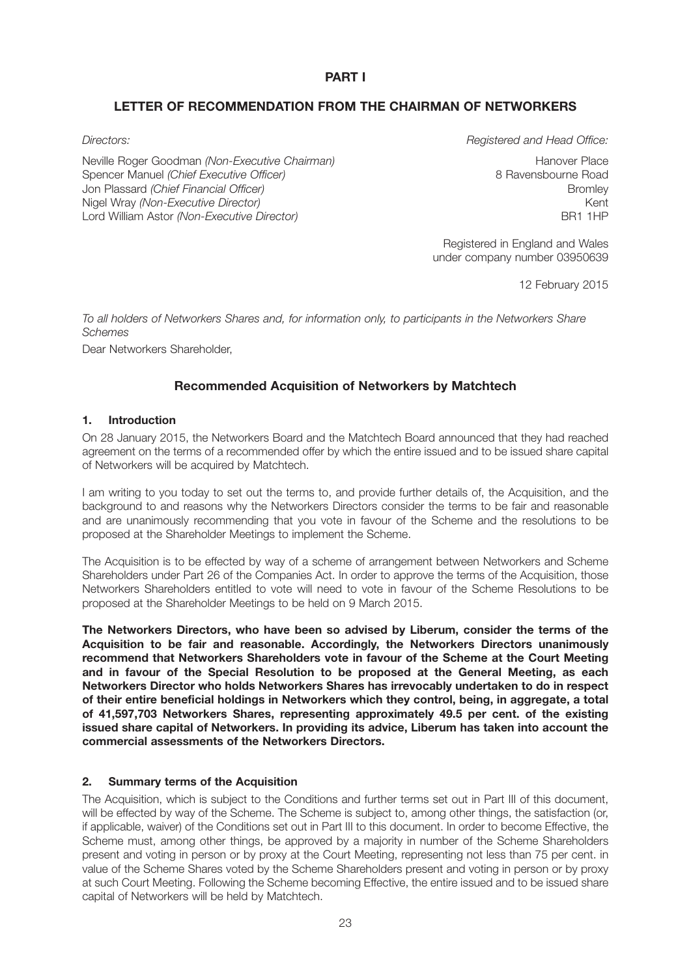# **PART I**

# **LETTER OF RECOMMENDATION FROM THE CHAIRMAN OF NETWORKERS**

Neville Roger Goodman *(Non-Executive Chairman)*<br>Spencer Manuel *(Chief Executive Officer)* Hanover Place Spencer Manuel *(Chief Executive Officer)* Spencer Manuel *(Chief Executive Officer)* Jon Plassard *(Chief Financial Officer)* Bromley Nigel Wray *(Non-Executive Director)*<br>
1 ord William Astor *(Non-Executive Director)* Kent **Kent (Non-Executive Director)** Lord William Astor *(Non-Executive Director)* 

*Directors: Registered and Head Office:*

Registered in England and Wales under company number 03950639

12 February 2015

*To all holders of Networkers Shares and, for information only, to participants in the Networkers Share Schemes*

Dear Networkers Shareholder,

# **Recommended Acquisition of Networkers by Matchtech**

#### **1. Introduction**

On 28 January 2015, the Networkers Board and the Matchtech Board announced that they had reached agreement on the terms of a recommended offer by which the entire issued and to be issued share capital of Networkers will be acquired by Matchtech.

I am writing to you today to set out the terms to, and provide further details of, the Acquisition, and the background to and reasons why the Networkers Directors consider the terms to be fair and reasonable and are unanimously recommending that you vote in favour of the Scheme and the resolutions to be proposed at the Shareholder Meetings to implement the Scheme.

The Acquisition is to be effected by way of a scheme of arrangement between Networkers and Scheme Shareholders under Part 26 of the Companies Act. In order to approve the terms of the Acquisition, those Networkers Shareholders entitled to vote will need to vote in favour of the Scheme Resolutions to be proposed at the Shareholder Meetings to be held on 9 March 2015.

**The Networkers Directors, who have been so advised by Liberum, consider the terms of the Acquisition to be fair and reasonable. Accordingly, the Networkers Directors unanimously recommend that Networkers Shareholders vote in favour of the Scheme at the Court Meeting and in favour of the Special Resolution to be proposed at the General Meeting, as each Networkers Director who holds Networkers Shares has irrevocably undertaken to do in respect of their entire beneficial holdings in Networkers which they control, being, in aggregate, a total of 41,597,703 Networkers Shares, representing approximately 49.5 per cent. of the existing issued share capital of Networkers. In providing its advice, Liberum has taken into account the commercial assessments of the Networkers Directors.**

#### **2. Summary terms of the Acquisition**

The Acquisition, which is subject to the Conditions and further terms set out in Part III of this document, will be effected by way of the Scheme. The Scheme is subject to, among other things, the satisfaction (or, if applicable, waiver) of the Conditions set out in Part III to this document. In order to become Effective, the Scheme must, among other things, be approved by a majority in number of the Scheme Shareholders present and voting in person or by proxy at the Court Meeting, representing not less than 75 per cent. in value of the Scheme Shares voted by the Scheme Shareholders present and voting in person or by proxy at such Court Meeting. Following the Scheme becoming Effective, the entire issued and to be issued share capital of Networkers will be held by Matchtech.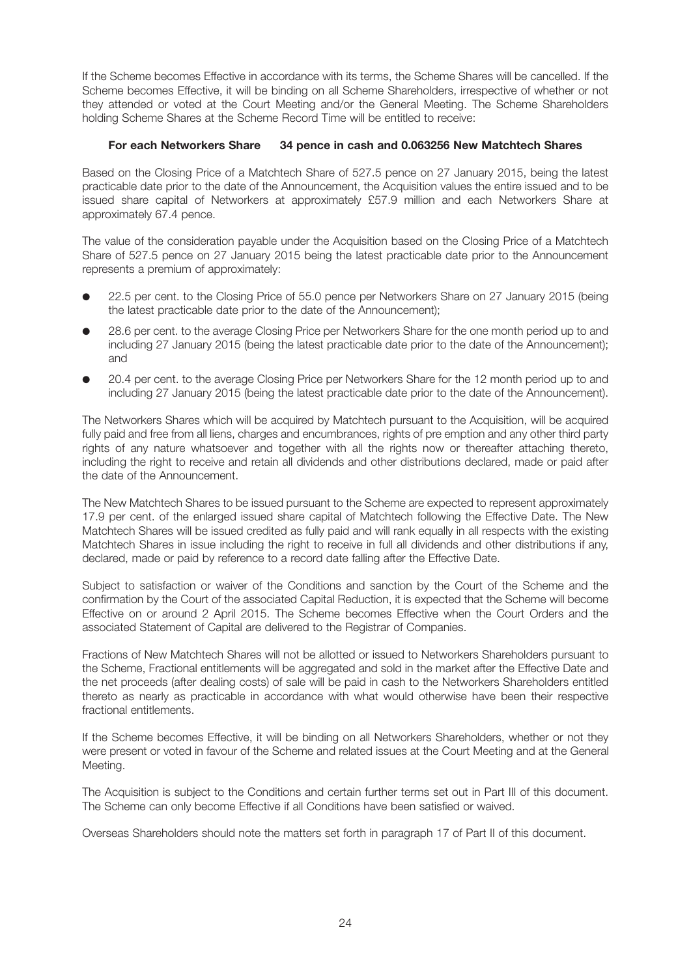If the Scheme becomes Effective in accordance with its terms, the Scheme Shares will be cancelled. If the Scheme becomes Effective, it will be binding on all Scheme Shareholders, irrespective of whether or not they attended or voted at the Court Meeting and/or the General Meeting. The Scheme Shareholders holding Scheme Shares at the Scheme Record Time will be entitled to receive:

#### **For each Networkers Share 34 pence in cash and 0.063256 New Matchtech Shares**

Based on the Closing Price of a Matchtech Share of 527.5 pence on 27 January 2015, being the latest practicable date prior to the date of the Announcement, the Acquisition values the entire issued and to be issued share capital of Networkers at approximately £57.9 million and each Networkers Share at approximately 67.4 pence.

The value of the consideration payable under the Acquisition based on the Closing Price of a Matchtech Share of 527.5 pence on 27 January 2015 being the latest practicable date prior to the Announcement represents a premium of approximately:

- 22.5 per cent. to the Closing Price of 55.0 pence per Networkers Share on 27 January 2015 (being the latest practicable date prior to the date of the Announcement);
- 28.6 per cent. to the average Closing Price per Networkers Share for the one month period up to and including 27 January 2015 (being the latest practicable date prior to the date of the Announcement); and
- 20.4 per cent. to the average Closing Price per Networkers Share for the 12 month period up to and including 27 January 2015 (being the latest practicable date prior to the date of the Announcement).

The Networkers Shares which will be acquired by Matchtech pursuant to the Acquisition, will be acquired fully paid and free from all liens, charges and encumbrances, rights of pre emption and any other third party rights of any nature whatsoever and together with all the rights now or thereafter attaching thereto, including the right to receive and retain all dividends and other distributions declared, made or paid after the date of the Announcement.

The New Matchtech Shares to be issued pursuant to the Scheme are expected to represent approximately 17.9 per cent. of the enlarged issued share capital of Matchtech following the Effective Date. The New Matchtech Shares will be issued credited as fully paid and will rank equally in all respects with the existing Matchtech Shares in issue including the right to receive in full all dividends and other distributions if any, declared, made or paid by reference to a record date falling after the Effective Date.

Subject to satisfaction or waiver of the Conditions and sanction by the Court of the Scheme and the confirmation by the Court of the associated Capital Reduction, it is expected that the Scheme will become Effective on or around 2 April 2015. The Scheme becomes Effective when the Court Orders and the associated Statement of Capital are delivered to the Registrar of Companies.

Fractions of New Matchtech Shares will not be allotted or issued to Networkers Shareholders pursuant to the Scheme, Fractional entitlements will be aggregated and sold in the market after the Effective Date and the net proceeds (after dealing costs) of sale will be paid in cash to the Networkers Shareholders entitled thereto as nearly as practicable in accordance with what would otherwise have been their respective fractional entitlements.

If the Scheme becomes Effective, it will be binding on all Networkers Shareholders, whether or not they were present or voted in favour of the Scheme and related issues at the Court Meeting and at the General Meeting.

The Acquisition is subject to the Conditions and certain further terms set out in Part III of this document. The Scheme can only become Effective if all Conditions have been satisfied or waived.

Overseas Shareholders should note the matters set forth in paragraph 17 of Part II of this document.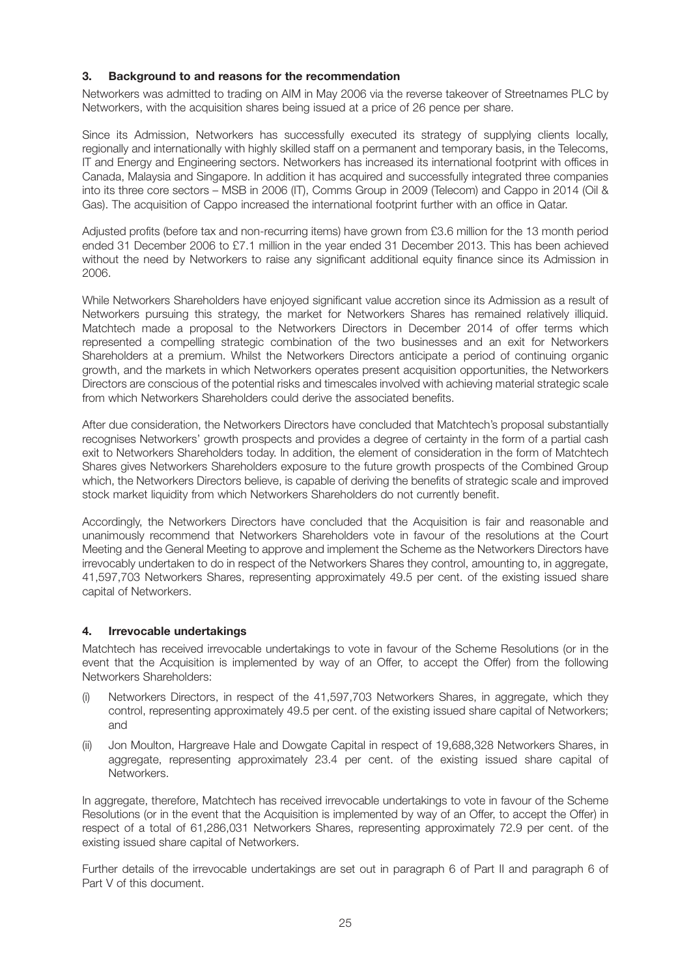#### **3. Background to and reasons for the recommendation**

Networkers was admitted to trading on AIM in May 2006 via the reverse takeover of Streetnames PLC by Networkers, with the acquisition shares being issued at a price of 26 pence per share.

Since its Admission, Networkers has successfully executed its strategy of supplying clients locally, regionally and internationally with highly skilled staff on a permanent and temporary basis, in the Telecoms, IT and Energy and Engineering sectors. Networkers has increased its international footprint with offices in Canada, Malaysia and Singapore. In addition it has acquired and successfully integrated three companies into its three core sectors – MSB in 2006 (IT), Comms Group in 2009 (Telecom) and Cappo in 2014 (Oil & Gas). The acquisition of Cappo increased the international footprint further with an office in Qatar.

Adjusted profits (before tax and non-recurring items) have grown from £3.6 million for the 13 month period ended 31 December 2006 to £7.1 million in the year ended 31 December 2013. This has been achieved without the need by Networkers to raise any significant additional equity finance since its Admission in 2006.

While Networkers Shareholders have enjoyed significant value accretion since its Admission as a result of Networkers pursuing this strategy, the market for Networkers Shares has remained relatively illiquid. Matchtech made a proposal to the Networkers Directors in December 2014 of offer terms which represented a compelling strategic combination of the two businesses and an exit for Networkers Shareholders at a premium. Whilst the Networkers Directors anticipate a period of continuing organic growth, and the markets in which Networkers operates present acquisition opportunities, the Networkers Directors are conscious of the potential risks and timescales involved with achieving material strategic scale from which Networkers Shareholders could derive the associated benefits.

After due consideration, the Networkers Directors have concluded that Matchtech's proposal substantially recognises Networkers' growth prospects and provides a degree of certainty in the form of a partial cash exit to Networkers Shareholders today. In addition, the element of consideration in the form of Matchtech Shares gives Networkers Shareholders exposure to the future growth prospects of the Combined Group which, the Networkers Directors believe, is capable of deriving the benefits of strategic scale and improved stock market liquidity from which Networkers Shareholders do not currently benefit.

Accordingly, the Networkers Directors have concluded that the Acquisition is fair and reasonable and unanimously recommend that Networkers Shareholders vote in favour of the resolutions at the Court Meeting and the General Meeting to approve and implement the Scheme as the Networkers Directors have irrevocably undertaken to do in respect of the Networkers Shares they control, amounting to, in aggregate, 41,597,703 Networkers Shares, representing approximately 49.5 per cent. of the existing issued share capital of Networkers.

#### **4. Irrevocable undertakings**

Matchtech has received irrevocable undertakings to vote in favour of the Scheme Resolutions (or in the event that the Acquisition is implemented by way of an Offer, to accept the Offer) from the following Networkers Shareholders:

- (i) Networkers Directors, in respect of the 41,597,703 Networkers Shares, in aggregate, which they control, representing approximately 49.5 per cent. of the existing issued share capital of Networkers; and
- (ii) Jon Moulton, Hargreave Hale and Dowgate Capital in respect of 19,688,328 Networkers Shares, in aggregate, representing approximately 23.4 per cent. of the existing issued share capital of Networkers.

In aggregate, therefore, Matchtech has received irrevocable undertakings to vote in favour of the Scheme Resolutions (or in the event that the Acquisition is implemented by way of an Offer, to accept the Offer) in respect of a total of 61,286,031 Networkers Shares, representing approximately 72.9 per cent. of the existing issued share capital of Networkers.

Further details of the irrevocable undertakings are set out in paragraph 6 of Part II and paragraph 6 of Part V of this document.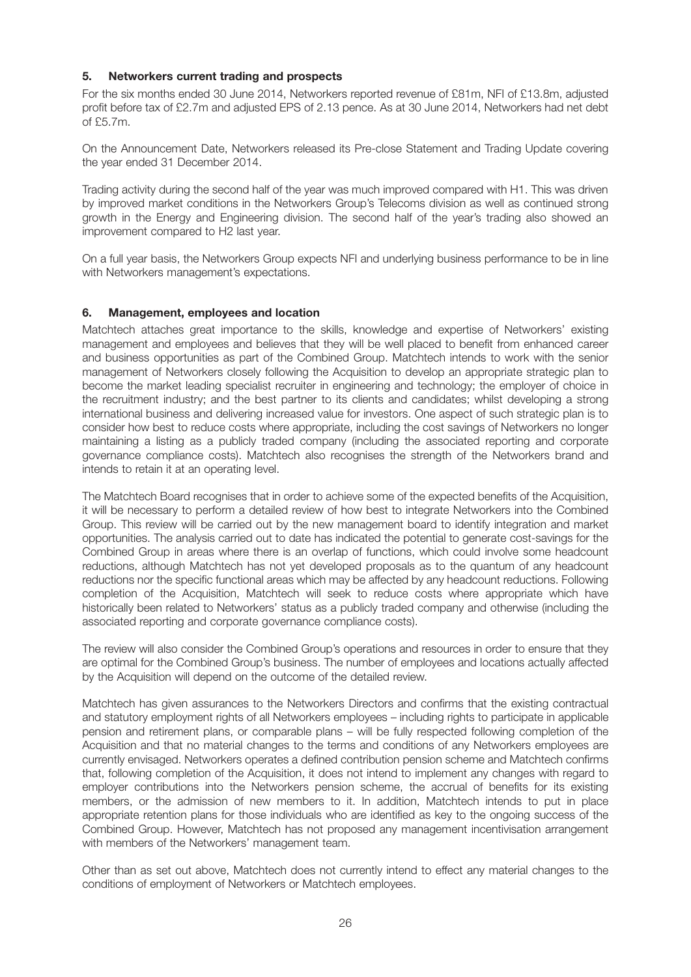#### **5. Networkers current trading and prospects**

For the six months ended 30 June 2014, Networkers reported revenue of £81m, NFI of £13.8m, adjusted profit before tax of £2.7m and adjusted EPS of 2.13 pence. As at 30 June 2014, Networkers had net debt of £5.7m.

On the Announcement Date, Networkers released its Pre-close Statement and Trading Update covering the year ended 31 December 2014.

Trading activity during the second half of the year was much improved compared with H1. This was driven by improved market conditions in the Networkers Group's Telecoms division as well as continued strong growth in the Energy and Engineering division. The second half of the year's trading also showed an improvement compared to H2 last year.

On a full year basis, the Networkers Group expects NFI and underlying business performance to be in line with Networkers management's expectations.

#### **6. Management, employees and location**

Matchtech attaches great importance to the skills, knowledge and expertise of Networkers' existing management and employees and believes that they will be well placed to benefit from enhanced career and business opportunities as part of the Combined Group. Matchtech intends to work with the senior management of Networkers closely following the Acquisition to develop an appropriate strategic plan to become the market leading specialist recruiter in engineering and technology; the employer of choice in the recruitment industry; and the best partner to its clients and candidates; whilst developing a strong international business and delivering increased value for investors. One aspect of such strategic plan is to consider how best to reduce costs where appropriate, including the cost savings of Networkers no longer maintaining a listing as a publicly traded company (including the associated reporting and corporate governance compliance costs). Matchtech also recognises the strength of the Networkers brand and intends to retain it at an operating level.

The Matchtech Board recognises that in order to achieve some of the expected benefits of the Acquisition, it will be necessary to perform a detailed review of how best to integrate Networkers into the Combined Group. This review will be carried out by the new management board to identify integration and market opportunities. The analysis carried out to date has indicated the potential to generate cost-savings for the Combined Group in areas where there is an overlap of functions, which could involve some headcount reductions, although Matchtech has not yet developed proposals as to the quantum of any headcount reductions nor the specific functional areas which may be affected by any headcount reductions. Following completion of the Acquisition, Matchtech will seek to reduce costs where appropriate which have historically been related to Networkers' status as a publicly traded company and otherwise (including the associated reporting and corporate governance compliance costs).

The review will also consider the Combined Group's operations and resources in order to ensure that they are optimal for the Combined Group's business. The number of employees and locations actually affected by the Acquisition will depend on the outcome of the detailed review.

Matchtech has given assurances to the Networkers Directors and confirms that the existing contractual and statutory employment rights of all Networkers employees – including rights to participate in applicable pension and retirement plans, or comparable plans – will be fully respected following completion of the Acquisition and that no material changes to the terms and conditions of any Networkers employees are currently envisaged. Networkers operates a defined contribution pension scheme and Matchtech confirms that, following completion of the Acquisition, it does not intend to implement any changes with regard to employer contributions into the Networkers pension scheme, the accrual of benefits for its existing members, or the admission of new members to it. In addition, Matchtech intends to put in place appropriate retention plans for those individuals who are identified as key to the ongoing success of the Combined Group. However, Matchtech has not proposed any management incentivisation arrangement with members of the Networkers' management team.

Other than as set out above, Matchtech does not currently intend to effect any material changes to the conditions of employment of Networkers or Matchtech employees.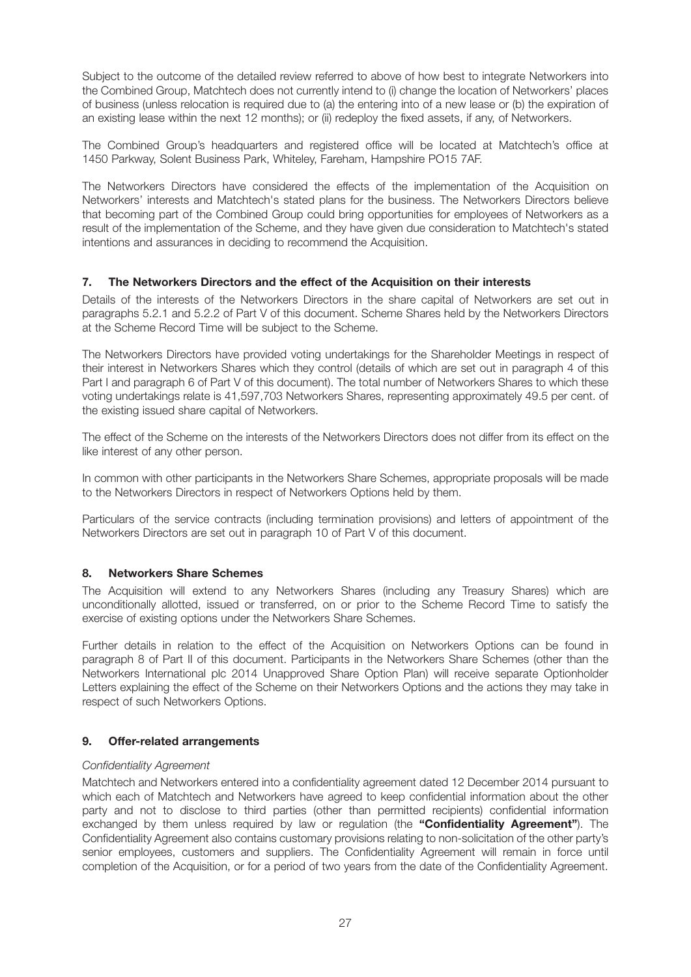Subject to the outcome of the detailed review referred to above of how best to integrate Networkers into the Combined Group, Matchtech does not currently intend to (i) change the location of Networkers' places of business (unless relocation is required due to (a) the entering into of a new lease or (b) the expiration of an existing lease within the next 12 months); or (ii) redeploy the fixed assets, if any, of Networkers.

The Combined Group's headquarters and registered office will be located at Matchtech's office at 1450 Parkway, Solent Business Park, Whiteley, Fareham, Hampshire PO15 7AF.

The Networkers Directors have considered the effects of the implementation of the Acquisition on Networkers' interests and Matchtech's stated plans for the business. The Networkers Directors believe that becoming part of the Combined Group could bring opportunities for employees of Networkers as a result of the implementation of the Scheme, and they have given due consideration to Matchtech's stated intentions and assurances in deciding to recommend the Acquisition.

#### **7. The Networkers Directors and the effect of the Acquisition on their interests**

Details of the interests of the Networkers Directors in the share capital of Networkers are set out in paragraphs 5.2.1 and 5.2.2 of Part V of this document. Scheme Shares held by the Networkers Directors at the Scheme Record Time will be subject to the Scheme.

The Networkers Directors have provided voting undertakings for the Shareholder Meetings in respect of their interest in Networkers Shares which they control (details of which are set out in paragraph 4 of this Part I and paragraph 6 of Part V of this document). The total number of Networkers Shares to which these voting undertakings relate is 41,597,703 Networkers Shares, representing approximately 49.5 per cent. of the existing issued share capital of Networkers.

The effect of the Scheme on the interests of the Networkers Directors does not differ from its effect on the like interest of any other person.

In common with other participants in the Networkers Share Schemes, appropriate proposals will be made to the Networkers Directors in respect of Networkers Options held by them.

Particulars of the service contracts (including termination provisions) and letters of appointment of the Networkers Directors are set out in paragraph 10 of Part V of this document.

#### **8. Networkers Share Schemes**

The Acquisition will extend to any Networkers Shares (including any Treasury Shares) which are unconditionally allotted, issued or transferred, on or prior to the Scheme Record Time to satisfy the exercise of existing options under the Networkers Share Schemes.

Further details in relation to the effect of the Acquisition on Networkers Options can be found in paragraph 8 of Part II of this document. Participants in the Networkers Share Schemes (other than the Networkers International plc 2014 Unapproved Share Option Plan) will receive separate Optionholder Letters explaining the effect of the Scheme on their Networkers Options and the actions they may take in respect of such Networkers Options.

#### **9. Offer-related arrangements**

#### *Confidentiality Agreement*

Matchtech and Networkers entered into a confidentiality agreement dated 12 December 2014 pursuant to which each of Matchtech and Networkers have agreed to keep confidential information about the other party and not to disclose to third parties (other than permitted recipients) confidential information exchanged by them unless required by law or regulation (the **"Confidentiality Agreement"**). The Confidentiality Agreement also contains customary provisions relating to non-solicitation of the other party's senior employees, customers and suppliers. The Confidentiality Agreement will remain in force until completion of the Acquisition, or for a period of two years from the date of the Confidentiality Agreement.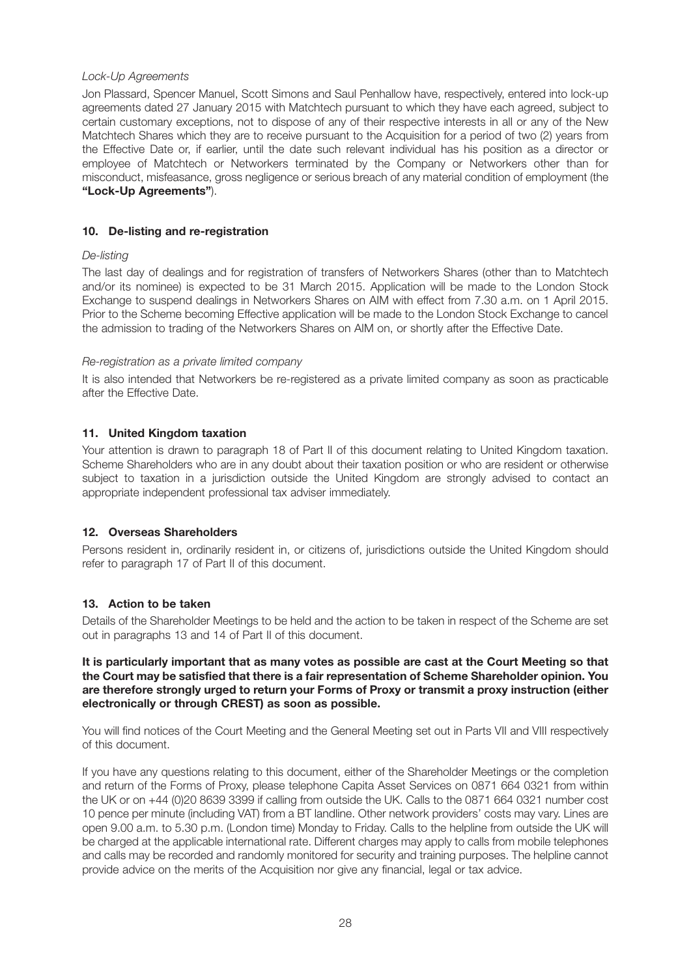#### *Lock-Up Agreements*

Jon Plassard, Spencer Manuel, Scott Simons and Saul Penhallow have, respectively, entered into lock-up agreements dated 27 January 2015 with Matchtech pursuant to which they have each agreed, subject to certain customary exceptions, not to dispose of any of their respective interests in all or any of the New Matchtech Shares which they are to receive pursuant to the Acquisition for a period of two (2) years from the Effective Date or, if earlier, until the date such relevant individual has his position as a director or employee of Matchtech or Networkers terminated by the Company or Networkers other than for misconduct, misfeasance, gross negligence or serious breach of any material condition of employment (the **"Lock-Up Agreements"**).

#### **10. De-listing and re-registration**

#### *De-listing*

The last day of dealings and for registration of transfers of Networkers Shares (other than to Matchtech and/or its nominee) is expected to be 31 March 2015. Application will be made to the London Stock Exchange to suspend dealings in Networkers Shares on AIM with effect from 7.30 a.m. on 1 April 2015. Prior to the Scheme becoming Effective application will be made to the London Stock Exchange to cancel the admission to trading of the Networkers Shares on AIM on, or shortly after the Effective Date.

#### *Re-registration as a private limited company*

It is also intended that Networkers be re-registered as a private limited company as soon as practicable after the Effective Date.

#### **11. United Kingdom taxation**

Your attention is drawn to paragraph 18 of Part II of this document relating to United Kingdom taxation. Scheme Shareholders who are in any doubt about their taxation position or who are resident or otherwise subject to taxation in a jurisdiction outside the United Kingdom are strongly advised to contact an appropriate independent professional tax adviser immediately.

#### **12. Overseas Shareholders**

Persons resident in, ordinarily resident in, or citizens of, jurisdictions outside the United Kingdom should refer to paragraph 17 of Part II of this document.

### **13. Action to be taken**

Details of the Shareholder Meetings to be held and the action to be taken in respect of the Scheme are set out in paragraphs 13 and 14 of Part II of this document.

#### **It is particularly important that as many votes as possible are cast at the Court Meeting so that the Court may be satisfied that there is a fair representation of Scheme Shareholder opinion. You are therefore strongly urged to return your Forms of Proxy or transmit a proxy instruction (either electronically or through CREST) as soon as possible.**

You will find notices of the Court Meeting and the General Meeting set out in Parts VII and VIII respectively of this document.

If you have any questions relating to this document, either of the Shareholder Meetings or the completion and return of the Forms of Proxy, please telephone Capita Asset Services on 0871 664 0321 from within the UK or on +44 (0)20 8639 3399 if calling from outside the UK. Calls to the 0871 664 0321 number cost 10 pence per minute (including VAT) from a BT landline. Other network providers' costs may vary. Lines are open 9.00 a.m. to 5.30 p.m. (London time) Monday to Friday. Calls to the helpline from outside the UK will be charged at the applicable international rate. Different charges may apply to calls from mobile telephones and calls may be recorded and randomly monitored for security and training purposes. The helpline cannot provide advice on the merits of the Acquisition nor give any financial, legal or tax advice.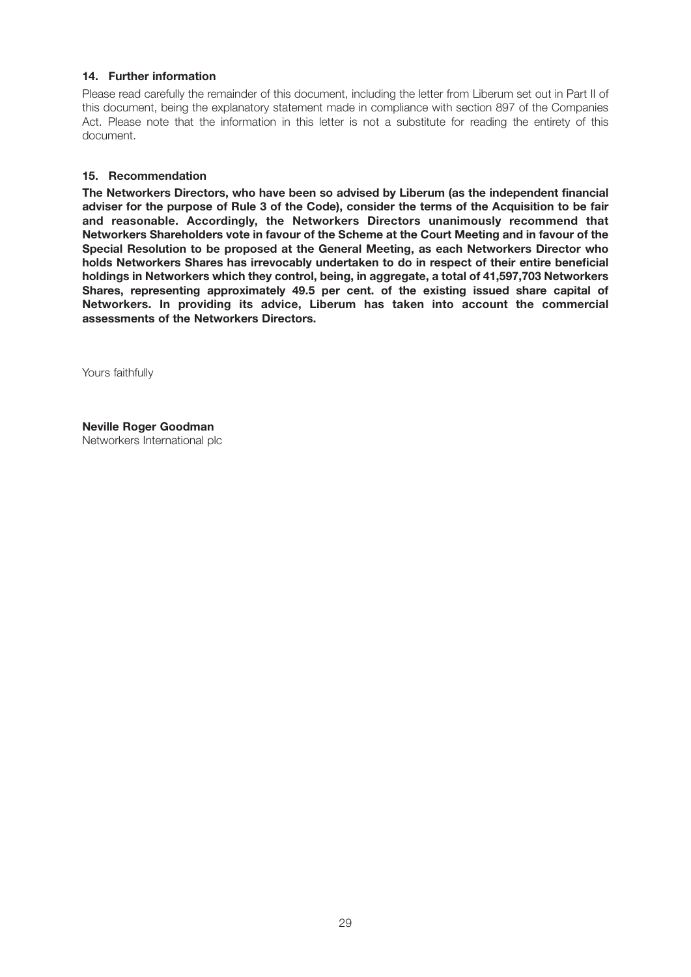#### **14. Further information**

Please read carefully the remainder of this document, including the letter from Liberum set out in Part II of this document, being the explanatory statement made in compliance with section 897 of the Companies Act. Please note that the information in this letter is not a substitute for reading the entirety of this document.

#### **15. Recommendation**

**The Networkers Directors, who have been so advised by Liberum (as the independent financial adviser for the purpose of Rule 3 of the Code), consider the terms of the Acquisition to be fair and reasonable. Accordingly, the Networkers Directors unanimously recommend that Networkers Shareholders vote in favour of the Scheme at the Court Meeting and in favour of the Special Resolution to be proposed at the General Meeting, as each Networkers Director who holds Networkers Shares has irrevocably undertaken to do in respect of their entire beneficial holdings in Networkers which they control, being, in aggregate, a total of 41,597,703 Networkers Shares, representing approximately 49.5 per cent. of the existing issued share capital of Networkers. In providing its advice, Liberum has taken into account the commercial assessments of the Networkers Directors.**

Yours faithfully

**Neville Roger Goodman** Networkers International plc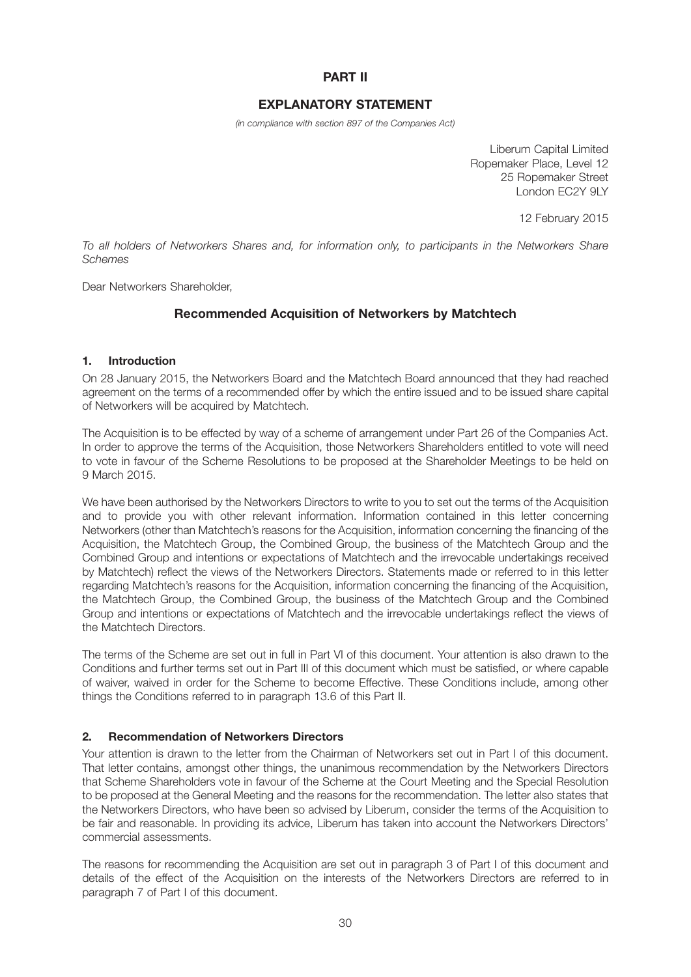### **PART II**

#### **EXPLANATORY STATEMENT**

*(in compliance with section 897 of the Companies Act)*

Liberum Capital Limited Ropemaker Place, Level 12 25 Ropemaker Street London EC2Y 9LY

12 February 2015

*To all holders of Networkers Shares and, for information only, to participants in the Networkers Share Schemes* 

Dear Networkers Shareholder,

### **Recommended Acquisition of Networkers by Matchtech**

#### **1. Introduction**

On 28 January 2015, the Networkers Board and the Matchtech Board announced that they had reached agreement on the terms of a recommended offer by which the entire issued and to be issued share capital of Networkers will be acquired by Matchtech.

The Acquisition is to be effected by way of a scheme of arrangement under Part 26 of the Companies Act. In order to approve the terms of the Acquisition, those Networkers Shareholders entitled to vote will need to vote in favour of the Scheme Resolutions to be proposed at the Shareholder Meetings to be held on 9 March 2015.

We have been authorised by the Networkers Directors to write to you to set out the terms of the Acquisition and to provide you with other relevant information. Information contained in this letter concerning Networkers (other than Matchtech's reasons for the Acquisition, information concerning the financing of the Acquisition, the Matchtech Group, the Combined Group, the business of the Matchtech Group and the Combined Group and intentions or expectations of Matchtech and the irrevocable undertakings received by Matchtech) reflect the views of the Networkers Directors. Statements made or referred to in this letter regarding Matchtech's reasons for the Acquisition, information concerning the financing of the Acquisition, the Matchtech Group, the Combined Group, the business of the Matchtech Group and the Combined Group and intentions or expectations of Matchtech and the irrevocable undertakings reflect the views of the Matchtech Directors.

The terms of the Scheme are set out in full in Part VI of this document. Your attention is also drawn to the Conditions and further terms set out in Part III of this document which must be satisfied, or where capable of waiver, waived in order for the Scheme to become Effective. These Conditions include, among other things the Conditions referred to in paragraph 13.6 of this Part II.

#### **2. Recommendation of Networkers Directors**

Your attention is drawn to the letter from the Chairman of Networkers set out in Part I of this document. That letter contains, amongst other things, the unanimous recommendation by the Networkers Directors that Scheme Shareholders vote in favour of the Scheme at the Court Meeting and the Special Resolution to be proposed at the General Meeting and the reasons for the recommendation. The letter also states that the Networkers Directors, who have been so advised by Liberum, consider the terms of the Acquisition to be fair and reasonable. In providing its advice, Liberum has taken into account the Networkers Directors' commercial assessments.

The reasons for recommending the Acquisition are set out in paragraph 3 of Part I of this document and details of the effect of the Acquisition on the interests of the Networkers Directors are referred to in paragraph 7 of Part I of this document.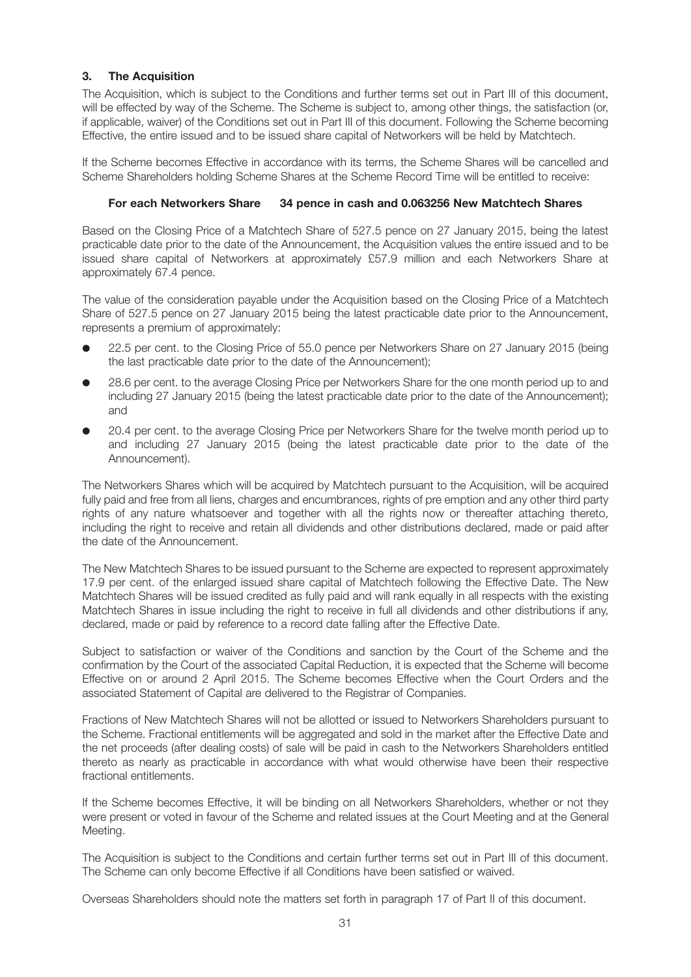# **3. The Acquisition**

The Acquisition, which is subject to the Conditions and further terms set out in Part III of this document, will be effected by way of the Scheme. The Scheme is subject to, among other things, the satisfaction (or, if applicable, waiver) of the Conditions set out in Part III of this document. Following the Scheme becoming Effective, the entire issued and to be issued share capital of Networkers will be held by Matchtech.

If the Scheme becomes Effective in accordance with its terms, the Scheme Shares will be cancelled and Scheme Shareholders holding Scheme Shares at the Scheme Record Time will be entitled to receive:

#### **For each Networkers Share 34 pence in cash and 0.063256 New Matchtech Shares**

Based on the Closing Price of a Matchtech Share of 527.5 pence on 27 January 2015, being the latest practicable date prior to the date of the Announcement, the Acquisition values the entire issued and to be issued share capital of Networkers at approximately £57.9 million and each Networkers Share at approximately 67.4 pence.

The value of the consideration payable under the Acquisition based on the Closing Price of a Matchtech Share of 527.5 pence on 27 January 2015 being the latest practicable date prior to the Announcement, represents a premium of approximately:

- 22.5 per cent. to the Closing Price of 55.0 pence per Networkers Share on 27 January 2015 (being the last practicable date prior to the date of the Announcement);
- 28.6 per cent. to the average Closing Price per Networkers Share for the one month period up to and including 27 January 2015 (being the latest practicable date prior to the date of the Announcement); and
- 20.4 per cent. to the average Closing Price per Networkers Share for the twelve month period up to and including 27 January 2015 (being the latest practicable date prior to the date of the Announcement).

The Networkers Shares which will be acquired by Matchtech pursuant to the Acquisition, will be acquired fully paid and free from all liens, charges and encumbrances, rights of pre emption and any other third party rights of any nature whatsoever and together with all the rights now or thereafter attaching thereto, including the right to receive and retain all dividends and other distributions declared, made or paid after the date of the Announcement.

The New Matchtech Shares to be issued pursuant to the Scheme are expected to represent approximately 17.9 per cent. of the enlarged issued share capital of Matchtech following the Effective Date. The New Matchtech Shares will be issued credited as fully paid and will rank equally in all respects with the existing Matchtech Shares in issue including the right to receive in full all dividends and other distributions if any, declared, made or paid by reference to a record date falling after the Effective Date.

Subject to satisfaction or waiver of the Conditions and sanction by the Court of the Scheme and the confirmation by the Court of the associated Capital Reduction, it is expected that the Scheme will become Effective on or around 2 April 2015. The Scheme becomes Effective when the Court Orders and the associated Statement of Capital are delivered to the Registrar of Companies.

Fractions of New Matchtech Shares will not be allotted or issued to Networkers Shareholders pursuant to the Scheme. Fractional entitlements will be aggregated and sold in the market after the Effective Date and the net proceeds (after dealing costs) of sale will be paid in cash to the Networkers Shareholders entitled thereto as nearly as practicable in accordance with what would otherwise have been their respective fractional entitlements.

If the Scheme becomes Effective, it will be binding on all Networkers Shareholders, whether or not they were present or voted in favour of the Scheme and related issues at the Court Meeting and at the General Meeting.

The Acquisition is subject to the Conditions and certain further terms set out in Part III of this document. The Scheme can only become Effective if all Conditions have been satisfied or waived.

Overseas Shareholders should note the matters set forth in paragraph 17 of Part II of this document.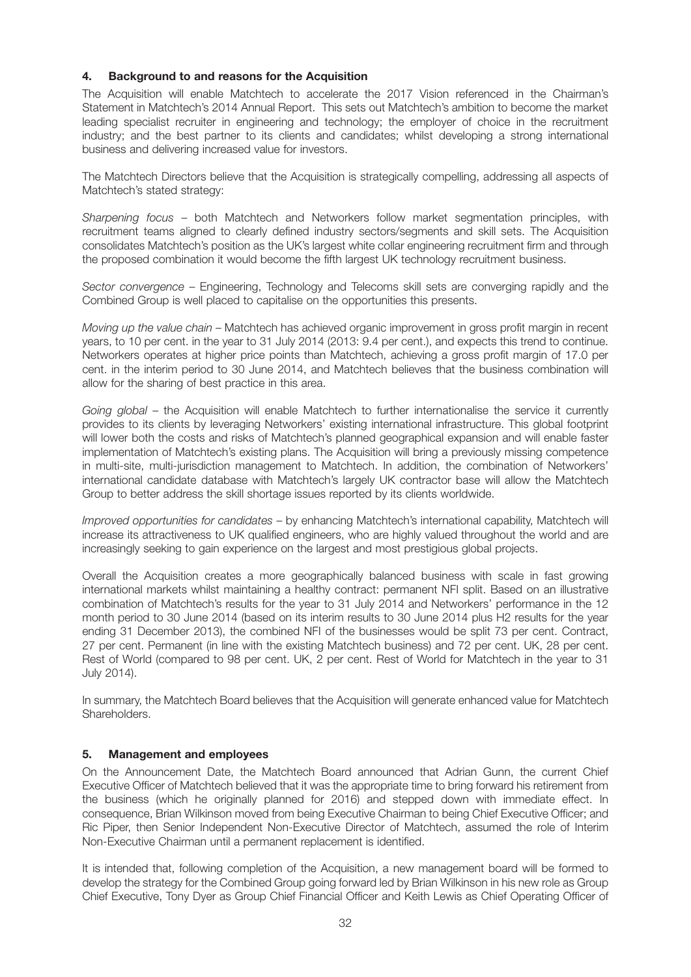#### **4. Background to and reasons for the Acquisition**

The Acquisition will enable Matchtech to accelerate the 2017 Vision referenced in the Chairman's Statement in Matchtech's 2014 Annual Report. This sets out Matchtech's ambition to become the market leading specialist recruiter in engineering and technology; the employer of choice in the recruitment industry; and the best partner to its clients and candidates; whilst developing a strong international business and delivering increased value for investors.

The Matchtech Directors believe that the Acquisition is strategically compelling, addressing all aspects of Matchtech's stated strategy:

*Sharpening focus* – both Matchtech and Networkers follow market segmentation principles, with recruitment teams aligned to clearly defined industry sectors/segments and skill sets. The Acquisition consolidates Matchtech's position as the UK's largest white collar engineering recruitment firm and through the proposed combination it would become the fifth largest UK technology recruitment business.

*Sector convergence* – Engineering, Technology and Telecoms skill sets are converging rapidly and the Combined Group is well placed to capitalise on the opportunities this presents.

*Moving up the value chain* – Matchtech has achieved organic improvement in gross profit margin in recent years, to 10 per cent. in the year to 31 July 2014 (2013: 9.4 per cent.), and expects this trend to continue. Networkers operates at higher price points than Matchtech, achieving a gross profit margin of 17.0 per cent. in the interim period to 30 June 2014, and Matchtech believes that the business combination will allow for the sharing of best practice in this area.

*Going global* – the Acquisition will enable Matchtech to further internationalise the service it currently provides to its clients by leveraging Networkers' existing international infrastructure. This global footprint will lower both the costs and risks of Matchtech's planned geographical expansion and will enable faster implementation of Matchtech's existing plans. The Acquisition will bring a previously missing competence in multi-site, multi-jurisdiction management to Matchtech. In addition, the combination of Networkers' international candidate database with Matchtech's largely UK contractor base will allow the Matchtech Group to better address the skill shortage issues reported by its clients worldwide.

*Improved opportunities for candidates* – by enhancing Matchtech's international capability, Matchtech will increase its attractiveness to UK qualified engineers, who are highly valued throughout the world and are increasingly seeking to gain experience on the largest and most prestigious global projects.

Overall the Acquisition creates a more geographically balanced business with scale in fast growing international markets whilst maintaining a healthy contract: permanent NFI split. Based on an illustrative combination of Matchtech's results for the year to 31 July 2014 and Networkers' performance in the 12 month period to 30 June 2014 (based on its interim results to 30 June 2014 plus H2 results for the year ending 31 December 2013), the combined NFI of the businesses would be split 73 per cent. Contract, 27 per cent. Permanent (in line with the existing Matchtech business) and 72 per cent. UK, 28 per cent. Rest of World (compared to 98 per cent. UK, 2 per cent. Rest of World for Matchtech in the year to 31 July 2014).

In summary, the Matchtech Board believes that the Acquisition will generate enhanced value for Matchtech Shareholders.

#### **5. Management and employees**

On the Announcement Date, the Matchtech Board announced that Adrian Gunn, the current Chief Executive Officer of Matchtech believed that it was the appropriate time to bring forward his retirement from the business (which he originally planned for 2016) and stepped down with immediate effect. In consequence, Brian Wilkinson moved from being Executive Chairman to being Chief Executive Officer; and Ric Piper, then Senior Independent Non-Executive Director of Matchtech, assumed the role of Interim Non-Executive Chairman until a permanent replacement is identified.

It is intended that, following completion of the Acquisition, a new management board will be formed to develop the strategy for the Combined Group going forward led by Brian Wilkinson in his new role as Group Chief Executive, Tony Dyer as Group Chief Financial Officer and Keith Lewis as Chief Operating Officer of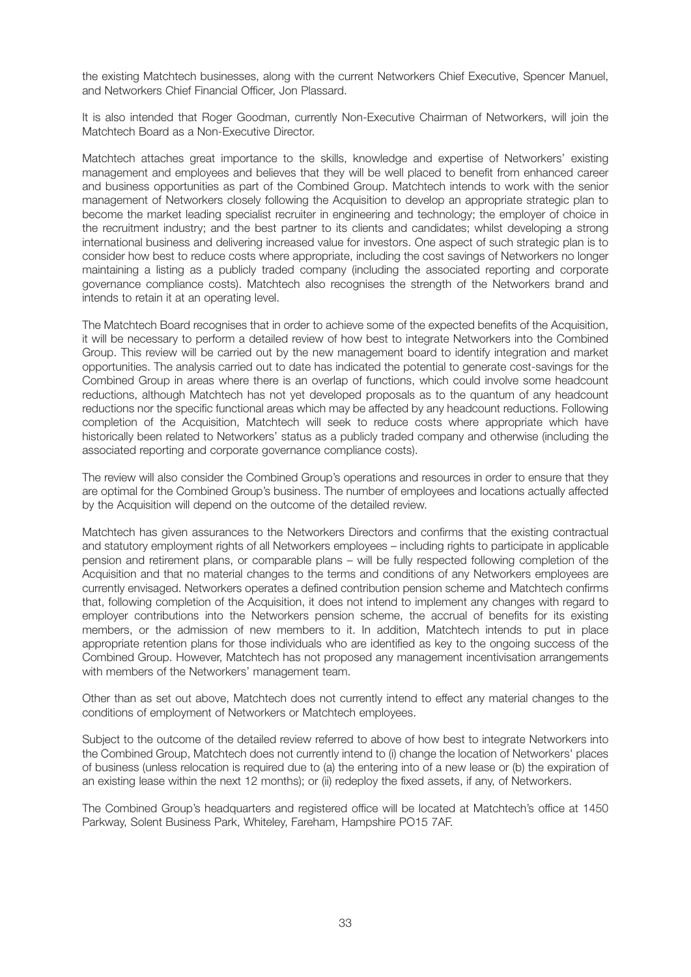the existing Matchtech businesses, along with the current Networkers Chief Executive, Spencer Manuel, and Networkers Chief Financial Officer, Jon Plassard.

It is also intended that Roger Goodman, currently Non-Executive Chairman of Networkers, will join the Matchtech Board as a Non-Executive Director.

Matchtech attaches great importance to the skills, knowledge and expertise of Networkers' existing management and employees and believes that they will be well placed to benefit from enhanced career and business opportunities as part of the Combined Group. Matchtech intends to work with the senior management of Networkers closely following the Acquisition to develop an appropriate strategic plan to become the market leading specialist recruiter in engineering and technology; the employer of choice in the recruitment industry; and the best partner to its clients and candidates; whilst developing a strong international business and delivering increased value for investors. One aspect of such strategic plan is to consider how best to reduce costs where appropriate, including the cost savings of Networkers no longer maintaining a listing as a publicly traded company (including the associated reporting and corporate governance compliance costs). Matchtech also recognises the strength of the Networkers brand and intends to retain it at an operating level.

The Matchtech Board recognises that in order to achieve some of the expected benefits of the Acquisition, it will be necessary to perform a detailed review of how best to integrate Networkers into the Combined Group. This review will be carried out by the new management board to identify integration and market opportunities. The analysis carried out to date has indicated the potential to generate cost-savings for the Combined Group in areas where there is an overlap of functions, which could involve some headcount reductions, although Matchtech has not yet developed proposals as to the quantum of any headcount reductions nor the specific functional areas which may be affected by any headcount reductions. Following completion of the Acquisition, Matchtech will seek to reduce costs where appropriate which have historically been related to Networkers' status as a publicly traded company and otherwise (including the associated reporting and corporate governance compliance costs).

The review will also consider the Combined Group's operations and resources in order to ensure that they are optimal for the Combined Group's business. The number of employees and locations actually affected by the Acquisition will depend on the outcome of the detailed review.

Matchtech has given assurances to the Networkers Directors and confirms that the existing contractual and statutory employment rights of all Networkers employees – including rights to participate in applicable pension and retirement plans, or comparable plans – will be fully respected following completion of the Acquisition and that no material changes to the terms and conditions of any Networkers employees are currently envisaged. Networkers operates a defined contribution pension scheme and Matchtech confirms that, following completion of the Acquisition, it does not intend to implement any changes with regard to employer contributions into the Networkers pension scheme, the accrual of benefits for its existing members, or the admission of new members to it. In addition, Matchtech intends to put in place appropriate retention plans for those individuals who are identified as key to the ongoing success of the Combined Group. However, Matchtech has not proposed any management incentivisation arrangements with members of the Networkers' management team.

Other than as set out above, Matchtech does not currently intend to effect any material changes to the conditions of employment of Networkers or Matchtech employees.

Subject to the outcome of the detailed review referred to above of how best to integrate Networkers into the Combined Group, Matchtech does not currently intend to (i) change the location of Networkers' places of business (unless relocation is required due to (a) the entering into of a new lease or (b) the expiration of an existing lease within the next 12 months); or (ii) redeploy the fixed assets, if any, of Networkers.

The Combined Group's headquarters and registered office will be located at Matchtech's office at 1450 Parkway, Solent Business Park, Whiteley, Fareham, Hampshire PO15 7AF.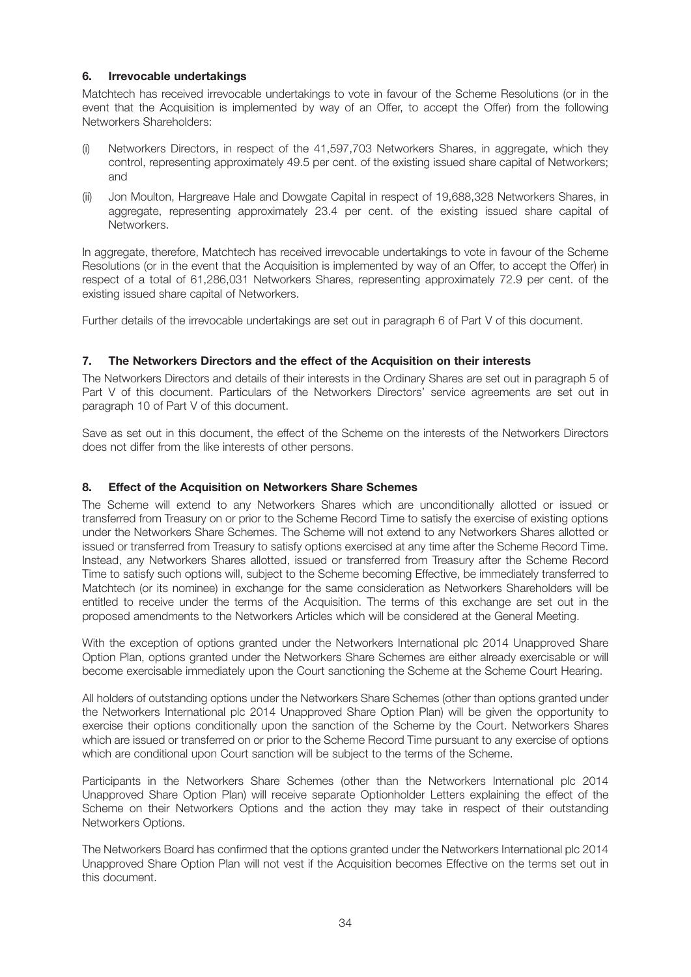#### **6. Irrevocable undertakings**

Matchtech has received irrevocable undertakings to vote in favour of the Scheme Resolutions (or in the event that the Acquisition is implemented by way of an Offer, to accept the Offer) from the following Networkers Shareholders:

- (i) Networkers Directors, in respect of the 41,597,703 Networkers Shares, in aggregate, which they control, representing approximately 49.5 per cent. of the existing issued share capital of Networkers; and
- (ii) Jon Moulton, Hargreave Hale and Dowgate Capital in respect of 19,688,328 Networkers Shares, in aggregate, representing approximately 23.4 per cent. of the existing issued share capital of Networkers.

In aggregate, therefore, Matchtech has received irrevocable undertakings to vote in favour of the Scheme Resolutions (or in the event that the Acquisition is implemented by way of an Offer, to accept the Offer) in respect of a total of 61,286,031 Networkers Shares, representing approximately 72.9 per cent. of the existing issued share capital of Networkers.

Further details of the irrevocable undertakings are set out in paragraph 6 of Part V of this document.

#### **7. The Networkers Directors and the effect of the Acquisition on their interests**

The Networkers Directors and details of their interests in the Ordinary Shares are set out in paragraph 5 of Part V of this document. Particulars of the Networkers Directors' service agreements are set out in paragraph 10 of Part V of this document.

Save as set out in this document, the effect of the Scheme on the interests of the Networkers Directors does not differ from the like interests of other persons.

#### **8. Effect of the Acquisition on Networkers Share Schemes**

The Scheme will extend to any Networkers Shares which are unconditionally allotted or issued or transferred from Treasury on or prior to the Scheme Record Time to satisfy the exercise of existing options under the Networkers Share Schemes. The Scheme will not extend to any Networkers Shares allotted or issued or transferred from Treasury to satisfy options exercised at any time after the Scheme Record Time. Instead, any Networkers Shares allotted, issued or transferred from Treasury after the Scheme Record Time to satisfy such options will, subject to the Scheme becoming Effective, be immediately transferred to Matchtech (or its nominee) in exchange for the same consideration as Networkers Shareholders will be entitled to receive under the terms of the Acquisition. The terms of this exchange are set out in the proposed amendments to the Networkers Articles which will be considered at the General Meeting.

With the exception of options granted under the Networkers International plc 2014 Unapproved Share Option Plan, options granted under the Networkers Share Schemes are either already exercisable or will become exercisable immediately upon the Court sanctioning the Scheme at the Scheme Court Hearing.

All holders of outstanding options under the Networkers Share Schemes (other than options granted under the Networkers International plc 2014 Unapproved Share Option Plan) will be given the opportunity to exercise their options conditionally upon the sanction of the Scheme by the Court. Networkers Shares which are issued or transferred on or prior to the Scheme Record Time pursuant to any exercise of options which are conditional upon Court sanction will be subject to the terms of the Scheme.

Participants in the Networkers Share Schemes (other than the Networkers International plc 2014 Unapproved Share Option Plan) will receive separate Optionholder Letters explaining the effect of the Scheme on their Networkers Options and the action they may take in respect of their outstanding Networkers Options.

The Networkers Board has confirmed that the options granted under the Networkers International plc 2014 Unapproved Share Option Plan will not vest if the Acquisition becomes Effective on the terms set out in this document.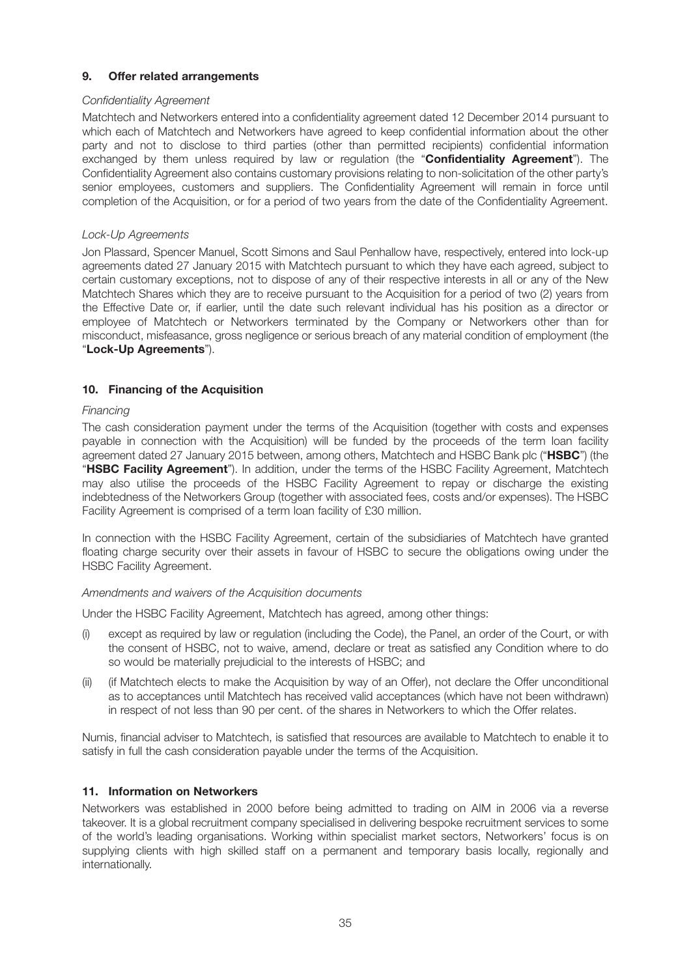#### **9. Offer related arrangements**

#### *Confidentiality Agreement*

Matchtech and Networkers entered into a confidentiality agreement dated 12 December 2014 pursuant to which each of Matchtech and Networkers have agreed to keep confidential information about the other party and not to disclose to third parties (other than permitted recipients) confidential information exchanged by them unless required by law or regulation (the "**Confidentiality Agreement**"). The Confidentiality Agreement also contains customary provisions relating to non-solicitation of the other party's senior employees, customers and suppliers. The Confidentiality Agreement will remain in force until completion of the Acquisition, or for a period of two years from the date of the Confidentiality Agreement.

#### *Lock-Up Agreements*

Jon Plassard, Spencer Manuel, Scott Simons and Saul Penhallow have, respectively, entered into lock-up agreements dated 27 January 2015 with Matchtech pursuant to which they have each agreed, subject to certain customary exceptions, not to dispose of any of their respective interests in all or any of the New Matchtech Shares which they are to receive pursuant to the Acquisition for a period of two (2) years from the Effective Date or, if earlier, until the date such relevant individual has his position as a director or employee of Matchtech or Networkers terminated by the Company or Networkers other than for misconduct, misfeasance, gross negligence or serious breach of any material condition of employment (the "**Lock-Up Agreements**").

#### **10. Financing of the Acquisition**

#### *Financing*

The cash consideration payment under the terms of the Acquisition (together with costs and expenses payable in connection with the Acquisition) will be funded by the proceeds of the term loan facility agreement dated 27 January 2015 between, among others, Matchtech and HSBC Bank plc ("**HSBC**") (the "**HSBC Facility Agreement**"). In addition, under the terms of the HSBC Facility Agreement, Matchtech may also utilise the proceeds of the HSBC Facility Agreement to repay or discharge the existing indebtedness of the Networkers Group (together with associated fees, costs and/or expenses). The HSBC Facility Agreement is comprised of a term loan facility of £30 million.

In connection with the HSBC Facility Agreement, certain of the subsidiaries of Matchtech have granted floating charge security over their assets in favour of HSBC to secure the obligations owing under the HSBC Facility Agreement.

#### *Amendments and waivers of the Acquisition documents*

Under the HSBC Facility Agreement, Matchtech has agreed, among other things:

- (i) except as required by law or regulation (including the Code), the Panel, an order of the Court, or with the consent of HSBC, not to waive, amend, declare or treat as satisfied any Condition where to do so would be materially prejudicial to the interests of HSBC; and
- (ii) (if Matchtech elects to make the Acquisition by way of an Offer), not declare the Offer unconditional as to acceptances until Matchtech has received valid acceptances (which have not been withdrawn) in respect of not less than 90 per cent. of the shares in Networkers to which the Offer relates.

Numis, financial adviser to Matchtech, is satisfied that resources are available to Matchtech to enable it to satisfy in full the cash consideration payable under the terms of the Acquisition.

#### **11. Information on Networkers**

Networkers was established in 2000 before being admitted to trading on AIM in 2006 via a reverse takeover. It is a global recruitment company specialised in delivering bespoke recruitment services to some of the world's leading organisations. Working within specialist market sectors, Networkers' focus is on supplying clients with high skilled staff on a permanent and temporary basis locally, regionally and internationally.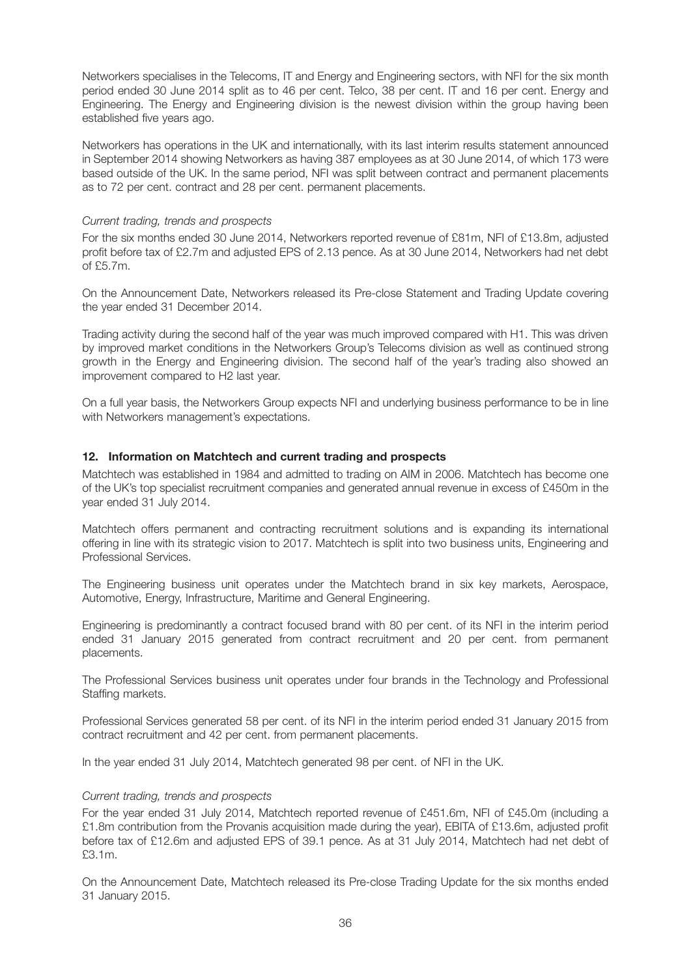Networkers specialises in the Telecoms, IT and Energy and Engineering sectors, with NFI for the six month period ended 30 June 2014 split as to 46 per cent. Telco, 38 per cent. IT and 16 per cent. Energy and Engineering. The Energy and Engineering division is the newest division within the group having been established five years ago.

Networkers has operations in the UK and internationally, with its last interim results statement announced in September 2014 showing Networkers as having 387 employees as at 30 June 2014, of which 173 were based outside of the UK. In the same period, NFI was split between contract and permanent placements as to 72 per cent. contract and 28 per cent. permanent placements.

#### *Current trading, trends and prospects*

For the six months ended 30 June 2014, Networkers reported revenue of £81m, NFI of £13.8m, adjusted profit before tax of £2.7m and adjusted EPS of 2.13 pence. As at 30 June 2014, Networkers had net debt of £5.7m.

On the Announcement Date, Networkers released its Pre-close Statement and Trading Update covering the year ended 31 December 2014.

Trading activity during the second half of the year was much improved compared with H1. This was driven by improved market conditions in the Networkers Group's Telecoms division as well as continued strong growth in the Energy and Engineering division. The second half of the year's trading also showed an improvement compared to H2 last year.

On a full year basis, the Networkers Group expects NFI and underlying business performance to be in line with Networkers management's expectations.

#### **12. Information on Matchtech and current trading and prospects**

Matchtech was established in 1984 and admitted to trading on AIM in 2006. Matchtech has become one of the UK's top specialist recruitment companies and generated annual revenue in excess of £450m in the year ended 31 July 2014.

Matchtech offers permanent and contracting recruitment solutions and is expanding its international offering in line with its strategic vision to 2017. Matchtech is split into two business units, Engineering and Professional Services.

The Engineering business unit operates under the Matchtech brand in six key markets, Aerospace, Automotive, Energy, Infrastructure, Maritime and General Engineering.

Engineering is predominantly a contract focused brand with 80 per cent. of its NFI in the interim period ended 31 January 2015 generated from contract recruitment and 20 per cent. from permanent placements.

The Professional Services business unit operates under four brands in the Technology and Professional Staffing markets.

Professional Services generated 58 per cent. of its NFI in the interim period ended 31 January 2015 from contract recruitment and 42 per cent. from permanent placements.

In the year ended 31 July 2014, Matchtech generated 98 per cent. of NFI in the UK.

#### *Current trading, trends and prospects*

For the year ended 31 July 2014, Matchtech reported revenue of £451.6m, NFI of £45.0m (including a £1.8m contribution from the Provanis acquisition made during the year), EBITA of £13.6m, adjusted profit before tax of £12.6m and adjusted EPS of 39.1 pence. As at 31 July 2014, Matchtech had net debt of £3.1m.

On the Announcement Date, Matchtech released its Pre-close Trading Update for the six months ended 31 January 2015.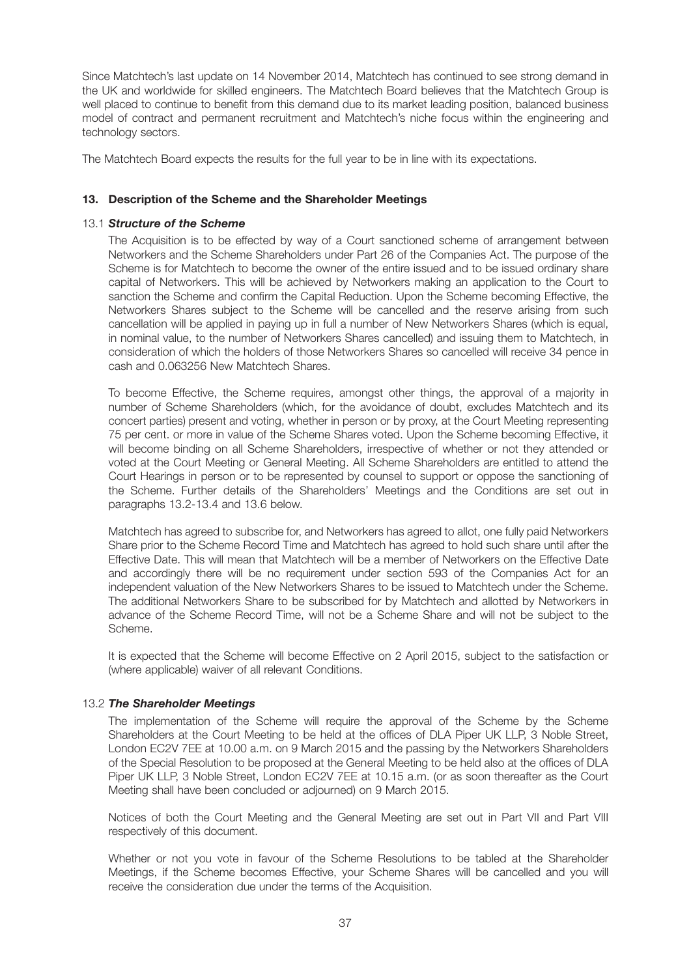Since Matchtech's last update on 14 November 2014, Matchtech has continued to see strong demand in the UK and worldwide for skilled engineers. The Matchtech Board believes that the Matchtech Group is well placed to continue to benefit from this demand due to its market leading position, balanced business model of contract and permanent recruitment and Matchtech's niche focus within the engineering and technology sectors.

The Matchtech Board expects the results for the full year to be in line with its expectations.

### **13. Description of the Scheme and the Shareholder Meetings**

### 13.1 *Structure of the Scheme*

 The Acquisition is to be effected by way of a Court sanctioned scheme of arrangement between Networkers and the Scheme Shareholders under Part 26 of the Companies Act. The purpose of the Scheme is for Matchtech to become the owner of the entire issued and to be issued ordinary share capital of Networkers. This will be achieved by Networkers making an application to the Court to sanction the Scheme and confirm the Capital Reduction. Upon the Scheme becoming Effective, the Networkers Shares subject to the Scheme will be cancelled and the reserve arising from such cancellation will be applied in paying up in full a number of New Networkers Shares (which is equal, in nominal value, to the number of Networkers Shares cancelled) and issuing them to Matchtech, in consideration of which the holders of those Networkers Shares so cancelled will receive 34 pence in cash and 0.063256 New Matchtech Shares.

 To become Effective, the Scheme requires, amongst other things, the approval of a majority in number of Scheme Shareholders (which, for the avoidance of doubt, excludes Matchtech and its concert parties) present and voting, whether in person or by proxy, at the Court Meeting representing 75 per cent. or more in value of the Scheme Shares voted. Upon the Scheme becoming Effective, it will become binding on all Scheme Shareholders, irrespective of whether or not they attended or voted at the Court Meeting or General Meeting. All Scheme Shareholders are entitled to attend the Court Hearings in person or to be represented by counsel to support or oppose the sanctioning of the Scheme. Further details of the Shareholders' Meetings and the Conditions are set out in paragraphs 13.2-13.4 and 13.6 below.

 Matchtech has agreed to subscribe for, and Networkers has agreed to allot, one fully paid Networkers Share prior to the Scheme Record Time and Matchtech has agreed to hold such share until after the Effective Date. This will mean that Matchtech will be a member of Networkers on the Effective Date and accordingly there will be no requirement under section 593 of the Companies Act for an independent valuation of the New Networkers Shares to be issued to Matchtech under the Scheme. The additional Networkers Share to be subscribed for by Matchtech and allotted by Networkers in advance of the Scheme Record Time, will not be a Scheme Share and will not be subject to the Scheme.

 It is expected that the Scheme will become Effective on 2 April 2015, subject to the satisfaction or (where applicable) waiver of all relevant Conditions.

## 13.2 *The Shareholder Meetings*

 The implementation of the Scheme will require the approval of the Scheme by the Scheme Shareholders at the Court Meeting to be held at the offices of DLA Piper UK LLP, 3 Noble Street, London EC2V 7EE at 10.00 a.m. on 9 March 2015 and the passing by the Networkers Shareholders of the Special Resolution to be proposed at the General Meeting to be held also at the offices of DLA Piper UK LLP, 3 Noble Street, London EC2V 7EE at 10.15 a.m. (or as soon thereafter as the Court Meeting shall have been concluded or adjourned) on 9 March 2015.

 Notices of both the Court Meeting and the General Meeting are set out in Part VII and Part VIII respectively of this document.

 Whether or not you vote in favour of the Scheme Resolutions to be tabled at the Shareholder Meetings, if the Scheme becomes Effective, your Scheme Shares will be cancelled and you will receive the consideration due under the terms of the Acquisition.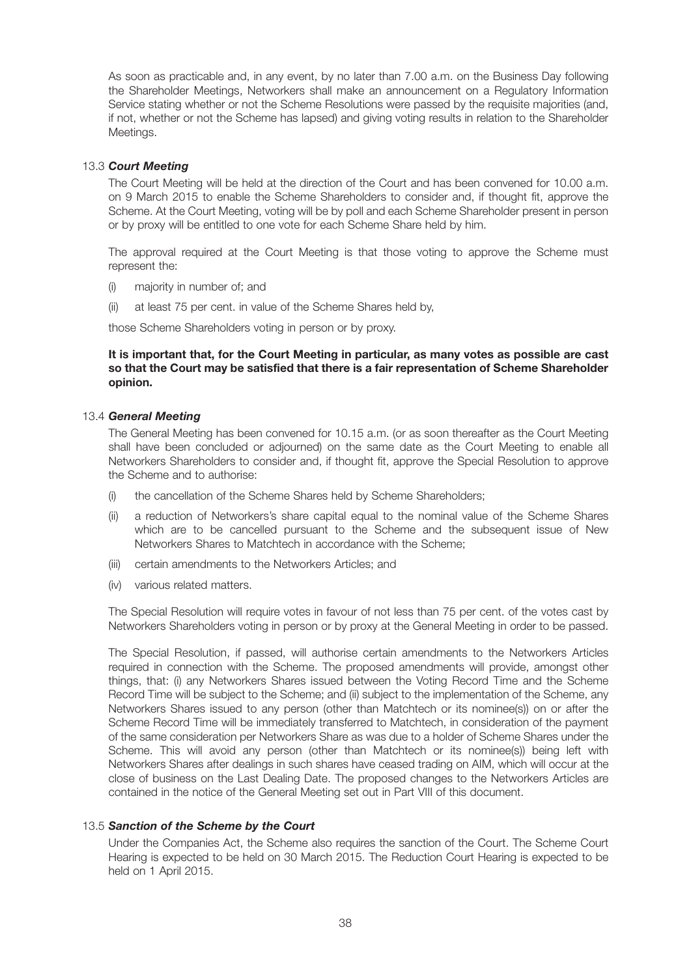As soon as practicable and, in any event, by no later than 7.00 a.m. on the Business Day following the Shareholder Meetings, Networkers shall make an announcement on a Regulatory Information Service stating whether or not the Scheme Resolutions were passed by the requisite majorities (and, if not, whether or not the Scheme has lapsed) and giving voting results in relation to the Shareholder Meetings.

### 13.3 *Court Meeting*

 The Court Meeting will be held at the direction of the Court and has been convened for 10.00 a.m. on 9 March 2015 to enable the Scheme Shareholders to consider and, if thought fit, approve the Scheme. At the Court Meeting, voting will be by poll and each Scheme Shareholder present in person or by proxy will be entitled to one vote for each Scheme Share held by him.

 The approval required at the Court Meeting is that those voting to approve the Scheme must represent the:

- (i) majority in number of; and
- (ii) at least 75 per cent. in value of the Scheme Shares held by,

those Scheme Shareholders voting in person or by proxy.

#### **It is important that, for the Court Meeting in particular, as many votes as possible are cast so that the Court may be satisfied that there is a fair representation of Scheme Shareholder opinion.**

#### 13.4 *General Meeting*

 The General Meeting has been convened for 10.15 a.m. (or as soon thereafter as the Court Meeting shall have been concluded or adjourned) on the same date as the Court Meeting to enable all Networkers Shareholders to consider and, if thought fit, approve the Special Resolution to approve the Scheme and to authorise:

- (i) the cancellation of the Scheme Shares held by Scheme Shareholders;
- (ii) a reduction of Networkers's share capital equal to the nominal value of the Scheme Shares which are to be cancelled pursuant to the Scheme and the subsequent issue of New Networkers Shares to Matchtech in accordance with the Scheme;
- (iii) certain amendments to the Networkers Articles; and
- (iv) various related matters.

 The Special Resolution will require votes in favour of not less than 75 per cent. of the votes cast by Networkers Shareholders voting in person or by proxy at the General Meeting in order to be passed.

 The Special Resolution, if passed, will authorise certain amendments to the Networkers Articles required in connection with the Scheme. The proposed amendments will provide, amongst other things, that: (i) any Networkers Shares issued between the Voting Record Time and the Scheme Record Time will be subject to the Scheme; and (ii) subject to the implementation of the Scheme, any Networkers Shares issued to any person (other than Matchtech or its nominee(s)) on or after the Scheme Record Time will be immediately transferred to Matchtech, in consideration of the payment of the same consideration per Networkers Share as was due to a holder of Scheme Shares under the Scheme. This will avoid any person (other than Matchtech or its nominee(s)) being left with Networkers Shares after dealings in such shares have ceased trading on AIM, which will occur at the close of business on the Last Dealing Date. The proposed changes to the Networkers Articles are contained in the notice of the General Meeting set out in Part VIII of this document.

#### 13.5 *Sanction of the Scheme by the Court*

 Under the Companies Act, the Scheme also requires the sanction of the Court. The Scheme Court Hearing is expected to be held on 30 March 2015. The Reduction Court Hearing is expected to be held on 1 April 2015.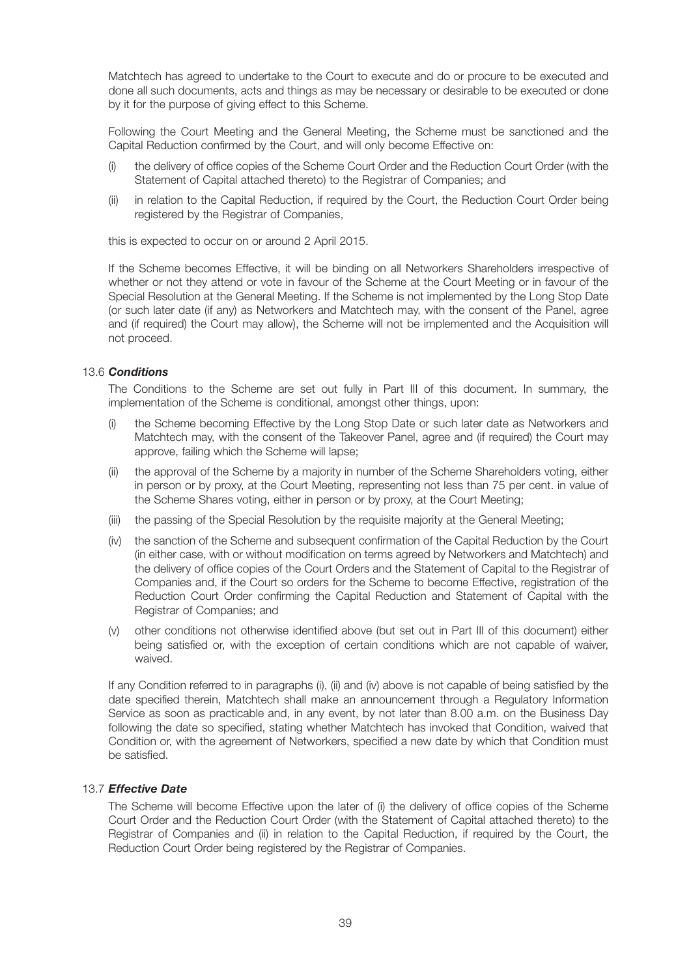Matchtech has agreed to undertake to the Court to execute and do or procure to be executed and done all such documents, acts and things as may be necessary or desirable to be executed or done by it for the purpose of giving effect to this Scheme.

 Following the Court Meeting and the General Meeting, the Scheme must be sanctioned and the Capital Reduction confirmed by the Court, and will only become Effective on:

- the delivery of office copies of the Scheme Court Order and the Reduction Court Order (with the Statement of Capital attached thereto) to the Registrar of Companies; and
- (ii) in relation to the Capital Reduction, if required by the Court, the Reduction Court Order being registered by the Registrar of Companies,

this is expected to occur on or around 2 April 2015.

 If the Scheme becomes Effective, it will be binding on all Networkers Shareholders irrespective of whether or not they attend or vote in favour of the Scheme at the Court Meeting or in favour of the Special Resolution at the General Meeting. If the Scheme is not implemented by the Long Stop Date (or such later date (if any) as Networkers and Matchtech may, with the consent of the Panel, agree and (if required) the Court may allow), the Scheme will not be implemented and the Acquisition will not proceed.

#### 13.6 *Conditions*

 The Conditions to the Scheme are set out fully in Part III of this document. In summary, the implementation of the Scheme is conditional, amongst other things, upon:

- (i) the Scheme becoming Effective by the Long Stop Date or such later date as Networkers and Matchtech may, with the consent of the Takeover Panel, agree and (if required) the Court may approve, failing which the Scheme will lapse;
- (ii) the approval of the Scheme by a majority in number of the Scheme Shareholders voting, either in person or by proxy, at the Court Meeting, representing not less than 75 per cent. in value of the Scheme Shares voting, either in person or by proxy, at the Court Meeting;
- (iii) the passing of the Special Resolution by the requisite majority at the General Meeting;
- (iv) the sanction of the Scheme and subsequent confirmation of the Capital Reduction by the Court (in either case, with or without modification on terms agreed by Networkers and Matchtech) and the delivery of office copies of the Court Orders and the Statement of Capital to the Registrar of Companies and, if the Court so orders for the Scheme to become Effective, registration of the Reduction Court Order confirming the Capital Reduction and Statement of Capital with the Registrar of Companies; and
- (v) other conditions not otherwise identified above (but set out in Part III of this document) either being satisfied or, with the exception of certain conditions which are not capable of waiver, waived.

 If any Condition referred to in paragraphs (i), (ii) and (iv) above is not capable of being satisfied by the date specified therein, Matchtech shall make an announcement through a Regulatory Information Service as soon as practicable and, in any event, by not later than 8.00 a.m. on the Business Day following the date so specified, stating whether Matchtech has invoked that Condition, waived that Condition or, with the agreement of Networkers, specified a new date by which that Condition must be satisfied.

#### 13.7 *Effective Date*

 The Scheme will become Effective upon the later of (i) the delivery of office copies of the Scheme Court Order and the Reduction Court Order (with the Statement of Capital attached thereto) to the Registrar of Companies and (ii) in relation to the Capital Reduction, if required by the Court, the Reduction Court Order being registered by the Registrar of Companies.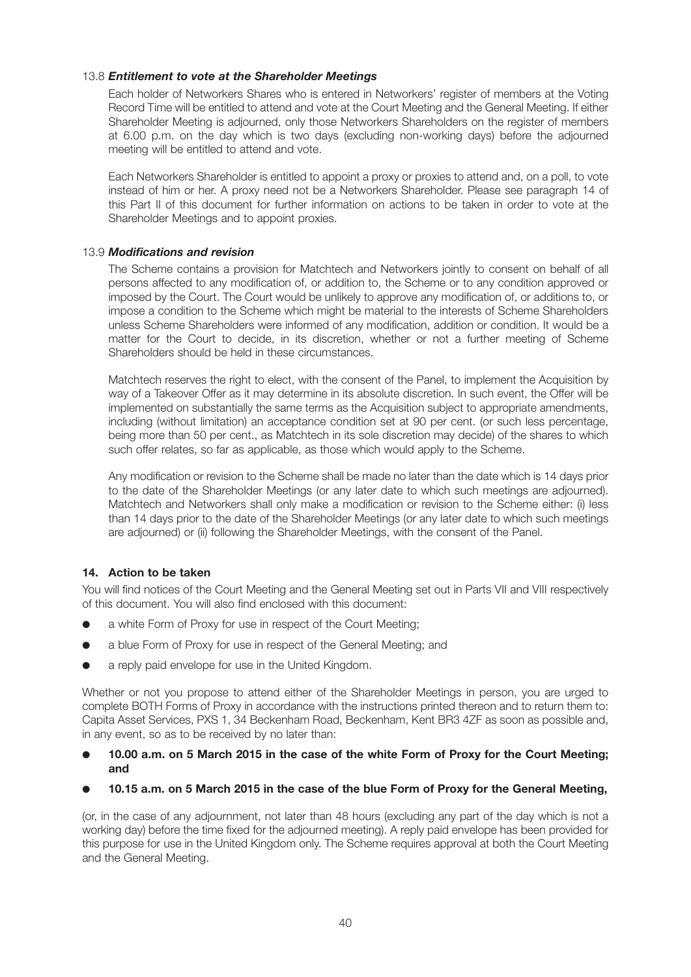### 13.8 *Entitlement to vote at the Shareholder Meetings*

 Each holder of Networkers Shares who is entered in Networkers' register of members at the Voting Record Time will be entitled to attend and vote at the Court Meeting and the General Meeting. If either Shareholder Meeting is adjourned, only those Networkers Shareholders on the register of members at 6.00 p.m. on the day which is two days (excluding non-working days) before the adjourned meeting will be entitled to attend and vote.

 Each Networkers Shareholder is entitled to appoint a proxy or proxies to attend and, on a poll, to vote instead of him or her. A proxy need not be a Networkers Shareholder. Please see paragraph 14 of this Part II of this document for further information on actions to be taken in order to vote at the Shareholder Meetings and to appoint proxies.

#### 13.9 *Modifications and revision*

 The Scheme contains a provision for Matchtech and Networkers jointly to consent on behalf of all persons affected to any modification of, or addition to, the Scheme or to any condition approved or imposed by the Court. The Court would be unlikely to approve any modification of, or additions to, or impose a condition to the Scheme which might be material to the interests of Scheme Shareholders unless Scheme Shareholders were informed of any modification, addition or condition. It would be a matter for the Court to decide, in its discretion, whether or not a further meeting of Scheme Shareholders should be held in these circumstances.

 Matchtech reserves the right to elect, with the consent of the Panel, to implement the Acquisition by way of a Takeover Offer as it may determine in its absolute discretion. In such event, the Offer will be implemented on substantially the same terms as the Acquisition subject to appropriate amendments, including (without limitation) an acceptance condition set at 90 per cent. (or such less percentage, being more than 50 per cent., as Matchtech in its sole discretion may decide) of the shares to which such offer relates, so far as applicable, as those which would apply to the Scheme.

 Any modification or revision to the Scheme shall be made no later than the date which is 14 days prior to the date of the Shareholder Meetings (or any later date to which such meetings are adjourned). Matchtech and Networkers shall only make a modification or revision to the Scheme either: (i) less than 14 days prior to the date of the Shareholder Meetings (or any later date to which such meetings are adjourned) or (ii) following the Shareholder Meetings, with the consent of the Panel.

## **14. Action to be taken**

You will find notices of the Court Meeting and the General Meeting set out in Parts VII and VIII respectively of this document. You will also find enclosed with this document:

- a white Form of Proxy for use in respect of the Court Meeting;
- a blue Form of Proxy for use in respect of the General Meeting; and
- a reply paid envelope for use in the United Kingdom.

Whether or not you propose to attend either of the Shareholder Meetings in person, you are urged to complete BOTH Forms of Proxy in accordance with the instructions printed thereon and to return them to: Capita Asset Services, PXS 1, 34 Beckenham Road, Beckenham, Kent BR3 4ZF as soon as possible and, in any event, so as to be received by no later than:

- ● **10.00 a.m. on 5 March 2015 in the case of the white Form of Proxy for the Court Meeting; and**
- ● **10.15 a.m. on 5 March 2015 in the case of the blue Form of Proxy for the General Meeting,**

(or, in the case of any adjournment, not later than 48 hours (excluding any part of the day which is not a working day) before the time fixed for the adjourned meeting). A reply paid envelope has been provided for this purpose for use in the United Kingdom only. The Scheme requires approval at both the Court Meeting and the General Meeting.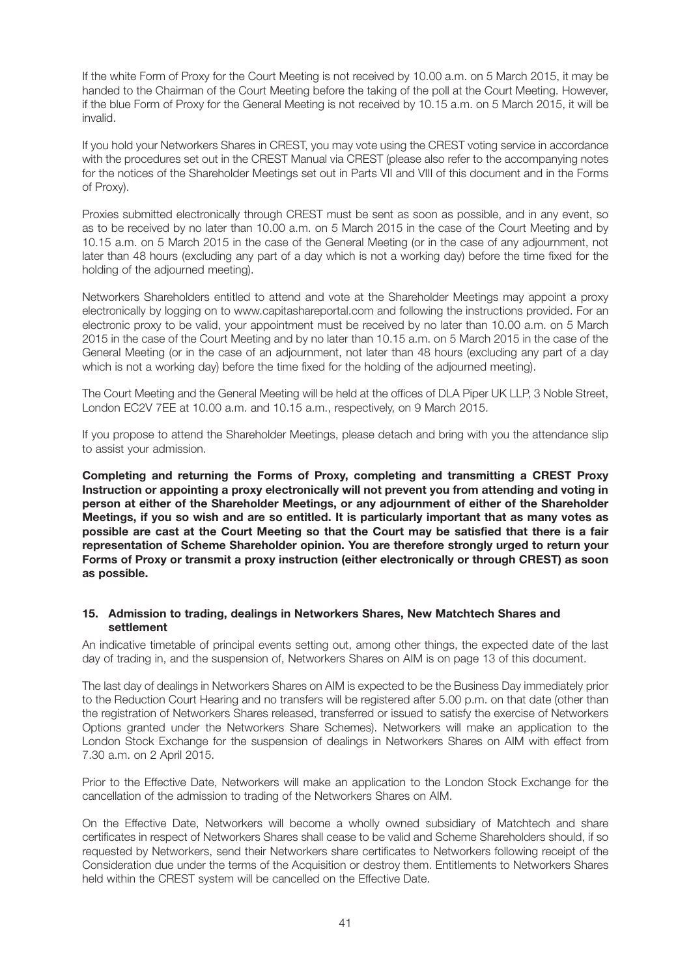If the white Form of Proxy for the Court Meeting is not received by 10.00 a.m. on 5 March 2015, it may be handed to the Chairman of the Court Meeting before the taking of the poll at the Court Meeting. However, if the blue Form of Proxy for the General Meeting is not received by 10.15 a.m. on 5 March 2015, it will be invalid.

If you hold your Networkers Shares in CREST, you may vote using the CREST voting service in accordance with the procedures set out in the CREST Manual via CREST (please also refer to the accompanying notes for the notices of the Shareholder Meetings set out in Parts VII and VIII of this document and in the Forms of Proxy).

Proxies submitted electronically through CREST must be sent as soon as possible, and in any event, so as to be received by no later than 10.00 a.m. on 5 March 2015 in the case of the Court Meeting and by 10.15 a.m. on 5 March 2015 in the case of the General Meeting (or in the case of any adjournment, not later than 48 hours (excluding any part of a day which is not a working day) before the time fixed for the holding of the adjourned meeting).

Networkers Shareholders entitled to attend and vote at the Shareholder Meetings may appoint a proxy electronically by logging on to www.capitashareportal.com and following the instructions provided. For an electronic proxy to be valid, your appointment must be received by no later than 10.00 a.m. on 5 March 2015 in the case of the Court Meeting and by no later than 10.15 a.m. on 5 March 2015 in the case of the General Meeting (or in the case of an adjournment, not later than 48 hours (excluding any part of a day which is not a working day) before the time fixed for the holding of the adjourned meeting).

The Court Meeting and the General Meeting will be held at the offices of DLA Piper UK LLP, 3 Noble Street, London EC2V 7EE at 10.00 a.m. and 10.15 a.m., respectively, on 9 March 2015.

If you propose to attend the Shareholder Meetings, please detach and bring with you the attendance slip to assist your admission.

**Completing and returning the Forms of Proxy, completing and transmitting a CREST Proxy Instruction or appointing a proxy electronically will not prevent you from attending and voting in person at either of the Shareholder Meetings, or any adjournment of either of the Shareholder Meetings, if you so wish and are so entitled. It is particularly important that as many votes as possible are cast at the Court Meeting so that the Court may be satisfied that there is a fair representation of Scheme Shareholder opinion. You are therefore strongly urged to return your Forms of Proxy or transmit a proxy instruction (either electronically or through CREST) as soon as possible.**

### **15. Admission to trading, dealings in Networkers Shares, New Matchtech Shares and settlement**

An indicative timetable of principal events setting out, among other things, the expected date of the last day of trading in, and the suspension of, Networkers Shares on AIM is on page 13 of this document.

The last day of dealings in Networkers Shares on AIM is expected to be the Business Day immediately prior to the Reduction Court Hearing and no transfers will be registered after 5.00 p.m. on that date (other than the registration of Networkers Shares released, transferred or issued to satisfy the exercise of Networkers Options granted under the Networkers Share Schemes). Networkers will make an application to the London Stock Exchange for the suspension of dealings in Networkers Shares on AIM with effect from 7.30 a.m. on 2 April 2015.

Prior to the Effective Date, Networkers will make an application to the London Stock Exchange for the cancellation of the admission to trading of the Networkers Shares on AIM.

On the Effective Date, Networkers will become a wholly owned subsidiary of Matchtech and share certificates in respect of Networkers Shares shall cease to be valid and Scheme Shareholders should, if so requested by Networkers, send their Networkers share certificates to Networkers following receipt of the Consideration due under the terms of the Acquisition or destroy them. Entitlements to Networkers Shares held within the CREST system will be cancelled on the Effective Date.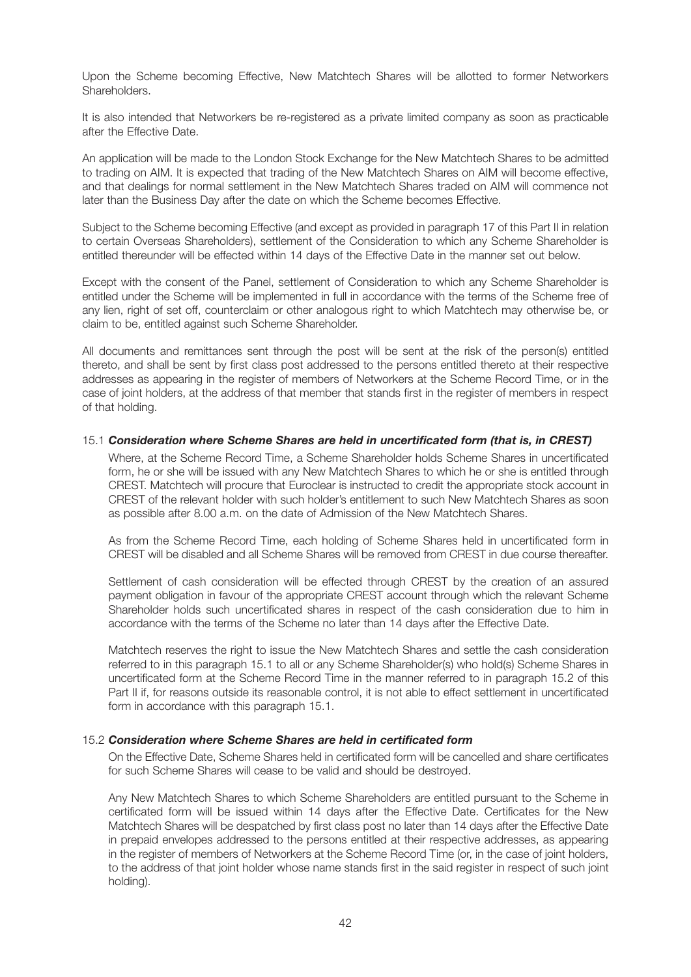Upon the Scheme becoming Effective, New Matchtech Shares will be allotted to former Networkers Shareholders.

It is also intended that Networkers be re-registered as a private limited company as soon as practicable after the Effective Date.

An application will be made to the London Stock Exchange for the New Matchtech Shares to be admitted to trading on AIM. It is expected that trading of the New Matchtech Shares on AIM will become effective, and that dealings for normal settlement in the New Matchtech Shares traded on AIM will commence not later than the Business Day after the date on which the Scheme becomes Effective.

Subject to the Scheme becoming Effective (and except as provided in paragraph 17 of this Part II in relation to certain Overseas Shareholders), settlement of the Consideration to which any Scheme Shareholder is entitled thereunder will be effected within 14 days of the Effective Date in the manner set out below.

Except with the consent of the Panel, settlement of Consideration to which any Scheme Shareholder is entitled under the Scheme will be implemented in full in accordance with the terms of the Scheme free of any lien, right of set off, counterclaim or other analogous right to which Matchtech may otherwise be, or claim to be, entitled against such Scheme Shareholder.

All documents and remittances sent through the post will be sent at the risk of the person(s) entitled thereto, and shall be sent by first class post addressed to the persons entitled thereto at their respective addresses as appearing in the register of members of Networkers at the Scheme Record Time, or in the case of joint holders, at the address of that member that stands first in the register of members in respect of that holding.

#### 15.1 *Consideration where Scheme Shares are held in uncertificated form (that is, in CREST)*

 Where, at the Scheme Record Time, a Scheme Shareholder holds Scheme Shares in uncertificated form, he or she will be issued with any New Matchtech Shares to which he or she is entitled through CREST. Matchtech will procure that Euroclear is instructed to credit the appropriate stock account in CREST of the relevant holder with such holder's entitlement to such New Matchtech Shares as soon as possible after 8.00 a.m. on the date of Admission of the New Matchtech Shares.

 As from the Scheme Record Time, each holding of Scheme Shares held in uncertificated form in CREST will be disabled and all Scheme Shares will be removed from CREST in due course thereafter.

 Settlement of cash consideration will be effected through CREST by the creation of an assured payment obligation in favour of the appropriate CREST account through which the relevant Scheme Shareholder holds such uncertificated shares in respect of the cash consideration due to him in accordance with the terms of the Scheme no later than 14 days after the Effective Date.

 Matchtech reserves the right to issue the New Matchtech Shares and settle the cash consideration referred to in this paragraph 15.1 to all or any Scheme Shareholder(s) who hold(s) Scheme Shares in uncertificated form at the Scheme Record Time in the manner referred to in paragraph 15.2 of this Part II if, for reasons outside its reasonable control, it is not able to effect settlement in uncertificated form in accordance with this paragraph 15.1.

#### 15.2 *Consideration where Scheme Shares are held in certificated form*

 On the Effective Date, Scheme Shares held in certificated form will be cancelled and share certificates for such Scheme Shares will cease to be valid and should be destroyed.

 Any New Matchtech Shares to which Scheme Shareholders are entitled pursuant to the Scheme in certificated form will be issued within 14 days after the Effective Date. Certificates for the New Matchtech Shares will be despatched by first class post no later than 14 days after the Effective Date in prepaid envelopes addressed to the persons entitled at their respective addresses, as appearing in the register of members of Networkers at the Scheme Record Time (or, in the case of joint holders, to the address of that joint holder whose name stands first in the said register in respect of such joint holding).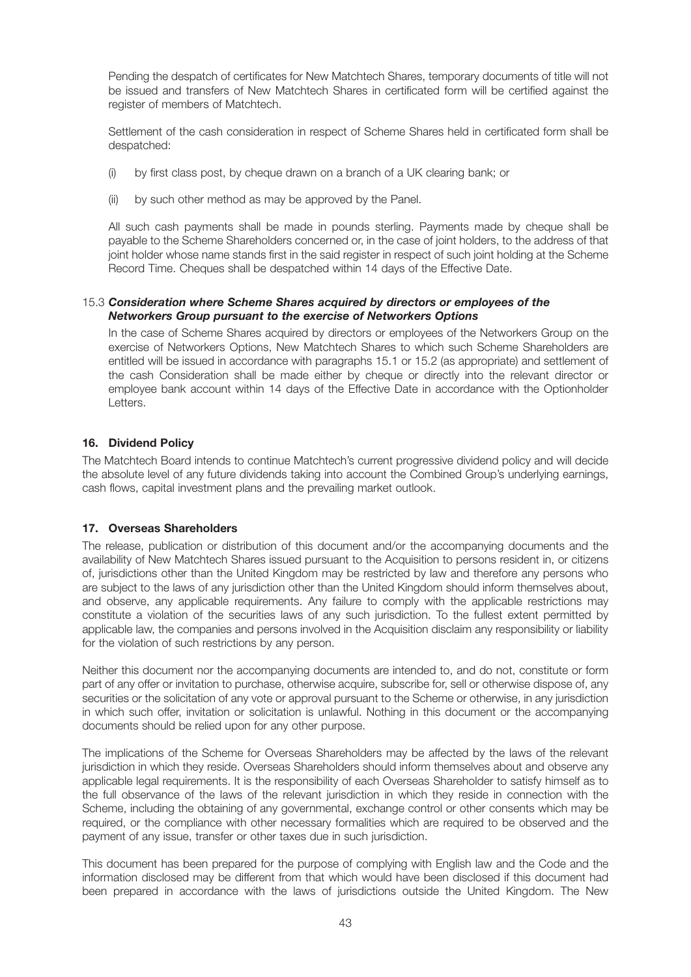Pending the despatch of certificates for New Matchtech Shares, temporary documents of title will not be issued and transfers of New Matchtech Shares in certificated form will be certified against the register of members of Matchtech.

 Settlement of the cash consideration in respect of Scheme Shares held in certificated form shall be despatched:

- (i) by first class post, by cheque drawn on a branch of a UK clearing bank; or
- (ii) by such other method as may be approved by the Panel.

 All such cash payments shall be made in pounds sterling. Payments made by cheque shall be payable to the Scheme Shareholders concerned or, in the case of joint holders, to the address of that joint holder whose name stands first in the said register in respect of such joint holding at the Scheme Record Time. Cheques shall be despatched within 14 days of the Effective Date.

### 15.3 *Consideration where Scheme Shares acquired by directors or employees of the Networkers Group pursuant to the exercise of Networkers Options*

 In the case of Scheme Shares acquired by directors or employees of the Networkers Group on the exercise of Networkers Options, New Matchtech Shares to which such Scheme Shareholders are entitled will be issued in accordance with paragraphs 15.1 or 15.2 (as appropriate) and settlement of the cash Consideration shall be made either by cheque or directly into the relevant director or employee bank account within 14 days of the Effective Date in accordance with the Optionholder Letters.

## **16. Dividend Policy**

The Matchtech Board intends to continue Matchtech's current progressive dividend policy and will decide the absolute level of any future dividends taking into account the Combined Group's underlying earnings, cash flows, capital investment plans and the prevailing market outlook.

## **17. Overseas Shareholders**

The release, publication or distribution of this document and/or the accompanying documents and the availability of New Matchtech Shares issued pursuant to the Acquisition to persons resident in, or citizens of, jurisdictions other than the United Kingdom may be restricted by law and therefore any persons who are subject to the laws of any jurisdiction other than the United Kingdom should inform themselves about, and observe, any applicable requirements. Any failure to comply with the applicable restrictions may constitute a violation of the securities laws of any such jurisdiction. To the fullest extent permitted by applicable law, the companies and persons involved in the Acquisition disclaim any responsibility or liability for the violation of such restrictions by any person.

Neither this document nor the accompanying documents are intended to, and do not, constitute or form part of any offer or invitation to purchase, otherwise acquire, subscribe for, sell or otherwise dispose of, any securities or the solicitation of any vote or approval pursuant to the Scheme or otherwise, in any jurisdiction in which such offer, invitation or solicitation is unlawful. Nothing in this document or the accompanying documents should be relied upon for any other purpose.

The implications of the Scheme for Overseas Shareholders may be affected by the laws of the relevant jurisdiction in which they reside. Overseas Shareholders should inform themselves about and observe any applicable legal requirements. It is the responsibility of each Overseas Shareholder to satisfy himself as to the full observance of the laws of the relevant jurisdiction in which they reside in connection with the Scheme, including the obtaining of any governmental, exchange control or other consents which may be required, or the compliance with other necessary formalities which are required to be observed and the payment of any issue, transfer or other taxes due in such jurisdiction.

This document has been prepared for the purpose of complying with English law and the Code and the information disclosed may be different from that which would have been disclosed if this document had been prepared in accordance with the laws of jurisdictions outside the United Kingdom. The New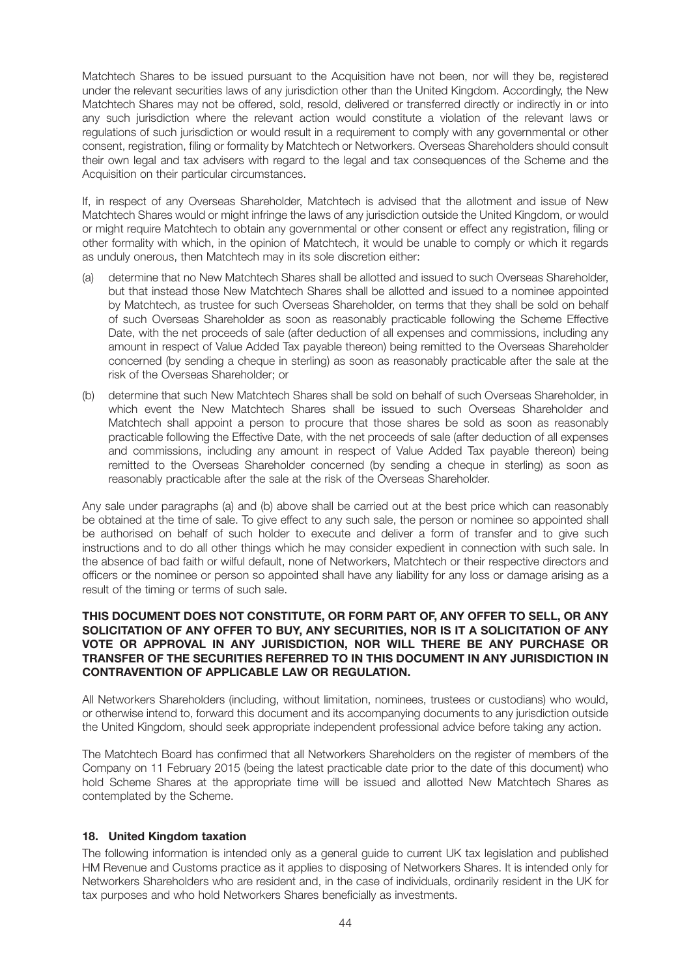Matchtech Shares to be issued pursuant to the Acquisition have not been, nor will they be, registered under the relevant securities laws of any jurisdiction other than the United Kingdom. Accordingly, the New Matchtech Shares may not be offered, sold, resold, delivered or transferred directly or indirectly in or into any such jurisdiction where the relevant action would constitute a violation of the relevant laws or regulations of such jurisdiction or would result in a requirement to comply with any governmental or other consent, registration, filing or formality by Matchtech or Networkers. Overseas Shareholders should consult their own legal and tax advisers with regard to the legal and tax consequences of the Scheme and the Acquisition on their particular circumstances.

If, in respect of any Overseas Shareholder, Matchtech is advised that the allotment and issue of New Matchtech Shares would or might infringe the laws of any jurisdiction outside the United Kingdom, or would or might require Matchtech to obtain any governmental or other consent or effect any registration, filing or other formality with which, in the opinion of Matchtech, it would be unable to comply or which it regards as unduly onerous, then Matchtech may in its sole discretion either:

- (a) determine that no New Matchtech Shares shall be allotted and issued to such Overseas Shareholder, but that instead those New Matchtech Shares shall be allotted and issued to a nominee appointed by Matchtech, as trustee for such Overseas Shareholder, on terms that they shall be sold on behalf of such Overseas Shareholder as soon as reasonably practicable following the Scheme Effective Date, with the net proceeds of sale (after deduction of all expenses and commissions, including any amount in respect of Value Added Tax payable thereon) being remitted to the Overseas Shareholder concerned (by sending a cheque in sterling) as soon as reasonably practicable after the sale at the risk of the Overseas Shareholder; or
- (b) determine that such New Matchtech Shares shall be sold on behalf of such Overseas Shareholder, in which event the New Matchtech Shares shall be issued to such Overseas Shareholder and Matchtech shall appoint a person to procure that those shares be sold as soon as reasonably practicable following the Effective Date, with the net proceeds of sale (after deduction of all expenses and commissions, including any amount in respect of Value Added Tax payable thereon) being remitted to the Overseas Shareholder concerned (by sending a cheque in sterling) as soon as reasonably practicable after the sale at the risk of the Overseas Shareholder.

Any sale under paragraphs (a) and (b) above shall be carried out at the best price which can reasonably be obtained at the time of sale. To give effect to any such sale, the person or nominee so appointed shall be authorised on behalf of such holder to execute and deliver a form of transfer and to give such instructions and to do all other things which he may consider expedient in connection with such sale. In the absence of bad faith or wilful default, none of Networkers, Matchtech or their respective directors and officers or the nominee or person so appointed shall have any liability for any loss or damage arising as a result of the timing or terms of such sale.

## **THIS DOCUMENT DOES NOT CONSTITUTE, OR FORM PART OF, ANY OFFER TO SELL, OR ANY SOLICITATION OF ANY OFFER TO BUY, ANY SECURITIES, NOR IS IT A SOLICITATION OF ANY VOTE OR APPROVAL IN ANY JURISDICTION, NOR WILL THERE BE ANY PURCHASE OR TRANSFER OF THE SECURITIES REFERRED TO IN THIS DOCUMENT IN ANY JURISDICTION IN CONTRAVENTION OF APPLICABLE LAW OR REGULATION.**

All Networkers Shareholders (including, without limitation, nominees, trustees or custodians) who would, or otherwise intend to, forward this document and its accompanying documents to any jurisdiction outside the United Kingdom, should seek appropriate independent professional advice before taking any action.

The Matchtech Board has confirmed that all Networkers Shareholders on the register of members of the Company on 11 February 2015 (being the latest practicable date prior to the date of this document) who hold Scheme Shares at the appropriate time will be issued and allotted New Matchtech Shares as contemplated by the Scheme.

## **18. United Kingdom taxation**

The following information is intended only as a general guide to current UK tax legislation and published HM Revenue and Customs practice as it applies to disposing of Networkers Shares. It is intended only for Networkers Shareholders who are resident and, in the case of individuals, ordinarily resident in the UK for tax purposes and who hold Networkers Shares beneficially as investments.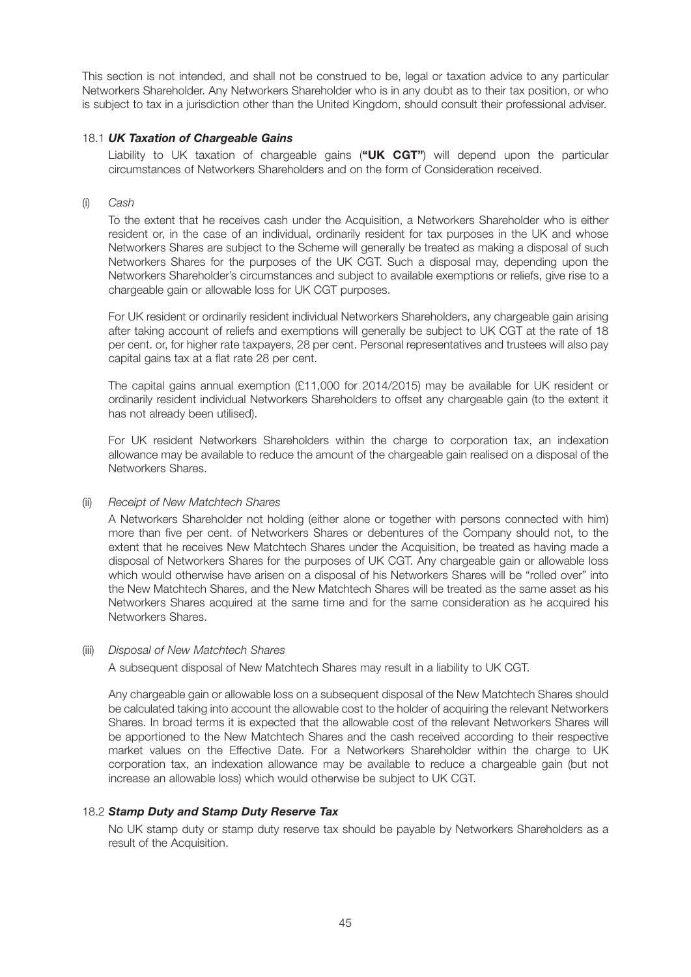This section is not intended, and shall not be construed to be, legal or taxation advice to any particular Networkers Shareholder. Any Networkers Shareholder who is in any doubt as to their tax position, or who is subject to tax in a jurisdiction other than the United Kingdom, should consult their professional adviser.

### 18.1 *UK Taxation of Chargeable Gains*

 Liability to UK taxation of chargeable gains (**"UK CGT"**) will depend upon the particular circumstances of Networkers Shareholders and on the form of Consideration received.

#### (i) *Cash*

 To the extent that he receives cash under the Acquisition, a Networkers Shareholder who is either resident or, in the case of an individual, ordinarily resident for tax purposes in the UK and whose Networkers Shares are subject to the Scheme will generally be treated as making a disposal of such Networkers Shares for the purposes of the UK CGT. Such a disposal may, depending upon the Networkers Shareholder's circumstances and subject to available exemptions or reliefs, give rise to a chargeable gain or allowable loss for UK CGT purposes.

 For UK resident or ordinarily resident individual Networkers Shareholders, any chargeable gain arising after taking account of reliefs and exemptions will generally be subject to UK CGT at the rate of 18 per cent. or, for higher rate taxpayers, 28 per cent. Personal representatives and trustees will also pay capital gains tax at a flat rate 28 per cent.

 The capital gains annual exemption (£11,000 for 2014/2015) may be available for UK resident or ordinarily resident individual Networkers Shareholders to offset any chargeable gain (to the extent it has not already been utilised).

 For UK resident Networkers Shareholders within the charge to corporation tax, an indexation allowance may be available to reduce the amount of the chargeable gain realised on a disposal of the Networkers Shares.

#### (ii) *Receipt of New Matchtech Shares*

 A Networkers Shareholder not holding (either alone or together with persons connected with him) more than five per cent. of Networkers Shares or debentures of the Company should not, to the extent that he receives New Matchtech Shares under the Acquisition, be treated as having made a disposal of Networkers Shares for the purposes of UK CGT. Any chargeable gain or allowable loss which would otherwise have arisen on a disposal of his Networkers Shares will be "rolled over" into the New Matchtech Shares, and the New Matchtech Shares will be treated as the same asset as his Networkers Shares acquired at the same time and for the same consideration as he acquired his Networkers Shares.

#### (iii) *Disposal of New Matchtech Shares*

A subsequent disposal of New Matchtech Shares may result in a liability to UK CGT.

 Any chargeable gain or allowable loss on a subsequent disposal of the New Matchtech Shares should be calculated taking into account the allowable cost to the holder of acquiring the relevant Networkers Shares. In broad terms it is expected that the allowable cost of the relevant Networkers Shares will be apportioned to the New Matchtech Shares and the cash received according to their respective market values on the Effective Date. For a Networkers Shareholder within the charge to UK corporation tax, an indexation allowance may be available to reduce a chargeable gain (but not increase an allowable loss) which would otherwise be subject to UK CGT.

#### 18.2 *Stamp Duty and Stamp Duty Reserve Tax*

 No UK stamp duty or stamp duty reserve tax should be payable by Networkers Shareholders as a result of the Acquisition.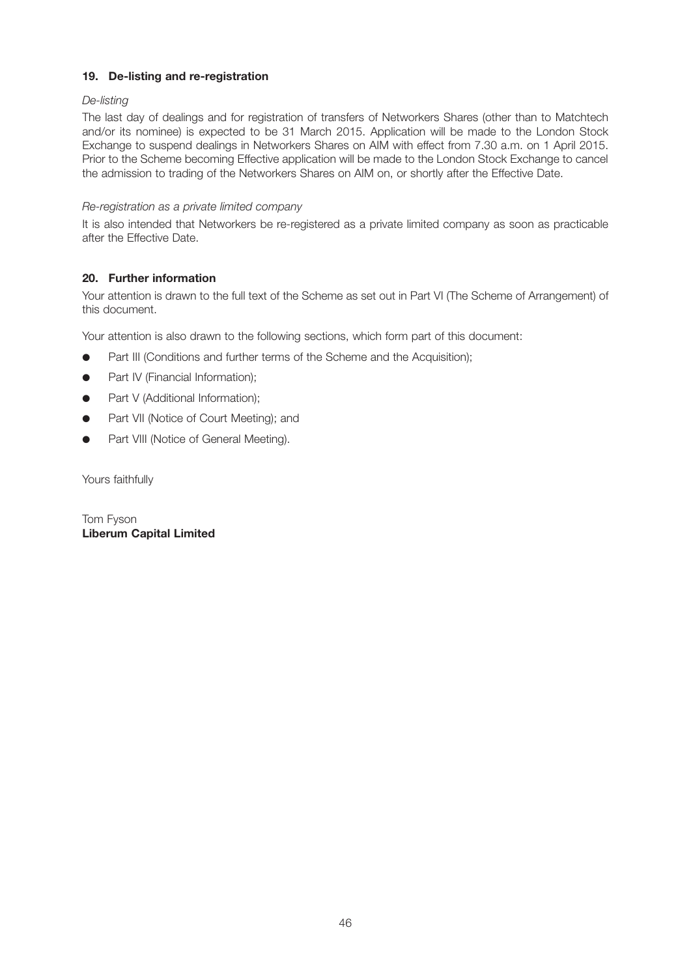## **19. De-listing and re-registration**

## *De-listing*

The last day of dealings and for registration of transfers of Networkers Shares (other than to Matchtech and/or its nominee) is expected to be 31 March 2015. Application will be made to the London Stock Exchange to suspend dealings in Networkers Shares on AIM with effect from 7.30 a.m. on 1 April 2015. Prior to the Scheme becoming Effective application will be made to the London Stock Exchange to cancel the admission to trading of the Networkers Shares on AIM on, or shortly after the Effective Date.

## *Re-registration as a private limited company*

It is also intended that Networkers be re-registered as a private limited company as soon as practicable after the Effective Date.

## **20. Further information**

Your attention is drawn to the full text of the Scheme as set out in Part VI (The Scheme of Arrangement) of this document.

Your attention is also drawn to the following sections, which form part of this document:

- Part III (Conditions and further terms of the Scheme and the Acquisition);
- Part IV (Financial Information);
- Part V (Additional Information);
- Part VII (Notice of Court Meeting); and
- Part VIII (Notice of General Meeting).

Yours faithfully

Tom Fyson **Liberum Capital Limited**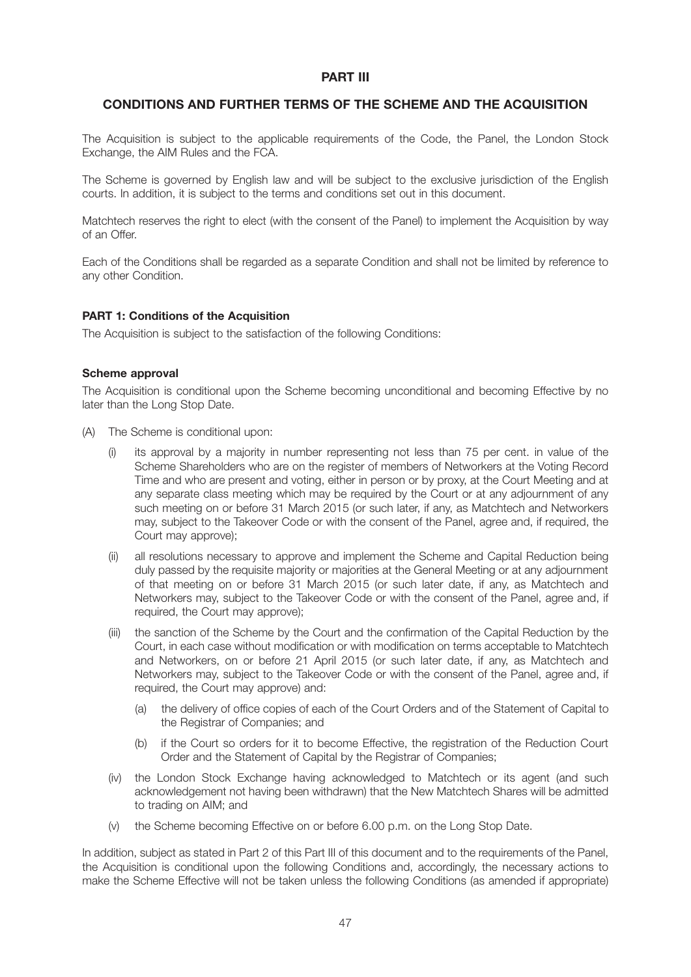## **PART III**

# **CONDITIONS AND FURTHER TERMS OF THE SCHEME AND THE ACQUISITION**

The Acquisition is subject to the applicable requirements of the Code, the Panel, the London Stock Exchange, the AIM Rules and the FCA.

The Scheme is governed by English law and will be subject to the exclusive jurisdiction of the English courts. In addition, it is subject to the terms and conditions set out in this document.

Matchtech reserves the right to elect (with the consent of the Panel) to implement the Acquisition by way of an Offer.

Each of the Conditions shall be regarded as a separate Condition and shall not be limited by reference to any other Condition.

### **PART 1: Conditions of the Acquisition**

The Acquisition is subject to the satisfaction of the following Conditions:

### **Scheme approval**

The Acquisition is conditional upon the Scheme becoming unconditional and becoming Effective by no later than the Long Stop Date.

- (A) The Scheme is conditional upon:
	- its approval by a majority in number representing not less than 75 per cent. in value of the Scheme Shareholders who are on the register of members of Networkers at the Voting Record Time and who are present and voting, either in person or by proxy, at the Court Meeting and at any separate class meeting which may be required by the Court or at any adjournment of any such meeting on or before 31 March 2015 (or such later, if any, as Matchtech and Networkers may, subject to the Takeover Code or with the consent of the Panel, agree and, if required, the Court may approve);
	- (ii) all resolutions necessary to approve and implement the Scheme and Capital Reduction being duly passed by the requisite majority or majorities at the General Meeting or at any adjournment of that meeting on or before 31 March 2015 (or such later date, if any, as Matchtech and Networkers may, subject to the Takeover Code or with the consent of the Panel, agree and, if required, the Court may approve);
	- (iii) the sanction of the Scheme by the Court and the confirmation of the Capital Reduction by the Court, in each case without modification or with modification on terms acceptable to Matchtech and Networkers, on or before 21 April 2015 (or such later date, if any, as Matchtech and Networkers may, subject to the Takeover Code or with the consent of the Panel, agree and, if required, the Court may approve) and:
		- (a) the delivery of office copies of each of the Court Orders and of the Statement of Capital to the Registrar of Companies; and
		- (b) if the Court so orders for it to become Effective, the registration of the Reduction Court Order and the Statement of Capital by the Registrar of Companies;
	- (iv) the London Stock Exchange having acknowledged to Matchtech or its agent (and such acknowledgement not having been withdrawn) that the New Matchtech Shares will be admitted to trading on AIM; and
	- (v) the Scheme becoming Effective on or before 6.00 p.m. on the Long Stop Date.

In addition, subject as stated in Part 2 of this Part III of this document and to the requirements of the Panel, the Acquisition is conditional upon the following Conditions and, accordingly, the necessary actions to make the Scheme Effective will not be taken unless the following Conditions (as amended if appropriate)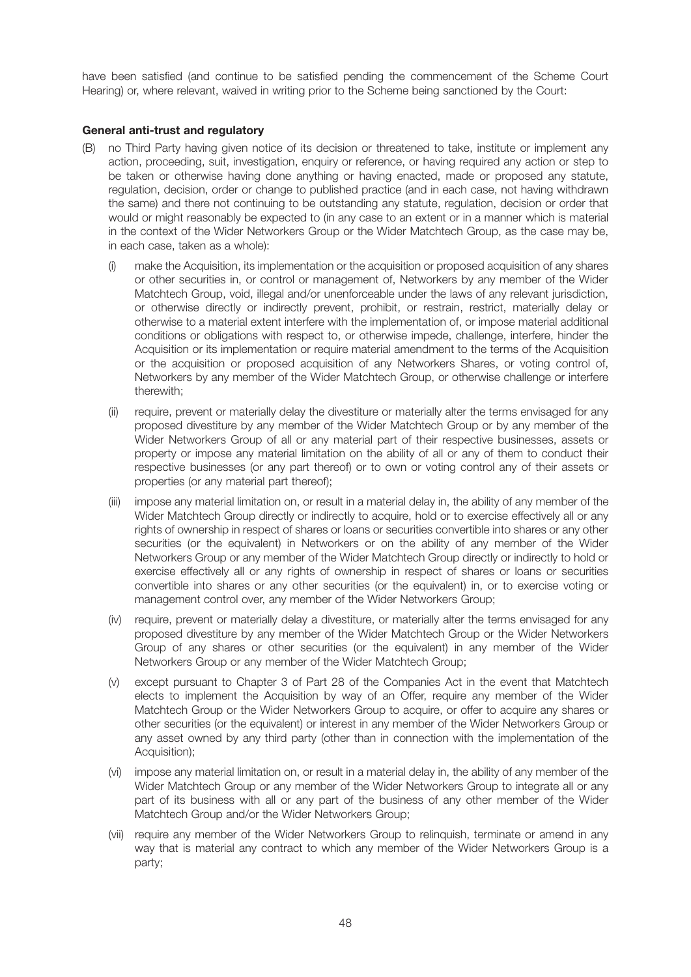have been satisfied (and continue to be satisfied pending the commencement of the Scheme Court Hearing) or, where relevant, waived in writing prior to the Scheme being sanctioned by the Court:

### **General anti-trust and regulatory**

- (B) no Third Party having given notice of its decision or threatened to take, institute or implement any action, proceeding, suit, investigation, enquiry or reference, or having required any action or step to be taken or otherwise having done anything or having enacted, made or proposed any statute, regulation, decision, order or change to published practice (and in each case, not having withdrawn the same) and there not continuing to be outstanding any statute, regulation, decision or order that would or might reasonably be expected to (in any case to an extent or in a manner which is material in the context of the Wider Networkers Group or the Wider Matchtech Group, as the case may be, in each case, taken as a whole):
	- (i) make the Acquisition, its implementation or the acquisition or proposed acquisition of any shares or other securities in, or control or management of, Networkers by any member of the Wider Matchtech Group, void, illegal and/or unenforceable under the laws of any relevant jurisdiction, or otherwise directly or indirectly prevent, prohibit, or restrain, restrict, materially delay or otherwise to a material extent interfere with the implementation of, or impose material additional conditions or obligations with respect to, or otherwise impede, challenge, interfere, hinder the Acquisition or its implementation or require material amendment to the terms of the Acquisition or the acquisition or proposed acquisition of any Networkers Shares, or voting control of, Networkers by any member of the Wider Matchtech Group, or otherwise challenge or interfere therewith;
	- (ii) require, prevent or materially delay the divestiture or materially alter the terms envisaged for any proposed divestiture by any member of the Wider Matchtech Group or by any member of the Wider Networkers Group of all or any material part of their respective businesses, assets or property or impose any material limitation on the ability of all or any of them to conduct their respective businesses (or any part thereof) or to own or voting control any of their assets or properties (or any material part thereof);
	- (iii) impose any material limitation on, or result in a material delay in, the ability of any member of the Wider Matchtech Group directly or indirectly to acquire, hold or to exercise effectively all or any rights of ownership in respect of shares or loans or securities convertible into shares or any other securities (or the equivalent) in Networkers or on the ability of any member of the Wider Networkers Group or any member of the Wider Matchtech Group directly or indirectly to hold or exercise effectively all or any rights of ownership in respect of shares or loans or securities convertible into shares or any other securities (or the equivalent) in, or to exercise voting or management control over, any member of the Wider Networkers Group;
	- (iv) require, prevent or materially delay a divestiture, or materially alter the terms envisaged for any proposed divestiture by any member of the Wider Matchtech Group or the Wider Networkers Group of any shares or other securities (or the equivalent) in any member of the Wider Networkers Group or any member of the Wider Matchtech Group;
	- (v) except pursuant to Chapter 3 of Part 28 of the Companies Act in the event that Matchtech elects to implement the Acquisition by way of an Offer, require any member of the Wider Matchtech Group or the Wider Networkers Group to acquire, or offer to acquire any shares or other securities (or the equivalent) or interest in any member of the Wider Networkers Group or any asset owned by any third party (other than in connection with the implementation of the Acquisition);
	- (vi) impose any material limitation on, or result in a material delay in, the ability of any member of the Wider Matchtech Group or any member of the Wider Networkers Group to integrate all or any part of its business with all or any part of the business of any other member of the Wider Matchtech Group and/or the Wider Networkers Group;
	- (vii) require any member of the Wider Networkers Group to relinquish, terminate or amend in any way that is material any contract to which any member of the Wider Networkers Group is a party;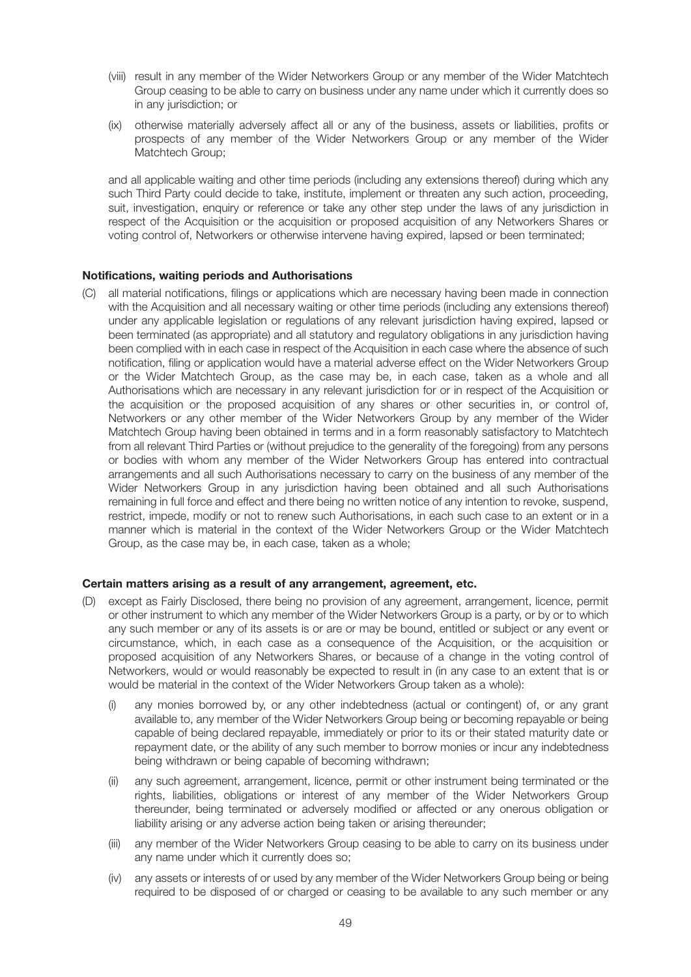- (viii) result in any member of the Wider Networkers Group or any member of the Wider Matchtech Group ceasing to be able to carry on business under any name under which it currently does so in any jurisdiction; or
- (ix) otherwise materially adversely affect all or any of the business, assets or liabilities, profits or prospects of any member of the Wider Networkers Group or any member of the Wider Matchtech Group;

 and all applicable waiting and other time periods (including any extensions thereof) during which any such Third Party could decide to take, institute, implement or threaten any such action, proceeding, suit, investigation, enquiry or reference or take any other step under the laws of any jurisdiction in respect of the Acquisition or the acquisition or proposed acquisition of any Networkers Shares or voting control of, Networkers or otherwise intervene having expired, lapsed or been terminated;

### **Notifications, waiting periods and Authorisations**

(C) all material notifications, filings or applications which are necessary having been made in connection with the Acquisition and all necessary waiting or other time periods (including any extensions thereof) under any applicable legislation or regulations of any relevant jurisdiction having expired, lapsed or been terminated (as appropriate) and all statutory and regulatory obligations in any jurisdiction having been complied with in each case in respect of the Acquisition in each case where the absence of such notification, filing or application would have a material adverse effect on the Wider Networkers Group or the Wider Matchtech Group, as the case may be, in each case, taken as a whole and all Authorisations which are necessary in any relevant jurisdiction for or in respect of the Acquisition or the acquisition or the proposed acquisition of any shares or other securities in, or control of, Networkers or any other member of the Wider Networkers Group by any member of the Wider Matchtech Group having been obtained in terms and in a form reasonably satisfactory to Matchtech from all relevant Third Parties or (without prejudice to the generality of the foregoing) from any persons or bodies with whom any member of the Wider Networkers Group has entered into contractual arrangements and all such Authorisations necessary to carry on the business of any member of the Wider Networkers Group in any jurisdiction having been obtained and all such Authorisations remaining in full force and effect and there being no written notice of any intention to revoke, suspend, restrict, impede, modify or not to renew such Authorisations, in each such case to an extent or in a manner which is material in the context of the Wider Networkers Group or the Wider Matchtech Group, as the case may be, in each case, taken as a whole;

#### **Certain matters arising as a result of any arrangement, agreement, etc.**

- (D) except as Fairly Disclosed, there being no provision of any agreement, arrangement, licence, permit or other instrument to which any member of the Wider Networkers Group is a party, or by or to which any such member or any of its assets is or are or may be bound, entitled or subject or any event or circumstance, which, in each case as a consequence of the Acquisition, or the acquisition or proposed acquisition of any Networkers Shares, or because of a change in the voting control of Networkers, would or would reasonably be expected to result in (in any case to an extent that is or would be material in the context of the Wider Networkers Group taken as a whole):
	- (i) any monies borrowed by, or any other indebtedness (actual or contingent) of, or any grant available to, any member of the Wider Networkers Group being or becoming repayable or being capable of being declared repayable, immediately or prior to its or their stated maturity date or repayment date, or the ability of any such member to borrow monies or incur any indebtedness being withdrawn or being capable of becoming withdrawn;
	- (ii) any such agreement, arrangement, licence, permit or other instrument being terminated or the rights, liabilities, obligations or interest of any member of the Wider Networkers Group thereunder, being terminated or adversely modified or affected or any onerous obligation or liability arising or any adverse action being taken or arising thereunder;
	- (iii) any member of the Wider Networkers Group ceasing to be able to carry on its business under any name under which it currently does so;
	- (iv) any assets or interests of or used by any member of the Wider Networkers Group being or being required to be disposed of or charged or ceasing to be available to any such member or any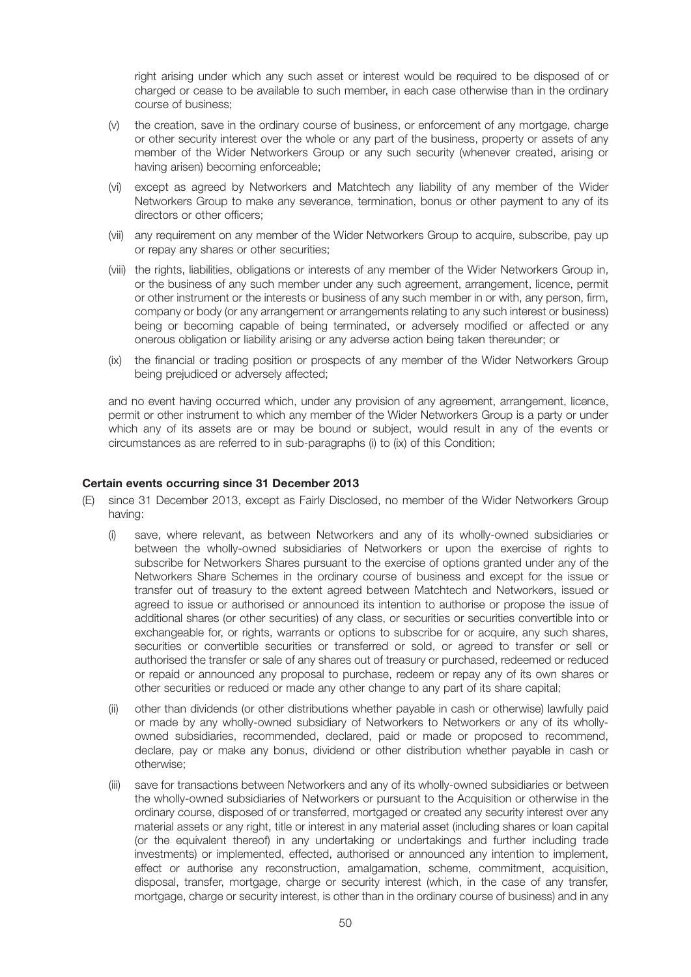right arising under which any such asset or interest would be required to be disposed of or charged or cease to be available to such member, in each case otherwise than in the ordinary course of business;

- (v) the creation, save in the ordinary course of business, or enforcement of any mortgage, charge or other security interest over the whole or any part of the business, property or assets of any member of the Wider Networkers Group or any such security (whenever created, arising or having arisen) becoming enforceable;
- (vi) except as agreed by Networkers and Matchtech any liability of any member of the Wider Networkers Group to make any severance, termination, bonus or other payment to any of its directors or other officers;
- (vii) any requirement on any member of the Wider Networkers Group to acquire, subscribe, pay up or repay any shares or other securities;
- (viii) the rights, liabilities, obligations or interests of any member of the Wider Networkers Group in, or the business of any such member under any such agreement, arrangement, licence, permit or other instrument or the interests or business of any such member in or with, any person, firm, company or body (or any arrangement or arrangements relating to any such interest or business) being or becoming capable of being terminated, or adversely modified or affected or any onerous obligation or liability arising or any adverse action being taken thereunder; or
- (ix) the financial or trading position or prospects of any member of the Wider Networkers Group being prejudiced or adversely affected;

 and no event having occurred which, under any provision of any agreement, arrangement, licence, permit or other instrument to which any member of the Wider Networkers Group is a party or under which any of its assets are or may be bound or subject, would result in any of the events or circumstances as are referred to in sub-paragraphs (i) to (ix) of this Condition;

#### **Certain events occurring since 31 December 2013**

- (E) since 31 December 2013, except as Fairly Disclosed, no member of the Wider Networkers Group having:
	- (i) save, where relevant, as between Networkers and any of its wholly-owned subsidiaries or between the wholly-owned subsidiaries of Networkers or upon the exercise of rights to subscribe for Networkers Shares pursuant to the exercise of options granted under any of the Networkers Share Schemes in the ordinary course of business and except for the issue or transfer out of treasury to the extent agreed between Matchtech and Networkers, issued or agreed to issue or authorised or announced its intention to authorise or propose the issue of additional shares (or other securities) of any class, or securities or securities convertible into or exchangeable for, or rights, warrants or options to subscribe for or acquire, any such shares, securities or convertible securities or transferred or sold, or agreed to transfer or sell or authorised the transfer or sale of any shares out of treasury or purchased, redeemed or reduced or repaid or announced any proposal to purchase, redeem or repay any of its own shares or other securities or reduced or made any other change to any part of its share capital;
	- (ii) other than dividends (or other distributions whether payable in cash or otherwise) lawfully paid or made by any wholly-owned subsidiary of Networkers to Networkers or any of its whollyowned subsidiaries, recommended, declared, paid or made or proposed to recommend, declare, pay or make any bonus, dividend or other distribution whether payable in cash or otherwise;
	- (iii) save for transactions between Networkers and any of its wholly-owned subsidiaries or between the wholly-owned subsidiaries of Networkers or pursuant to the Acquisition or otherwise in the ordinary course, disposed of or transferred, mortgaged or created any security interest over any material assets or any right, title or interest in any material asset (including shares or loan capital (or the equivalent thereof) in any undertaking or undertakings and further including trade investments) or implemented, effected, authorised or announced any intention to implement, effect or authorise any reconstruction, amalgamation, scheme, commitment, acquisition, disposal, transfer, mortgage, charge or security interest (which, in the case of any transfer, mortgage, charge or security interest, is other than in the ordinary course of business) and in any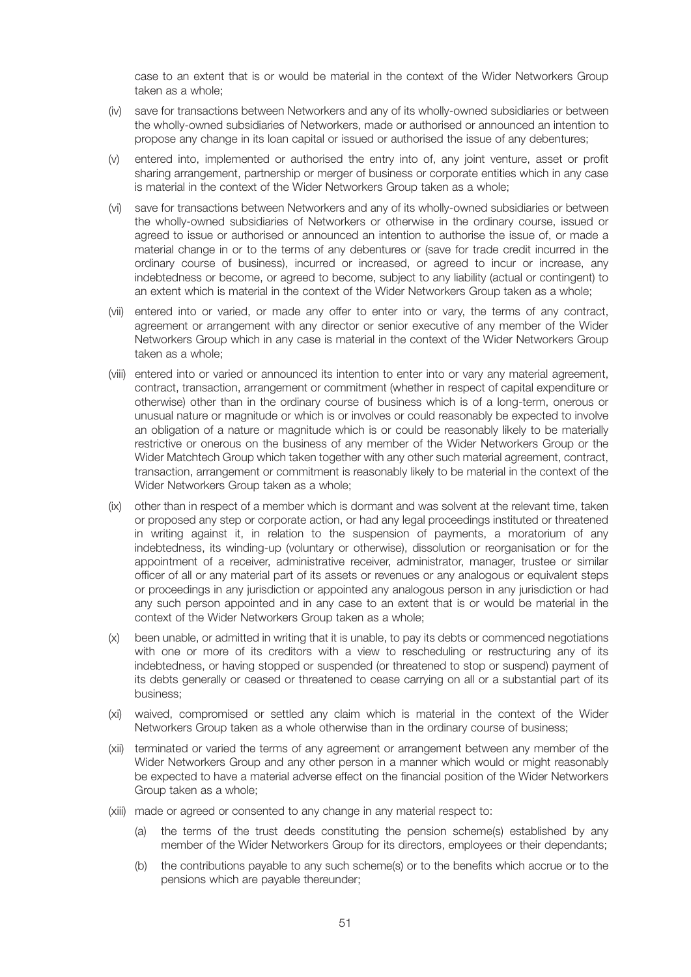case to an extent that is or would be material in the context of the Wider Networkers Group taken as a whole;

- (iv) save for transactions between Networkers and any of its wholly-owned subsidiaries or between the wholly-owned subsidiaries of Networkers, made or authorised or announced an intention to propose any change in its loan capital or issued or authorised the issue of any debentures;
- (v) entered into, implemented or authorised the entry into of, any joint venture, asset or profit sharing arrangement, partnership or merger of business or corporate entities which in any case is material in the context of the Wider Networkers Group taken as a whole;
- (vi) save for transactions between Networkers and any of its wholly-owned subsidiaries or between the wholly-owned subsidiaries of Networkers or otherwise in the ordinary course, issued or agreed to issue or authorised or announced an intention to authorise the issue of, or made a material change in or to the terms of any debentures or (save for trade credit incurred in the ordinary course of business), incurred or increased, or agreed to incur or increase, any indebtedness or become, or agreed to become, subject to any liability (actual or contingent) to an extent which is material in the context of the Wider Networkers Group taken as a whole;
- (vii) entered into or varied, or made any offer to enter into or vary, the terms of any contract, agreement or arrangement with any director or senior executive of any member of the Wider Networkers Group which in any case is material in the context of the Wider Networkers Group taken as a whole;
- (viii) entered into or varied or announced its intention to enter into or vary any material agreement, contract, transaction, arrangement or commitment (whether in respect of capital expenditure or otherwise) other than in the ordinary course of business which is of a long-term, onerous or unusual nature or magnitude or which is or involves or could reasonably be expected to involve an obligation of a nature or magnitude which is or could be reasonably likely to be materially restrictive or onerous on the business of any member of the Wider Networkers Group or the Wider Matchtech Group which taken together with any other such material agreement, contract, transaction, arrangement or commitment is reasonably likely to be material in the context of the Wider Networkers Group taken as a whole;
- (ix) other than in respect of a member which is dormant and was solvent at the relevant time, taken or proposed any step or corporate action, or had any legal proceedings instituted or threatened in writing against it, in relation to the suspension of payments, a moratorium of any indebtedness, its winding-up (voluntary or otherwise), dissolution or reorganisation or for the appointment of a receiver, administrative receiver, administrator, manager, trustee or similar officer of all or any material part of its assets or revenues or any analogous or equivalent steps or proceedings in any jurisdiction or appointed any analogous person in any jurisdiction or had any such person appointed and in any case to an extent that is or would be material in the context of the Wider Networkers Group taken as a whole;
- (x) been unable, or admitted in writing that it is unable, to pay its debts or commenced negotiations with one or more of its creditors with a view to rescheduling or restructuring any of its indebtedness, or having stopped or suspended (or threatened to stop or suspend) payment of its debts generally or ceased or threatened to cease carrying on all or a substantial part of its business;
- (xi) waived, compromised or settled any claim which is material in the context of the Wider Networkers Group taken as a whole otherwise than in the ordinary course of business;
- (xii) terminated or varied the terms of any agreement or arrangement between any member of the Wider Networkers Group and any other person in a manner which would or might reasonably be expected to have a material adverse effect on the financial position of the Wider Networkers Group taken as a whole;
- (xiii) made or agreed or consented to any change in any material respect to:
	- (a) the terms of the trust deeds constituting the pension scheme(s) established by any member of the Wider Networkers Group for its directors, employees or their dependants;
	- (b) the contributions payable to any such scheme(s) or to the benefits which accrue or to the pensions which are payable thereunder;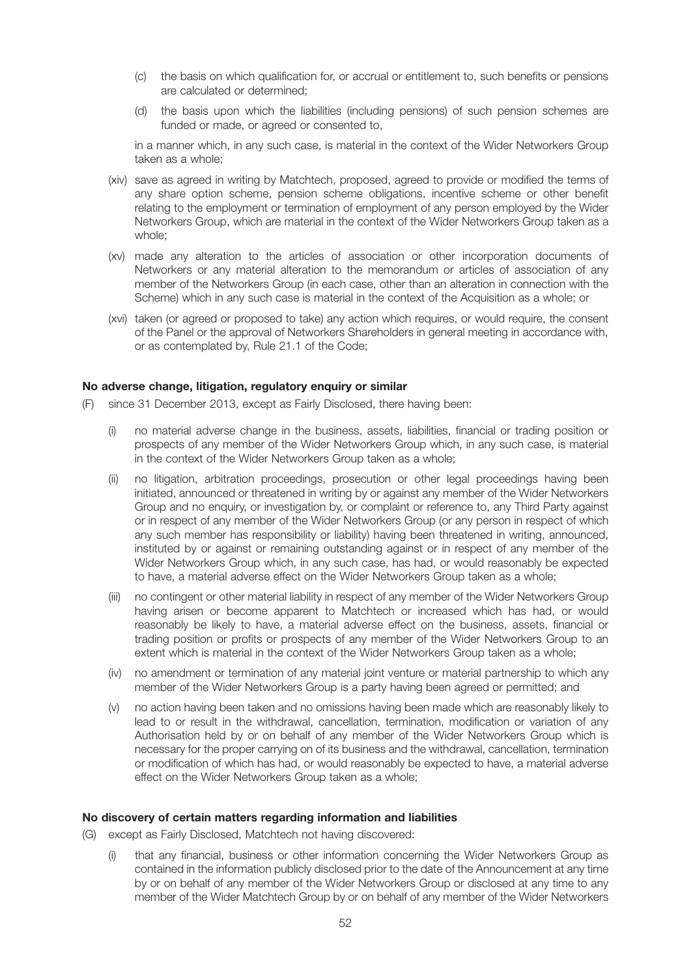- (c) the basis on which qualification for, or accrual or entitlement to, such benefits or pensions are calculated or determined;
- (d) the basis upon which the liabilities (including pensions) of such pension schemes are funded or made, or agreed or consented to,

 in a manner which, in any such case, is material in the context of the Wider Networkers Group taken as a whole;

- (xiv) save as agreed in writing by Matchtech, proposed, agreed to provide or modified the terms of any share option scheme, pension scheme obligations, incentive scheme or other benefit relating to the employment or termination of employment of any person employed by the Wider Networkers Group, which are material in the context of the Wider Networkers Group taken as a whole;
- (xv) made any alteration to the articles of association or other incorporation documents of Networkers or any material alteration to the memorandum or articles of association of any member of the Networkers Group (in each case, other than an alteration in connection with the Scheme) which in any such case is material in the context of the Acquisition as a whole; or
- (xvi) taken (or agreed or proposed to take) any action which requires, or would require, the consent of the Panel or the approval of Networkers Shareholders in general meeting in accordance with, or as contemplated by, Rule 21.1 of the Code;

#### **No adverse change, litigation, regulatory enquiry or similar**

- (F) since 31 December 2013, except as Fairly Disclosed, there having been:
	- (i) no material adverse change in the business, assets, liabilities, financial or trading position or prospects of any member of the Wider Networkers Group which, in any such case, is material in the context of the Wider Networkers Group taken as a whole;
	- (ii) no litigation, arbitration proceedings, prosecution or other legal proceedings having been initiated, announced or threatened in writing by or against any member of the Wider Networkers Group and no enquiry, or investigation by, or complaint or reference to, any Third Party against or in respect of any member of the Wider Networkers Group (or any person in respect of which any such member has responsibility or liability) having been threatened in writing, announced, instituted by or against or remaining outstanding against or in respect of any member of the Wider Networkers Group which, in any such case, has had, or would reasonably be expected to have, a material adverse effect on the Wider Networkers Group taken as a whole;
	- (iii) no contingent or other material liability in respect of any member of the Wider Networkers Group having arisen or become apparent to Matchtech or increased which has had, or would reasonably be likely to have, a material adverse effect on the business, assets, financial or trading position or profits or prospects of any member of the Wider Networkers Group to an extent which is material in the context of the Wider Networkers Group taken as a whole;
	- (iv) no amendment or termination of any material joint venture or material partnership to which any member of the Wider Networkers Group is a party having been agreed or permitted; and
	- (v) no action having been taken and no omissions having been made which are reasonably likely to lead to or result in the withdrawal, cancellation, termination, modification or variation of any Authorisation held by or on behalf of any member of the Wider Networkers Group which is necessary for the proper carrying on of its business and the withdrawal, cancellation, termination or modification of which has had, or would reasonably be expected to have, a material adverse effect on the Wider Networkers Group taken as a whole;

#### **No discovery of certain matters regarding information and liabilities**

- (G) except as Fairly Disclosed, Matchtech not having discovered:
	- (i) that any financial, business or other information concerning the Wider Networkers Group as contained in the information publicly disclosed prior to the date of the Announcement at any time by or on behalf of any member of the Wider Networkers Group or disclosed at any time to any member of the Wider Matchtech Group by or on behalf of any member of the Wider Networkers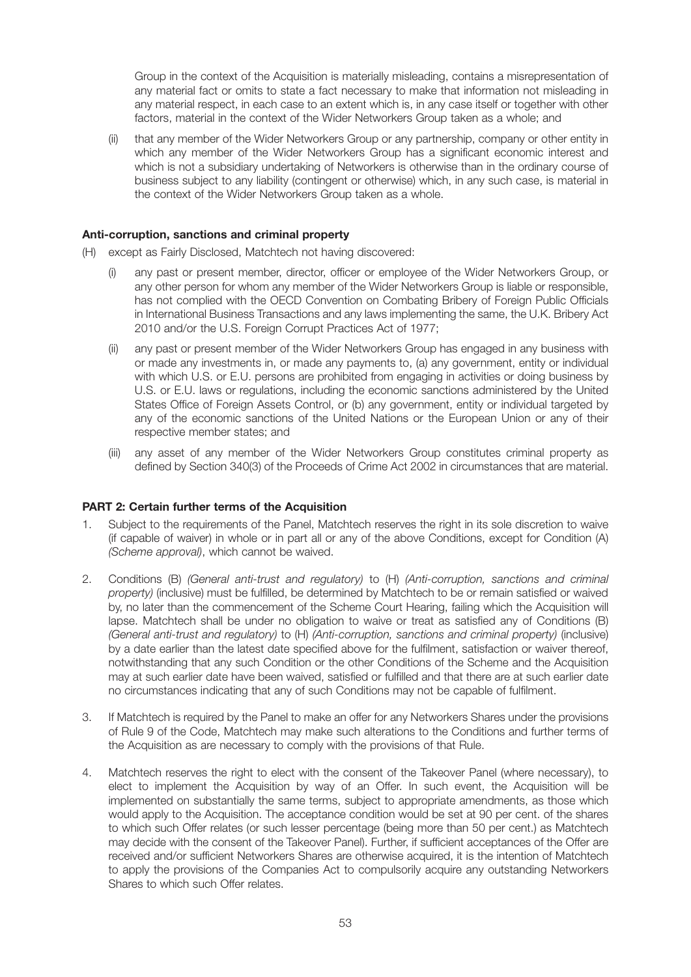Group in the context of the Acquisition is materially misleading, contains a misrepresentation of any material fact or omits to state a fact necessary to make that information not misleading in any material respect, in each case to an extent which is, in any case itself or together with other factors, material in the context of the Wider Networkers Group taken as a whole; and

 (ii) that any member of the Wider Networkers Group or any partnership, company or other entity in which any member of the Wider Networkers Group has a significant economic interest and which is not a subsidiary undertaking of Networkers is otherwise than in the ordinary course of business subject to any liability (contingent or otherwise) which, in any such case, is material in the context of the Wider Networkers Group taken as a whole.

### **Anti-corruption, sanctions and criminal property**

- (H) except as Fairly Disclosed, Matchtech not having discovered:
	- any past or present member, director, officer or employee of the Wider Networkers Group, or any other person for whom any member of the Wider Networkers Group is liable or responsible, has not complied with the OECD Convention on Combating Bribery of Foreign Public Officials in International Business Transactions and any laws implementing the same, the U.K. Bribery Act 2010 and/or the U.S. Foreign Corrupt Practices Act of 1977;
	- (ii) any past or present member of the Wider Networkers Group has engaged in any business with or made any investments in, or made any payments to, (a) any government, entity or individual with which U.S. or E.U. persons are prohibited from engaging in activities or doing business by U.S. or E.U. laws or regulations, including the economic sanctions administered by the United States Office of Foreign Assets Control, or (b) any government, entity or individual targeted by any of the economic sanctions of the United Nations or the European Union or any of their respective member states; and
	- (iii) any asset of any member of the Wider Networkers Group constitutes criminal property as defined by Section 340(3) of the Proceeds of Crime Act 2002 in circumstances that are material.

## **PART 2: Certain further terms of the Acquisition**

- 1. Subject to the requirements of the Panel, Matchtech reserves the right in its sole discretion to waive (if capable of waiver) in whole or in part all or any of the above Conditions, except for Condition (A) *(Scheme approval)*, which cannot be waived.
- 2. Conditions (B) *(General anti-trust and regulatory)* to (H) *(Anti-corruption, sanctions and criminal property)* (inclusive) must be fulfilled, be determined by Matchtech to be or remain satisfied or waived by, no later than the commencement of the Scheme Court Hearing, failing which the Acquisition will lapse. Matchtech shall be under no obligation to waive or treat as satisfied any of Conditions (B) *(General anti-trust and regulatory)* to (H) *(Anti-corruption, sanctions and criminal property)* (inclusive) by a date earlier than the latest date specified above for the fulfilment, satisfaction or waiver thereof, notwithstanding that any such Condition or the other Conditions of the Scheme and the Acquisition may at such earlier date have been waived, satisfied or fulfilled and that there are at such earlier date no circumstances indicating that any of such Conditions may not be capable of fulfilment.
- 3. If Matchtech is required by the Panel to make an offer for any Networkers Shares under the provisions of Rule 9 of the Code, Matchtech may make such alterations to the Conditions and further terms of the Acquisition as are necessary to comply with the provisions of that Rule.
- 4. Matchtech reserves the right to elect with the consent of the Takeover Panel (where necessary), to elect to implement the Acquisition by way of an Offer. In such event, the Acquisition will be implemented on substantially the same terms, subject to appropriate amendments, as those which would apply to the Acquisition. The acceptance condition would be set at 90 per cent. of the shares to which such Offer relates (or such lesser percentage (being more than 50 per cent.) as Matchtech may decide with the consent of the Takeover Panel). Further, if sufficient acceptances of the Offer are received and/or sufficient Networkers Shares are otherwise acquired, it is the intention of Matchtech to apply the provisions of the Companies Act to compulsorily acquire any outstanding Networkers Shares to which such Offer relates.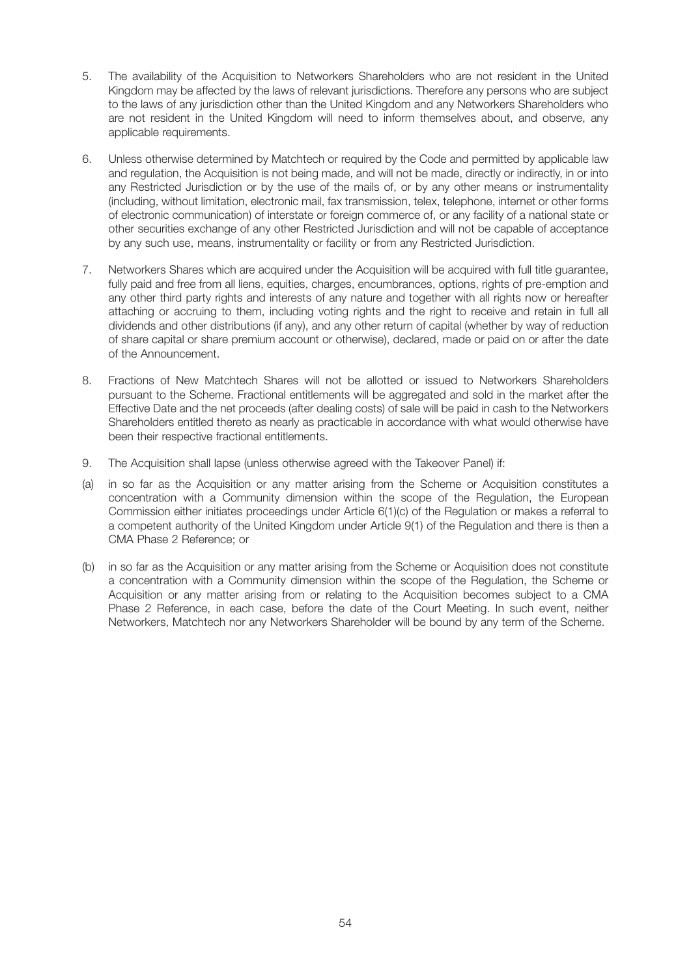- 5. The availability of the Acquisition to Networkers Shareholders who are not resident in the United Kingdom may be affected by the laws of relevant jurisdictions. Therefore any persons who are subject to the laws of any jurisdiction other than the United Kingdom and any Networkers Shareholders who are not resident in the United Kingdom will need to inform themselves about, and observe, any applicable requirements.
- 6. Unless otherwise determined by Matchtech or required by the Code and permitted by applicable law and regulation, the Acquisition is not being made, and will not be made, directly or indirectly, in or into any Restricted Jurisdiction or by the use of the mails of, or by any other means or instrumentality (including, without limitation, electronic mail, fax transmission, telex, telephone, internet or other forms of electronic communication) of interstate or foreign commerce of, or any facility of a national state or other securities exchange of any other Restricted Jurisdiction and will not be capable of acceptance by any such use, means, instrumentality or facility or from any Restricted Jurisdiction.
- 7. Networkers Shares which are acquired under the Acquisition will be acquired with full title guarantee, fully paid and free from all liens, equities, charges, encumbrances, options, rights of pre-emption and any other third party rights and interests of any nature and together with all rights now or hereafter attaching or accruing to them, including voting rights and the right to receive and retain in full all dividends and other distributions (if any), and any other return of capital (whether by way of reduction of share capital or share premium account or otherwise), declared, made or paid on or after the date of the Announcement.
- 8. Fractions of New Matchtech Shares will not be allotted or issued to Networkers Shareholders pursuant to the Scheme. Fractional entitlements will be aggregated and sold in the market after the Effective Date and the net proceeds (after dealing costs) of sale will be paid in cash to the Networkers Shareholders entitled thereto as nearly as practicable in accordance with what would otherwise have been their respective fractional entitlements.
- 9. The Acquisition shall lapse (unless otherwise agreed with the Takeover Panel) if:
- (a) in so far as the Acquisition or any matter arising from the Scheme or Acquisition constitutes a concentration with a Community dimension within the scope of the Regulation, the European Commission either initiates proceedings under Article 6(1)(c) of the Regulation or makes a referral to a competent authority of the United Kingdom under Article 9(1) of the Regulation and there is then a CMA Phase 2 Reference; or
- (b) in so far as the Acquisition or any matter arising from the Scheme or Acquisition does not constitute a concentration with a Community dimension within the scope of the Regulation, the Scheme or Acquisition or any matter arising from or relating to the Acquisition becomes subject to a CMA Phase 2 Reference, in each case, before the date of the Court Meeting. In such event, neither Networkers, Matchtech nor any Networkers Shareholder will be bound by any term of the Scheme.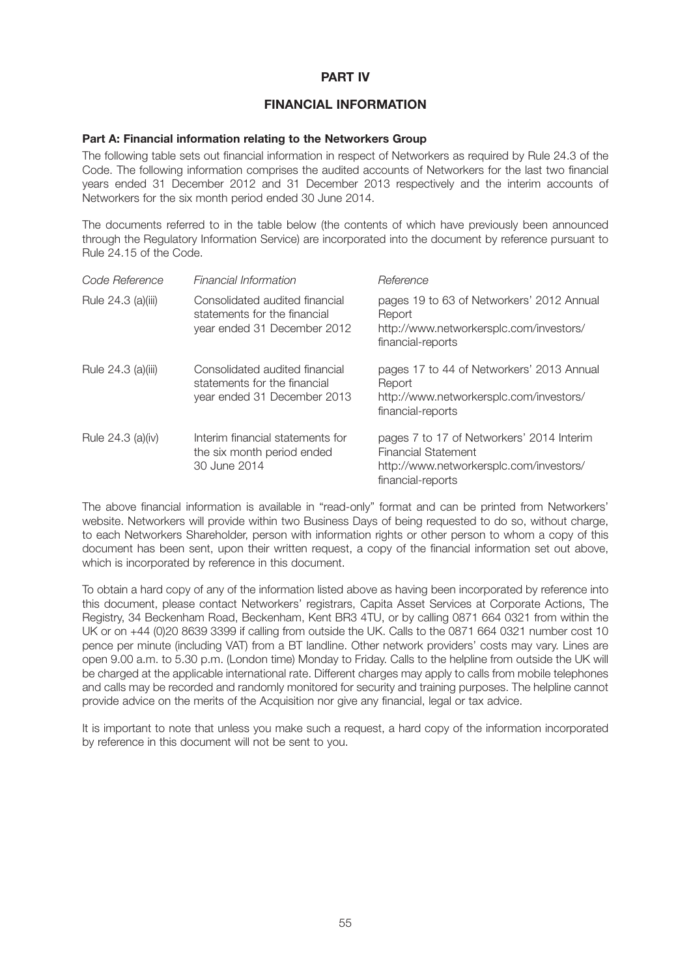## **PART IV**

## **FINANCIAL INFORMATION**

#### **Part A: Financial information relating to the Networkers Group**

The following table sets out financial information in respect of Networkers as required by Rule 24.3 of the Code. The following information comprises the audited accounts of Networkers for the last two financial years ended 31 December 2012 and 31 December 2013 respectively and the interim accounts of Networkers for the six month period ended 30 June 2014.

The documents referred to in the table below (the contents of which have previously been announced through the Regulatory Information Service) are incorporated into the document by reference pursuant to Rule 24.15 of the Code.

| Code Reference     | Financial Information                                                                         | Reference                                                                                                                               |
|--------------------|-----------------------------------------------------------------------------------------------|-----------------------------------------------------------------------------------------------------------------------------------------|
| Rule 24.3 (a)(iii) | Consolidated audited financial<br>statements for the financial<br>year ended 31 December 2012 | pages 19 to 63 of Networkers' 2012 Annual<br>Report<br>http://www.networkersplc.com/investors/<br>financial-reports                     |
| Rule 24.3 (a)(iii) | Consolidated audited financial<br>statements for the financial<br>year ended 31 December 2013 | pages 17 to 44 of Networkers' 2013 Annual<br>Report<br>http://www.networkersplc.com/investors/<br>financial-reports                     |
| Rule 24.3 (a)(iv)  | Interim financial statements for<br>the six month period ended<br>30 June 2014                | pages 7 to 17 of Networkers' 2014 Interim<br><b>Financial Statement</b><br>http://www.networkersplc.com/investors/<br>financial-reports |

The above financial information is available in "read-only" format and can be printed from Networkers' website. Networkers will provide within two Business Days of being requested to do so, without charge, to each Networkers Shareholder, person with information rights or other person to whom a copy of this document has been sent, upon their written request, a copy of the financial information set out above, which is incorporated by reference in this document.

To obtain a hard copy of any of the information listed above as having been incorporated by reference into this document, please contact Networkers' registrars, Capita Asset Services at Corporate Actions, The Registry, 34 Beckenham Road, Beckenham, Kent BR3 4TU, or by calling 0871 664 0321 from within the UK or on +44 (0)20 8639 3399 if calling from outside the UK. Calls to the 0871 664 0321 number cost 10 pence per minute (including VAT) from a BT landline. Other network providers' costs may vary. Lines are open 9.00 a.m. to 5.30 p.m. (London time) Monday to Friday. Calls to the helpline from outside the UK will be charged at the applicable international rate. Different charges may apply to calls from mobile telephones and calls may be recorded and randomly monitored for security and training purposes. The helpline cannot provide advice on the merits of the Acquisition nor give any financial, legal or tax advice.

It is important to note that unless you make such a request, a hard copy of the information incorporated by reference in this document will not be sent to you.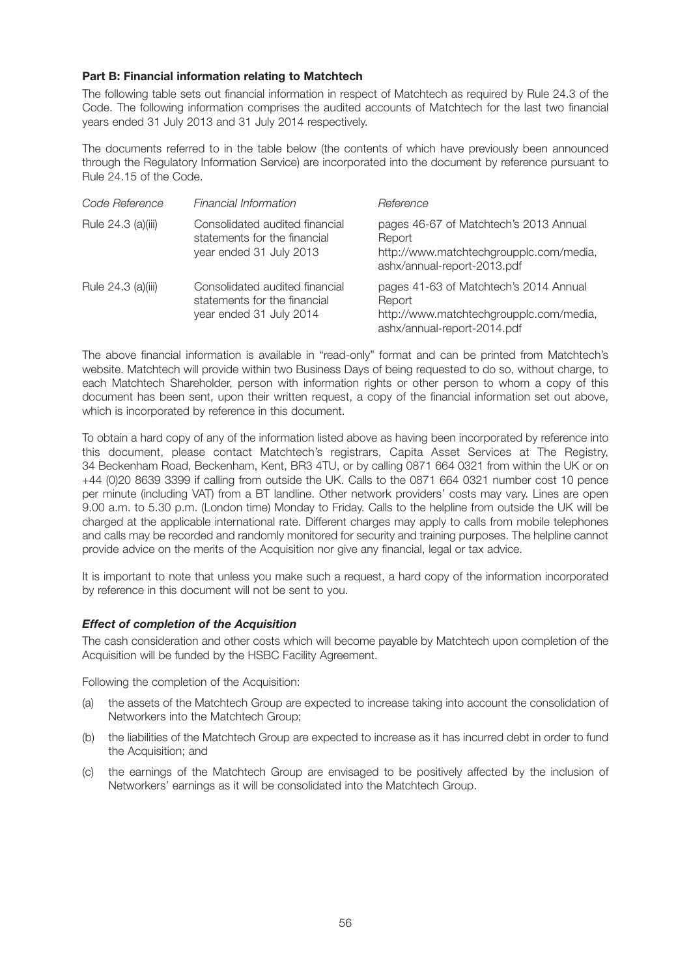### **Part B: Financial information relating to Matchtech**

The following table sets out financial information in respect of Matchtech as required by Rule 24.3 of the Code. The following information comprises the audited accounts of Matchtech for the last two financial years ended 31 July 2013 and 31 July 2014 respectively.

The documents referred to in the table below (the contents of which have previously been announced through the Regulatory Information Service) are incorporated into the document by reference pursuant to Rule 24.15 of the Code.

| Code Reference     | Financial Information                                                                     | Reference                                                                                                                  |
|--------------------|-------------------------------------------------------------------------------------------|----------------------------------------------------------------------------------------------------------------------------|
| Rule 24.3 (a)(iii) | Consolidated audited financial<br>statements for the financial<br>year ended 31 July 2013 | pages 46-67 of Matchtech's 2013 Annual<br>Report<br>http://www.matchtechgroupplc.com/media,<br>ashx/annual-report-2013.pdf |
| Rule 24.3 (a)(iii) | Consolidated audited financial<br>statements for the financial<br>year ended 31 July 2014 | pages 41-63 of Matchtech's 2014 Annual<br>Report<br>http://www.matchtechgroupplc.com/media,<br>ashx/annual-report-2014.pdf |

The above financial information is available in "read-only" format and can be printed from Matchtech's website. Matchtech will provide within two Business Days of being requested to do so, without charge, to each Matchtech Shareholder, person with information rights or other person to whom a copy of this document has been sent, upon their written request, a copy of the financial information set out above, which is incorporated by reference in this document.

To obtain a hard copy of any of the information listed above as having been incorporated by reference into this document, please contact Matchtech's registrars, Capita Asset Services at The Registry, 34 Beckenham Road, Beckenham, Kent, BR3 4TU, or by calling 0871 664 0321 from within the UK or on +44 (0)20 8639 3399 if calling from outside the UK. Calls to the 0871 664 0321 number cost 10 pence per minute (including VAT) from a BT landline. Other network providers' costs may vary. Lines are open 9.00 a.m. to 5.30 p.m. (London time) Monday to Friday. Calls to the helpline from outside the UK will be charged at the applicable international rate. Different charges may apply to calls from mobile telephones and calls may be recorded and randomly monitored for security and training purposes. The helpline cannot provide advice on the merits of the Acquisition nor give any financial, legal or tax advice.

It is important to note that unless you make such a request, a hard copy of the information incorporated by reference in this document will not be sent to you.

## *Effect of completion of the Acquisition*

The cash consideration and other costs which will become payable by Matchtech upon completion of the Acquisition will be funded by the HSBC Facility Agreement.

Following the completion of the Acquisition:

- (a) the assets of the Matchtech Group are expected to increase taking into account the consolidation of Networkers into the Matchtech Group;
- (b) the liabilities of the Matchtech Group are expected to increase as it has incurred debt in order to fund the Acquisition; and
- (c) the earnings of the Matchtech Group are envisaged to be positively affected by the inclusion of Networkers' earnings as it will be consolidated into the Matchtech Group.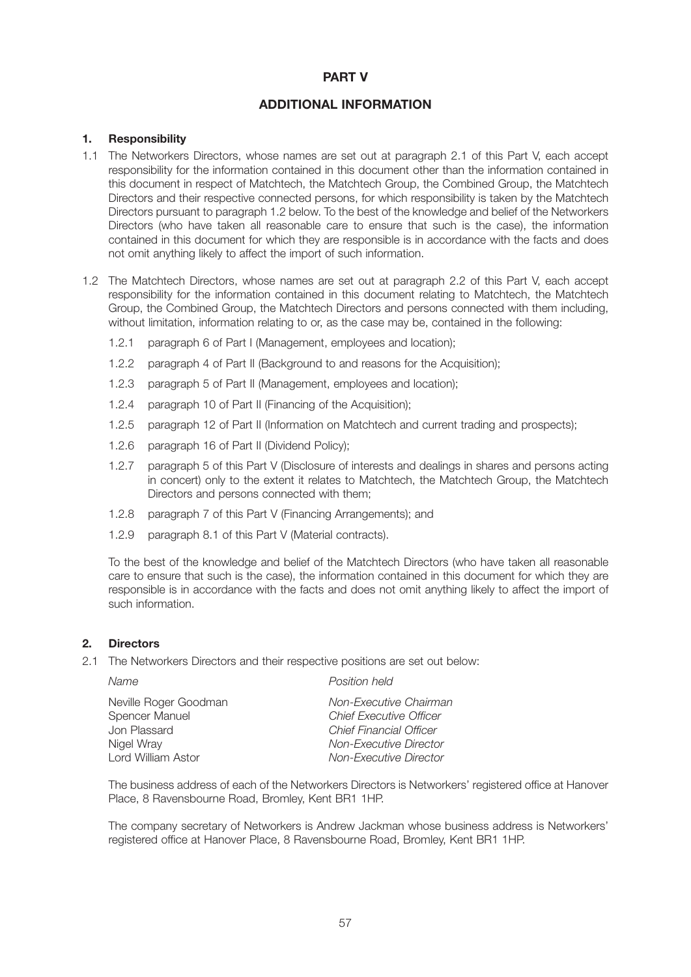## **PART V**

## **ADDITIONAL INFORMATION**

## **1. Responsibility**

- 1.1 The Networkers Directors, whose names are set out at paragraph 2.1 of this Part V, each accept responsibility for the information contained in this document other than the information contained in this document in respect of Matchtech, the Matchtech Group, the Combined Group, the Matchtech Directors and their respective connected persons, for which responsibility is taken by the Matchtech Directors pursuant to paragraph 1.2 below. To the best of the knowledge and belief of the Networkers Directors (who have taken all reasonable care to ensure that such is the case), the information contained in this document for which they are responsible is in accordance with the facts and does not omit anything likely to affect the import of such information.
- 1.2 The Matchtech Directors, whose names are set out at paragraph 2.2 of this Part V, each accept responsibility for the information contained in this document relating to Matchtech, the Matchtech Group, the Combined Group, the Matchtech Directors and persons connected with them including, without limitation, information relating to or, as the case may be, contained in the following:
	- 1.2.1 paragraph 6 of Part I (Management, employees and location);
	- 1.2.2 paragraph 4 of Part II (Background to and reasons for the Acquisition);
	- 1.2.3 paragraph 5 of Part II (Management, employees and location);
	- 1.2.4 paragraph 10 of Part II (Financing of the Acquisition);
	- 1.2.5 paragraph 12 of Part II (Information on Matchtech and current trading and prospects);
	- 1.2.6 paragraph 16 of Part II (Dividend Policy);
	- 1.2.7 paragraph 5 of this Part V (Disclosure of interests and dealings in shares and persons acting in concert) only to the extent it relates to Matchtech, the Matchtech Group, the Matchtech Directors and persons connected with them;
	- 1.2.8 paragraph 7 of this Part V (Financing Arrangements); and
	- 1.2.9 paragraph 8.1 of this Part V (Material contracts).

 To the best of the knowledge and belief of the Matchtech Directors (who have taken all reasonable care to ensure that such is the case), the information contained in this document for which they are responsible is in accordance with the facts and does not omit anything likely to affect the import of such information.

### **2. Directors**

2.1 The Networkers Directors and their respective positions are set out below:

| Name                                                                                               | Position held                                                                                                                           |
|----------------------------------------------------------------------------------------------------|-----------------------------------------------------------------------------------------------------------------------------------------|
| Neville Roger Goodman<br><b>Spencer Manuel</b><br>Jon Plassard<br>Nigel Wray<br>Lord William Astor | Non-Executive Chairman<br>Chief Executive Officer<br>Chief Financial Officer<br><b>Non-Executive Director</b><br>Non-Executive Director |
|                                                                                                    |                                                                                                                                         |

 The business address of each of the Networkers Directors is Networkers' registered office at Hanover Place, 8 Ravensbourne Road, Bromley, Kent BR1 1HP.

 The company secretary of Networkers is Andrew Jackman whose business address is Networkers' registered office at Hanover Place, 8 Ravensbourne Road, Bromley, Kent BR1 1HP.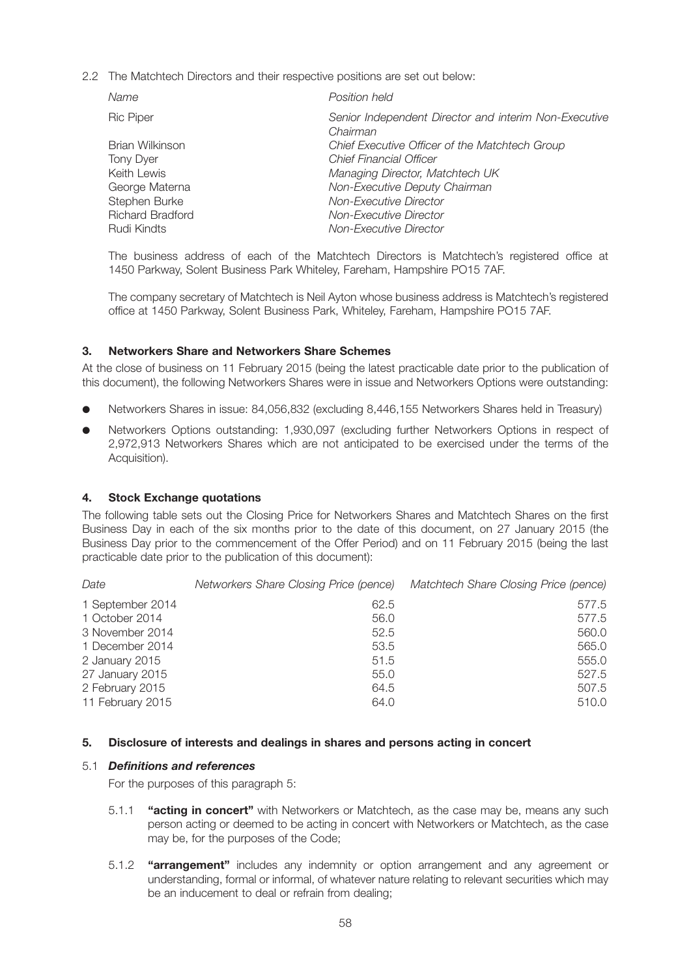2.2 The Matchtech Directors and their respective positions are set out below:

| Name                    | Position held                                                     |
|-------------------------|-------------------------------------------------------------------|
| <b>Ric Piper</b>        | Senior Independent Director and interim Non-Executive<br>Chairman |
| Brian Wilkinson         | Chief Executive Officer of the Matchtech Group                    |
| <b>Tony Dyer</b>        | Chief Financial Officer                                           |
| Keith Lewis             | Managing Director, Matchtech UK                                   |
| George Materna          | Non-Executive Deputy Chairman                                     |
| Stephen Burke           | Non-Executive Director                                            |
| <b>Richard Bradford</b> | Non-Executive Director                                            |
| Rudi Kindts             | Non-Executive Director                                            |

 The business address of each of the Matchtech Directors is Matchtech's registered office at 1450 Parkway, Solent Business Park Whiteley, Fareham, Hampshire PO15 7AF.

 The company secretary of Matchtech is Neil Ayton whose business address is Matchtech's registered office at 1450 Parkway, Solent Business Park, Whiteley, Fareham, Hampshire PO15 7AF.

### **3. Networkers Share and Networkers Share Schemes**

At the close of business on 11 February 2015 (being the latest practicable date prior to the publication of this document), the following Networkers Shares were in issue and Networkers Options were outstanding:

- Networkers Shares in issue: 84,056,832 (excluding 8,446,155 Networkers Shares held in Treasury)
- Networkers Options outstanding: 1,930,097 (excluding further Networkers Options in respect of 2,972,913 Networkers Shares which are not anticipated to be exercised under the terms of the Acquisition).

## **4. Stock Exchange quotations**

The following table sets out the Closing Price for Networkers Shares and Matchtech Shares on the first Business Day in each of the six months prior to the date of this document, on 27 January 2015 (the Business Day prior to the commencement of the Offer Period) and on 11 February 2015 (being the last practicable date prior to the publication of this document):

| Date             | Networkers Share Closing Price (pence) | Matchtech Share Closing Price (pence) |
|------------------|----------------------------------------|---------------------------------------|
| 1 September 2014 | 62.5                                   | 577.5                                 |
| 1 October 2014   | 56.0                                   | 577.5                                 |
| 3 November 2014  | 52.5                                   | 560.0                                 |
| 1 December 2014  | 53.5                                   | 565.0                                 |
| 2 January 2015   | 51.5                                   | 555.0                                 |
| 27 January 2015  | 55.0                                   | 527.5                                 |
| 2 February 2015  | 64.5                                   | 507.5                                 |
| 11 February 2015 | 64.0                                   | 510.0                                 |

#### **5. Disclosure of interests and dealings in shares and persons acting in concert**

#### 5.1 *Definitions and references*

For the purposes of this paragraph 5:

- 5.1.1 **"acting in concert"** with Networkers or Matchtech, as the case may be, means any such person acting or deemed to be acting in concert with Networkers or Matchtech, as the case may be, for the purposes of the Code;
- 5.1.2 **"arrangement"** includes any indemnity or option arrangement and any agreement or understanding, formal or informal, of whatever nature relating to relevant securities which may be an inducement to deal or refrain from dealing;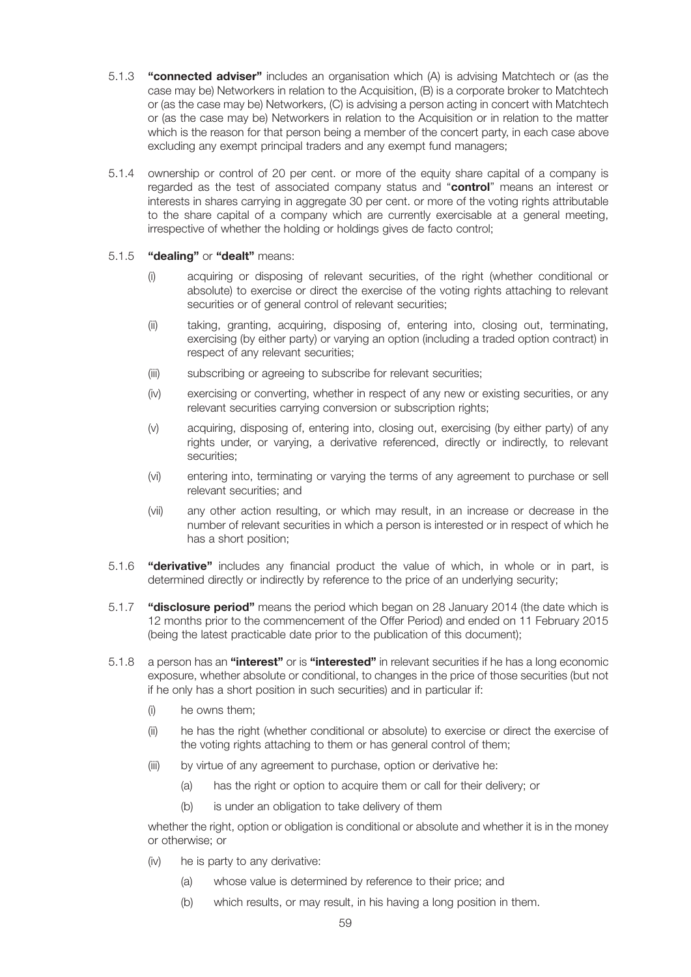- 5.1.3 **"connected adviser"** includes an organisation which (A) is advising Matchtech or (as the case may be) Networkers in relation to the Acquisition, (B) is a corporate broker to Matchtech or (as the case may be) Networkers, (C) is advising a person acting in concert with Matchtech or (as the case may be) Networkers in relation to the Acquisition or in relation to the matter which is the reason for that person being a member of the concert party, in each case above excluding any exempt principal traders and any exempt fund managers;
- 5.1.4 ownership or control of 20 per cent. or more of the equity share capital of a company is regarded as the test of associated company status and "**control**" means an interest or interests in shares carrying in aggregate 30 per cent. or more of the voting rights attributable to the share capital of a company which are currently exercisable at a general meeting, irrespective of whether the holding or holdings gives de facto control;
- 5.1.5 **"dealing"** or **"dealt"** means:
	- (i) acquiring or disposing of relevant securities, of the right (whether conditional or absolute) to exercise or direct the exercise of the voting rights attaching to relevant securities or of general control of relevant securities;
	- (ii) taking, granting, acquiring, disposing of, entering into, closing out, terminating, exercising (by either party) or varying an option (including a traded option contract) in respect of any relevant securities;
	- (iii) subscribing or agreeing to subscribe for relevant securities;
	- (iv) exercising or converting, whether in respect of any new or existing securities, or any relevant securities carrying conversion or subscription rights;
	- (v) acquiring, disposing of, entering into, closing out, exercising (by either party) of any rights under, or varying, a derivative referenced, directly or indirectly, to relevant securities;
	- (vi) entering into, terminating or varying the terms of any agreement to purchase or sell relevant securities; and
	- (vii) any other action resulting, or which may result, in an increase or decrease in the number of relevant securities in which a person is interested or in respect of which he has a short position;
- 5.1.6 **"derivative"** includes any financial product the value of which, in whole or in part, is determined directly or indirectly by reference to the price of an underlying security;
- 5.1.7 **"disclosure period"** means the period which began on 28 January 2014 (the date which is 12 months prior to the commencement of the Offer Period) and ended on 11 February 2015 (being the latest practicable date prior to the publication of this document);
- 5.1.8 a person has an **"interest"** or is **"interested"** in relevant securities if he has a long economic exposure, whether absolute or conditional, to changes in the price of those securities (but not if he only has a short position in such securities) and in particular if:
	- (i) he owns them;
	- (ii) he has the right (whether conditional or absolute) to exercise or direct the exercise of the voting rights attaching to them or has general control of them;
	- (iii) by virtue of any agreement to purchase, option or derivative he:
		- (a) has the right or option to acquire them or call for their delivery; or
		- (b) is under an obligation to take delivery of them

 whether the right, option or obligation is conditional or absolute and whether it is in the money or otherwise; or

- (iv) he is party to any derivative:
	- (a) whose value is determined by reference to their price; and
	- (b) which results, or may result, in his having a long position in them.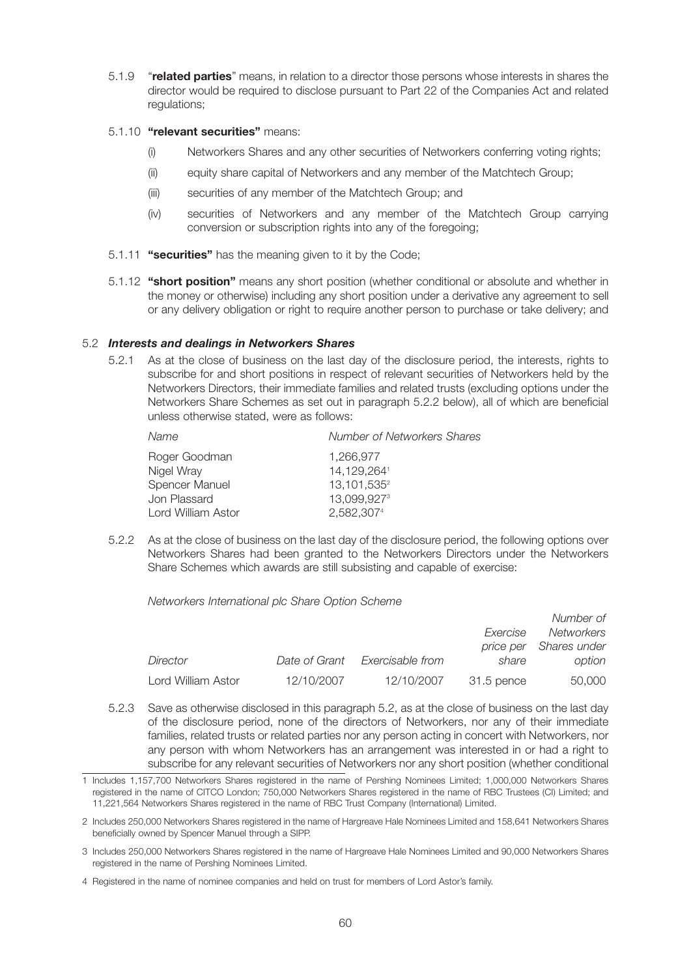5.1.9 "**related parties**" means, in relation to a director those persons whose interests in shares the director would be required to disclose pursuant to Part 22 of the Companies Act and related regulations;

### 5.1.10 **"relevant securities"** means:

- (i) Networkers Shares and any other securities of Networkers conferring voting rights;
- (ii) equity share capital of Networkers and any member of the Matchtech Group;
- (iii) securities of any member of the Matchtech Group; and
- (iv) securities of Networkers and any member of the Matchtech Group carrying conversion or subscription rights into any of the foregoing;
- 5.1.11 **"securities"** has the meaning given to it by the Code;
- 5.1.12 **"short position"** means any short position (whether conditional or absolute and whether in the money or otherwise) including any short position under a derivative any agreement to sell or any delivery obligation or right to require another person to purchase or take delivery; and

### 5.2 *Interests and dealings in Networkers Shares*

 5.2.1 As at the close of business on the last day of the disclosure period, the interests, rights to subscribe for and short positions in respect of relevant securities of Networkers held by the Networkers Directors, their immediate families and related trusts (excluding options under the Networkers Share Schemes as set out in paragraph 5.2.2 below), all of which are beneficial unless otherwise stated, were as follows:

| Name                               | Number of Networkers Shares           |
|------------------------------------|---------------------------------------|
| Roger Goodman<br>Nigel Wray        | 1,266,977<br>14.129.2641              |
| <b>Spencer Manuel</b>              | 13,101,535 <sup>2</sup>               |
| Jon Plassard<br>Lord William Astor | 13,099,927 <sup>3</sup><br>2.582.3074 |
|                                    |                                       |

 5.2.2 As at the close of business on the last day of the disclosure period, the following options over Networkers Shares had been granted to the Networkers Directors under the Networkers Share Schemes which awards are still subsisting and capable of exercise:

 *Networkers International plc Share Option Scheme*

|                    |               |                  |            | Number of              |
|--------------------|---------------|------------------|------------|------------------------|
|                    |               |                  | Exercise   | Networkers             |
|                    |               |                  |            | price per Shares under |
| Director           | Date of Grant | Exercisable from | share      | option                 |
| Lord William Astor | 12/10/2007    | 12/10/2007       | 31.5 pence | 50,000                 |

 5.2.3 Save as otherwise disclosed in this paragraph 5.2, as at the close of business on the last day of the disclosure period, none of the directors of Networkers, nor any of their immediate families, related trusts or related parties nor any person acting in concert with Networkers, nor any person with whom Networkers has an arrangement was interested in or had a right to subscribe for any relevant securities of Networkers nor any short position (whether conditional

<sup>1</sup> Includes 1,157,700 Networkers Shares registered in the name of Pershing Nominees Limited; 1,000,000 Networkers Shares registered in the name of CITCO London; 750,000 Networkers Shares registered in the name of RBC Trustees (CI) Limited; and 11,221,564 Networkers Shares registered in the name of RBC Trust Company (International) Limited.

<sup>2</sup> Includes 250,000 Networkers Shares registered in the name of Hargreave Hale Nominees Limited and 158,641 Networkers Shares beneficially owned by Spencer Manuel through a SIPP.

<sup>3</sup> Includes 250,000 Networkers Shares registered in the name of Hargreave Hale Nominees Limited and 90,000 Networkers Shares registered in the name of Pershing Nominees Limited.

<sup>4</sup> Registered in the name of nominee companies and held on trust for members of Lord Astor's family.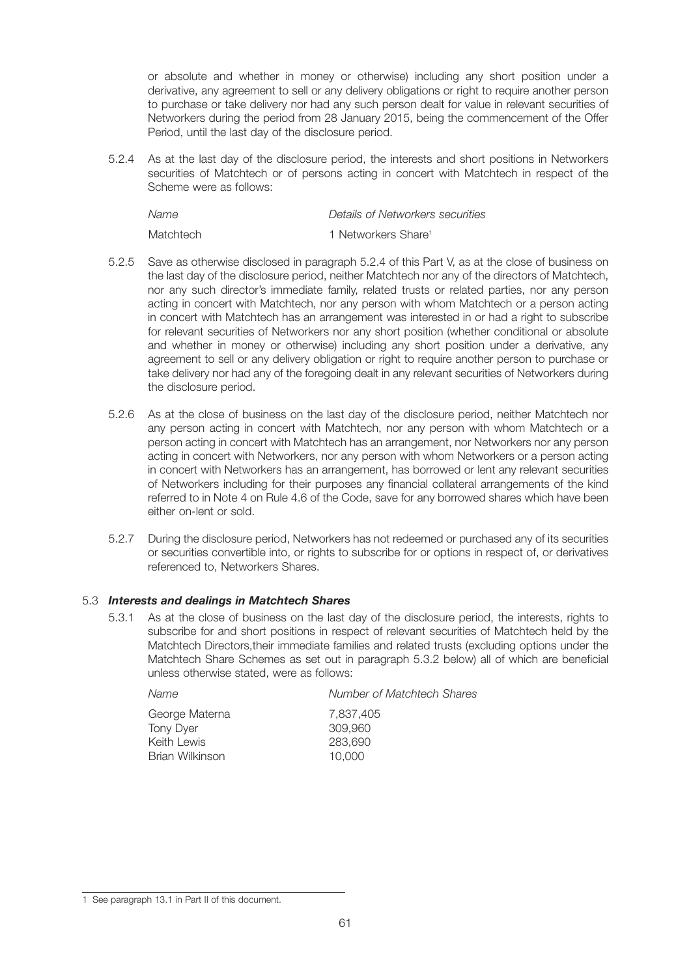or absolute and whether in money or otherwise) including any short position under a derivative, any agreement to sell or any delivery obligations or right to require another person to purchase or take delivery nor had any such person dealt for value in relevant securities of Networkers during the period from 28 January 2015, being the commencement of the Offer Period, until the last day of the disclosure period.

 5.2.4 As at the last day of the disclosure period, the interests and short positions in Networkers securities of Matchtech or of persons acting in concert with Matchtech in respect of the Scheme were as follows:

| Name      | Details of Networkers securities |
|-----------|----------------------------------|
| Matchtech | 1 Networkers Share <sup>1</sup>  |

- 5.2.5 Save as otherwise disclosed in paragraph 5.2.4 of this Part V, as at the close of business on the last day of the disclosure period, neither Matchtech nor any of the directors of Matchtech, nor any such director's immediate family, related trusts or related parties, nor any person acting in concert with Matchtech, nor any person with whom Matchtech or a person acting in concert with Matchtech has an arrangement was interested in or had a right to subscribe for relevant securities of Networkers nor any short position (whether conditional or absolute and whether in money or otherwise) including any short position under a derivative, any agreement to sell or any delivery obligation or right to require another person to purchase or take delivery nor had any of the foregoing dealt in any relevant securities of Networkers during the disclosure period.
- 5.2.6 As at the close of business on the last day of the disclosure period, neither Matchtech nor any person acting in concert with Matchtech, nor any person with whom Matchtech or a person acting in concert with Matchtech has an arrangement, nor Networkers nor any person acting in concert with Networkers, nor any person with whom Networkers or a person acting in concert with Networkers has an arrangement, has borrowed or lent any relevant securities of Networkers including for their purposes any financial collateral arrangements of the kind referred to in Note 4 on Rule 4.6 of the Code, save for any borrowed shares which have been either on-lent or sold.
- 5.2.7 During the disclosure period, Networkers has not redeemed or purchased any of its securities or securities convertible into, or rights to subscribe for or options in respect of, or derivatives referenced to, Networkers Shares.

## 5.3 *Interests and dealings in Matchtech Shares*

 5.3.1 As at the close of business on the last day of the disclosure period, the interests, rights to subscribe for and short positions in respect of relevant securities of Matchtech held by the Matchtech Directors,their immediate families and related trusts (excluding options under the Matchtech Share Schemes as set out in paragraph 5.3.2 below) all of which are beneficial unless otherwise stated, were as follows:

| Name             | Number of Matchtech Shares |
|------------------|----------------------------|
| George Materna   | 7.837.405                  |
| <b>Tony Dyer</b> | 309.960                    |
| Keith Lewis      | 283,690                    |
| Brian Wilkinson  | 10,000                     |
|                  |                            |

<sup>1</sup> See paragraph 13.1 in Part II of this document.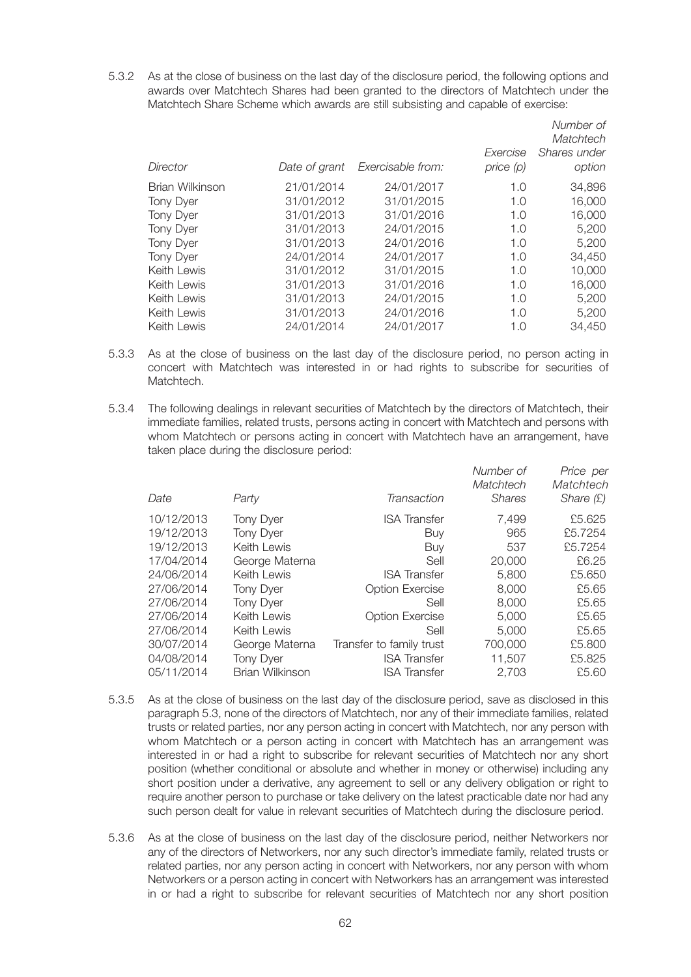5.3.2 As at the close of business on the last day of the disclosure period, the following options and awards over Matchtech Shares had been granted to the directors of Matchtech under the Matchtech Share Scheme which awards are still subsisting and capable of exercise:

|                    |               |                   |             | Number of<br>Matchtech |
|--------------------|---------------|-------------------|-------------|------------------------|
|                    |               |                   | Exercise    | Shares under           |
| Director           | Date of grant | Exercisable from: | price $(p)$ | option                 |
| Brian Wilkinson    | 21/01/2014    | 24/01/2017        | 1.0         | 34,896                 |
| <b>Tony Dyer</b>   | 31/01/2012    | 31/01/2015        | 1.0         | 16,000                 |
| <b>Tony Dyer</b>   | 31/01/2013    | 31/01/2016        | 1.0         | 16,000                 |
| <b>Tony Dyer</b>   | 31/01/2013    | 24/01/2015        | 1.0         | 5,200                  |
| <b>Tony Dyer</b>   | 31/01/2013    | 24/01/2016        | 1.0         | 5,200                  |
| <b>Tony Dyer</b>   | 24/01/2014    | 24/01/2017        | 1.0         | 34,450                 |
| <b>Keith Lewis</b> | 31/01/2012    | 31/01/2015        | 1.0         | 10,000                 |
| <b>Keith Lewis</b> | 31/01/2013    | 31/01/2016        | 1.0         | 16,000                 |
| Keith Lewis        | 31/01/2013    | 24/01/2015        | 1.0         | 5,200                  |
| Keith Lewis        | 31/01/2013    | 24/01/2016        | 1.0         | 5,200                  |
| Keith Lewis        | 24/01/2014    | 24/01/2017        | 1.0         | 34,450                 |

- 5.3.3 As at the close of business on the last day of the disclosure period, no person acting in concert with Matchtech was interested in or had rights to subscribe for securities of Matchtech.
- 5.3.4 The following dealings in relevant securities of Matchtech by the directors of Matchtech, their immediate families, related trusts, persons acting in concert with Matchtech and persons with whom Matchtech or persons acting in concert with Matchtech have an arrangement, have taken place during the disclosure period:

| Date       | Party                  | Transaction              | <i>INUITIDEL OI</i><br>Matchtech<br><b>Shares</b> | <i>Frice per</i><br>Matchtech<br>Share $(E)$ |
|------------|------------------------|--------------------------|---------------------------------------------------|----------------------------------------------|
| 10/12/2013 | <b>Tony Dyer</b>       | <b>ISA Transfer</b>      | 7,499                                             | £5.625                                       |
| 19/12/2013 | Tony Dyer              | Buy                      | 965                                               | £5.7254                                      |
| 19/12/2013 | <b>Keith Lewis</b>     | Buy                      | 537                                               | £5.7254                                      |
| 17/04/2014 | George Materna         | Sell                     | 20,000                                            | £6.25                                        |
| 24/06/2014 | <b>Keith Lewis</b>     | <b>ISA Transfer</b>      | 5,800                                             | £5.650                                       |
| 27/06/2014 | <b>Tony Dyer</b>       | <b>Option Exercise</b>   | 8,000                                             | £5.65                                        |
| 27/06/2014 | <b>Tony Dyer</b>       | Sell                     | 8,000                                             | £5.65                                        |
| 27/06/2014 | Keith Lewis            | <b>Option Exercise</b>   | 5,000                                             | £5.65                                        |
| 27/06/2014 | Keith Lewis            | Sell                     | 5.000                                             | £5.65                                        |
| 30/07/2014 | George Materna         | Transfer to family trust | 700,000                                           | £5,800                                       |
| 04/08/2014 | <b>Tony Dyer</b>       | <b>ISA Transfer</b>      | 11,507                                            | £5,825                                       |
| 05/11/2014 | <b>Brian Wilkinson</b> | <b>ISA Transfer</b>      | 2,703                                             | £5.60                                        |
|            |                        |                          |                                                   |                                              |

*Number of Price per* 

- 5.3.5 As at the close of business on the last day of the disclosure period, save as disclosed in this paragraph 5.3, none of the directors of Matchtech, nor any of their immediate families, related trusts or related parties, nor any person acting in concert with Matchtech, nor any person with whom Matchtech or a person acting in concert with Matchtech has an arrangement was interested in or had a right to subscribe for relevant securities of Matchtech nor any short position (whether conditional or absolute and whether in money or otherwise) including any short position under a derivative, any agreement to sell or any delivery obligation or right to require another person to purchase or take delivery on the latest practicable date nor had any such person dealt for value in relevant securities of Matchtech during the disclosure period.
- 5.3.6 As at the close of business on the last day of the disclosure period, neither Networkers nor any of the directors of Networkers, nor any such director's immediate family, related trusts or related parties, nor any person acting in concert with Networkers, nor any person with whom Networkers or a person acting in concert with Networkers has an arrangement was interested in or had a right to subscribe for relevant securities of Matchtech nor any short position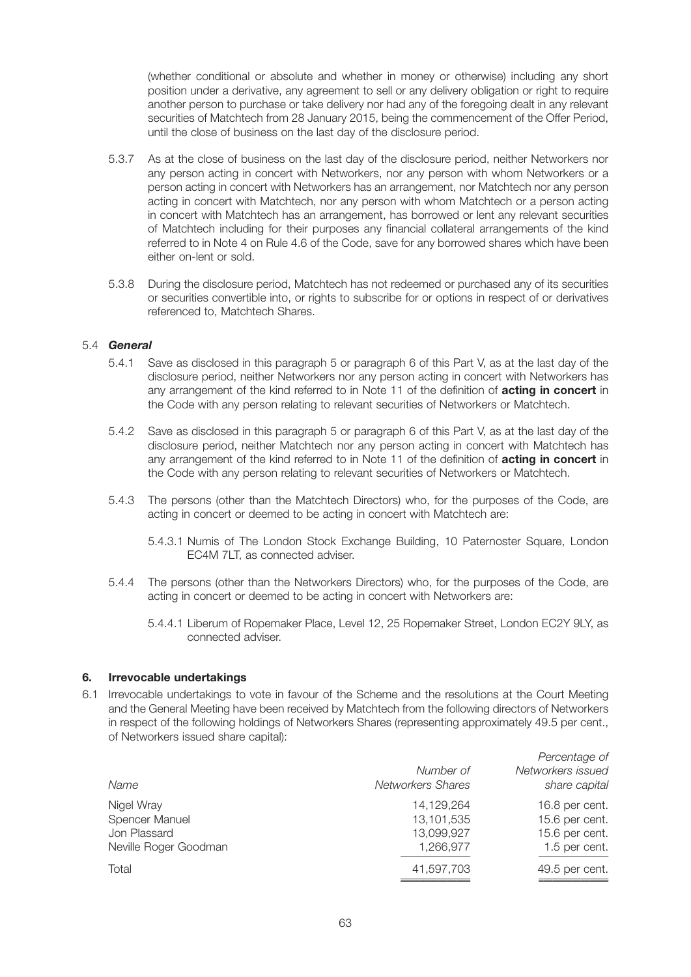(whether conditional or absolute and whether in money or otherwise) including any short position under a derivative, any agreement to sell or any delivery obligation or right to require another person to purchase or take delivery nor had any of the foregoing dealt in any relevant securities of Matchtech from 28 January 2015, being the commencement of the Offer Period, until the close of business on the last day of the disclosure period.

- 5.3.7 As at the close of business on the last day of the disclosure period, neither Networkers nor any person acting in concert with Networkers, nor any person with whom Networkers or a person acting in concert with Networkers has an arrangement, nor Matchtech nor any person acting in concert with Matchtech, nor any person with whom Matchtech or a person acting in concert with Matchtech has an arrangement, has borrowed or lent any relevant securities of Matchtech including for their purposes any financial collateral arrangements of the kind referred to in Note 4 on Rule 4.6 of the Code, save for any borrowed shares which have been either on-lent or sold.
- 5.3.8 During the disclosure period, Matchtech has not redeemed or purchased any of its securities or securities convertible into, or rights to subscribe for or options in respect of or derivatives referenced to, Matchtech Shares.

### 5.4 *General*

- 5.4.1 Save as disclosed in this paragraph 5 or paragraph 6 of this Part V, as at the last day of the disclosure period, neither Networkers nor any person acting in concert with Networkers has any arrangement of the kind referred to in Note 11 of the definition of **acting in concert** in the Code with any person relating to relevant securities of Networkers or Matchtech.
- 5.4.2 Save as disclosed in this paragraph 5 or paragraph 6 of this Part V, as at the last day of the disclosure period, neither Matchtech nor any person acting in concert with Matchtech has any arrangement of the kind referred to in Note 11 of the definition of **acting in concert** in the Code with any person relating to relevant securities of Networkers or Matchtech.
- 5.4.3 The persons (other than the Matchtech Directors) who, for the purposes of the Code, are acting in concert or deemed to be acting in concert with Matchtech are:
	- 5.4.3.1 Numis of The London Stock Exchange Building, 10 Paternoster Square, London EC4M 7LT, as connected adviser.
- 5.4.4 The persons (other than the Networkers Directors) who, for the purposes of the Code, are acting in concert or deemed to be acting in concert with Networkers are:
	- 5.4.4.1 Liberum of Ropemaker Place, Level 12, 25 Ropemaker Street, London EC2Y 9LY, as connected adviser.

#### **6. Irrevocable undertakings**

6.1 Irrevocable undertakings to vote in favour of the Scheme and the resolutions at the Court Meeting and the General Meeting have been received by Matchtech from the following directors of Networkers in respect of the following holdings of Networkers Shares (representing approximately 49.5 per cent., of Networkers issued share capital):

| Name                  | Number of<br><b>Networkers Shares</b> | Percentage of<br>Networkers issued<br>share capital |
|-----------------------|---------------------------------------|-----------------------------------------------------|
| Nigel Wray            | 14,129,264                            | 16.8 per cent.                                      |
| <b>Spencer Manuel</b> | 13, 101, 535                          | 15.6 per cent.                                      |
| Jon Plassard          | 13,099,927                            | 15.6 per cent.                                      |
| Neville Roger Goodman | 1,266,977                             | 1.5 per cent.                                       |
| Total                 | 41,597,703                            | 49.5 per cent.                                      |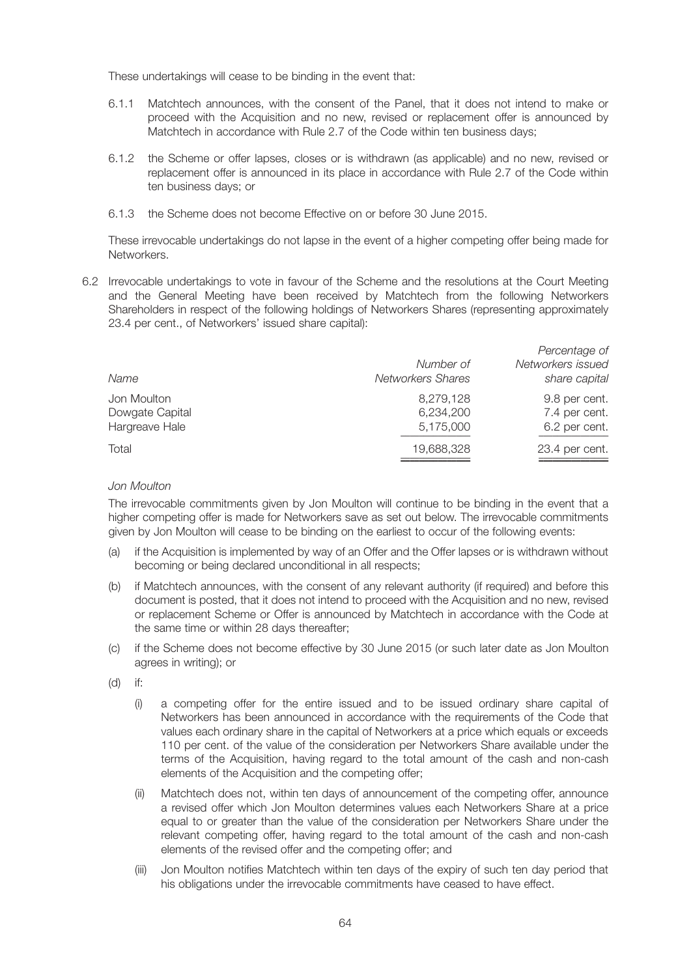These undertakings will cease to be binding in the event that:

- 6.1.1 Matchtech announces, with the consent of the Panel, that it does not intend to make or proceed with the Acquisition and no new, revised or replacement offer is announced by Matchtech in accordance with Rule 2.7 of the Code within ten business days;
- 6.1.2 the Scheme or offer lapses, closes or is withdrawn (as applicable) and no new, revised or replacement offer is announced in its place in accordance with Rule 2.7 of the Code within ten business days; or
- 6.1.3 the Scheme does not become Effective on or before 30 June 2015.

 These irrevocable undertakings do not lapse in the event of a higher competing offer being made for Networkers.

6.2 Irrevocable undertakings to vote in favour of the Scheme and the resolutions at the Court Meeting and the General Meeting have been received by Matchtech from the following Networkers Shareholders in respect of the following holdings of Networkers Shares (representing approximately 23.4 per cent., of Networkers' issued share capital):

| Name                                             | Number of<br><b>Networkers Shares</b> | Percentage of<br>Networkers issued<br>share capital |
|--------------------------------------------------|---------------------------------------|-----------------------------------------------------|
| Jon Moulton<br>Dowgate Capital<br>Hargreave Hale | 8,279,128<br>6,234,200<br>5,175,000   | 9.8 per cent.<br>7.4 per cent.<br>6.2 per cent.     |
| Total                                            | 19,688,328                            | 23.4 per cent.                                      |

## *Jon Moulton*

 The irrevocable commitments given by Jon Moulton will continue to be binding in the event that a higher competing offer is made for Networkers save as set out below. The irrevocable commitments given by Jon Moulton will cease to be binding on the earliest to occur of the following events:

- (a) if the Acquisition is implemented by way of an Offer and the Offer lapses or is withdrawn without becoming or being declared unconditional in all respects;
- (b) if Matchtech announces, with the consent of any relevant authority (if required) and before this document is posted, that it does not intend to proceed with the Acquisition and no new, revised or replacement Scheme or Offer is announced by Matchtech in accordance with the Code at the same time or within 28 days thereafter;
- (c) if the Scheme does not become effective by 30 June 2015 (or such later date as Jon Moulton agrees in writing); or
- (d) if:
	- (i) a competing offer for the entire issued and to be issued ordinary share capital of Networkers has been announced in accordance with the requirements of the Code that values each ordinary share in the capital of Networkers at a price which equals or exceeds 110 per cent. of the value of the consideration per Networkers Share available under the terms of the Acquisition, having regard to the total amount of the cash and non-cash elements of the Acquisition and the competing offer;
	- (ii) Matchtech does not, within ten days of announcement of the competing offer, announce a revised offer which Jon Moulton determines values each Networkers Share at a price equal to or greater than the value of the consideration per Networkers Share under the relevant competing offer, having regard to the total amount of the cash and non-cash elements of the revised offer and the competing offer; and
	- (iii) Jon Moulton notifies Matchtech within ten days of the expiry of such ten day period that his obligations under the irrevocable commitments have ceased to have effect.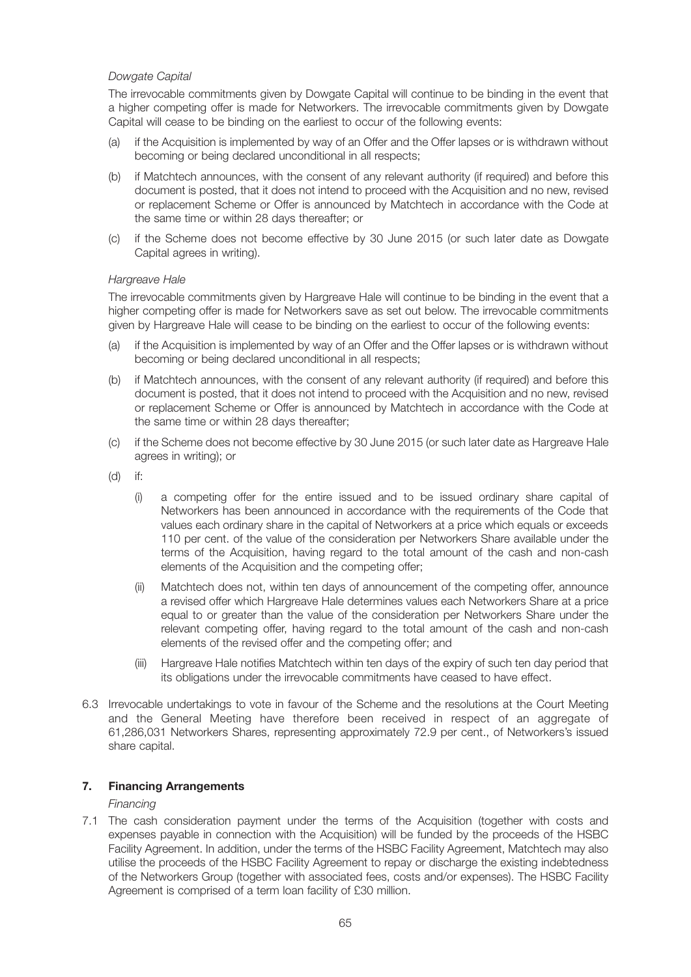## *Dowgate Capital*

 The irrevocable commitments given by Dowgate Capital will continue to be binding in the event that a higher competing offer is made for Networkers. The irrevocable commitments given by Dowgate Capital will cease to be binding on the earliest to occur of the following events:

- (a) if the Acquisition is implemented by way of an Offer and the Offer lapses or is withdrawn without becoming or being declared unconditional in all respects;
- (b) if Matchtech announces, with the consent of any relevant authority (if required) and before this document is posted, that it does not intend to proceed with the Acquisition and no new, revised or replacement Scheme or Offer is announced by Matchtech in accordance with the Code at the same time or within 28 days thereafter; or
- (c) if the Scheme does not become effective by 30 June 2015 (or such later date as Dowgate Capital agrees in writing).

## *Hargreave Hale*

 The irrevocable commitments given by Hargreave Hale will continue to be binding in the event that a higher competing offer is made for Networkers save as set out below. The irrevocable commitments given by Hargreave Hale will cease to be binding on the earliest to occur of the following events:

- (a) if the Acquisition is implemented by way of an Offer and the Offer lapses or is withdrawn without becoming or being declared unconditional in all respects;
- (b) if Matchtech announces, with the consent of any relevant authority (if required) and before this document is posted, that it does not intend to proceed with the Acquisition and no new, revised or replacement Scheme or Offer is announced by Matchtech in accordance with the Code at the same time or within 28 days thereafter;
- (c) if the Scheme does not become effective by 30 June 2015 (or such later date as Hargreave Hale agrees in writing); or
- (d) if:
	- (i) a competing offer for the entire issued and to be issued ordinary share capital of Networkers has been announced in accordance with the requirements of the Code that values each ordinary share in the capital of Networkers at a price which equals or exceeds 110 per cent. of the value of the consideration per Networkers Share available under the terms of the Acquisition, having regard to the total amount of the cash and non-cash elements of the Acquisition and the competing offer;
	- (ii) Matchtech does not, within ten days of announcement of the competing offer, announce a revised offer which Hargreave Hale determines values each Networkers Share at a price equal to or greater than the value of the consideration per Networkers Share under the relevant competing offer, having regard to the total amount of the cash and non-cash elements of the revised offer and the competing offer; and
	- (iii) Hargreave Hale notifies Matchtech within ten days of the expiry of such ten day period that its obligations under the irrevocable commitments have ceased to have effect.
- 6.3 Irrevocable undertakings to vote in favour of the Scheme and the resolutions at the Court Meeting and the General Meeting have therefore been received in respect of an aggregate of 61,286,031 Networkers Shares, representing approximately 72.9 per cent., of Networkers's issued share capital.

## **7. Financing Arrangements**

## *Financing*

7.1 The cash consideration payment under the terms of the Acquisition (together with costs and expenses payable in connection with the Acquisition) will be funded by the proceeds of the HSBC Facility Agreement. In addition, under the terms of the HSBC Facility Agreement, Matchtech may also utilise the proceeds of the HSBC Facility Agreement to repay or discharge the existing indebtedness of the Networkers Group (together with associated fees, costs and/or expenses). The HSBC Facility Agreement is comprised of a term loan facility of £30 million.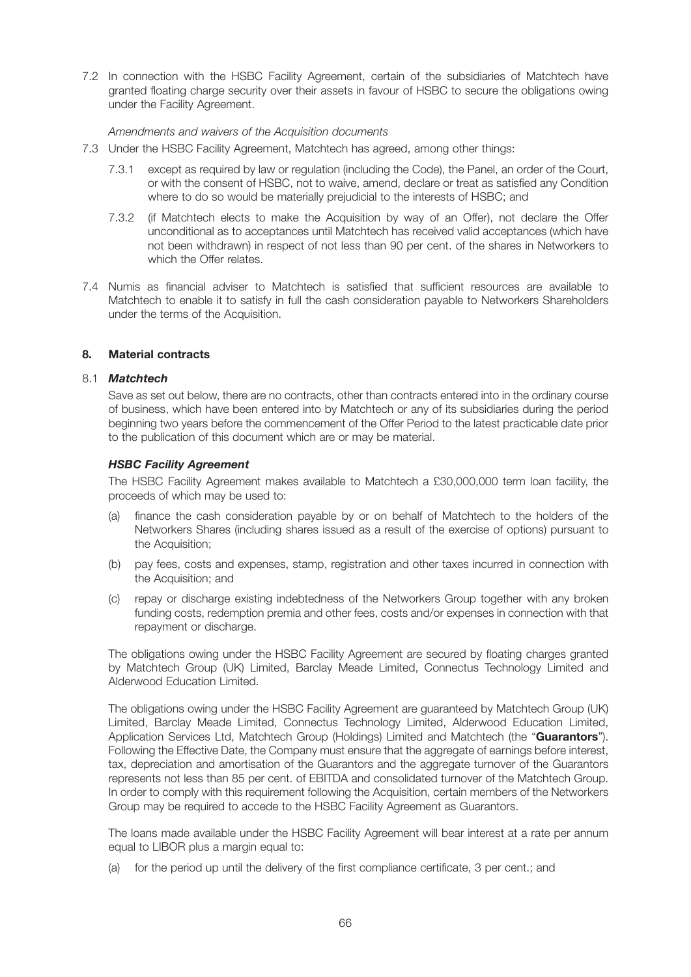7.2 In connection with the HSBC Facility Agreement, certain of the subsidiaries of Matchtech have granted floating charge security over their assets in favour of HSBC to secure the obligations owing under the Facility Agreement.

#### *Amendments and waivers of the Acquisition documents*

- 7.3 Under the HSBC Facility Agreement, Matchtech has agreed, among other things:
	- 7.3.1 except as required by law or regulation (including the Code), the Panel, an order of the Court, or with the consent of HSBC, not to waive, amend, declare or treat as satisfied any Condition where to do so would be materially prejudicial to the interests of HSBC; and
	- 7.3.2 (if Matchtech elects to make the Acquisition by way of an Offer), not declare the Offer unconditional as to acceptances until Matchtech has received valid acceptances (which have not been withdrawn) in respect of not less than 90 per cent. of the shares in Networkers to which the Offer relates.
- 7.4 Numis as financial adviser to Matchtech is satisfied that sufficient resources are available to Matchtech to enable it to satisfy in full the cash consideration payable to Networkers Shareholders under the terms of the Acquisition.

## **8. Material contracts**

### 8.1 *Matchtech*

 Save as set out below, there are no contracts, other than contracts entered into in the ordinary course of business, which have been entered into by Matchtech or any of its subsidiaries during the period beginning two years before the commencement of the Offer Period to the latest practicable date prior to the publication of this document which are or may be material.

## *HSBC Facility Agreement*

The HSBC Facility Agreement makes available to Matchtech a £30,000,000 term loan facility, the proceeds of which may be used to:

- (a) finance the cash consideration payable by or on behalf of Matchtech to the holders of the Networkers Shares (including shares issued as a result of the exercise of options) pursuant to the Acquisition;
- (b) pay fees, costs and expenses, stamp, registration and other taxes incurred in connection with the Acquisition; and
- (c) repay or discharge existing indebtedness of the Networkers Group together with any broken funding costs, redemption premia and other fees, costs and/or expenses in connection with that repayment or discharge.

The obligations owing under the HSBC Facility Agreement are secured by floating charges granted by Matchtech Group (UK) Limited, Barclay Meade Limited, Connectus Technology Limited and Alderwood Education Limited.

The obligations owing under the HSBC Facility Agreement are guaranteed by Matchtech Group (UK) Limited, Barclay Meade Limited, Connectus Technology Limited, Alderwood Education Limited, Application Services Ltd, Matchtech Group (Holdings) Limited and Matchtech (the "**Guarantors**"). Following the Effective Date, the Company must ensure that the aggregate of earnings before interest, tax, depreciation and amortisation of the Guarantors and the aggregate turnover of the Guarantors represents not less than 85 per cent. of EBITDA and consolidated turnover of the Matchtech Group. In order to comply with this requirement following the Acquisition, certain members of the Networkers Group may be required to accede to the HSBC Facility Agreement as Guarantors.

The loans made available under the HSBC Facility Agreement will bear interest at a rate per annum equal to LIBOR plus a margin equal to:

(a) for the period up until the delivery of the first compliance certificate, 3 per cent.; and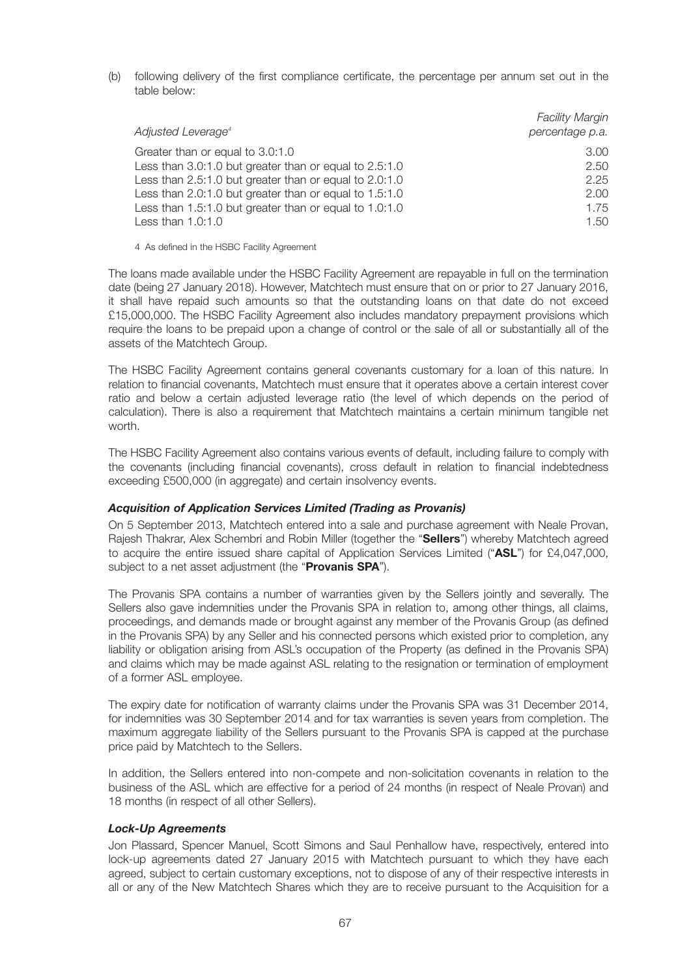(b) following delivery of the first compliance certificate, the percentage per annum set out in the table below:

| Adjusted Leverage <sup>4</sup>                         | <b>Facility Margin</b><br>percentage p.a. |
|--------------------------------------------------------|-------------------------------------------|
| Greater than or equal to 3.0:1.0                       | 3.00                                      |
| Less than 3.0:1.0 but greater than or equal to 2.5:1.0 | 2.50                                      |
| Less than 2.5:1.0 but greater than or equal to 2.0:1.0 | 2.25                                      |
| Less than 2.0:1.0 but greater than or equal to 1.5:1.0 | 2.00                                      |
| Less than 1.5:1.0 but greater than or equal to 1.0:1.0 | 1.75                                      |
| Less than $1.0:1.0$                                    | 1.50                                      |

#### 4 As defined in the HSBC Facility Agreement

The loans made available under the HSBC Facility Agreement are repayable in full on the termination date (being 27 January 2018). However, Matchtech must ensure that on or prior to 27 January 2016, it shall have repaid such amounts so that the outstanding loans on that date do not exceed £15,000,000. The HSBC Facility Agreement also includes mandatory prepayment provisions which require the loans to be prepaid upon a change of control or the sale of all or substantially all of the assets of the Matchtech Group.

The HSBC Facility Agreement contains general covenants customary for a loan of this nature. In relation to financial covenants, Matchtech must ensure that it operates above a certain interest cover ratio and below a certain adjusted leverage ratio (the level of which depends on the period of calculation). There is also a requirement that Matchtech maintains a certain minimum tangible net worth.

The HSBC Facility Agreement also contains various events of default, including failure to comply with the covenants (including financial covenants), cross default in relation to financial indebtedness exceeding £500,000 (in aggregate) and certain insolvency events.

#### *Acquisition of Application Services Limited (Trading as Provanis)*

On 5 September 2013, Matchtech entered into a sale and purchase agreement with Neale Provan, Rajesh Thakrar, Alex Schembri and Robin Miller (together the "**Sellers**") whereby Matchtech agreed to acquire the entire issued share capital of Application Services Limited ("**ASL**") for £4,047,000, subject to a net asset adjustment (the "**Provanis SPA**").

The Provanis SPA contains a number of warranties given by the Sellers jointly and severally. The Sellers also gave indemnities under the Provanis SPA in relation to, among other things, all claims, proceedings, and demands made or brought against any member of the Provanis Group (as defined in the Provanis SPA) by any Seller and his connected persons which existed prior to completion, any liability or obligation arising from ASL's occupation of the Property (as defined in the Provanis SPA) and claims which may be made against ASL relating to the resignation or termination of employment of a former ASL employee.

The expiry date for notification of warranty claims under the Provanis SPA was 31 December 2014, for indemnities was 30 September 2014 and for tax warranties is seven years from completion. The maximum aggregate liability of the Sellers pursuant to the Provanis SPA is capped at the purchase price paid by Matchtech to the Sellers.

In addition, the Sellers entered into non-compete and non-solicitation covenants in relation to the business of the ASL which are effective for a period of 24 months (in respect of Neale Provan) and 18 months (in respect of all other Sellers).

#### *Lock-Up Agreements*

Jon Plassard, Spencer Manuel, Scott Simons and Saul Penhallow have, respectively, entered into lock-up agreements dated 27 January 2015 with Matchtech pursuant to which they have each agreed, subject to certain customary exceptions, not to dispose of any of their respective interests in all or any of the New Matchtech Shares which they are to receive pursuant to the Acquisition for a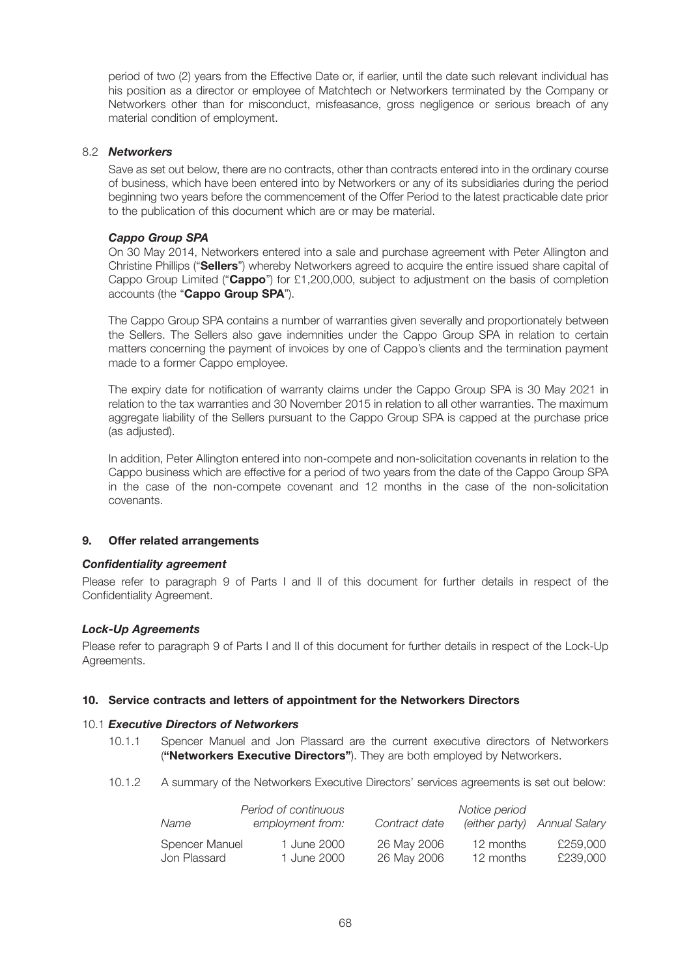period of two (2) years from the Effective Date or, if earlier, until the date such relevant individual has his position as a director or employee of Matchtech or Networkers terminated by the Company or Networkers other than for misconduct, misfeasance, gross negligence or serious breach of any material condition of employment.

### 8.2 *Networkers*

 Save as set out below, there are no contracts, other than contracts entered into in the ordinary course of business, which have been entered into by Networkers or any of its subsidiaries during the period beginning two years before the commencement of the Offer Period to the latest practicable date prior to the publication of this document which are or may be material.

### *Cappo Group SPA*

 On 30 May 2014, Networkers entered into a sale and purchase agreement with Peter Allington and Christine Phillips ("**Sellers**") whereby Networkers agreed to acquire the entire issued share capital of Cappo Group Limited ("**Cappo**") for £1,200,000, subject to adjustment on the basis of completion accounts (the "**Cappo Group SPA**").

 The Cappo Group SPA contains a number of warranties given severally and proportionately between the Sellers. The Sellers also gave indemnities under the Cappo Group SPA in relation to certain matters concerning the payment of invoices by one of Cappo's clients and the termination payment made to a former Cappo employee.

 The expiry date for notification of warranty claims under the Cappo Group SPA is 30 May 2021 in relation to the tax warranties and 30 November 2015 in relation to all other warranties. The maximum aggregate liability of the Sellers pursuant to the Cappo Group SPA is capped at the purchase price (as adjusted).

 In addition, Peter Allington entered into non-compete and non-solicitation covenants in relation to the Cappo business which are effective for a period of two years from the date of the Cappo Group SPA in the case of the non-compete covenant and 12 months in the case of the non-solicitation covenants.

## **9. Offer related arrangements**

#### *Confidentiality agreement*

Please refer to paragraph 9 of Parts I and II of this document for further details in respect of the Confidentiality Agreement.

#### *Lock-Up Agreements*

Please refer to paragraph 9 of Parts I and II of this document for further details in respect of the Lock-Up Agreements.

#### **10. Service contracts and letters of appointment for the Networkers Directors**

#### 10.1 *Executive Directors of Networkers*

- 10.1.1 Spencer Manuel and Jon Plassard are the current executive directors of Networkers (**"Networkers Executive Directors"**). They are both employed by Networkers.
- 10.1.2 A summary of the Networkers Executive Directors' services agreements is set out below:

| Name           | Period of continuous<br>employment from: | Contract date | Notice period | (either party) Annual Salary |
|----------------|------------------------------------------|---------------|---------------|------------------------------|
| Spencer Manuel | 1 June 2000                              | 26 May 2006   | 12 months     | £259,000                     |
| Jon Plassard   | 1 June 2000                              | 26 May 2006   | 12 months     | £239,000                     |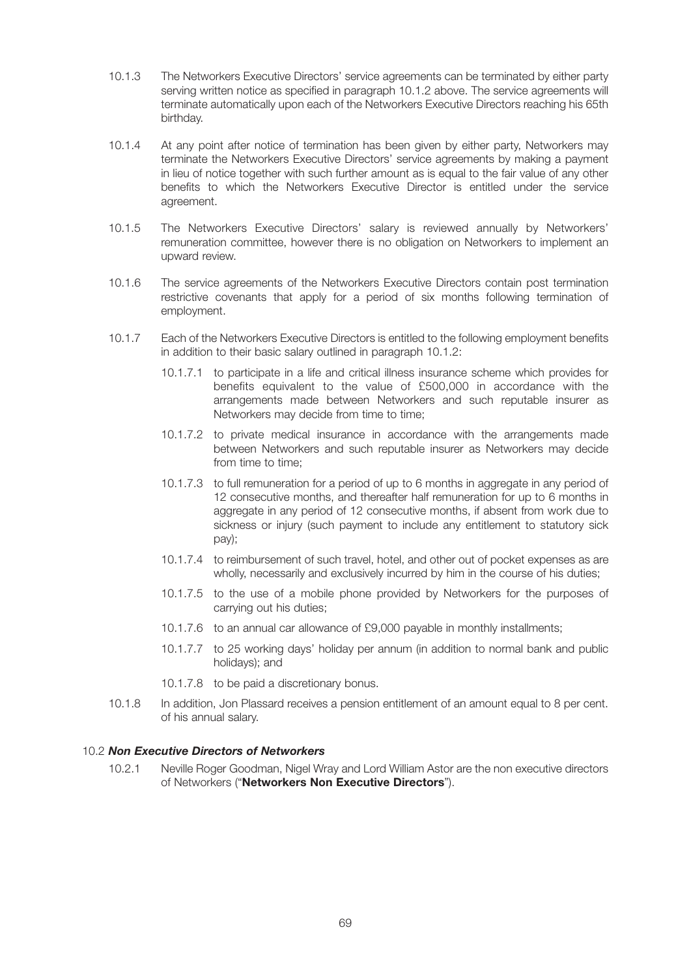- 10.1.3 The Networkers Executive Directors' service agreements can be terminated by either party serving written notice as specified in paragraph 10.1.2 above. The service agreements will terminate automatically upon each of the Networkers Executive Directors reaching his 65th birthday.
- 10.1.4 At any point after notice of termination has been given by either party, Networkers may terminate the Networkers Executive Directors' service agreements by making a payment in lieu of notice together with such further amount as is equal to the fair value of any other benefits to which the Networkers Executive Director is entitled under the service agreement.
- 10.1.5 The Networkers Executive Directors' salary is reviewed annually by Networkers' remuneration committee, however there is no obligation on Networkers to implement an upward review.
- 10.1.6 The service agreements of the Networkers Executive Directors contain post termination restrictive covenants that apply for a period of six months following termination of employment.
- 10.1.7 Each of the Networkers Executive Directors is entitled to the following employment benefits in addition to their basic salary outlined in paragraph 10.1.2:
	- 10.1.7.1 to participate in a life and critical illness insurance scheme which provides for benefits equivalent to the value of £500,000 in accordance with the arrangements made between Networkers and such reputable insurer as Networkers may decide from time to time;
	- 10.1.7.2 to private medical insurance in accordance with the arrangements made between Networkers and such reputable insurer as Networkers may decide from time to time;
	- 10.1.7.3 to full remuneration for a period of up to 6 months in aggregate in any period of 12 consecutive months, and thereafter half remuneration for up to 6 months in aggregate in any period of 12 consecutive months, if absent from work due to sickness or injury (such payment to include any entitlement to statutory sick pay);
	- 10.1.7.4 to reimbursement of such travel, hotel, and other out of pocket expenses as are wholly, necessarily and exclusively incurred by him in the course of his duties;
	- 10.1.7.5 to the use of a mobile phone provided by Networkers for the purposes of carrying out his duties;
	- 10.1.7.6 to an annual car allowance of £9,000 payable in monthly installments;
	- 10.1.7.7 to 25 working days' holiday per annum (in addition to normal bank and public holidays); and
	- 10.1.7.8 to be paid a discretionary bonus.
- 10.1.8 In addition, Jon Plassard receives a pension entitlement of an amount equal to 8 per cent. of his annual salary.

## 10.2 *Non Executive Directors of Networkers*

 10.2.1 Neville Roger Goodman, Nigel Wray and Lord William Astor are the non executive directors of Networkers ("**Networkers Non Executive Directors**").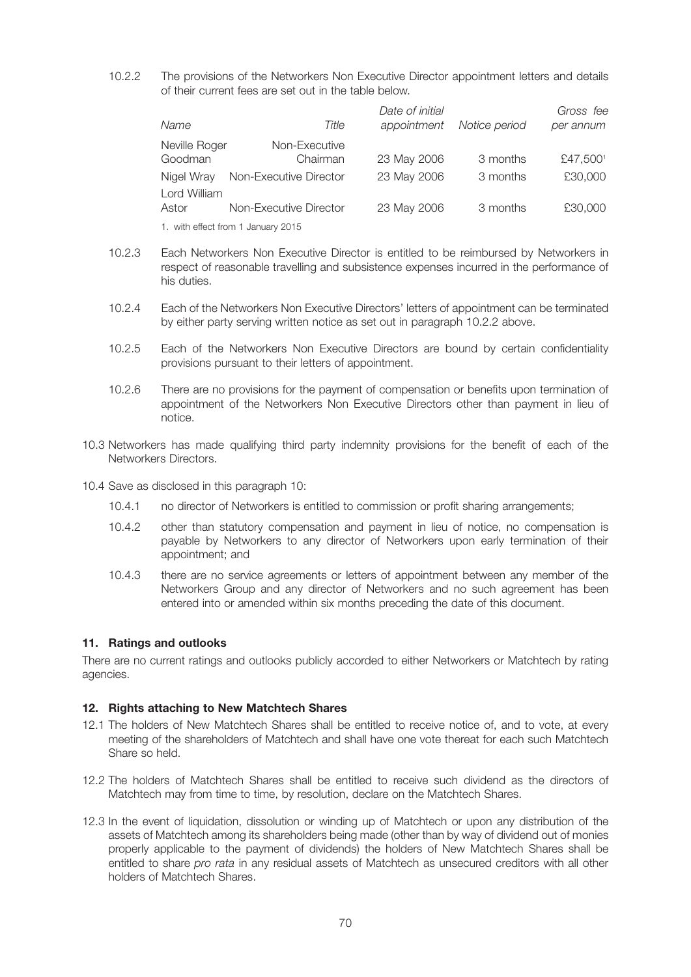10.2.2 The provisions of the Networkers Non Executive Director appointment letters and details of their current fees are set out in the table below.

| Name                     | Title                              | Date of initial<br>appointment | Notice period | Gross fee<br>per annum |
|--------------------------|------------------------------------|--------------------------------|---------------|------------------------|
| Neville Roger<br>Goodman | Non-Executive<br>Chairman          | 23 May 2006                    | 3 months      | £47,5001               |
| Nigel Wray               | Non-Executive Director             | 23 May 2006                    | 3 months      | £30,000                |
| Lord William<br>Astor    | Non-Executive Director             | 23 May 2006                    | 3 months      | £30,000                |
|                          | 1. with effect from 1 January 2015 |                                |               |                        |

- 10.2.3 Each Networkers Non Executive Director is entitled to be reimbursed by Networkers in respect of reasonable travelling and subsistence expenses incurred in the performance of his duties.
- 10.2.4 Each of the Networkers Non Executive Directors' letters of appointment can be terminated by either party serving written notice as set out in paragraph 10.2.2 above.
- 10.2.5 Each of the Networkers Non Executive Directors are bound by certain confidentiality provisions pursuant to their letters of appointment.
- 10.2.6 There are no provisions for the payment of compensation or benefits upon termination of appointment of the Networkers Non Executive Directors other than payment in lieu of notice.
- 10.3 Networkers has made qualifying third party indemnity provisions for the benefit of each of the Networkers Directors.
- 10.4 Save as disclosed in this paragraph 10:
	- 10.4.1 no director of Networkers is entitled to commission or profit sharing arrangements;
	- 10.4.2 other than statutory compensation and payment in lieu of notice, no compensation is payable by Networkers to any director of Networkers upon early termination of their appointment; and
	- 10.4.3 there are no service agreements or letters of appointment between any member of the Networkers Group and any director of Networkers and no such agreement has been entered into or amended within six months preceding the date of this document.

### **11. Ratings and outlooks**

There are no current ratings and outlooks publicly accorded to either Networkers or Matchtech by rating agencies.

#### **12. Rights attaching to New Matchtech Shares**

- 12.1 The holders of New Matchtech Shares shall be entitled to receive notice of, and to vote, at every meeting of the shareholders of Matchtech and shall have one vote thereat for each such Matchtech Share so held.
- 12.2 The holders of Matchtech Shares shall be entitled to receive such dividend as the directors of Matchtech may from time to time, by resolution, declare on the Matchtech Shares.
- 12.3 In the event of liquidation, dissolution or winding up of Matchtech or upon any distribution of the assets of Matchtech among its shareholders being made (other than by way of dividend out of monies properly applicable to the payment of dividends) the holders of New Matchtech Shares shall be entitled to share *pro rata* in any residual assets of Matchtech as unsecured creditors with all other holders of Matchtech Shares.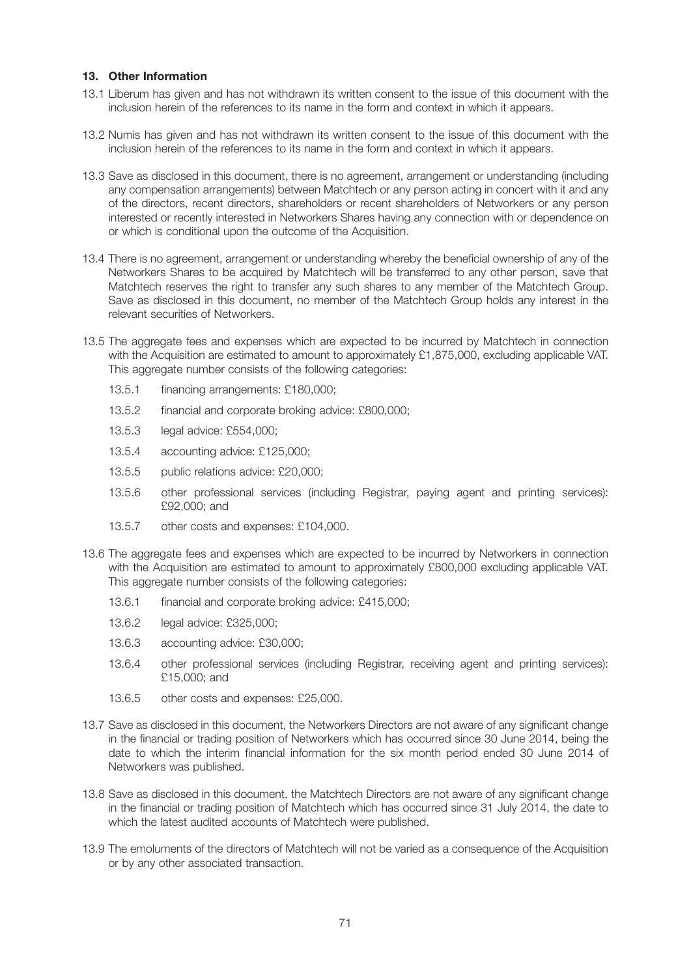### **13. Other Information**

- 13.1 Liberum has given and has not withdrawn its written consent to the issue of this document with the inclusion herein of the references to its name in the form and context in which it appears.
- 13.2 Numis has given and has not withdrawn its written consent to the issue of this document with the inclusion herein of the references to its name in the form and context in which it appears.
- 13.3 Save as disclosed in this document, there is no agreement, arrangement or understanding (including any compensation arrangements) between Matchtech or any person acting in concert with it and any of the directors, recent directors, shareholders or recent shareholders of Networkers or any person interested or recently interested in Networkers Shares having any connection with or dependence on or which is conditional upon the outcome of the Acquisition.
- 13.4 There is no agreement, arrangement or understanding whereby the beneficial ownership of any of the Networkers Shares to be acquired by Matchtech will be transferred to any other person, save that Matchtech reserves the right to transfer any such shares to any member of the Matchtech Group. Save as disclosed in this document, no member of the Matchtech Group holds any interest in the relevant securities of Networkers.
- 13.5 The aggregate fees and expenses which are expected to be incurred by Matchtech in connection with the Acquisition are estimated to amount to approximately £1,875,000, excluding applicable VAT. This aggregate number consists of the following categories:
	- 13.5.1 financing arrangements: £180,000;
	- 13.5.2 financial and corporate broking advice: £800,000;
	- 13.5.3 legal advice: £554,000;
	- 13.5.4 accounting advice: £125,000;
	- 13.5.5 public relations advice: £20,000;
	- 13.5.6 other professional services (including Registrar, paying agent and printing services): £92,000; and
	- 13.5.7 other costs and expenses: £104,000.
- 13.6 The aggregate fees and expenses which are expected to be incurred by Networkers in connection with the Acquisition are estimated to amount to approximately £800,000 excluding applicable VAT. This aggregate number consists of the following categories:
	- 13.6.1 financial and corporate broking advice: £415,000;
	- 13.6.2 legal advice: £325,000;
	- 13.6.3 accounting advice: £30,000;
	- 13.6.4 other professional services (including Registrar, receiving agent and printing services): £15,000; and
	- 13.6.5 other costs and expenses: £25,000.
- 13.7 Save as disclosed in this document, the Networkers Directors are not aware of any significant change in the financial or trading position of Networkers which has occurred since 30 June 2014, being the date to which the interim financial information for the six month period ended 30 June 2014 of Networkers was published.
- 13.8 Save as disclosed in this document, the Matchtech Directors are not aware of any significant change in the financial or trading position of Matchtech which has occurred since 31 July 2014, the date to which the latest audited accounts of Matchtech were published.
- 13.9 The emoluments of the directors of Matchtech will not be varied as a consequence of the Acquisition or by any other associated transaction.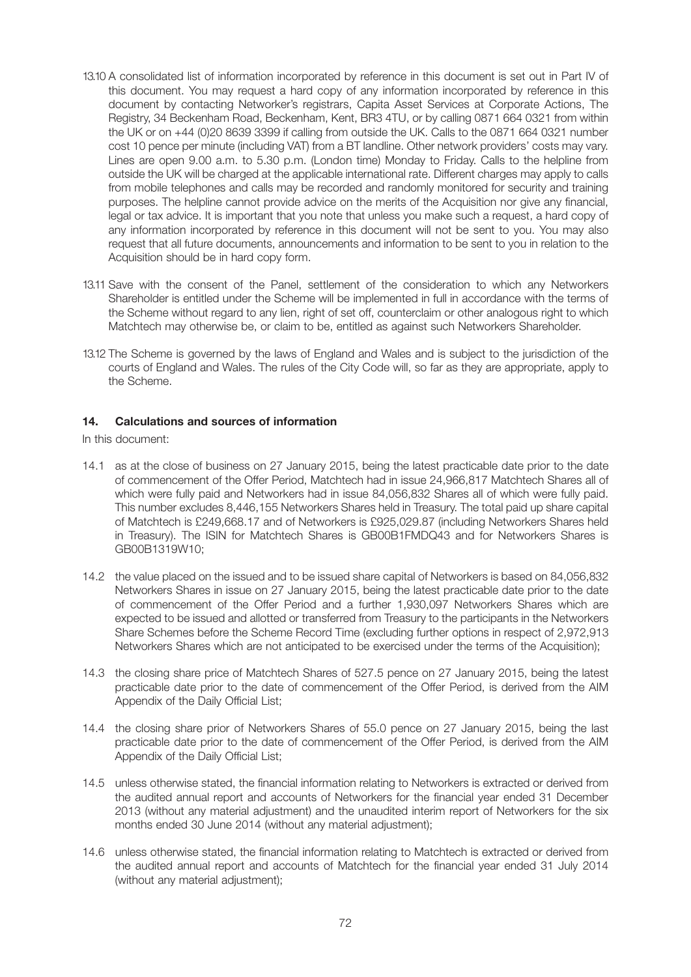- 13.10 A consolidated list of information incorporated by reference in this document is set out in Part IV of this document. You may request a hard copy of any information incorporated by reference in this document by contacting Networker's registrars, Capita Asset Services at Corporate Actions, The Registry, 34 Beckenham Road, Beckenham, Kent, BR3 4TU, or by calling 0871 664 0321 from within the UK or on +44 (0)20 8639 3399 if calling from outside the UK. Calls to the 0871 664 0321 number cost 10 pence per minute (including VAT) from a BT landline. Other network providers' costs may vary. Lines are open 9.00 a.m. to 5.30 p.m. (London time) Monday to Friday. Calls to the helpline from outside the UK will be charged at the applicable international rate. Different charges may apply to calls from mobile telephones and calls may be recorded and randomly monitored for security and training purposes. The helpline cannot provide advice on the merits of the Acquisition nor give any financial, legal or tax advice. It is important that you note that unless you make such a request, a hard copy of any information incorporated by reference in this document will not be sent to you. You may also request that all future documents, announcements and information to be sent to you in relation to the Acquisition should be in hard copy form.
- 13.11 Save with the consent of the Panel, settlement of the consideration to which any Networkers Shareholder is entitled under the Scheme will be implemented in full in accordance with the terms of the Scheme without regard to any lien, right of set off, counterclaim or other analogous right to which Matchtech may otherwise be, or claim to be, entitled as against such Networkers Shareholder.
- 13.12 The Scheme is governed by the laws of England and Wales and is subject to the jurisdiction of the courts of England and Wales. The rules of the City Code will, so far as they are appropriate, apply to the Scheme.

## **14. Calculations and sources of information**

In this document:

- 14.1 as at the close of business on 27 January 2015, being the latest practicable date prior to the date of commencement of the Offer Period, Matchtech had in issue 24,966,817 Matchtech Shares all of which were fully paid and Networkers had in issue 84,056,832 Shares all of which were fully paid. This number excludes 8,446,155 Networkers Shares held in Treasury. The total paid up share capital of Matchtech is £249,668.17 and of Networkers is £925,029.87 (including Networkers Shares held in Treasury). The ISIN for Matchtech Shares is GB00B1FMDQ43 and for Networkers Shares is GB00B1319W10;
- 14.2 the value placed on the issued and to be issued share capital of Networkers is based on 84,056,832 Networkers Shares in issue on 27 January 2015, being the latest practicable date prior to the date of commencement of the Offer Period and a further 1,930,097 Networkers Shares which are expected to be issued and allotted or transferred from Treasury to the participants in the Networkers Share Schemes before the Scheme Record Time (excluding further options in respect of 2,972,913 Networkers Shares which are not anticipated to be exercised under the terms of the Acquisition);
- 14.3 the closing share price of Matchtech Shares of 527.5 pence on 27 January 2015, being the latest practicable date prior to the date of commencement of the Offer Period, is derived from the AIM Appendix of the Daily Official List;
- 14.4 the closing share prior of Networkers Shares of 55.0 pence on 27 January 2015, being the last practicable date prior to the date of commencement of the Offer Period, is derived from the AIM Appendix of the Daily Official List;
- 14.5 unless otherwise stated, the financial information relating to Networkers is extracted or derived from the audited annual report and accounts of Networkers for the financial year ended 31 December 2013 (without any material adjustment) and the unaudited interim report of Networkers for the six months ended 30 June 2014 (without any material adjustment);
- 14.6 unless otherwise stated, the financial information relating to Matchtech is extracted or derived from the audited annual report and accounts of Matchtech for the financial year ended 31 July 2014 (without any material adjustment);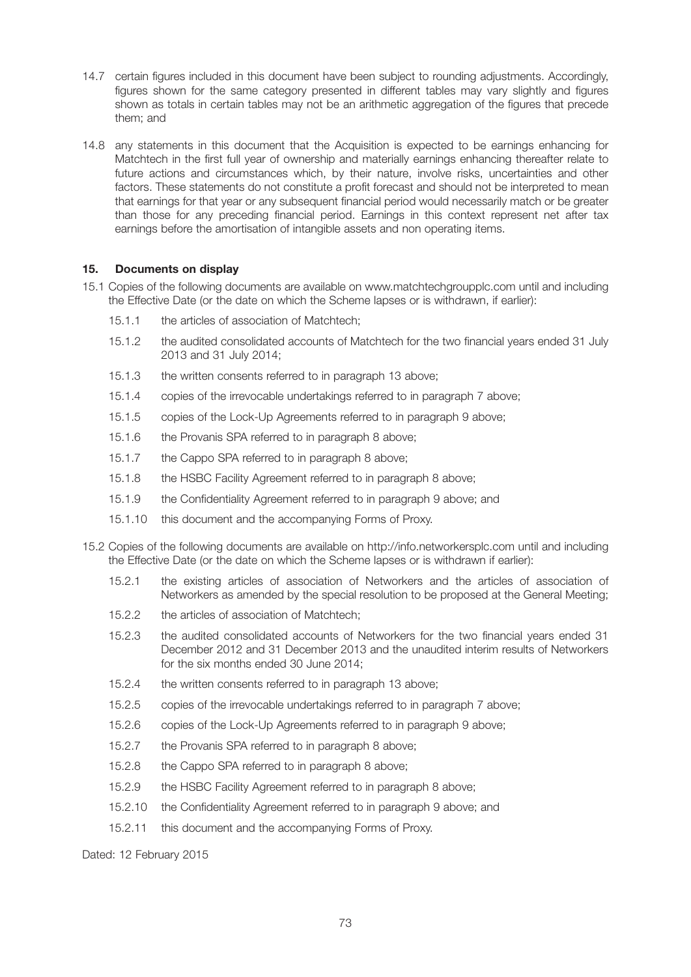- 14.7 certain figures included in this document have been subject to rounding adjustments. Accordingly, figures shown for the same category presented in different tables may vary slightly and figures shown as totals in certain tables may not be an arithmetic aggregation of the figures that precede them; and
- 14.8 any statements in this document that the Acquisition is expected to be earnings enhancing for Matchtech in the first full year of ownership and materially earnings enhancing thereafter relate to future actions and circumstances which, by their nature, involve risks, uncertainties and other factors. These statements do not constitute a profit forecast and should not be interpreted to mean that earnings for that year or any subsequent financial period would necessarily match or be greater than those for any preceding financial period. Earnings in this context represent net after tax earnings before the amortisation of intangible assets and non operating items.

#### **15. Documents on display**

- 15.1 Copies of the following documents are available on www.matchtechgroupplc.com until and including the Effective Date (or the date on which the Scheme lapses or is withdrawn, if earlier):
	- 15.1.1 the articles of association of Matchtech;
	- 15.1.2 the audited consolidated accounts of Matchtech for the two financial years ended 31 July 2013 and 31 July 2014;
	- 15.1.3 the written consents referred to in paragraph 13 above;
	- 15.1.4 copies of the irrevocable undertakings referred to in paragraph 7 above;
	- 15.1.5 copies of the Lock-Up Agreements referred to in paragraph 9 above;
	- 15.1.6 the Provanis SPA referred to in paragraph 8 above;
	- 15.1.7 the Cappo SPA referred to in paragraph 8 above;
	- 15.1.8 the HSBC Facility Agreement referred to in paragraph 8 above;
	- 15.1.9 the Confidentiality Agreement referred to in paragraph 9 above; and
	- 15.1.10 this document and the accompanying Forms of Proxy.
- 15.2 Copies of the following documents are available on http://info.networkersplc.com until and including the Effective Date (or the date on which the Scheme lapses or is withdrawn if earlier):
	- 15.2.1 the existing articles of association of Networkers and the articles of association of Networkers as amended by the special resolution to be proposed at the General Meeting;
	- 15.2.2 the articles of association of Matchtech;
	- 15.2.3 the audited consolidated accounts of Networkers for the two financial years ended 31 December 2012 and 31 December 2013 and the unaudited interim results of Networkers for the six months ended 30 June 2014;
	- 15.2.4 the written consents referred to in paragraph 13 above;
	- 15.2.5 copies of the irrevocable undertakings referred to in paragraph 7 above;
	- 15.2.6 copies of the Lock-Up Agreements referred to in paragraph 9 above;
	- 15.2.7 the Provanis SPA referred to in paragraph 8 above;
	- 15.2.8 the Cappo SPA referred to in paragraph 8 above;
	- 15.2.9 the HSBC Facility Agreement referred to in paragraph 8 above;
	- 15.2.10 the Confidentiality Agreement referred to in paragraph 9 above; and
	- 15.2.11 this document and the accompanying Forms of Proxy.

Dated: 12 February 2015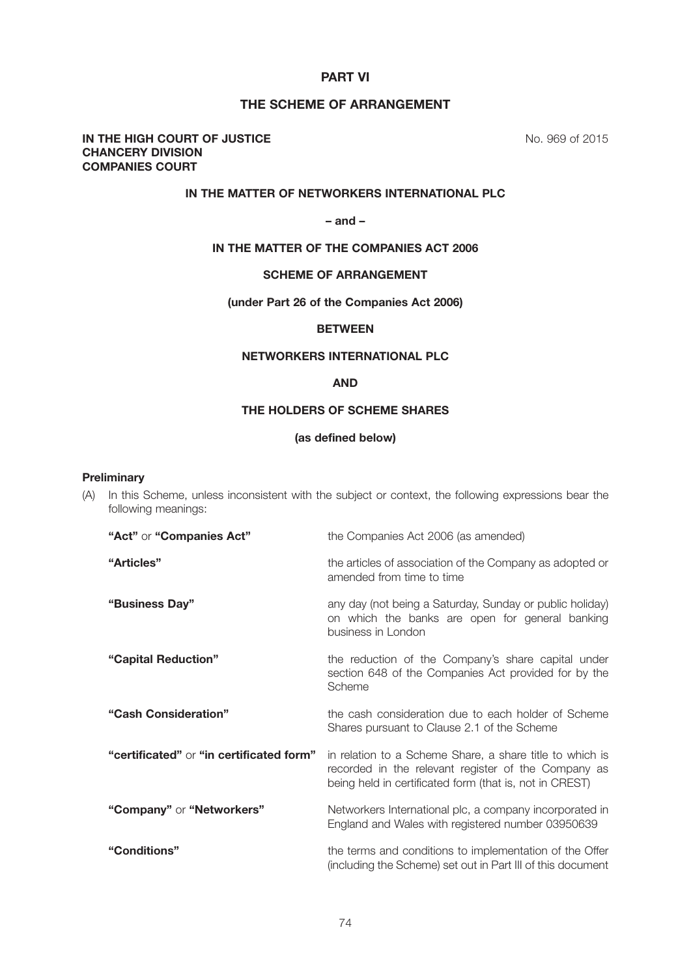### **PART VI**

## **THE SCHEME OF ARRANGEMENT**

#### **IN THE HIGH COURT OF JUSTICE No. 969 of 2015 CHANCERY DIVISION COMPANIES COURT**

#### **IN THE MATTER OF NETWORKERS INTERNATIONAL PLC**

**– and –**

### **IN THE MATTER OF THE COMPANIES ACT 2006**

#### **SCHEME OF ARRANGEMENT**

**(under Part 26 of the Companies Act 2006)**

### **BETWEEN**

### **NETWORKERS INTERNATIONAL PLC**

#### **AND**

#### **THE HOLDERS OF SCHEME SHARES**

### **(as defined below)**

#### **Preliminary**

(A) In this Scheme, unless inconsistent with the subject or context, the following expressions bear the following meanings:

| "Act" or "Companies Act"                 | the Companies Act 2006 (as amended)                                                                                                                                        |
|------------------------------------------|----------------------------------------------------------------------------------------------------------------------------------------------------------------------------|
| "Articles"                               | the articles of association of the Company as adopted or<br>amended from time to time                                                                                      |
| "Business Day"                           | any day (not being a Saturday, Sunday or public holiday)<br>on which the banks are open for general banking<br>business in London                                          |
| "Capital Reduction"                      | the reduction of the Company's share capital under<br>section 648 of the Companies Act provided for by the<br>Scheme                                                       |
| "Cash Consideration"                     | the cash consideration due to each holder of Scheme<br>Shares pursuant to Clause 2.1 of the Scheme                                                                         |
| "certificated" or "in certificated form" | in relation to a Scheme Share, a share title to which is<br>recorded in the relevant register of the Company as<br>being held in certificated form (that is, not in CREST) |
| "Company" or "Networkers"                | Networkers International plc, a company incorporated in<br>England and Wales with registered number 03950639                                                               |
| "Conditions"                             | the terms and conditions to implementation of the Offer<br>(including the Scheme) set out in Part III of this document                                                     |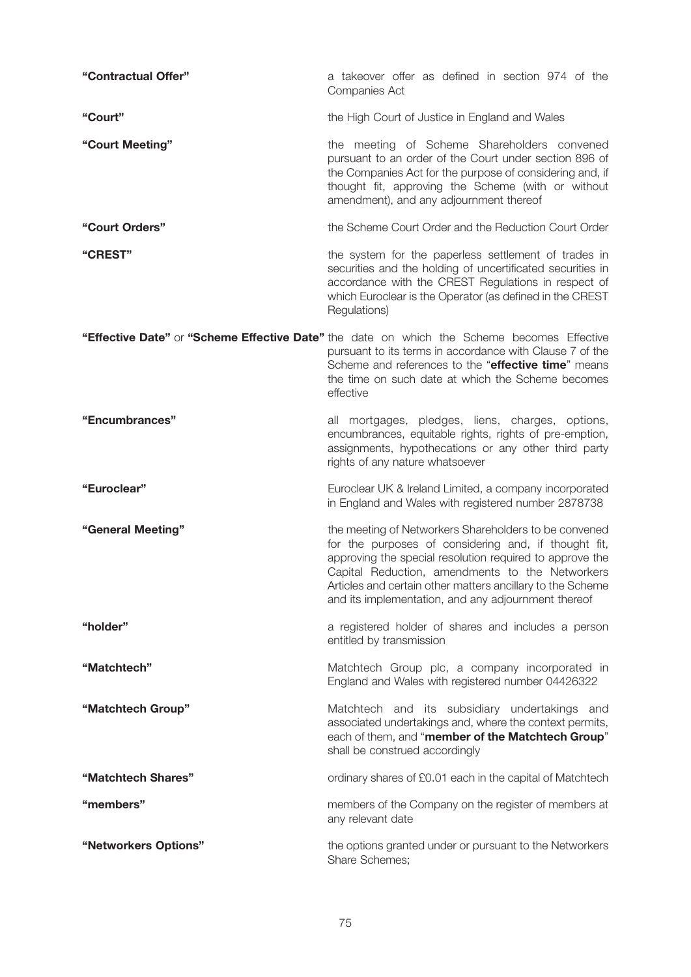| "Contractual Offer"  | a takeover offer as defined in section 974 of the<br>Companies Act                                                                                                                                                                                                                                                                                |
|----------------------|---------------------------------------------------------------------------------------------------------------------------------------------------------------------------------------------------------------------------------------------------------------------------------------------------------------------------------------------------|
| "Court"              | the High Court of Justice in England and Wales                                                                                                                                                                                                                                                                                                    |
| "Court Meeting"      | the meeting of Scheme Shareholders convened<br>pursuant to an order of the Court under section 896 of<br>the Companies Act for the purpose of considering and, if<br>thought fit, approving the Scheme (with or without<br>amendment), and any adjournment thereof                                                                                |
| "Court Orders"       | the Scheme Court Order and the Reduction Court Order                                                                                                                                                                                                                                                                                              |
| "CREST"              | the system for the paperless settlement of trades in<br>securities and the holding of uncertificated securities in<br>accordance with the CREST Regulations in respect of<br>which Euroclear is the Operator (as defined in the CREST<br>Regulations)                                                                                             |
|                      | "Effective Date" or "Scheme Effective Date" the date on which the Scheme becomes Effective<br>pursuant to its terms in accordance with Clause 7 of the<br>Scheme and references to the "effective time" means<br>the time on such date at which the Scheme becomes<br>effective                                                                   |
| "Encumbrances"       | all mortgages, pledges, liens, charges, options,<br>encumbrances, equitable rights, rights of pre-emption,<br>assignments, hypothecations or any other third party<br>rights of any nature whatsoever                                                                                                                                             |
| "Euroclear"          | Euroclear UK & Ireland Limited, a company incorporated<br>in England and Wales with registered number 2878738                                                                                                                                                                                                                                     |
| "General Meeting"    | the meeting of Networkers Shareholders to be convened<br>for the purposes of considering and, if thought fit,<br>approving the special resolution required to approve the<br>Capital Reduction, amendments to the Networkers<br>Articles and certain other matters ancillary to the Scheme<br>and its implementation, and any adjournment thereof |
| "holder"             | a registered holder of shares and includes a person<br>entitled by transmission                                                                                                                                                                                                                                                                   |
| "Matchtech"          | Matchtech Group plc, a company incorporated in<br>England and Wales with registered number 04426322                                                                                                                                                                                                                                               |
| "Matchtech Group"    | Matchtech and its subsidiary undertakings and<br>associated undertakings and, where the context permits,<br>each of them, and "member of the Matchtech Group"<br>shall be construed accordingly                                                                                                                                                   |
| "Matchtech Shares"   | ordinary shares of £0.01 each in the capital of Matchtech                                                                                                                                                                                                                                                                                         |
| "members"            | members of the Company on the register of members at<br>any relevant date                                                                                                                                                                                                                                                                         |
| "Networkers Options" | the options granted under or pursuant to the Networkers<br>Share Schemes;                                                                                                                                                                                                                                                                         |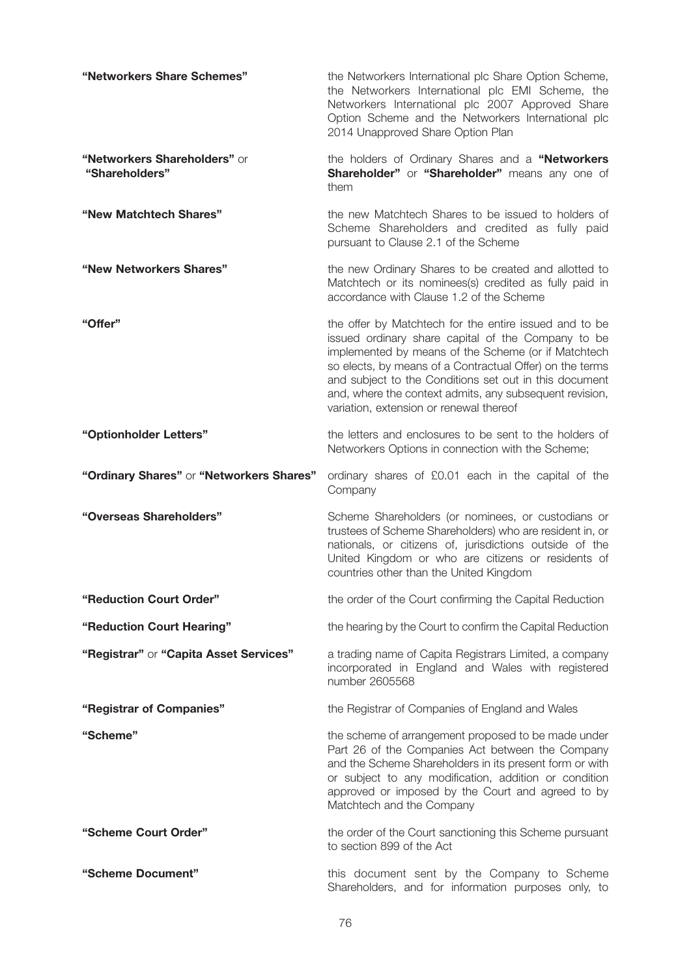| "Networkers Share Schemes"                     | the Networkers International plc Share Option Scheme,<br>the Networkers International plc EMI Scheme, the<br>Networkers International plc 2007 Approved Share<br>Option Scheme and the Networkers International plc<br>2014 Unapproved Share Option Plan                                                                                                                                        |
|------------------------------------------------|-------------------------------------------------------------------------------------------------------------------------------------------------------------------------------------------------------------------------------------------------------------------------------------------------------------------------------------------------------------------------------------------------|
| "Networkers Shareholders" or<br>"Shareholders" | the holders of Ordinary Shares and a "Networkers<br>Shareholder" or "Shareholder" means any one of<br>them                                                                                                                                                                                                                                                                                      |
| "New Matchtech Shares"                         | the new Matchtech Shares to be issued to holders of<br>Scheme Shareholders and credited as fully paid<br>pursuant to Clause 2.1 of the Scheme                                                                                                                                                                                                                                                   |
| "New Networkers Shares"                        | the new Ordinary Shares to be created and allotted to<br>Matchtech or its nominees(s) credited as fully paid in<br>accordance with Clause 1.2 of the Scheme                                                                                                                                                                                                                                     |
| "Offer"                                        | the offer by Matchtech for the entire issued and to be<br>issued ordinary share capital of the Company to be<br>implemented by means of the Scheme (or if Matchtech<br>so elects, by means of a Contractual Offer) on the terms<br>and subject to the Conditions set out in this document<br>and, where the context admits, any subsequent revision,<br>variation, extension or renewal thereof |
| "Optionholder Letters"                         | the letters and enclosures to be sent to the holders of<br>Networkers Options in connection with the Scheme;                                                                                                                                                                                                                                                                                    |
| "Ordinary Shares" or "Networkers Shares"       | ordinary shares of £0.01 each in the capital of the<br>Company                                                                                                                                                                                                                                                                                                                                  |
| "Overseas Shareholders"                        | Scheme Shareholders (or nominees, or custodians or<br>trustees of Scheme Shareholders) who are resident in, or<br>nationals, or citizens of, jurisdictions outside of the<br>United Kingdom or who are citizens or residents of<br>countries other than the United Kingdom                                                                                                                      |
| "Reduction Court Order"                        | the order of the Court confirming the Capital Reduction                                                                                                                                                                                                                                                                                                                                         |
| "Reduction Court Hearing"                      | the hearing by the Court to confirm the Capital Reduction                                                                                                                                                                                                                                                                                                                                       |
| "Registrar" or "Capita Asset Services"         | a trading name of Capita Registrars Limited, a company<br>incorporated in England and Wales with registered<br>number 2605568                                                                                                                                                                                                                                                                   |
| "Registrar of Companies"                       | the Registrar of Companies of England and Wales                                                                                                                                                                                                                                                                                                                                                 |
| "Scheme"                                       | the scheme of arrangement proposed to be made under<br>Part 26 of the Companies Act between the Company<br>and the Scheme Shareholders in its present form or with<br>or subject to any modification, addition or condition<br>approved or imposed by the Court and agreed to by<br>Matchtech and the Company                                                                                   |
| "Scheme Court Order"                           | the order of the Court sanctioning this Scheme pursuant<br>to section 899 of the Act                                                                                                                                                                                                                                                                                                            |
| "Scheme Document"                              | this document sent by the Company to Scheme<br>Shareholders, and for information purposes only, to                                                                                                                                                                                                                                                                                              |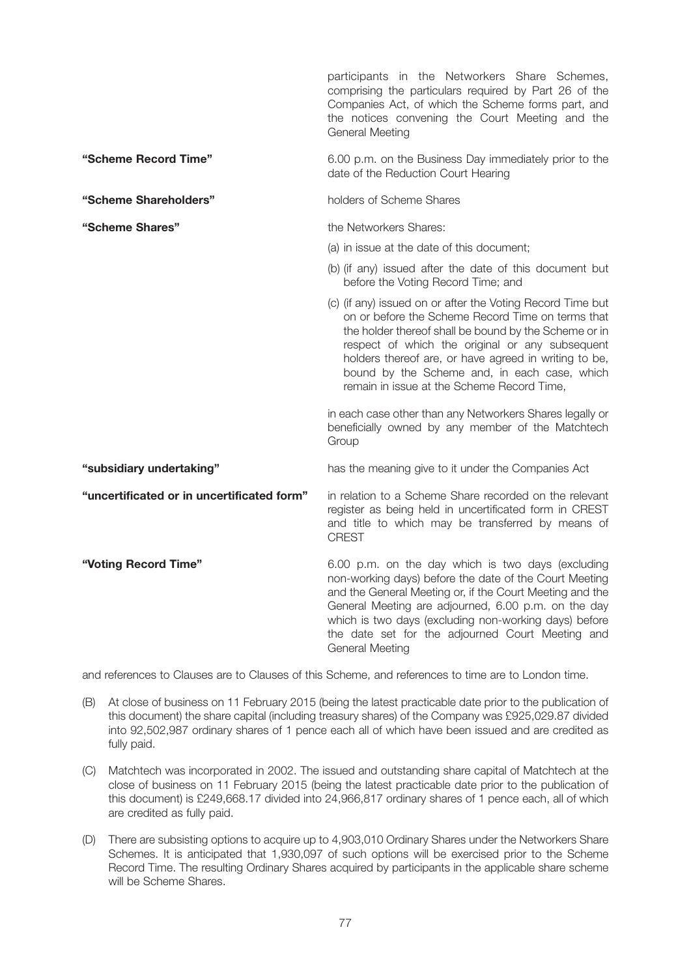|                                            | participants in the Networkers Share Schemes,<br>comprising the particulars required by Part 26 of the<br>Companies Act, of which the Scheme forms part, and<br>the notices convening the Court Meeting and the<br>General Meeting                                                                                                                                                 |
|--------------------------------------------|------------------------------------------------------------------------------------------------------------------------------------------------------------------------------------------------------------------------------------------------------------------------------------------------------------------------------------------------------------------------------------|
| "Scheme Record Time"                       | 6.00 p.m. on the Business Day immediately prior to the<br>date of the Reduction Court Hearing                                                                                                                                                                                                                                                                                      |
| "Scheme Shareholders"                      | holders of Scheme Shares                                                                                                                                                                                                                                                                                                                                                           |
| "Scheme Shares"                            | the Networkers Shares:                                                                                                                                                                                                                                                                                                                                                             |
|                                            | (a) in issue at the date of this document;                                                                                                                                                                                                                                                                                                                                         |
|                                            | (b) (if any) issued after the date of this document but<br>before the Voting Record Time; and                                                                                                                                                                                                                                                                                      |
|                                            | (c) (if any) issued on or after the Voting Record Time but<br>on or before the Scheme Record Time on terms that<br>the holder thereof shall be bound by the Scheme or in<br>respect of which the original or any subsequent<br>holders thereof are, or have agreed in writing to be,<br>bound by the Scheme and, in each case, which<br>remain in issue at the Scheme Record Time, |
|                                            | in each case other than any Networkers Shares legally or<br>beneficially owned by any member of the Matchtech<br>Group                                                                                                                                                                                                                                                             |
| "subsidiary undertaking"                   | has the meaning give to it under the Companies Act                                                                                                                                                                                                                                                                                                                                 |
| "uncertificated or in uncertificated form" | in relation to a Scheme Share recorded on the relevant<br>register as being held in uncertificated form in CREST<br>and title to which may be transferred by means of<br><b>CREST</b>                                                                                                                                                                                              |
| "Voting Record Time"                       | 6.00 p.m. on the day which is two days (excluding<br>non-working days) before the date of the Court Meeting<br>and the General Meeting or, if the Court Meeting and the<br>General Meeting are adjourned, 6.00 p.m. on the day<br>which is two days (excluding non-working days) before<br>the date set for the adjourned Court Meeting and<br>General Meeting                     |

and references to Clauses are to Clauses of this Scheme, and references to time are to London time.

- (B) At close of business on 11 February 2015 (being the latest practicable date prior to the publication of this document) the share capital (including treasury shares) of the Company was £925,029.87 divided into 92,502,987 ordinary shares of 1 pence each all of which have been issued and are credited as fully paid.
- (C) Matchtech was incorporated in 2002. The issued and outstanding share capital of Matchtech at the close of business on 11 February 2015 (being the latest practicable date prior to the publication of this document) is £249,668.17 divided into 24,966,817 ordinary shares of 1 pence each, all of which are credited as fully paid.
- (D) There are subsisting options to acquire up to 4,903,010 Ordinary Shares under the Networkers Share Schemes. It is anticipated that 1,930,097 of such options will be exercised prior to the Scheme Record Time. The resulting Ordinary Shares acquired by participants in the applicable share scheme will be Scheme Shares.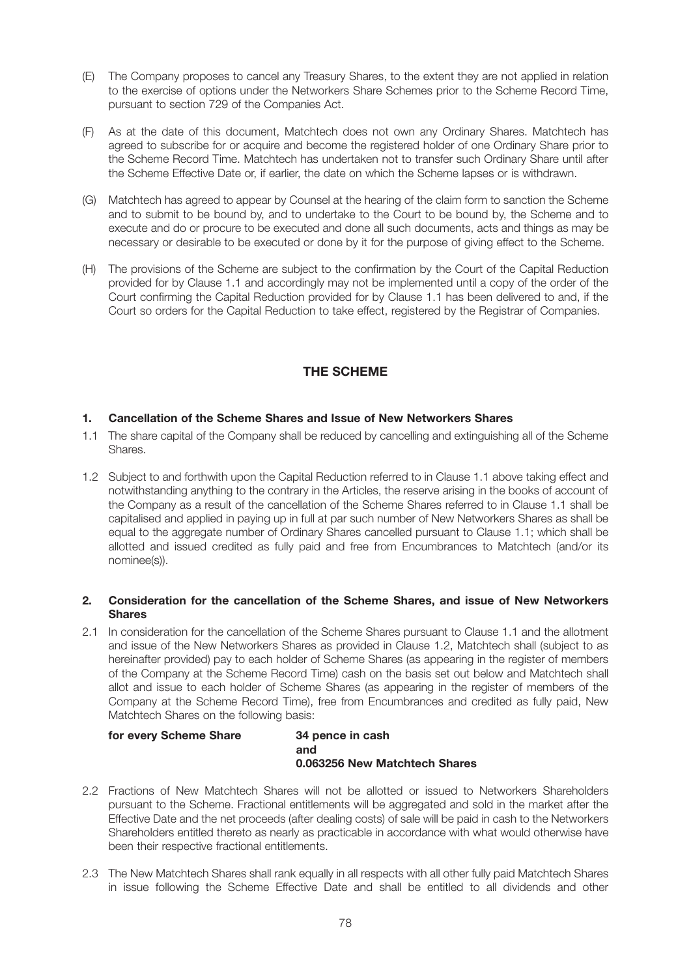- (E) The Company proposes to cancel any Treasury Shares, to the extent they are not applied in relation to the exercise of options under the Networkers Share Schemes prior to the Scheme Record Time, pursuant to section 729 of the Companies Act.
- (F) As at the date of this document, Matchtech does not own any Ordinary Shares. Matchtech has agreed to subscribe for or acquire and become the registered holder of one Ordinary Share prior to the Scheme Record Time. Matchtech has undertaken not to transfer such Ordinary Share until after the Scheme Effective Date or, if earlier, the date on which the Scheme lapses or is withdrawn.
- (G) Matchtech has agreed to appear by Counsel at the hearing of the claim form to sanction the Scheme and to submit to be bound by, and to undertake to the Court to be bound by, the Scheme and to execute and do or procure to be executed and done all such documents, acts and things as may be necessary or desirable to be executed or done by it for the purpose of giving effect to the Scheme.
- (H) The provisions of the Scheme are subject to the confirmation by the Court of the Capital Reduction provided for by Clause 1.1 and accordingly may not be implemented until a copy of the order of the Court confirming the Capital Reduction provided for by Clause 1.1 has been delivered to and, if the Court so orders for the Capital Reduction to take effect, registered by the Registrar of Companies.

# **THE SCHEME**

### **1. Cancellation of the Scheme Shares and Issue of New Networkers Shares**

- 1.1 The share capital of the Company shall be reduced by cancelling and extinguishing all of the Scheme Shares.
- 1.2 Subject to and forthwith upon the Capital Reduction referred to in Clause 1.1 above taking effect and notwithstanding anything to the contrary in the Articles, the reserve arising in the books of account of the Company as a result of the cancellation of the Scheme Shares referred to in Clause 1.1 shall be capitalised and applied in paying up in full at par such number of New Networkers Shares as shall be equal to the aggregate number of Ordinary Shares cancelled pursuant to Clause 1.1; which shall be allotted and issued credited as fully paid and free from Encumbrances to Matchtech (and/or its nominee(s)).

#### **2. Consideration for the cancellation of the Scheme Shares, and issue of New Networkers Shares**

2.1 In consideration for the cancellation of the Scheme Shares pursuant to Clause 1.1 and the allotment and issue of the New Networkers Shares as provided in Clause 1.2, Matchtech shall (subject to as hereinafter provided) pay to each holder of Scheme Shares (as appearing in the register of members of the Company at the Scheme Record Time) cash on the basis set out below and Matchtech shall allot and issue to each holder of Scheme Shares (as appearing in the register of members of the Company at the Scheme Record Time), free from Encumbrances and credited as fully paid, New Matchtech Shares on the following basis:

| for every Scheme Share | 34 pence in cash              |
|------------------------|-------------------------------|
|                        | and                           |
|                        | 0.063256 New Matchtech Shares |

- 2.2 Fractions of New Matchtech Shares will not be allotted or issued to Networkers Shareholders pursuant to the Scheme. Fractional entitlements will be aggregated and sold in the market after the Effective Date and the net proceeds (after dealing costs) of sale will be paid in cash to the Networkers Shareholders entitled thereto as nearly as practicable in accordance with what would otherwise have been their respective fractional entitlements.
- 2.3 The New Matchtech Shares shall rank equally in all respects with all other fully paid Matchtech Shares in issue following the Scheme Effective Date and shall be entitled to all dividends and other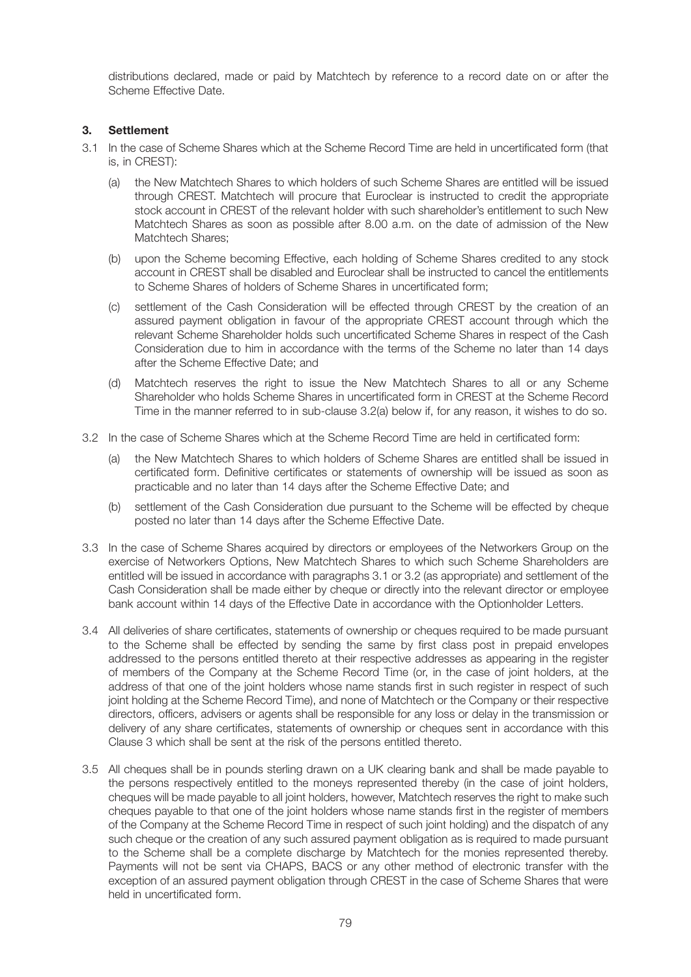distributions declared, made or paid by Matchtech by reference to a record date on or after the Scheme Effective Date.

### **3. Settlement**

- 3.1 In the case of Scheme Shares which at the Scheme Record Time are held in uncertificated form (that is, in CREST):
	- (a) the New Matchtech Shares to which holders of such Scheme Shares are entitled will be issued through CREST. Matchtech will procure that Euroclear is instructed to credit the appropriate stock account in CREST of the relevant holder with such shareholder's entitlement to such New Matchtech Shares as soon as possible after 8.00 a.m. on the date of admission of the New Matchtech Shares;
	- (b) upon the Scheme becoming Effective, each holding of Scheme Shares credited to any stock account in CREST shall be disabled and Euroclear shall be instructed to cancel the entitlements to Scheme Shares of holders of Scheme Shares in uncertificated form;
	- (c) settlement of the Cash Consideration will be effected through CREST by the creation of an assured payment obligation in favour of the appropriate CREST account through which the relevant Scheme Shareholder holds such uncertificated Scheme Shares in respect of the Cash Consideration due to him in accordance with the terms of the Scheme no later than 14 days after the Scheme Effective Date; and
	- (d) Matchtech reserves the right to issue the New Matchtech Shares to all or any Scheme Shareholder who holds Scheme Shares in uncertificated form in CREST at the Scheme Record Time in the manner referred to in sub-clause 3.2(a) below if, for any reason, it wishes to do so.
- 3.2 In the case of Scheme Shares which at the Scheme Record Time are held in certificated form:
	- (a) the New Matchtech Shares to which holders of Scheme Shares are entitled shall be issued in certificated form. Definitive certificates or statements of ownership will be issued as soon as practicable and no later than 14 days after the Scheme Effective Date; and
	- (b) settlement of the Cash Consideration due pursuant to the Scheme will be effected by cheque posted no later than 14 days after the Scheme Effective Date.
- 3.3 In the case of Scheme Shares acquired by directors or employees of the Networkers Group on the exercise of Networkers Options, New Matchtech Shares to which such Scheme Shareholders are entitled will be issued in accordance with paragraphs 3.1 or 3.2 (as appropriate) and settlement of the Cash Consideration shall be made either by cheque or directly into the relevant director or employee bank account within 14 days of the Effective Date in accordance with the Optionholder Letters.
- 3.4 All deliveries of share certificates, statements of ownership or cheques required to be made pursuant to the Scheme shall be effected by sending the same by first class post in prepaid envelopes addressed to the persons entitled thereto at their respective addresses as appearing in the register of members of the Company at the Scheme Record Time (or, in the case of joint holders, at the address of that one of the joint holders whose name stands first in such register in respect of such joint holding at the Scheme Record Time), and none of Matchtech or the Company or their respective directors, officers, advisers or agents shall be responsible for any loss or delay in the transmission or delivery of any share certificates, statements of ownership or cheques sent in accordance with this Clause 3 which shall be sent at the risk of the persons entitled thereto.
- 3.5 All cheques shall be in pounds sterling drawn on a UK clearing bank and shall be made payable to the persons respectively entitled to the moneys represented thereby (in the case of joint holders, cheques will be made payable to all joint holders, however, Matchtech reserves the right to make such cheques payable to that one of the joint holders whose name stands first in the register of members of the Company at the Scheme Record Time in respect of such joint holding) and the dispatch of any such cheque or the creation of any such assured payment obligation as is required to made pursuant to the Scheme shall be a complete discharge by Matchtech for the monies represented thereby. Payments will not be sent via CHAPS, BACS or any other method of electronic transfer with the exception of an assured payment obligation through CREST in the case of Scheme Shares that were held in uncertificated form.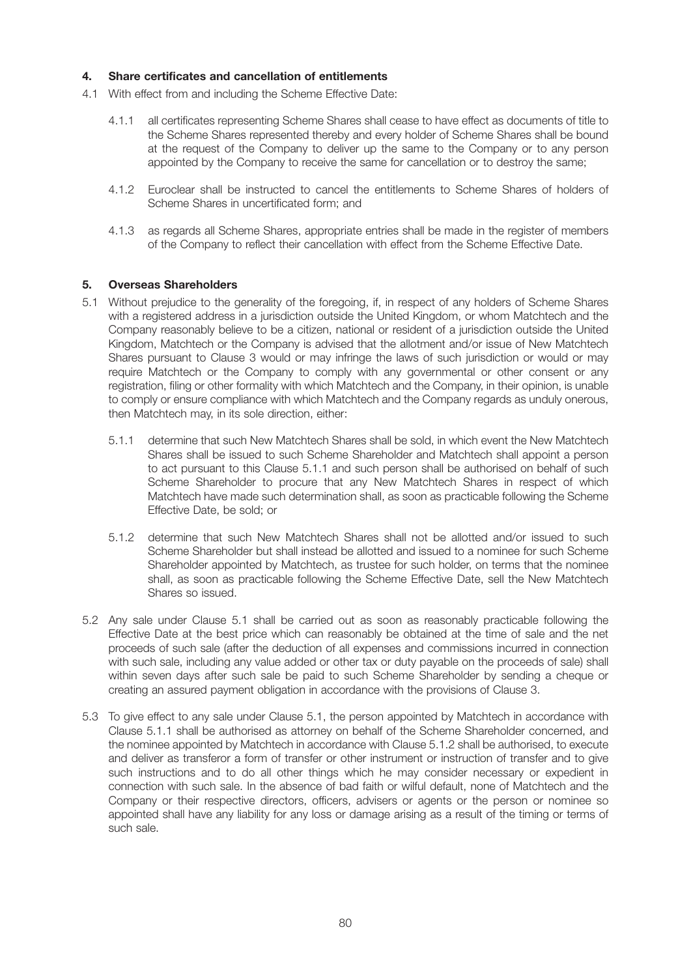### **4. Share certificates and cancellation of entitlements**

- 4.1 With effect from and including the Scheme Effective Date:
	- 4.1.1 all certificates representing Scheme Shares shall cease to have effect as documents of title to the Scheme Shares represented thereby and every holder of Scheme Shares shall be bound at the request of the Company to deliver up the same to the Company or to any person appointed by the Company to receive the same for cancellation or to destroy the same;
	- 4.1.2 Euroclear shall be instructed to cancel the entitlements to Scheme Shares of holders of Scheme Shares in uncertificated form; and
	- 4.1.3 as regards all Scheme Shares, appropriate entries shall be made in the register of members of the Company to reflect their cancellation with effect from the Scheme Effective Date.

#### **5. Overseas Shareholders**

- 5.1 Without prejudice to the generality of the foregoing, if, in respect of any holders of Scheme Shares with a registered address in a jurisdiction outside the United Kingdom, or whom Matchtech and the Company reasonably believe to be a citizen, national or resident of a jurisdiction outside the United Kingdom, Matchtech or the Company is advised that the allotment and/or issue of New Matchtech Shares pursuant to Clause 3 would or may infringe the laws of such jurisdiction or would or may require Matchtech or the Company to comply with any governmental or other consent or any registration, filing or other formality with which Matchtech and the Company, in their opinion, is unable to comply or ensure compliance with which Matchtech and the Company regards as unduly onerous, then Matchtech may, in its sole direction, either:
	- 5.1.1 determine that such New Matchtech Shares shall be sold, in which event the New Matchtech Shares shall be issued to such Scheme Shareholder and Matchtech shall appoint a person to act pursuant to this Clause 5.1.1 and such person shall be authorised on behalf of such Scheme Shareholder to procure that any New Matchtech Shares in respect of which Matchtech have made such determination shall, as soon as practicable following the Scheme Effective Date, be sold; or
	- 5.1.2 determine that such New Matchtech Shares shall not be allotted and/or issued to such Scheme Shareholder but shall instead be allotted and issued to a nominee for such Scheme Shareholder appointed by Matchtech, as trustee for such holder, on terms that the nominee shall, as soon as practicable following the Scheme Effective Date, sell the New Matchtech Shares so issued.
- 5.2 Any sale under Clause 5.1 shall be carried out as soon as reasonably practicable following the Effective Date at the best price which can reasonably be obtained at the time of sale and the net proceeds of such sale (after the deduction of all expenses and commissions incurred in connection with such sale, including any value added or other tax or duty payable on the proceeds of sale) shall within seven days after such sale be paid to such Scheme Shareholder by sending a cheque or creating an assured payment obligation in accordance with the provisions of Clause 3.
- 5.3 To give effect to any sale under Clause 5.1, the person appointed by Matchtech in accordance with Clause 5.1.1 shall be authorised as attorney on behalf of the Scheme Shareholder concerned, and the nominee appointed by Matchtech in accordance with Clause 5.1.2 shall be authorised, to execute and deliver as transferor a form of transfer or other instrument or instruction of transfer and to give such instructions and to do all other things which he may consider necessary or expedient in connection with such sale. In the absence of bad faith or wilful default, none of Matchtech and the Company or their respective directors, officers, advisers or agents or the person or nominee so appointed shall have any liability for any loss or damage arising as a result of the timing or terms of such sale.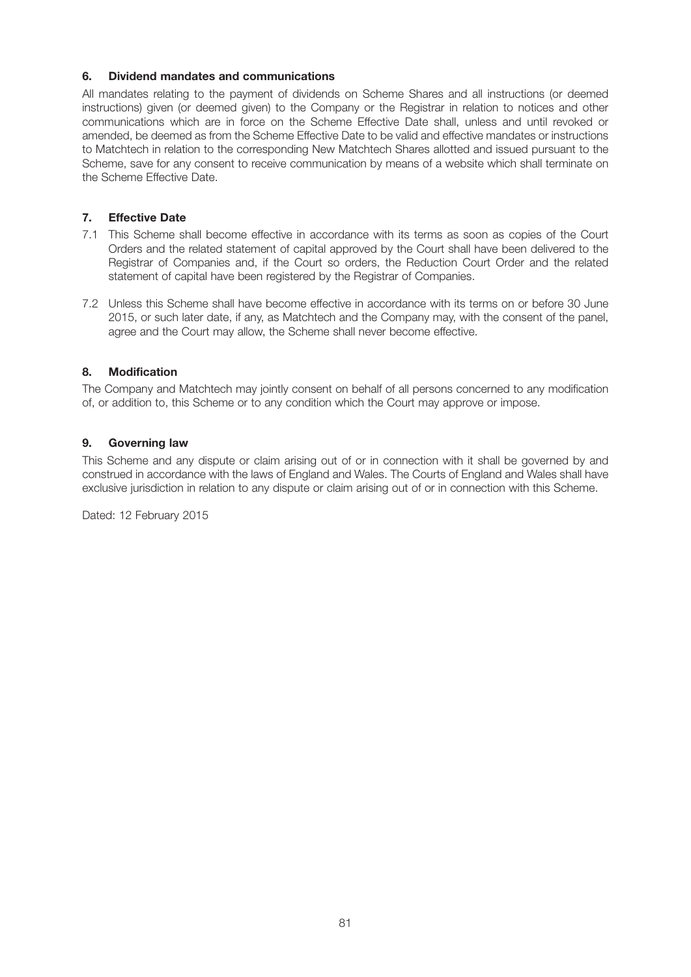### **6. Dividend mandates and communications**

All mandates relating to the payment of dividends on Scheme Shares and all instructions (or deemed instructions) given (or deemed given) to the Company or the Registrar in relation to notices and other communications which are in force on the Scheme Effective Date shall, unless and until revoked or amended, be deemed as from the Scheme Effective Date to be valid and effective mandates or instructions to Matchtech in relation to the corresponding New Matchtech Shares allotted and issued pursuant to the Scheme, save for any consent to receive communication by means of a website which shall terminate on the Scheme Effective Date.

### **7. Effective Date**

- 7.1 This Scheme shall become effective in accordance with its terms as soon as copies of the Court Orders and the related statement of capital approved by the Court shall have been delivered to the Registrar of Companies and, if the Court so orders, the Reduction Court Order and the related statement of capital have been registered by the Registrar of Companies.
- 7.2 Unless this Scheme shall have become effective in accordance with its terms on or before 30 June 2015, or such later date, if any, as Matchtech and the Company may, with the consent of the panel, agree and the Court may allow, the Scheme shall never become effective.

### **8. Modification**

The Company and Matchtech may jointly consent on behalf of all persons concerned to any modification of, or addition to, this Scheme or to any condition which the Court may approve or impose.

#### **9. Governing law**

This Scheme and any dispute or claim arising out of or in connection with it shall be governed by and construed in accordance with the laws of England and Wales. The Courts of England and Wales shall have exclusive jurisdiction in relation to any dispute or claim arising out of or in connection with this Scheme.

Dated: 12 February 2015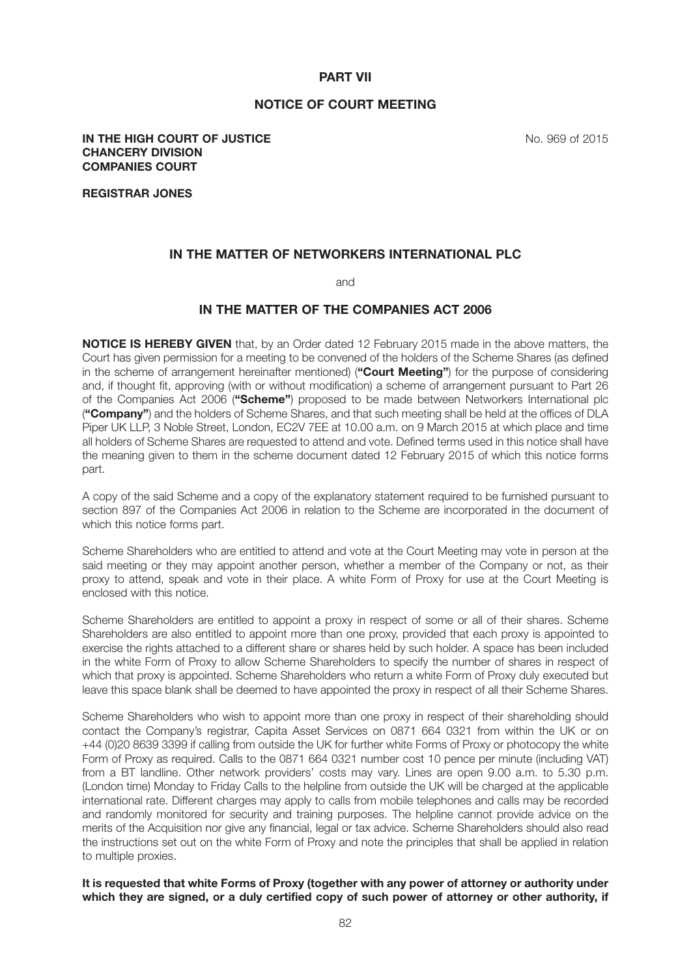#### **PART VII**

### **NOTICE OF COURT MEETING**

**IN THE HIGH COURT OF JUSTICE No. 969 of 2015 CHANCERY DIVISION COMPANIES COURT** 

**REGISTRAR JONES**

#### **IN THE MATTER OF NETWORKERS INTERNATIONAL PLC**

and

#### **IN THE MATTER OF THE COMPANIES ACT 2006**

**NOTICE IS HEREBY GIVEN** that, by an Order dated 12 February 2015 made in the above matters, the Court has given permission for a meeting to be convened of the holders of the Scheme Shares (as defined in the scheme of arrangement hereinafter mentioned) (**"Court Meeting"**) for the purpose of considering and, if thought fit, approving (with or without modification) a scheme of arrangement pursuant to Part 26 of the Companies Act 2006 (**"Scheme"**) proposed to be made between Networkers International plc (**"Company"**) and the holders of Scheme Shares, and that such meeting shall be held at the offices of DLA Piper UK LLP, 3 Noble Street, London, EC2V 7EE at 10.00 a.m. on 9 March 2015 at which place and time all holders of Scheme Shares are requested to attend and vote. Defined terms used in this notice shall have the meaning given to them in the scheme document dated 12 February 2015 of which this notice forms part.

A copy of the said Scheme and a copy of the explanatory statement required to be furnished pursuant to section 897 of the Companies Act 2006 in relation to the Scheme are incorporated in the document of which this notice forms part.

Scheme Shareholders who are entitled to attend and vote at the Court Meeting may vote in person at the said meeting or they may appoint another person, whether a member of the Company or not, as their proxy to attend, speak and vote in their place. A white Form of Proxy for use at the Court Meeting is enclosed with this notice.

Scheme Shareholders are entitled to appoint a proxy in respect of some or all of their shares. Scheme Shareholders are also entitled to appoint more than one proxy, provided that each proxy is appointed to exercise the rights attached to a different share or shares held by such holder. A space has been included in the white Form of Proxy to allow Scheme Shareholders to specify the number of shares in respect of which that proxy is appointed. Scheme Shareholders who return a white Form of Proxy duly executed but leave this space blank shall be deemed to have appointed the proxy in respect of all their Scheme Shares.

Scheme Shareholders who wish to appoint more than one proxy in respect of their shareholding should contact the Company's registrar, Capita Asset Services on 0871 664 0321 from within the UK or on +44 (0)20 8639 3399 if calling from outside the UK for further white Forms of Proxy or photocopy the white Form of Proxy as required. Calls to the 0871 664 0321 number cost 10 pence per minute (including VAT) from a BT landline. Other network providers' costs may vary. Lines are open 9.00 a.m. to 5.30 p.m. (London time) Monday to Friday Calls to the helpline from outside the UK will be charged at the applicable international rate. Different charges may apply to calls from mobile telephones and calls may be recorded and randomly monitored for security and training purposes. The helpline cannot provide advice on the merits of the Acquisition nor give any financial, legal or tax advice. Scheme Shareholders should also read the instructions set out on the white Form of Proxy and note the principles that shall be applied in relation to multiple proxies.

**It is requested that white Forms of Proxy (together with any power of attorney or authority under which they are signed, or a duly certified copy of such power of attorney or other authority, if**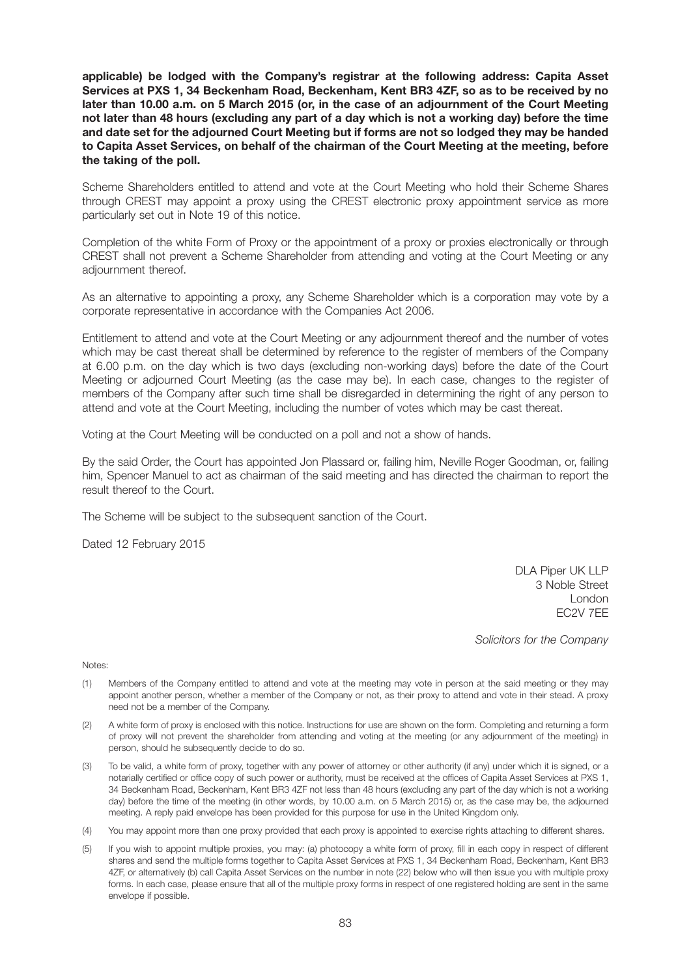**applicable) be lodged with the Company's registrar at the following address: Capita Asset Services at PXS 1, 34 Beckenham Road, Beckenham, Kent BR3 4ZF, so as to be received by no later than 10.00 a.m. on 5 March 2015 (or, in the case of an adjournment of the Court Meeting not later than 48 hours (excluding any part of a day which is not a working day) before the time and date set for the adjourned Court Meeting but if forms are not so lodged they may be handed to Capita Asset Services, on behalf of the chairman of the Court Meeting at the meeting, before the taking of the poll.** 

Scheme Shareholders entitled to attend and vote at the Court Meeting who hold their Scheme Shares through CREST may appoint a proxy using the CREST electronic proxy appointment service as more particularly set out in Note 19 of this notice.

Completion of the white Form of Proxy or the appointment of a proxy or proxies electronically or through CREST shall not prevent a Scheme Shareholder from attending and voting at the Court Meeting or any adjournment thereof.

As an alternative to appointing a proxy, any Scheme Shareholder which is a corporation may vote by a corporate representative in accordance with the Companies Act 2006.

Entitlement to attend and vote at the Court Meeting or any adjournment thereof and the number of votes which may be cast thereat shall be determined by reference to the register of members of the Company at 6.00 p.m. on the day which is two days (excluding non-working days) before the date of the Court Meeting or adjourned Court Meeting (as the case may be). In each case, changes to the register of members of the Company after such time shall be disregarded in determining the right of any person to attend and vote at the Court Meeting, including the number of votes which may be cast thereat.

Voting at the Court Meeting will be conducted on a poll and not a show of hands.

By the said Order, the Court has appointed Jon Plassard or, failing him, Neville Roger Goodman, or, failing him, Spencer Manuel to act as chairman of the said meeting and has directed the chairman to report the result thereof to the Court.

The Scheme will be subject to the subsequent sanction of the Court.

Dated 12 February 2015

DLA Piper UK LLP 3 Noble Street London EC2V 7EE

*Solicitors for the Company*

Notes:

- (1) Members of the Company entitled to attend and vote at the meeting may vote in person at the said meeting or they may appoint another person, whether a member of the Company or not, as their proxy to attend and vote in their stead. A proxy need not be a member of the Company.
- (2) A white form of proxy is enclosed with this notice. Instructions for use are shown on the form. Completing and returning a form of proxy will not prevent the shareholder from attending and voting at the meeting (or any adjournment of the meeting) in person, should he subsequently decide to do so.
- (3) To be valid, a white form of proxy, together with any power of attorney or other authority (if any) under which it is signed, or a notarially certified or office copy of such power or authority, must be received at the offices of Capita Asset Services at PXS 1, 34 Beckenham Road, Beckenham, Kent BR3 4ZF not less than 48 hours (excluding any part of the day which is not a working day) before the time of the meeting (in other words, by 10.00 a.m. on 5 March 2015) or, as the case may be, the adjourned meeting. A reply paid envelope has been provided for this purpose for use in the United Kingdom only.
- (4) You may appoint more than one proxy provided that each proxy is appointed to exercise rights attaching to different shares.
- (5) If you wish to appoint multiple proxies, you may: (a) photocopy a white form of proxy, fill in each copy in respect of different shares and send the multiple forms together to Capita Asset Services at PXS 1, 34 Beckenham Road, Beckenham, Kent BR3 4ZF, or alternatively (b) call Capita Asset Services on the number in note (22) below who will then issue you with multiple proxy forms. In each case, please ensure that all of the multiple proxy forms in respect of one registered holding are sent in the same envelope if possible.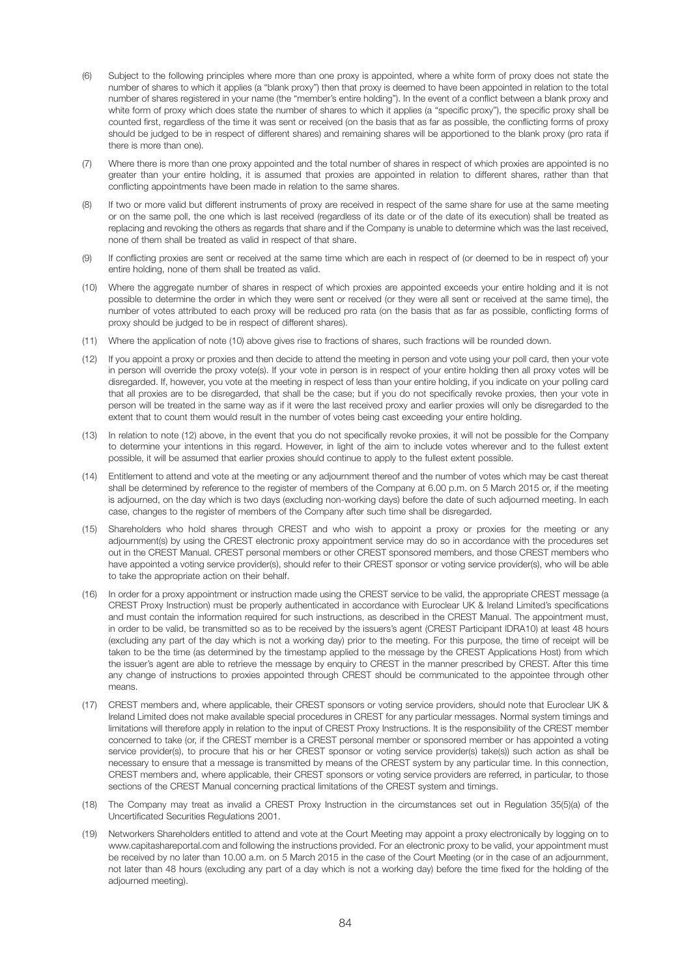- (6) Subject to the following principles where more than one proxy is appointed, where a white form of proxy does not state the number of shares to which it applies (a "blank proxy") then that proxy is deemed to have been appointed in relation to the total number of shares registered in your name (the "member's entire holding"). In the event of a conflict between a blank proxy and white form of proxy which does state the number of shares to which it applies (a "specific proxy"), the specific proxy shall be counted first, regardless of the time it was sent or received (on the basis that as far as possible, the conflicting forms of proxy should be judged to be in respect of different shares) and remaining shares will be apportioned to the blank proxy (pro rata if there is more than one).
- (7) Where there is more than one proxy appointed and the total number of shares in respect of which proxies are appointed is no greater than your entire holding, it is assumed that proxies are appointed in relation to different shares, rather than that conflicting appointments have been made in relation to the same shares.
- (8) If two or more valid but different instruments of proxy are received in respect of the same share for use at the same meeting or on the same poll, the one which is last received (regardless of its date or of the date of its execution) shall be treated as replacing and revoking the others as regards that share and if the Company is unable to determine which was the last received, none of them shall be treated as valid in respect of that share.
- (9) If conflicting proxies are sent or received at the same time which are each in respect of (or deemed to be in respect of) your entire holding, none of them shall be treated as valid.
- (10) Where the aggregate number of shares in respect of which proxies are appointed exceeds your entire holding and it is not possible to determine the order in which they were sent or received (or they were all sent or received at the same time), the number of votes attributed to each proxy will be reduced pro rata (on the basis that as far as possible, conflicting forms of proxy should be judged to be in respect of different shares).
- (11) Where the application of note (10) above gives rise to fractions of shares, such fractions will be rounded down.
- (12) If you appoint a proxy or proxies and then decide to attend the meeting in person and vote using your poll card, then your vote in person will override the proxy vote(s). If your vote in person is in respect of your entire holding then all proxy votes will be disregarded. If, however, you vote at the meeting in respect of less than your entire holding, if you indicate on your polling card that all proxies are to be disregarded, that shall be the case; but if you do not specifically revoke proxies, then your vote in person will be treated in the same way as if it were the last received proxy and earlier proxies will only be disregarded to the extent that to count them would result in the number of votes being cast exceeding your entire holding.
- (13) In relation to note (12) above, in the event that you do not specifically revoke proxies, it will not be possible for the Company to determine your intentions in this regard. However, in light of the aim to include votes wherever and to the fullest extent possible, it will be assumed that earlier proxies should continue to apply to the fullest extent possible.
- (14) Entitlement to attend and vote at the meeting or any adjournment thereof and the number of votes which may be cast thereat shall be determined by reference to the register of members of the Company at 6.00 p.m. on 5 March 2015 or, if the meeting is adjourned, on the day which is two days (excluding non-working days) before the date of such adjourned meeting. In each case, changes to the register of members of the Company after such time shall be disregarded.
- (15) Shareholders who hold shares through CREST and who wish to appoint a proxy or proxies for the meeting or any adjournment(s) by using the CREST electronic proxy appointment service may do so in accordance with the procedures set out in the CREST Manual. CREST personal members or other CREST sponsored members, and those CREST members who have appointed a voting service provider(s), should refer to their CREST sponsor or voting service provider(s), who will be able to take the appropriate action on their behalf.
- (16) In order for a proxy appointment or instruction made using the CREST service to be valid, the appropriate CREST message (a CREST Proxy Instruction) must be properly authenticated in accordance with Euroclear UK & Ireland Limited's specifications and must contain the information required for such instructions, as described in the CREST Manual. The appointment must, in order to be valid, be transmitted so as to be received by the issuers's agent (CREST Participant IDRA10) at least 48 hours (excluding any part of the day which is not a working day) prior to the meeting. For this purpose, the time of receipt will be taken to be the time (as determined by the timestamp applied to the message by the CREST Applications Host) from which the issuer's agent are able to retrieve the message by enquiry to CREST in the manner prescribed by CREST. After this time any change of instructions to proxies appointed through CREST should be communicated to the appointee through other means.
- (17) CREST members and, where applicable, their CREST sponsors or voting service providers, should note that Euroclear UK & Ireland Limited does not make available special procedures in CREST for any particular messages. Normal system timings and limitations will therefore apply in relation to the input of CREST Proxy Instructions. It is the responsibility of the CREST member concerned to take (or, if the CREST member is a CREST personal member or sponsored member or has appointed a voting service provider(s), to procure that his or her CREST sponsor or voting service provider(s) take(s)) such action as shall be necessary to ensure that a message is transmitted by means of the CREST system by any particular time. In this connection, CREST members and, where applicable, their CREST sponsors or voting service providers are referred, in particular, to those sections of the CREST Manual concerning practical limitations of the CREST system and timings.
- (18) The Company may treat as invalid a CREST Proxy Instruction in the circumstances set out in Regulation 35(5)(a) of the Uncertificated Securities Regulations 2001.
- (19) Networkers Shareholders entitled to attend and vote at the Court Meeting may appoint a proxy electronically by logging on to www.capitashareportal.com and following the instructions provided. For an electronic proxy to be valid, your appointment must be received by no later than 10.00 a.m. on 5 March 2015 in the case of the Court Meeting (or in the case of an adjournment, not later than 48 hours (excluding any part of a day which is not a working day) before the time fixed for the holding of the adjourned meeting).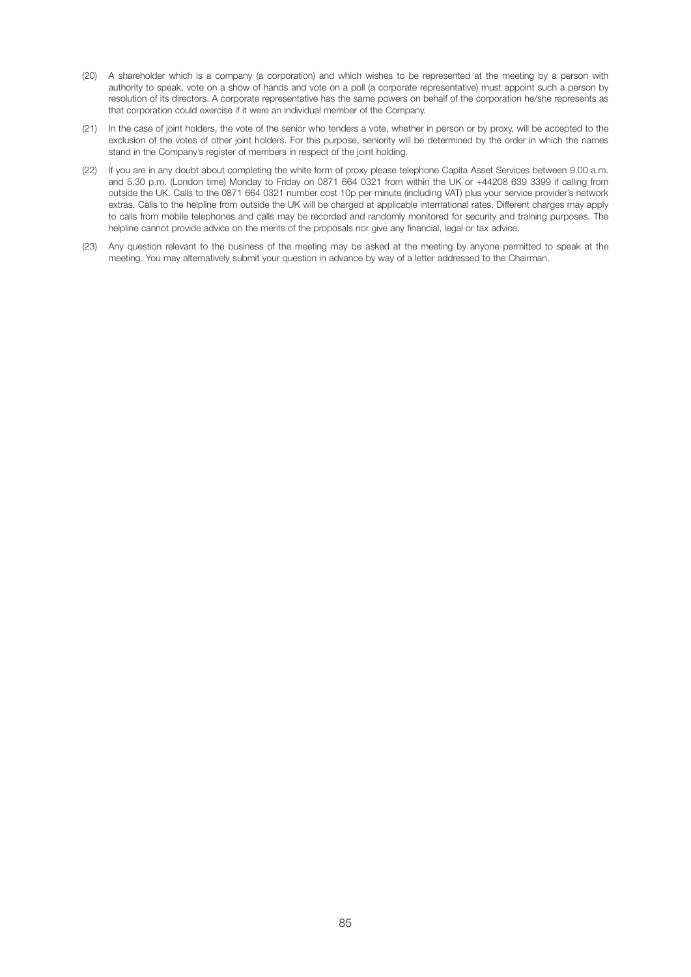- (20) A shareholder which is a company (a corporation) and which wishes to be represented at the meeting by a person with authority to speak, vote on a show of hands and vote on a poll (a corporate representative) must appoint such a person by resolution of its directors. A corporate representative has the same powers on behalf of the corporation he/she represents as that corporation could exercise if it were an individual member of the Company.
- (21) In the case of joint holders, the vote of the senior who tenders a vote, whether in person or by proxy, will be accepted to the exclusion of the votes of other joint holders. For this purpose, seniority will be determined by the order in which the names stand in the Company's register of members in respect of the joint holding.
- (22) If you are in any doubt about completing the white form of proxy please telephone Capita Asset Services between 9.00 a.m. and 5.30 p.m. (London time) Monday to Friday on 0871 664 0321 from within the UK or +44208 639 3399 if calling from outside the UK. Calls to the 0871 664 0321 number cost 10p per minute (including VAT) plus your service provider's network extras. Calls to the helpline from outside the UK will be charged at applicable international rates. Different charges may apply to calls from mobile telephones and calls may be recorded and randomly monitored for security and training purposes. The helpline cannot provide advice on the merits of the proposals nor give any financial, legal or tax advice.
- (23) Any question relevant to the business of the meeting may be asked at the meeting by anyone permitted to speak at the meeting. You may alternatively submit your question in advance by way of a letter addressed to the Chairman.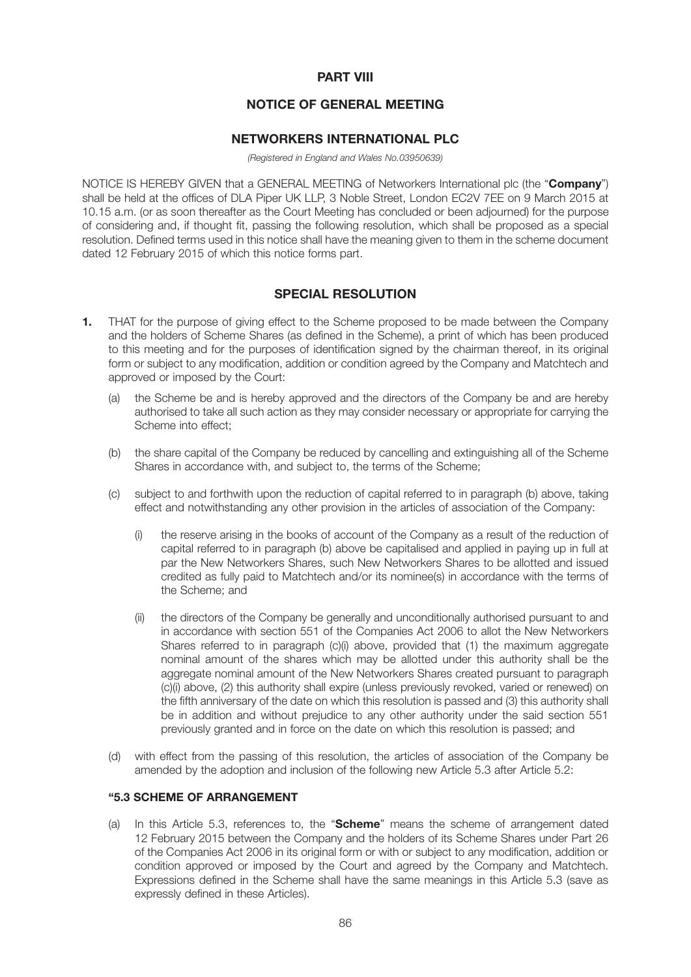### **PART VIII**

### **NOTICE OF GENERAL MEETING**

### **NETWORKERS INTERNATIONAL PLC**

*(Registered in England and Wales No.03950639)*

NOTICE IS HEREBY GIVEN that a GENERAL MEETING of Networkers International plc (the "**Company**") shall be held at the offices of DLA Piper UK LLP, 3 Noble Street, London EC2V 7EE on 9 March 2015 at 10.15 a.m. (or as soon thereafter as the Court Meeting has concluded or been adjourned) for the purpose of considering and, if thought fit, passing the following resolution, which shall be proposed as a special resolution. Defined terms used in this notice shall have the meaning given to them in the scheme document dated 12 February 2015 of which this notice forms part.

### **SPECIAL RESOLUTION**

- **1.** THAT for the purpose of giving effect to the Scheme proposed to be made between the Company and the holders of Scheme Shares (as defined in the Scheme), a print of which has been produced to this meeting and for the purposes of identification signed by the chairman thereof, in its original form or subject to any modification, addition or condition agreed by the Company and Matchtech and approved or imposed by the Court:
	- (a) the Scheme be and is hereby approved and the directors of the Company be and are hereby authorised to take all such action as they may consider necessary or appropriate for carrying the Scheme into effect;
	- (b) the share capital of the Company be reduced by cancelling and extinguishing all of the Scheme Shares in accordance with, and subject to, the terms of the Scheme;
	- (c) subject to and forthwith upon the reduction of capital referred to in paragraph (b) above, taking effect and notwithstanding any other provision in the articles of association of the Company:
		- (i) the reserve arising in the books of account of the Company as a result of the reduction of capital referred to in paragraph (b) above be capitalised and applied in paying up in full at par the New Networkers Shares, such New Networkers Shares to be allotted and issued credited as fully paid to Matchtech and/or its nominee(s) in accordance with the terms of the Scheme; and
		- (ii) the directors of the Company be generally and unconditionally authorised pursuant to and in accordance with section 551 of the Companies Act 2006 to allot the New Networkers Shares referred to in paragraph (c)(i) above, provided that (1) the maximum aggregate nominal amount of the shares which may be allotted under this authority shall be the aggregate nominal amount of the New Networkers Shares created pursuant to paragraph (c)(i) above, (2) this authority shall expire (unless previously revoked, varied or renewed) on the fifth anniversary of the date on which this resolution is passed and (3) this authority shall be in addition and without prejudice to any other authority under the said section 551 previously granted and in force on the date on which this resolution is passed; and
	- (d) with effect from the passing of this resolution, the articles of association of the Company be amended by the adoption and inclusion of the following new Article 5.3 after Article 5.2:

#### **"5.3 SCHEME OF ARRANGEMENT**

 (a) In this Article 5.3, references to, the "**Scheme**" means the scheme of arrangement dated 12 February 2015 between the Company and the holders of its Scheme Shares under Part 26 of the Companies Act 2006 in its original form or with or subject to any modification, addition or condition approved or imposed by the Court and agreed by the Company and Matchtech. Expressions defined in the Scheme shall have the same meanings in this Article 5.3 (save as expressly defined in these Articles).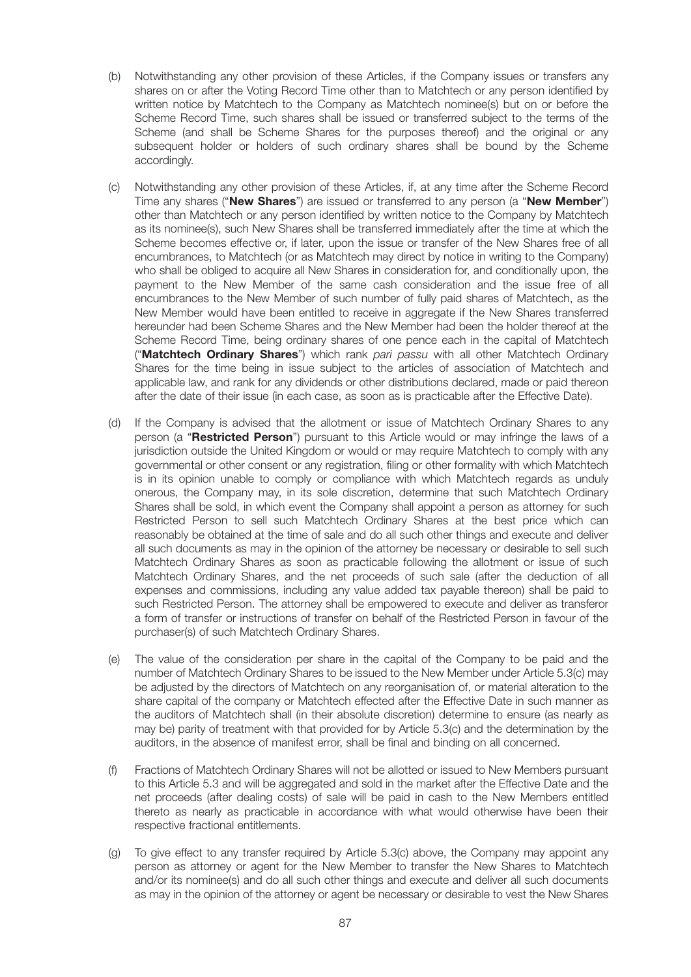- (b) Notwithstanding any other provision of these Articles, if the Company issues or transfers any shares on or after the Voting Record Time other than to Matchtech or any person identified by written notice by Matchtech to the Company as Matchtech nominee(s) but on or before the Scheme Record Time, such shares shall be issued or transferred subject to the terms of the Scheme (and shall be Scheme Shares for the purposes thereof) and the original or any subsequent holder or holders of such ordinary shares shall be bound by the Scheme accordingly.
- (c) Notwithstanding any other provision of these Articles, if, at any time after the Scheme Record Time any shares ("**New Shares**") are issued or transferred to any person (a "**New Member**") other than Matchtech or any person identified by written notice to the Company by Matchtech as its nominee(s), such New Shares shall be transferred immediately after the time at which the Scheme becomes effective or, if later, upon the issue or transfer of the New Shares free of all encumbrances, to Matchtech (or as Matchtech may direct by notice in writing to the Company) who shall be obliged to acquire all New Shares in consideration for, and conditionally upon, the payment to the New Member of the same cash consideration and the issue free of all encumbrances to the New Member of such number of fully paid shares of Matchtech, as the New Member would have been entitled to receive in aggregate if the New Shares transferred hereunder had been Scheme Shares and the New Member had been the holder thereof at the Scheme Record Time, being ordinary shares of one pence each in the capital of Matchtech ("**Matchtech Ordinary Shares**") which rank *pari passu* with all other Matchtech Ordinary Shares for the time being in issue subject to the articles of association of Matchtech and applicable law, and rank for any dividends or other distributions declared, made or paid thereon after the date of their issue (in each case, as soon as is practicable after the Effective Date).
- (d) If the Company is advised that the allotment or issue of Matchtech Ordinary Shares to any person (a "**Restricted Person**") pursuant to this Article would or may infringe the laws of a jurisdiction outside the United Kingdom or would or may require Matchtech to comply with any governmental or other consent or any registration, filing or other formality with which Matchtech is in its opinion unable to comply or compliance with which Matchtech regards as unduly onerous, the Company may, in its sole discretion, determine that such Matchtech Ordinary Shares shall be sold, in which event the Company shall appoint a person as attorney for such Restricted Person to sell such Matchtech Ordinary Shares at the best price which can reasonably be obtained at the time of sale and do all such other things and execute and deliver all such documents as may in the opinion of the attorney be necessary or desirable to sell such Matchtech Ordinary Shares as soon as practicable following the allotment or issue of such Matchtech Ordinary Shares, and the net proceeds of such sale (after the deduction of all expenses and commissions, including any value added tax payable thereon) shall be paid to such Restricted Person. The attorney shall be empowered to execute and deliver as transferor a form of transfer or instructions of transfer on behalf of the Restricted Person in favour of the purchaser(s) of such Matchtech Ordinary Shares.
- (e) The value of the consideration per share in the capital of the Company to be paid and the number of Matchtech Ordinary Shares to be issued to the New Member under Article 5.3(c) may be adjusted by the directors of Matchtech on any reorganisation of, or material alteration to the share capital of the company or Matchtech effected after the Effective Date in such manner as the auditors of Matchtech shall (in their absolute discretion) determine to ensure (as nearly as may be) parity of treatment with that provided for by Article 5.3(c) and the determination by the auditors, in the absence of manifest error, shall be final and binding on all concerned.
- (f) Fractions of Matchtech Ordinary Shares will not be allotted or issued to New Members pursuant to this Article 5.3 and will be aggregated and sold in the market after the Effective Date and the net proceeds (after dealing costs) of sale will be paid in cash to the New Members entitled thereto as nearly as practicable in accordance with what would otherwise have been their respective fractional entitlements.
- (g) To give effect to any transfer required by Article 5.3(c) above, the Company may appoint any person as attorney or agent for the New Member to transfer the New Shares to Matchtech and/or its nominee(s) and do all such other things and execute and deliver all such documents as may in the opinion of the attorney or agent be necessary or desirable to vest the New Shares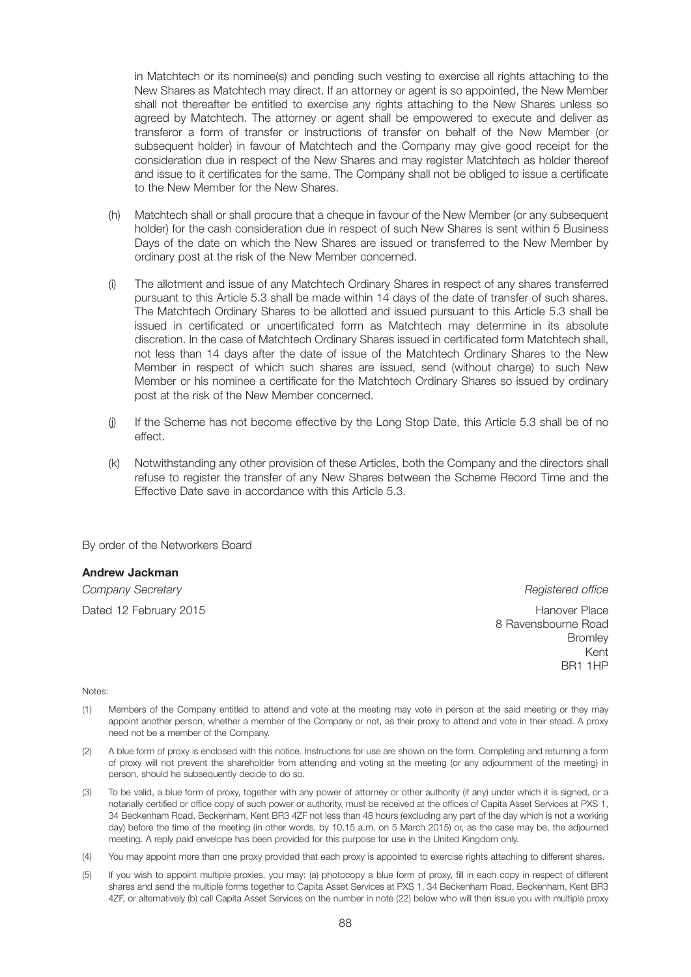in Matchtech or its nominee(s) and pending such vesting to exercise all rights attaching to the New Shares as Matchtech may direct. If an attorney or agent is so appointed, the New Member shall not thereafter be entitled to exercise any rights attaching to the New Shares unless so agreed by Matchtech. The attorney or agent shall be empowered to execute and deliver as transferor a form of transfer or instructions of transfer on behalf of the New Member (or subsequent holder) in favour of Matchtech and the Company may give good receipt for the consideration due in respect of the New Shares and may register Matchtech as holder thereof and issue to it certificates for the same. The Company shall not be obliged to issue a certificate to the New Member for the New Shares.

- (h) Matchtech shall or shall procure that a cheque in favour of the New Member (or any subsequent holder) for the cash consideration due in respect of such New Shares is sent within 5 Business Days of the date on which the New Shares are issued or transferred to the New Member by ordinary post at the risk of the New Member concerned.
- (i) The allotment and issue of any Matchtech Ordinary Shares in respect of any shares transferred pursuant to this Article 5.3 shall be made within 14 days of the date of transfer of such shares. The Matchtech Ordinary Shares to be allotted and issued pursuant to this Article 5.3 shall be issued in certificated or uncertificated form as Matchtech may determine in its absolute discretion. In the case of Matchtech Ordinary Shares issued in certificated form Matchtech shall, not less than 14 days after the date of issue of the Matchtech Ordinary Shares to the New Member in respect of which such shares are issued, send (without charge) to such New Member or his nominee a certificate for the Matchtech Ordinary Shares so issued by ordinary post at the risk of the New Member concerned.
- (j) If the Scheme has not become effective by the Long Stop Date, this Article 5.3 shall be of no effect.
- (k) Notwithstanding any other provision of these Articles, both the Company and the directors shall refuse to register the transfer of any New Shares between the Scheme Record Time and the Effective Date save in accordance with this Article 5.3.

By order of the Networkers Board

#### **Andrew Jackman**

**Company Secretary Company Secretary Company Secretary Registered office** 

Dated 12 February 2015 **Hanover Place Hanover Place Hanover Place** 8 Ravensbourne Road Bromley (2001) and the contract of the contract of the contract of the contract of the contract of the contract of the contract of the contract of the contract of the contract of the contract of the contract of the contrac **Kentucken in der Stein der Stein der Stein der Stein der Stein der Stein der Stein der Stein der Stein der Stein der** BR1 1HP

#### Notes:

- (1) Members of the Company entitled to attend and vote at the meeting may vote in person at the said meeting or they may appoint another person, whether a member of the Company or not, as their proxy to attend and vote in their stead. A proxy need not be a member of the Company.
- (2) A blue form of proxy is enclosed with this notice. Instructions for use are shown on the form. Completing and returning a form of proxy will not prevent the shareholder from attending and voting at the meeting (or any adjournment of the meeting) in person, should he subsequently decide to do so.
- (3) To be valid, a blue form of proxy, together with any power of attorney or other authority (if any) under which it is signed, or a notarially certified or office copy of such power or authority, must be received at the offices of Capita Asset Services at PXS 1, 34 Beckenham Road, Beckenham, Kent BR3 4ZF not less than 48 hours (excluding any part of the day which is not a working day) before the time of the meeting (in other words, by 10.15 a.m. on 5 March 2015) or, as the case may be, the adjourned meeting. A reply paid envelope has been provided for this purpose for use in the United Kingdom only.
- (4) You may appoint more than one proxy provided that each proxy is appointed to exercise rights attaching to different shares.
- (5) If you wish to appoint multiple proxies, you may: (a) photocopy a blue form of proxy, fill in each copy in respect of different shares and send the multiple forms together to Capita Asset Services at PXS 1, 34 Beckenham Road, Beckenham, Kent BR3 4ZF, or alternatively (b) call Capita Asset Services on the number in note (22) below who will then issue you with multiple proxy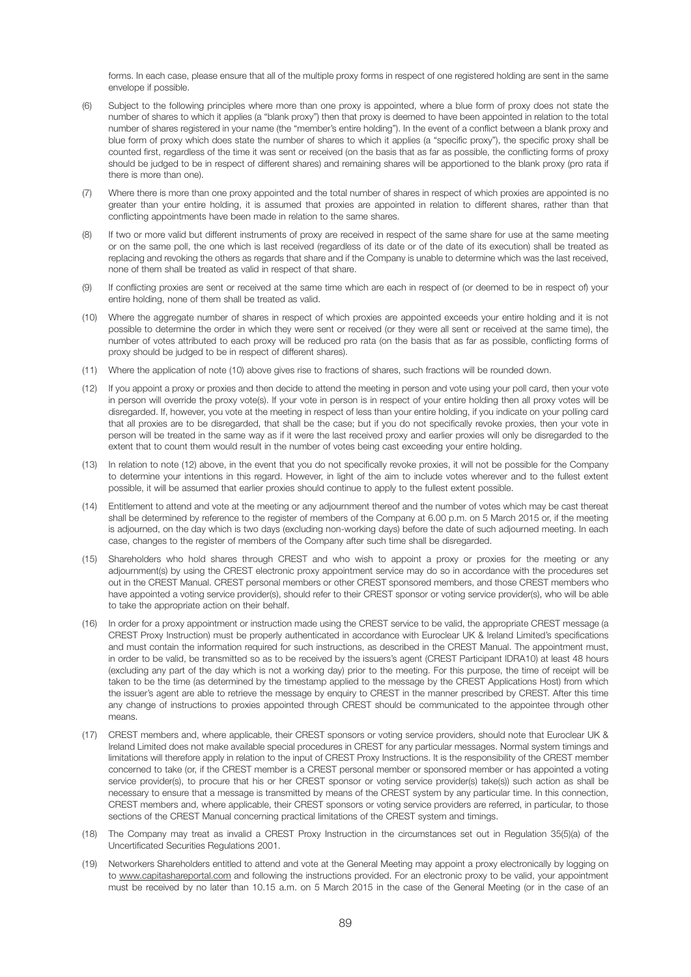forms. In each case, please ensure that all of the multiple proxy forms in respect of one registered holding are sent in the same envelope if possible.

- (6) Subject to the following principles where more than one proxy is appointed, where a blue form of proxy does not state the number of shares to which it applies (a "blank proxy") then that proxy is deemed to have been appointed in relation to the total number of shares registered in your name (the "member's entire holding"). In the event of a conflict between a blank proxy and blue form of proxy which does state the number of shares to which it applies (a "specific proxy"), the specific proxy shall be counted first, regardless of the time it was sent or received (on the basis that as far as possible, the conflicting forms of proxy should be judged to be in respect of different shares) and remaining shares will be apportioned to the blank proxy (pro rata if there is more than one).
- (7) Where there is more than one proxy appointed and the total number of shares in respect of which proxies are appointed is no greater than your entire holding, it is assumed that proxies are appointed in relation to different shares, rather than that conflicting appointments have been made in relation to the same shares.
- (8) If two or more valid but different instruments of proxy are received in respect of the same share for use at the same meeting or on the same poll, the one which is last received (regardless of its date or of the date of its execution) shall be treated as replacing and revoking the others as regards that share and if the Company is unable to determine which was the last received, none of them shall be treated as valid in respect of that share.
- (9) If conflicting proxies are sent or received at the same time which are each in respect of (or deemed to be in respect of) your entire holding, none of them shall be treated as valid.
- (10) Where the aggregate number of shares in respect of which proxies are appointed exceeds your entire holding and it is not possible to determine the order in which they were sent or received (or they were all sent or received at the same time), the number of votes attributed to each proxy will be reduced pro rata (on the basis that as far as possible, conflicting forms of proxy should be judged to be in respect of different shares).
- (11) Where the application of note (10) above gives rise to fractions of shares, such fractions will be rounded down.
- (12) If you appoint a proxy or proxies and then decide to attend the meeting in person and vote using your poll card, then your vote in person will override the proxy vote(s). If your vote in person is in respect of your entire holding then all proxy votes will be disregarded. If, however, you vote at the meeting in respect of less than your entire holding, if you indicate on your polling card that all proxies are to be disregarded, that shall be the case; but if you do not specifically revoke proxies, then your vote in person will be treated in the same way as if it were the last received proxy and earlier proxies will only be disregarded to the extent that to count them would result in the number of votes being cast exceeding your entire holding.
- (13) In relation to note (12) above, in the event that you do not specifically revoke proxies, it will not be possible for the Company to determine your intentions in this regard. However, in light of the aim to include votes wherever and to the fullest extent possible, it will be assumed that earlier proxies should continue to apply to the fullest extent possible.
- (14) Entitlement to attend and vote at the meeting or any adjournment thereof and the number of votes which may be cast thereat shall be determined by reference to the register of members of the Company at 6.00 p.m. on 5 March 2015 or, if the meeting is adjourned, on the day which is two days (excluding non-working days) before the date of such adjourned meeting. In each case, changes to the register of members of the Company after such time shall be disregarded.
- (15) Shareholders who hold shares through CREST and who wish to appoint a proxy or proxies for the meeting or any adjournment(s) by using the CREST electronic proxy appointment service may do so in accordance with the procedures set out in the CREST Manual. CREST personal members or other CREST sponsored members, and those CREST members who have appointed a voting service provider(s), should refer to their CREST sponsor or voting service provider(s), who will be able to take the appropriate action on their behalf.
- (16) In order for a proxy appointment or instruction made using the CREST service to be valid, the appropriate CREST message (a CREST Proxy Instruction) must be properly authenticated in accordance with Euroclear UK & Ireland Limited's specifications and must contain the information required for such instructions, as described in the CREST Manual. The appointment must, in order to be valid, be transmitted so as to be received by the issuers's agent (CREST Participant IDRA10) at least 48 hours (excluding any part of the day which is not a working day) prior to the meeting. For this purpose, the time of receipt will be taken to be the time (as determined by the timestamp applied to the message by the CREST Applications Host) from which the issuer's agent are able to retrieve the message by enquiry to CREST in the manner prescribed by CREST. After this time any change of instructions to proxies appointed through CREST should be communicated to the appointee through other means.
- (17) CREST members and, where applicable, their CREST sponsors or voting service providers, should note that Euroclear UK & Ireland Limited does not make available special procedures in CREST for any particular messages. Normal system timings and limitations will therefore apply in relation to the input of CREST Proxy Instructions. It is the responsibility of the CREST member concerned to take (or, if the CREST member is a CREST personal member or sponsored member or has appointed a voting service provider(s), to procure that his or her CREST sponsor or voting service provider(s) take(s)) such action as shall be necessary to ensure that a message is transmitted by means of the CREST system by any particular time. In this connection, CREST members and, where applicable, their CREST sponsors or voting service providers are referred, in particular, to those sections of the CREST Manual concerning practical limitations of the CREST system and timings.
- (18) The Company may treat as invalid a CREST Proxy Instruction in the circumstances set out in Regulation 35(5)(a) of the Uncertificated Securities Regulations 2001.
- (19) Networkers Shareholders entitled to attend and vote at the General Meeting may appoint a proxy electronically by logging on to www.capitashareportal.com and following the instructions provided. For an electronic proxy to be valid, your appointment must be received by no later than 10.15 a.m. on 5 March 2015 in the case of the General Meeting (or in the case of an